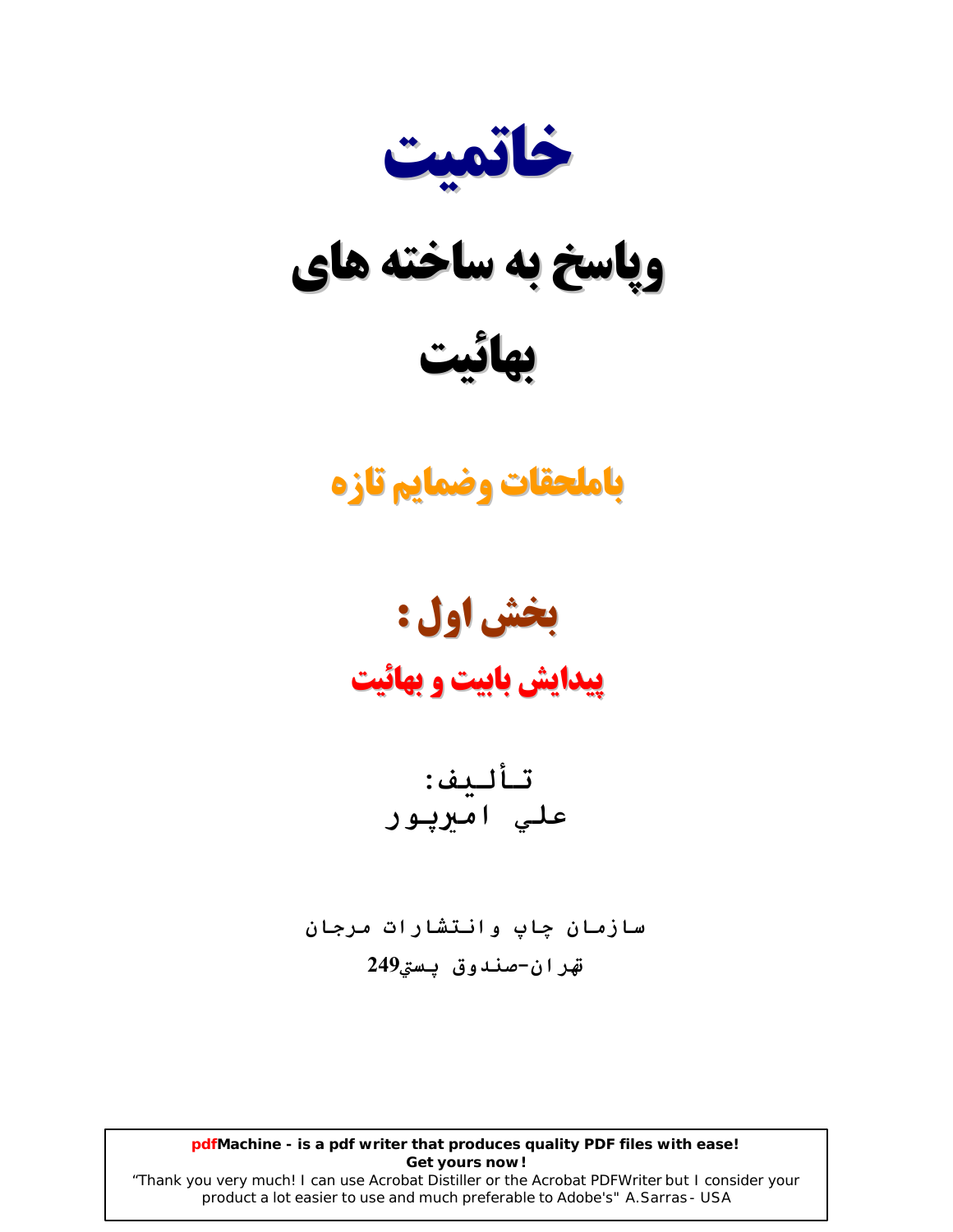

# وپاسخ به ساخته های

## باملحقات وضمايم تازه

# بخش اول :

## **پیدایش بابیت و بهائیت**

سازمان چاپ وانتشارات مرجان قهران-صندوق يستى249

pdfMachine - is a pdf writer that produces quality PDF files with ease! Get yours now!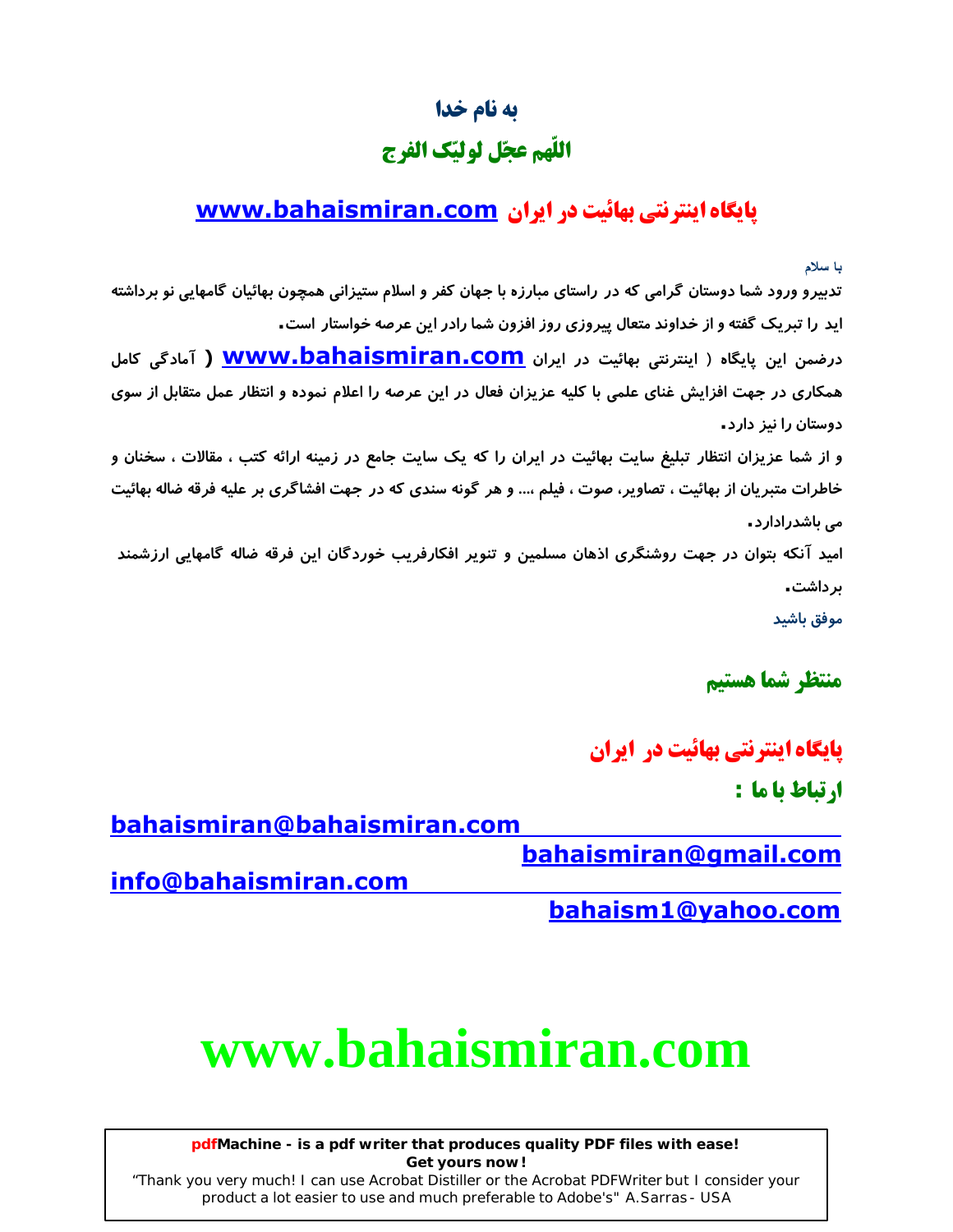## به نام خدا اللّهم عجّل لوليّك الفرج

## **یایگاه اینترنتی بهائیت در ایران www.bahaismiran.com**

با سلام

تدبیرو ورود شما دوستان گرامی که در راستای مبارزه با جهان کفر و اسلام ستیزانی همچون بهائیان گامهایی نو برداشته اید را تبریک گفته و از خداوند متعال پیروزی روز افزون شما رادر این عرصه خواستار است.

درضمن این پایگاه ( اینترنتی بهائیت در ایران <mark>www.bahaismiran.com</mark> ( آمادگی کامل همکاری در جهت افزایش غنای علمی با کلیه عزیزان فعال در این عرصه را اعلام نموده و انتظار عمل متقابل از سوی دوستان را نیز دارد.

و از شما عزیزان انتظار تبلیغ سایت بهائیت در ایران را که یک سایت جامع در زمینه ارائه کتب ، مقالات ، سخنان و خاطرات متبریان از بهائیت ، تصاویر، صوت ، فیلم ،... و هر گونه سندی که در جهت افشاگری بر علیه فرقه ضاله بهائیت مے, باشدرادارد۔

امید آنکه بتوان در جهت روشنگری اذهان مسلمین و تنویر افکارفریب خوردگان این فرقه ضاله گامهایی ارزشمند ىر داشت ـ

موفق باشيد

منتظر شما هستيم

**یایگاه اینترنتی بهائیت در ایران** ا, تياط يا ما :

bahaismiran@bahaismiran.com

bahaismiran@gmail.com

info@bahaismiran.com

bahaism1@vahoo.com

# www.bahaismiran.com

pdfMachine - is a pdf writer that produces quality PDF files with ease! Get yours now!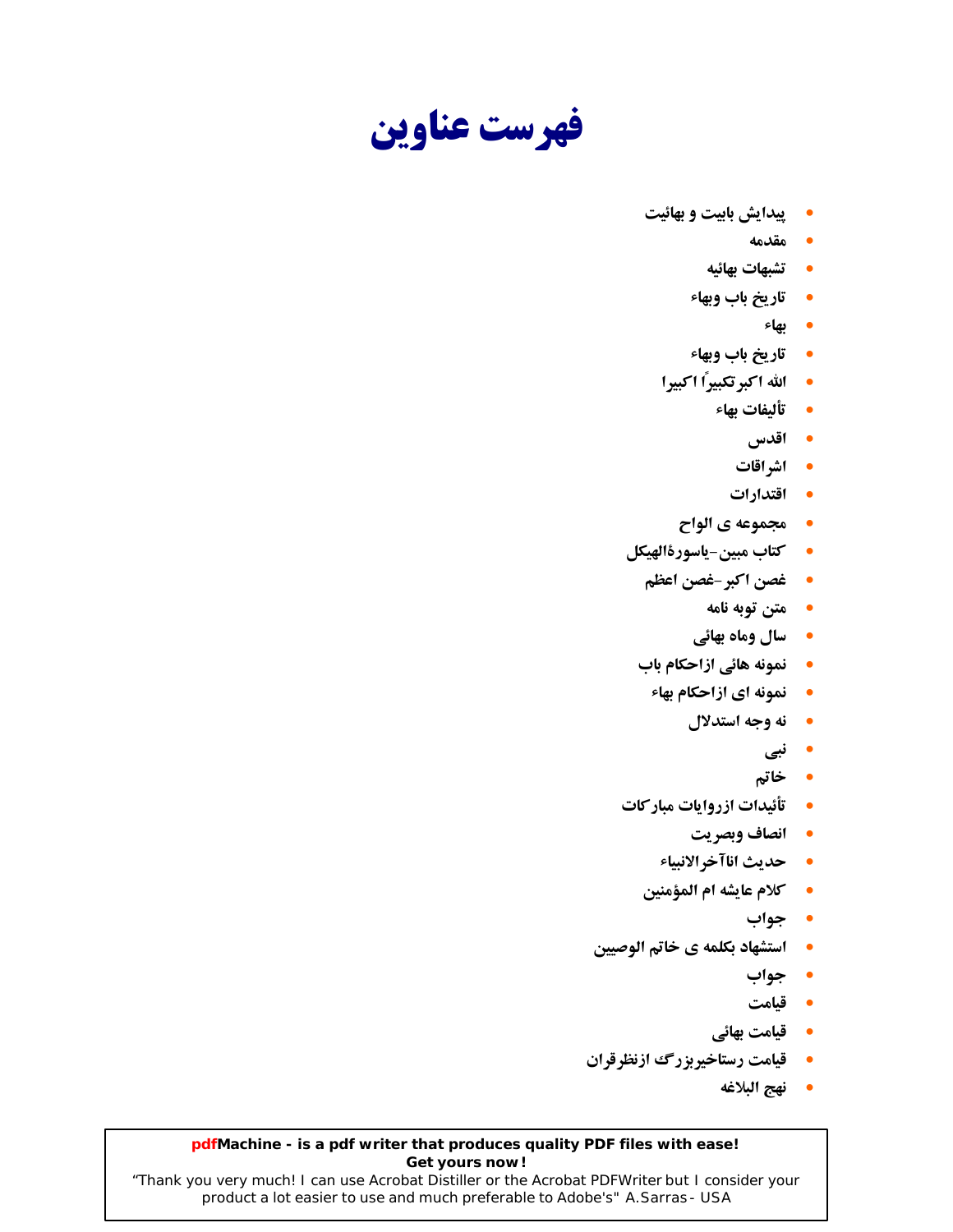فهرست عناوين

- **پیدایش بابیت و بهائیت** 
	- مقدمه
	- **تشبهات بهائيه**
	- **تاريخ باب وبهاء** 
		- بهاء
	- **تاريخ باب وبهاء**
	- الله اكبرتكبيرًا اكبيرا
		- تأليفات بهاء
			- اقدس
			- اشراقات
			- اقتدارات
		- مجموعه ي الواح  $\bullet$
- **كتاب مبين-ياسورةالهيكل** 
	- غصن اكبر-غصن اعظم
		- **متن توبه نامه**
		- **سال وماه بهائي**
	- **لنمونه هائی ازاحکام باب** 
		- **لنمونه ای ازاحکام بهاء** 
			- نه وجه استدلال
				- نبي
				- خاتم
- **تأئيدات ازروايات مباركات** 
	- انصاف وبصريت
	- حديث اناآخرالانبياء
	- كلام عايشه ام المؤمنين
		- جواب
- **استشهاد بكلمه ي خاتم الوصيين** 
	- جواب
	- قيامت
	- قیامت بھائی
- **قيامت رستاخيربزرگ ازنظرقران** 
	- نهج البلاغه

#### pdfMachine - is a pdf writer that produces quality PDF files with ease! Get yours now!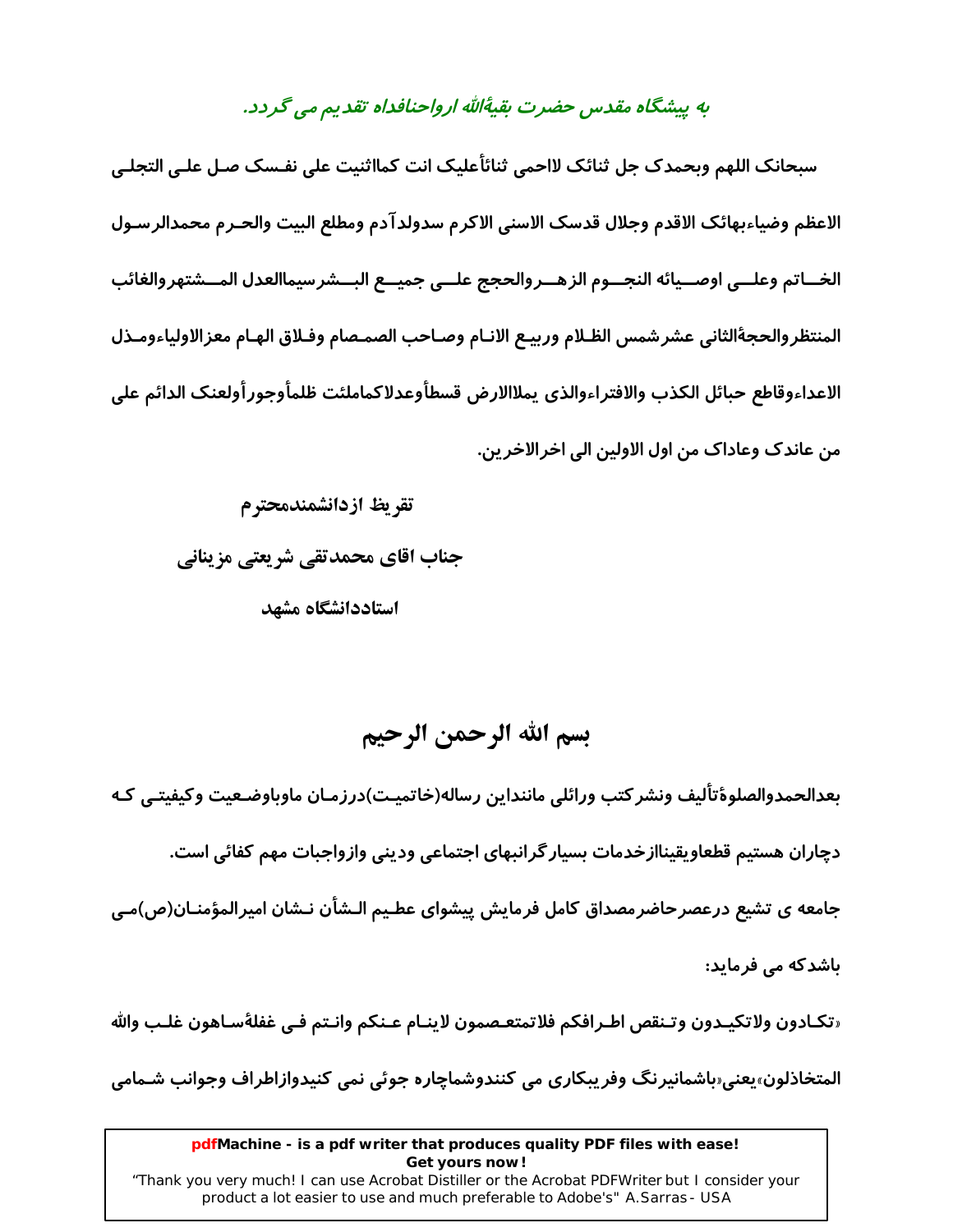#### به پیشگاه مقدس حضرت بقیهٔالله ارواحنافداه تقدیم می گردد.

سبحانک اللهم وبحمدک جل ثنائک لااحمی ثنائأعلیک انت کمااثنیت علی نفـسک صـل علـی التجلـی الاعظم وضياءبهائك الاقدم وجلال قدسك الاسنى الاكرم سدولدآدم ومطلع البيت والحـرم محمدالرسـول الخــاتم وعلــي اوصــيائه النجــوم الزهــروالحجج علــي جميــع البــشرسيماالعدل المــشتهروالغائب المنتظروالحجةالثاني عشرشمس الظـلام وربيـع الانـام وصـاحب الصمـصام وفـلاق الهـام معزالاولياءومـذل الاعداءوقاطع حبائل الكذب والافتراءوالذي يملاالارض قسطأوعدلاكماملئت ظلمأوجورأولعنك الدائم على من عاندک وعاداک من اول الاولین الی اخرالاخرین.

تقريظ ازدانشمندمحترم جناب اقای محمدتقی شریعتی مزینانی استاددانشگاه مشهد

## بسم الله الرحمن الرحيم

بعدالحمدوالصلوةتأليف ونشركتب ورائلي ماننداين رساله(خاتميت)درزمـان ماوباوضـعيت وكيفيتـي كـه دچاران هستیم قطعاویقیناازخدمات بسیار گرانبهای اجتماعی ودینی وازواجبات مهم کفائی است. جامعه ی تشیع درعصرحاضرمصداق کامل فرمایش پیشوای عطـیم الـشأن نـشان امیرالمؤمنـان(ص)مـی باشدکه می فرماید:

«تكـادون ولاتكيـدون وتـنقص اطـرافكم فلاتمتعـصمون لاينـام عـنكم وانـتم فـي غفلةسـاهون غلـب والله

المتخاذلون،یعنی باشمانیرنگ وفریبکاری می کنندوشماچاره جوئی نمی کنیدوازاطراف وجوانب شـمامی

#### pdfMachine - is a pdf writer that produces quality PDF files with ease! Get yours now!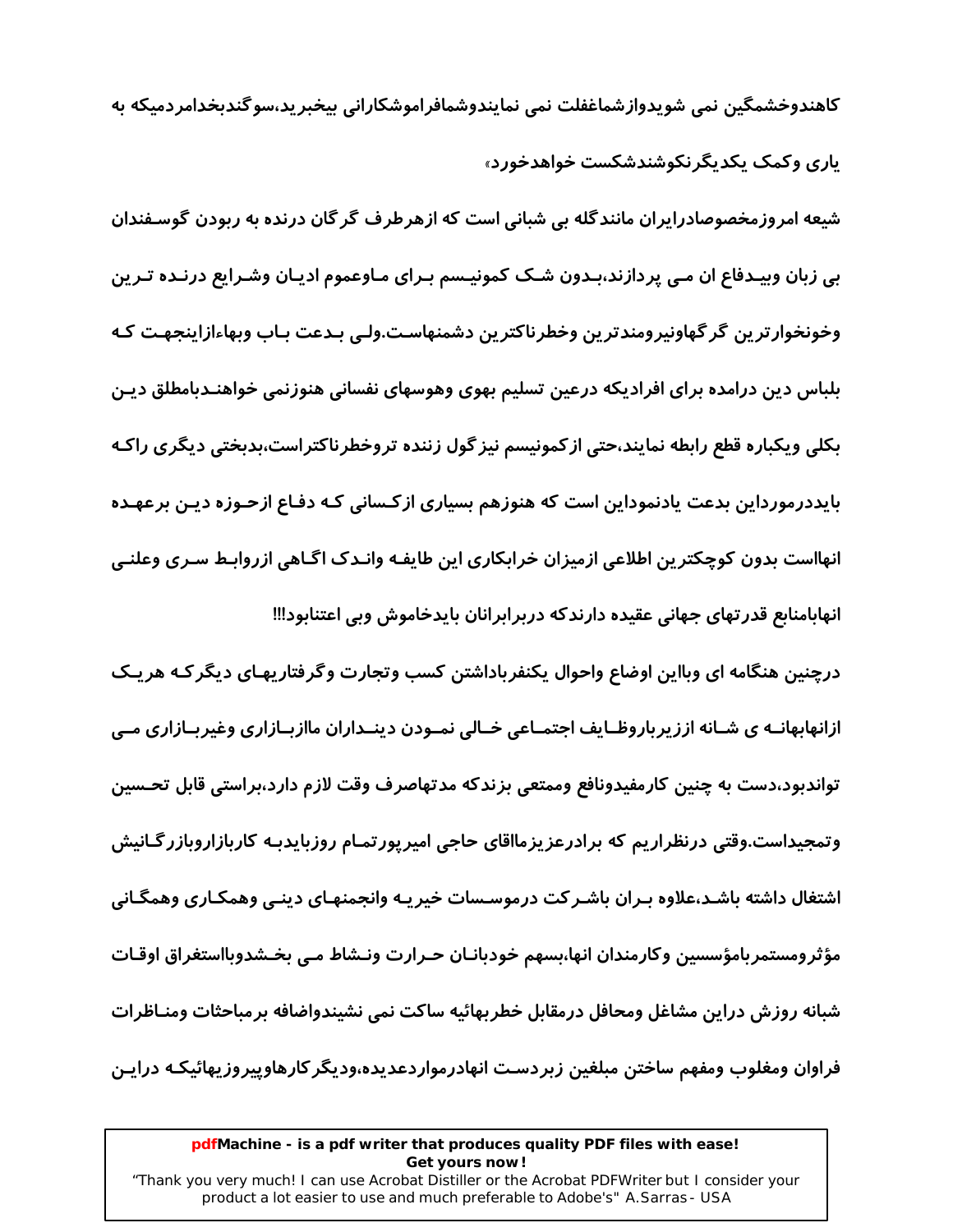کاهندوخشمگین نمی شویدوازشماغفلت نمی نمایندوشمافراموشکارانی بیخبرید،سوگندبخدامردمیکه به یاری وکمک یکدیگرنکوشندشکست خواهدخورد»

شیعه امروزمخصوصادرایران مانندگله بی شبانی است که ازهرطرف گر گان درنده به ربودن گوسـفندان بی زبان وبیـدفاع ان مـی پردازند،بـدون شـک کمونیـسم بـرای مـاوعموم ادیـان وشـرایع درنـده تـرین وخونخوارترين گر گهاونيرومندترين وخطرناكترين دشمنهاست.ولـي بـدعت بـاب وبهاءازاينجهـت كـه بلباس دین درامده برای افرادیکه درعین تسلیم بهوی وهوسهای نفسانی هنوزنمی خواهنـدبامطلق دیـن بکلی ویکباره قطع رابطه نمایند،حتی از کمونیسم نیز گول زننده تروخطرناکتراست،بدبختی دیگری راکـه بایددرمورداین بدعت یادنموداین است که هنوزهم بسیاری از کـسانی کـه دفـاع ازحـوزه دیـن برعهـده انهااست بدون کوچکترین اطلاعی ازمیزان خرابکاری این طایفـه وانـدک اگـاهی ازروابـط سـری وعلنـی انهابامنابع قدرتهای جهانی عقیده دارندکه دربرابرانان بایدخاموش وبی اعتنابود!!!

درچنین هنگامه ای وبااین اوضاع واحوال یکنفرباداشتن کسب وتجارت وگرفتاریهـای دیگر کـه هر یـک ازانهابهانــه ی شــانه اززیرباروظــایف اجتمــاعی خــالی نمــودن دینــداران ماازبــازاری وغیربــازاری مــی تواندبود،دست به چنین کارمفیدونافع وممتعی بزندکه مدتهاصرف وقت لازم دارد،براستی قابل تحـسین وتمجیداست.وقتی درنظراریم که برادرعزیزمااقای حاجی امیرپورتمـام روزبایدبـه کاربازاروبازرگـانیش اشتغال داشته باشـد،علاوه بـران باشـر کت درموسـسات خیریـه وانجمنهـای دینـی وهمکـاری وهمگـانی مؤثرومستمربامؤسسين وكارمندان انها،بسهم خودبانـان حـرارت ونـشاط مـى بخـشدوبااستغراق اوقـات شبانه روزش دراين مشاغل ومحافل درمقابل خطربهائيه ساكت نمى نشيندواضافه برمباحثات ومنـاظرات فراوان ومغلوب ومفهم ساختن مبلغين زبردست انهادرمواردعديده،وديگر كارهاوييروزيهائيكـه درايـن

#### pdfMachine - is a pdf writer that produces quality PDF files with ease! Get yours now!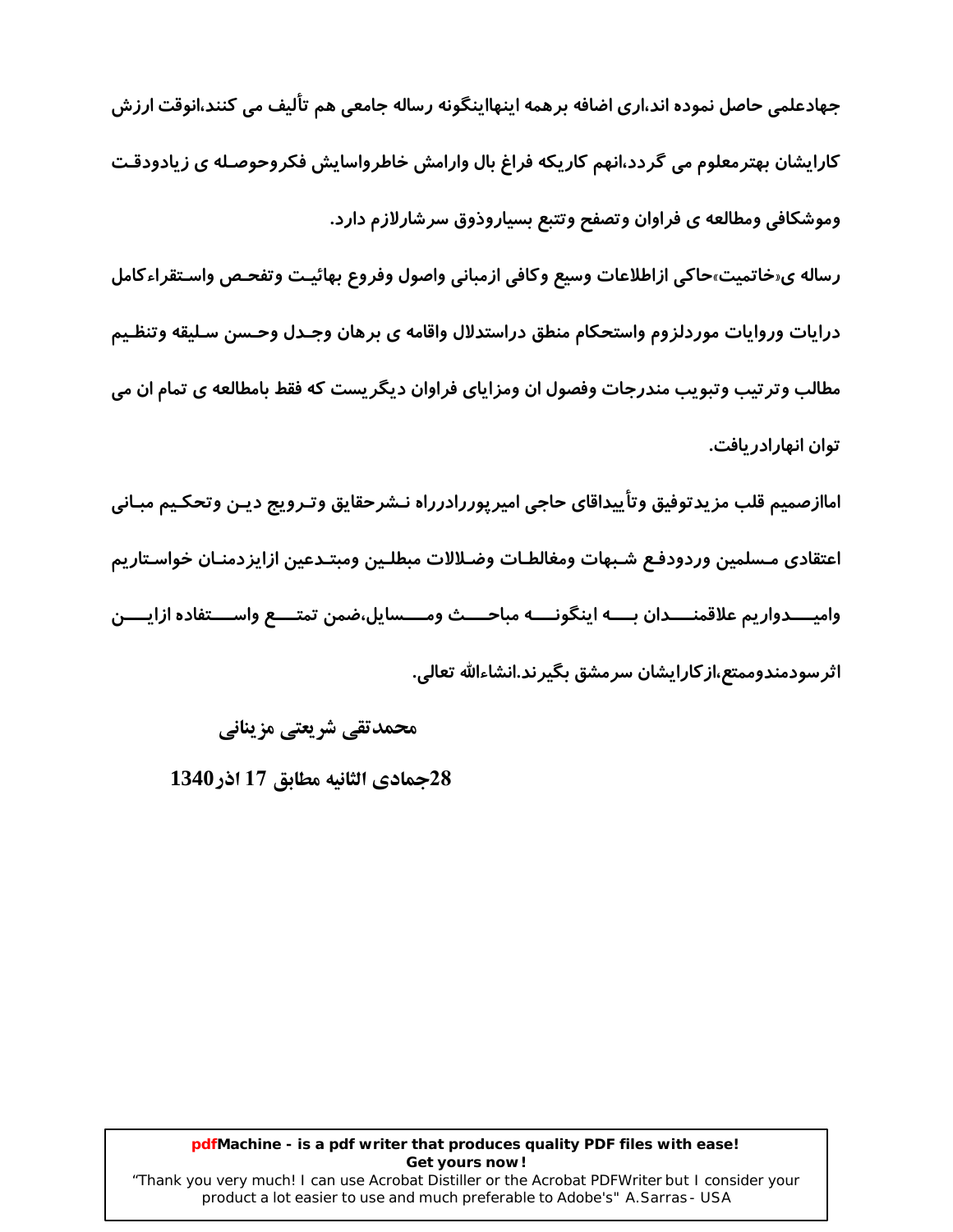جهادعلمی حاصل نموده اند،اری اضافه برهمه اینهااینگونه رساله جامعی هم تألیف می کنند،انوقت ارزش کارایشان بهترمعلوم می گردد،انهم کاریکه فراغ بال وارامش خاطرواسایش فکروحوصـله ی زیادودقـت وموشكافي ومطالعه ي فراوان وتصفح وتتبع بسياروذوق سرشارلازم دارد.

رساله ي«خاتميت»حاكي ازاطلاعات وسيع وكافي ازمباني واصول وفروع بهائيـت وتفحـص واسـتقراءكامل درايات وروايات موردلزوم واستحكام منطق دراستدلال واقامه ى برهان وجـدل وحـسن سـليقه وتنظـيم مطالب وتر تیب وتبویب مندرجات وفصول ان ومزایای فراوان دیگریست که فقط بامطالعه ی تمام ان می توان انهارادر بافت.

اماازصميم قلب مزيدتوفيق وتأييداقاي حاجي اميرپوررادرراه نـشرحقايق وتـرويج ديـن وتحكـيم مبـاني اعتقادي مـسلمين وردودفـع شـبهات ومغالطـات وضـلالات مبطلـين ومبتـدعين ازايزدمنـان خواسـتاريم واميــــدواريم علاقمنــــدان بــــه اينگونــــه مباحــــث ومــــسايل،ضمن تمتــــع واســــتفاده ازايــــن اثر سودمندوممتع،از کارایشان سرمشق بگیر ند.انشاءالله تعالے..

محمدتقی شریعتی مزینانی

28جمادي الثانيه مطابق 17 اذر 1340

#### pdfMachine - is a pdf writer that produces quality PDF files with ease! Get yours now!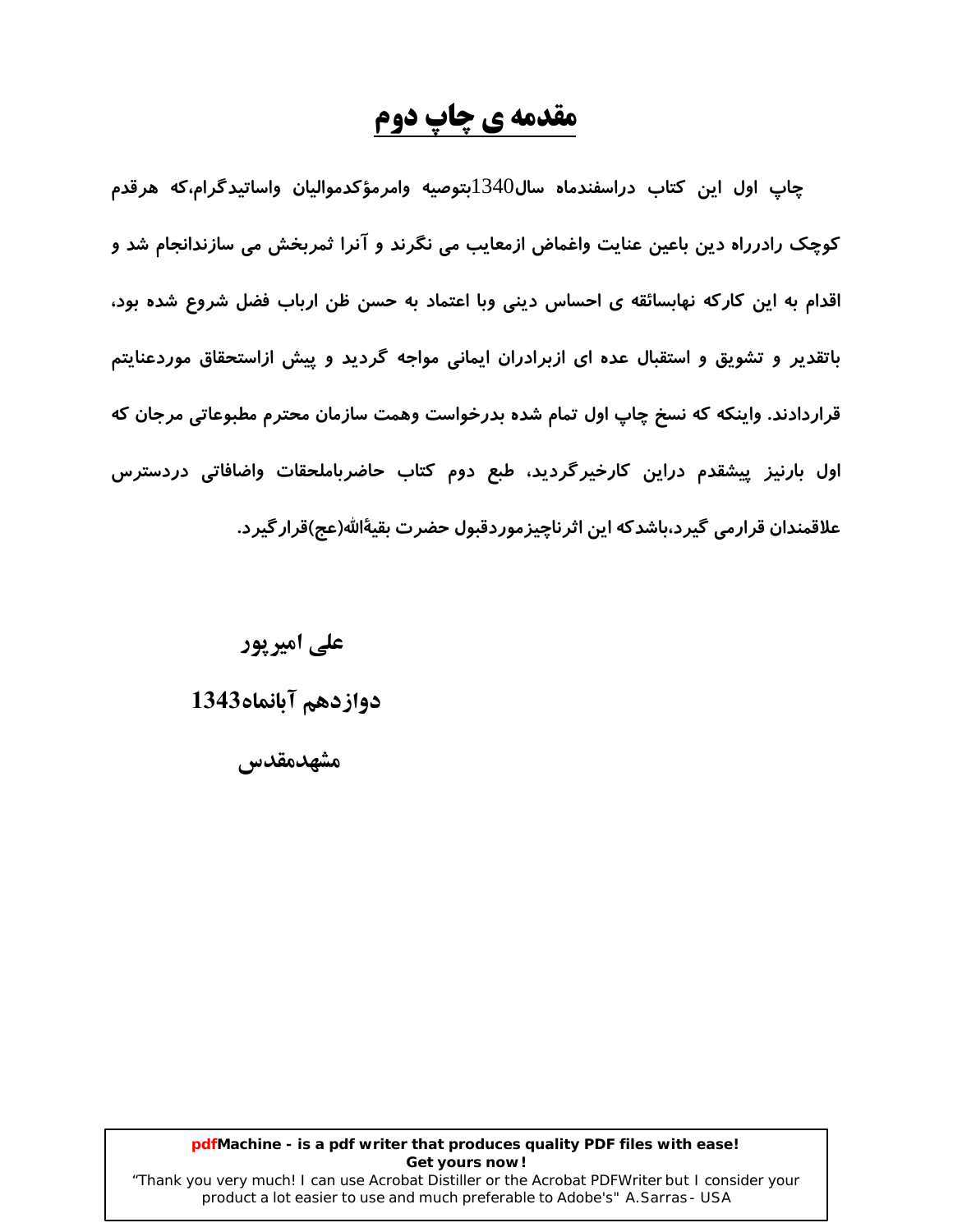## مقدمه ی چاپ دوم

چاپ اول این کتاب دراسفندماه سال $1340$ بتوصیه وامرمؤکدموالیان واساتیدگرام،که هرقدم کوچک رادرراه دین باعین عنایت واغماض ازمعایب می نگرند و آنرا ثمربخش می سازندانجام شد و اقدام به این کارکه نهابسائقه ی احساس دینی وبا اعتماد به حسن ظن ارباب فضل شروع شده بود، باتقدیر و تشویق و استقبال عده ای ازبرادران ایمانی مواجه گردید و پیش ازاستحقاق موردعنایتم قراردادند. واینکه که نسخ چاپ اول تمام شده بدرخواست وهمت سازمان محترم مطبوعاتی مرجان که اول بارنیز پیشقدم دراین کارخیرگردید، طبع دوم کتاب حاضرباملحقات واضافاتی دردسترس علاقمندان قرارمی گیرد،باشدکه این اثرناچیزموردقبول حضرت بقیهٔالله(عج)قرار گیرد.

> علی امیریور دوازدهم آبانماه1343 مشهدمقدس

#### pdfMachine - is a pdf writer that produces quality PDF files with ease! Get yours now!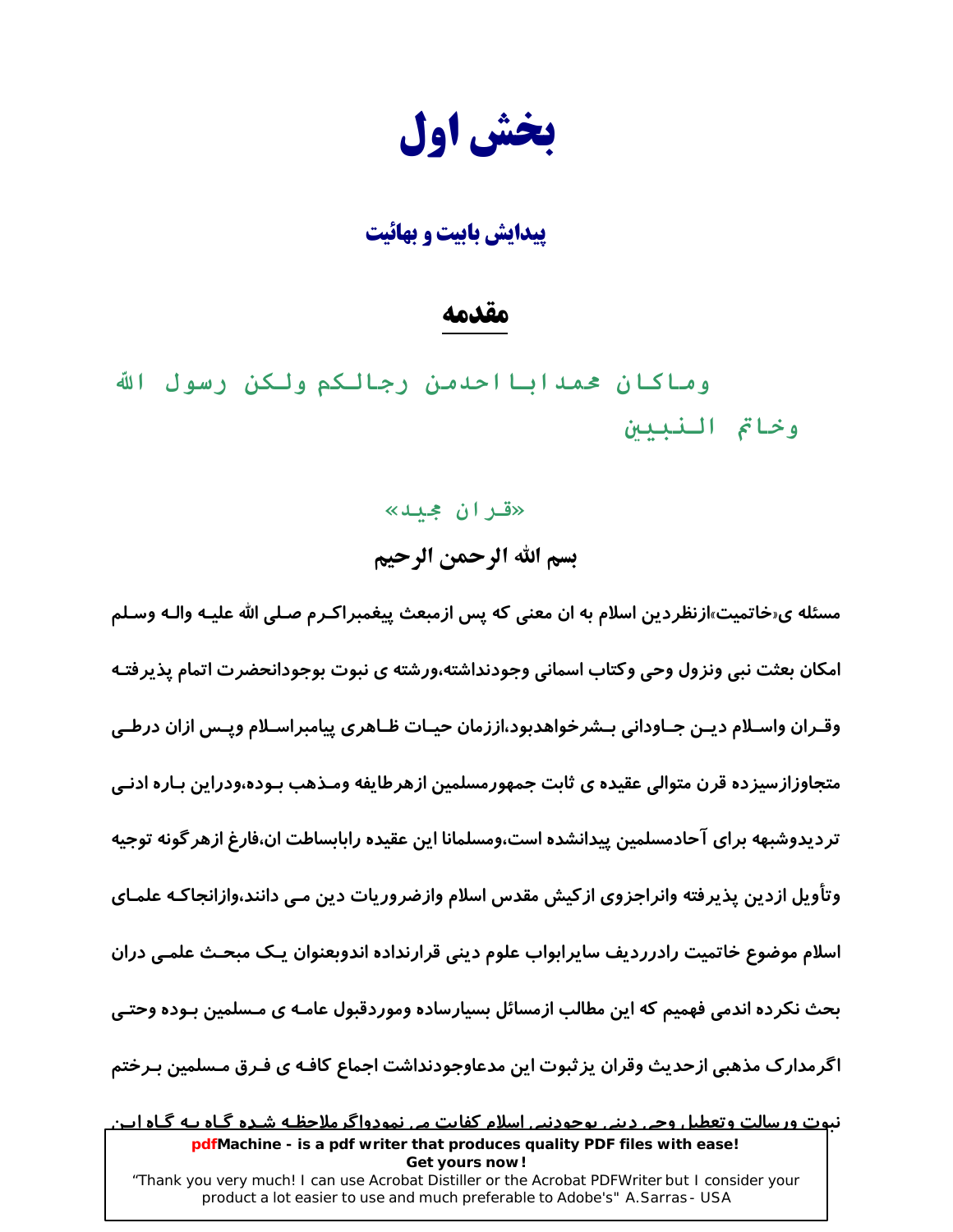بخش اول

**بیدایش بابیت و بهائیت** 

### مقدمه

وماكان حمدابااحدمن رجالكم ولكن رسول الله وخاتم النبيين

> «قران جميد» بسم الله الرحمن الرحيم

مسئله ی«خاتمیت»ازنظردین اسلام به ان معنی که پس ازمبعث پیغمبراکـرم صـلی الله علیـه والـه وسـلم امکان بعثت نبی ونزول وحی وکتاب اسمانی وجودنداشته،ورشته ی نبوت بوجودانحضرت اتمام پذیرفتـه وقـران واسـلام ديـن جـاوداني بـشرخواهدبود،اززمان حيـات ظـاهري پيامبراسـلام ويـس ازان درطـي متجاوزازسیزده قرن متوالی عقیده ی ثابت جمهورمسلمین ازهرطایفه ومـذهب بـوده،ودراین بـاره ادنـی تر دیدوشبهه برای آحادمسلمین پیدانشده است،ومسلمانا این عقیده رابابساطت ان،فارغ ازهر گونه توجیه وتأویل ازدین پذیرفته وانراجزوی ازکیش مقدس اسلام وازضروریات دین مـی دانند،وازانجاکـه علمـای اسلام موضوع خاتميت رادررديف سايرابواب علوم ديني قرارنداده اندوبعنوان يـك مبحـث علمـى دران بحث نکرده اندمی فهمیم که این مطالب ازمسائل بسیارساده وموردقبول عامـه ی مـسلمین بـوده وحتـی اگرمدارک مذهبی ازحدیث وقران پز ثبوت این مدعاوجودنداشت اجماع کافـه ی فـرق مـسلمین بـرختم

<u>نبوت ورسالت وتعطیل وجی دینی بوجودنیی اسلام کفایت می نمودواگر ملاحظـه شـده گـاه بـه گـاه ابن</u> pdfMachine - is a pdf writer that produces quality PDF files with ease! Get yours now! "Thank you very much! I can use Acrobat Distiller or the Acrobat PDFWriter but I consider your product a lot easier to use and much preferable to Adobe's" A. Sarras - USA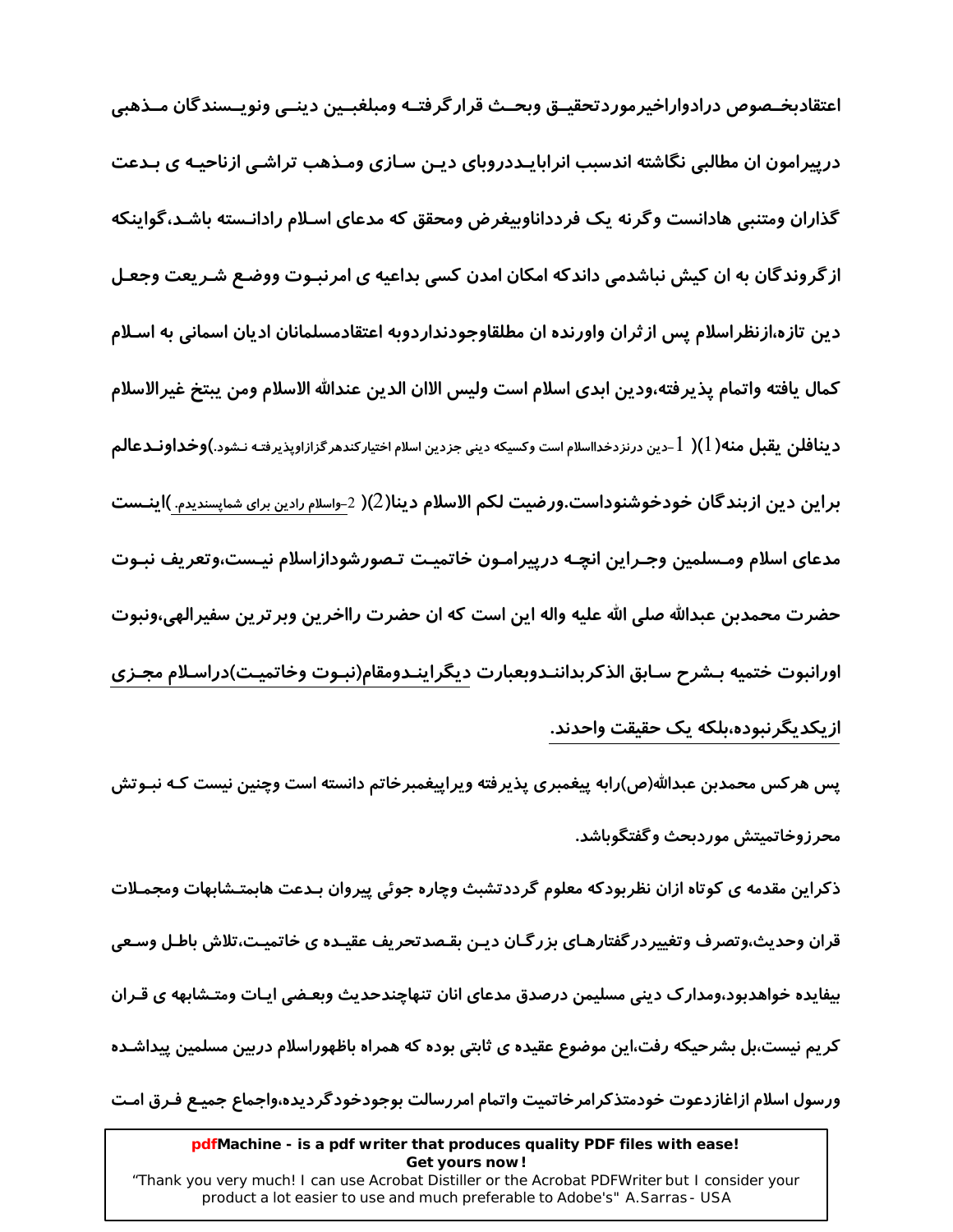اعتقادبخـصوص درادواراخيرموردتحقيــق وبحــث قرار گرفتــه ومبلغبــين دينــي ونويــسندگان مــذهبي درپیرامون ان مطالبی نگاشته اندسبب انرابایـددروبای دیـن سـازی ومـذهب تراشـی ازناحیـه ی بـدعت گذاران ومتنبی هادانست وگرنه یک فردداناوبیغرض ومحقق که مدعای اسـلام رادانـسته باشـد،گواینکه از گروندگان به ان کیش نباشدمی داندکه امکان امدن کسی بداعیه ی امرنبـوت ووضـع شـریعت وجعـل دین تازه،ازنظراسلام پس ازثران واورنده ان مطلقاوجودنداردوبه اعتقادمسلمانان ادیان اسمانی به اسـلام كمال يافته واتمام يذيرفته،ودين ابدي اسلام است وليس الاان الدين عندالله الاسلام ومن يبتخ غيرالاسلام د **ینافلن یقبل منه(** 1)( 1-دین درنزدخدااسلام است وکسیکه دینی جزدین اسلام اختیارکندهر گزازاوپذیرفته نـشود.)**وخداونــدعالم** براین دین ازبندگان خودخوشنوداست.ورضیت لکم الاسلام دینا(2)( 2-واسلام رادین برای شماپسندیدم. )اینــست مدعاى اسلام ومـسلمين وجـراين انچـه درييرامـون خاتميـت تـصورشودازاسلام نيـست،وتعريف نبـوت حضرت محمدبن عبدالله صلى الله عليه واله اين است كه ان حضرت رااخرين وبرترين سفيرالهي،ونبوت اورانبوت ختميه بـشرح سـابق الذكربداننـدوبعبارت ديگراينـدومقام(نبـوت وخاتميـت)دراسـلام مجـزي ازیکدیگرنبوده،بلکه یک حقیقت واحدند.

پس هرکس محمدبن عبدالله(ص)رابه پیغمبری پذیرفته ویراییغمبرخاتم دانسته است وچنین نیست کـه نبـوتش محرزوخاتمىتش موردىحث وگفتگوىاشد.

ذکراین مقدمه ی کوتاه ازان نظربودکه معلوم گرددتشبث وچاره جوئی پیروان بـدعت هابمتـشابهات ومجمـلات قران وحدیث،وتصرف وتغییردر گفتارهـای بزرگـان دیـن بقـصدتحریف عقیـده ی خاتمیـت،تلاش باطـل وسـعی بیفایده خواهدبود،ومدارک دینی مسلیمن درصدق مدعای انان تنهاچندحدیث وبعـضی ایـات ومتـشابهه ی قـران کریم نیست،بل بشرحیکه رفت،این موضوع عقیده ی ثابتی بوده که همراه باظهوراسلام دربین مسلمین پیداشـده ورسول اسلام ازاغازدعوت خودمتذكرامرخاتميت واتمام امررسالت بوجودخودگرديده،واجماع جميـع فـرق امـت

#### pdfMachine - is a pdf writer that produces quality PDF files with ease! Get yours now!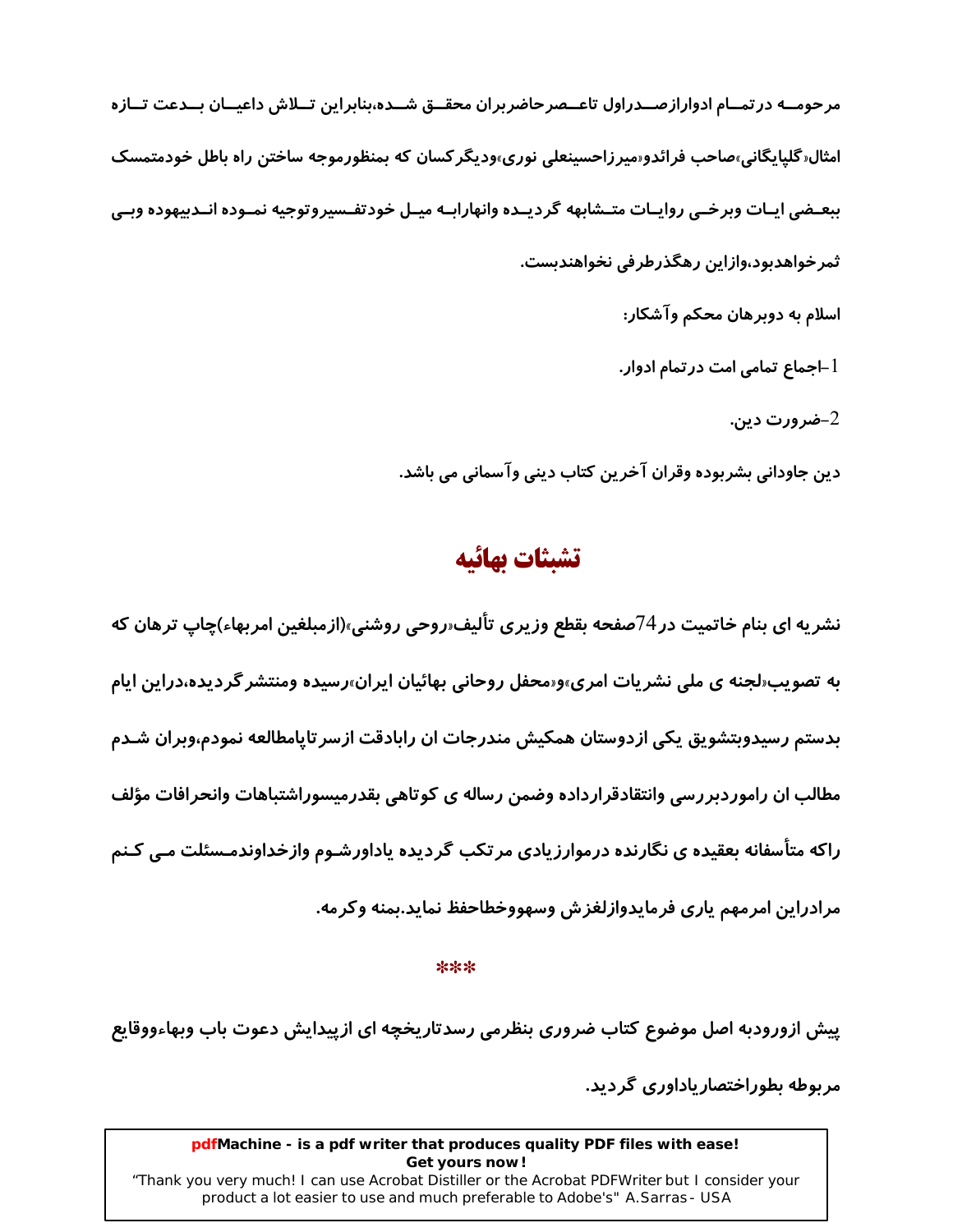مرحومــه در تمــام ادواراز صــدراول تاعــصرحاضربران محقــق شــده،بنابراین تــلاش داعیــان بــدعت تــازه امثال«گلیایگانی»صاحب فرائدو«میرزاحسینعلی نوری»ودیگرکسان که بمنظورموجه ساختن راه باطل خودمتمسک ببعــضي ايــات وبرخــي روايــات متــشابهه گرديــده وانهارابــه ميــل خودتفــسيروتوجيه نمــوده انــدبيهوده وبــي ثمر خواهدبود،وازاین رهگذرطرفی نخواهندبست. اسلام به دوبرهان محکم وآشکار: l –اجماع تمامی امت درتمام ادوا*ر*. -ضرورت دین. $\!-2$ 

دين جاوداني بشربوده وقران آخرين كتاب ديني وآسماني مي باشد.

## تشبثات بهائيه

نشریه ای بنام خاتمیت در 74صفحه بقطع وزیری تألیف«روحی روشنی»(ازمبلغین امربهاء)چاپ ترهان که به تصویب«لجنه ی ملی نشریات امری»و«محفل روحانی بهائیان ایران»رسیده ومنتشر گردیده،دراین ایام بدستم رسیدوبتشویق یکی ازدوستان همکیش مندرجات ان رابادقت ازسر تاپامطالعه نمودم،وبران شـدم مطالب ان راموردبررسی وانتقادقرارداده وضمن رساله ی کوتاهی بقدرمیسوراشتباهات وانحرافات مؤلف راکه متأسفانه بعقیده ی نگارنده درموارزیادی مرتکب گردیده یاداورشـوم وازخداوندمـسئلت مـی کـنم مرادراين امرمهم يارى فرمايدوازلغزش وسهووخطاحفظ نمايد.بمنه وكرمه.

 $***$ 

پیش ازورودبه اصل موضوع کتاب ضروری بنظرمی رسدتاریخچه ای ازپیدایش دعوت باب وبهاءووقایع مر بوطه بطوراختصار باداوری گر دید.

#### pdfMachine - is a pdf writer that produces quality PDF files with ease! Get yours now!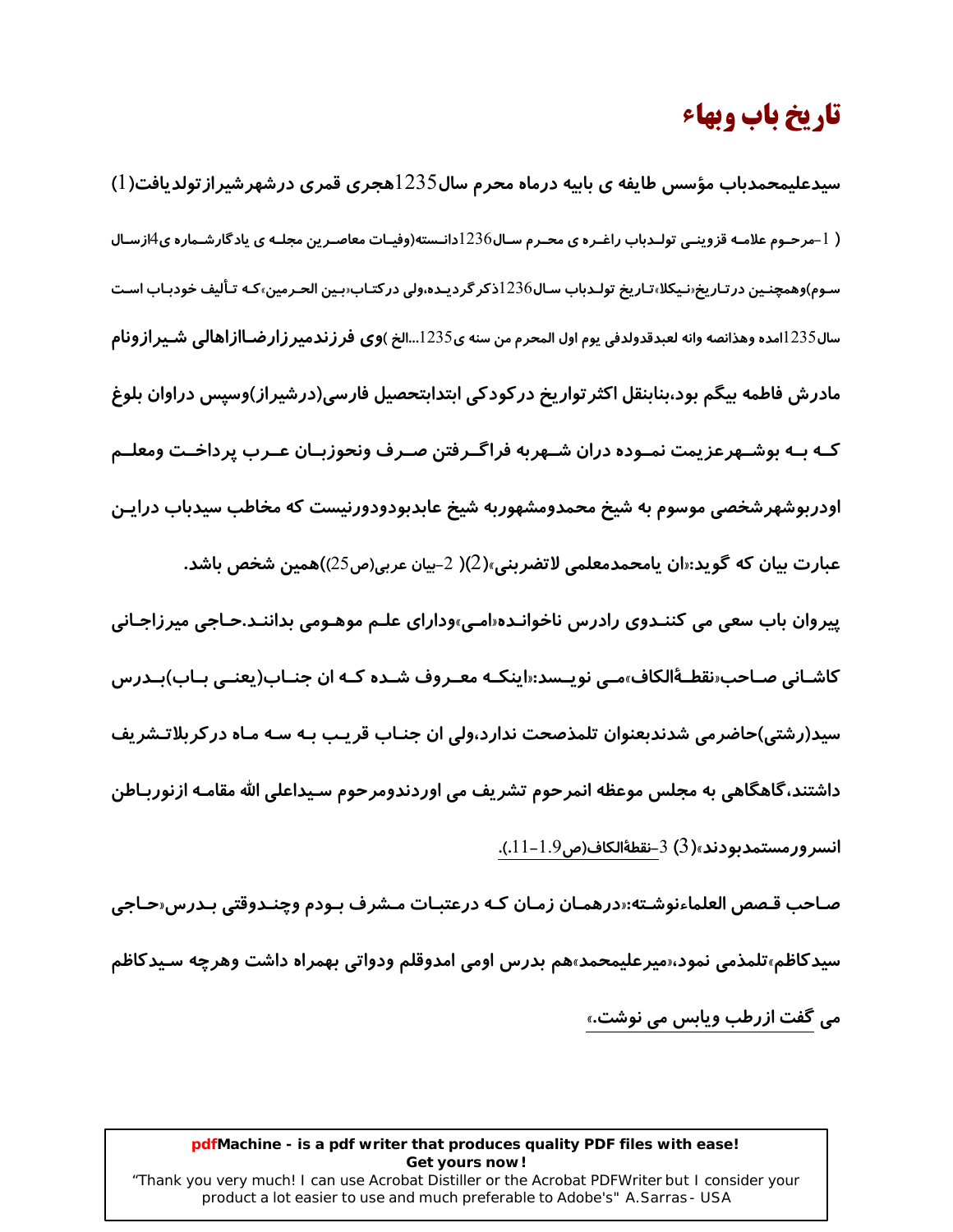## تاريخ باب وبهاء

سیدعلیمحمدباب مؤسس طایفه ی بابیه درماه محرم سال1235هجری قمری درشهرشیرازتولدیافت(1) ( 1–مرحـوم علامـه قزوینـی تولـدباب راغـره ی محـرم سـال236دانـسته(وفیـات معاصـرین مجلـه ی یادگارشـماره ی4ازسـال سـوم)وهمچنـین در *ت*ـاریخ‹نـیکلا،تـاریخ تولـدباب سـال1236ذکر گردیـده،ولی در کتـاب‹بـین الحـرمین›کـه تـألیف خودبـاب اسـت سال1235امده وهذانصه وانه لعبدقدولدفي يوم اول المحرم من سنه ي1235...الخ )وي فر ز ندمير ز ار ضـااز اهالي شـير از ونام مادرش فاطمه بيگم بود،بنابنقل اكثر تواريخ در كودكي ابتدابتحصيل فارسي(درشيراز)وسيس دراوان بلوغ کـه بـه بوشــهرعزیمت نمــوده دران شــهربه فراگــرفتن صــرف ونحوزبــان عــرب پرداخــت ومعلــم اودربوشهرشخصی موسوم به شیخ محمدومشهوربه شیخ عابدبودودورنیست که مخاطب سیدباب درایـن عبارت بيان كه گويد:«ان يامحمدمعلمي لاتضربني»(2)( 2-بيان عربي(ص25))همين شخص باشد. پیروان باب سعی می کننـدوی رادرس ناخوانـده«امـی»ودارای علـم موهـومی بداننـد.حـاجی میرزاجـانی کاشـانی صـاحب«نقطـهٔالکاف»مـی نویــسد:«اینکــه معــروف شــده کــه ان جنــاب(یعنــی بــاب)بــدرس سید(رشتی)حاضرمی شدندبعنوان تلمذصحت ندارد،ولی ان جنـاب قریـب بـه سـه مـاه درکربلاتـشریف داشتند،گاهگاهی به مجلس موعظه انمرحوم تشریف می اوردندومرحوم سـیداعلی الله مقامـه ازنوربـاطن

انسر ورمستمدىودند»(3) 3-نقطةالكاف(ص9.1-11.).

صـاحب قـصص العلماءنوشـته:«درهمـان زمـان كـه درعتبـات مـشرف بـودم وچنـدوقتي بـدرس«حـاجي سیدکاظم،تلمذمی نمود،«میرعلیمحمد»هم بدرس اومی امدوقلم ودواتی بهمراه داشت وهرچه سـیدکاظم می گفت ازرطب ویابس می نوشت.»

#### pdfMachine - is a pdf writer that produces quality PDF files with ease! Get yours now!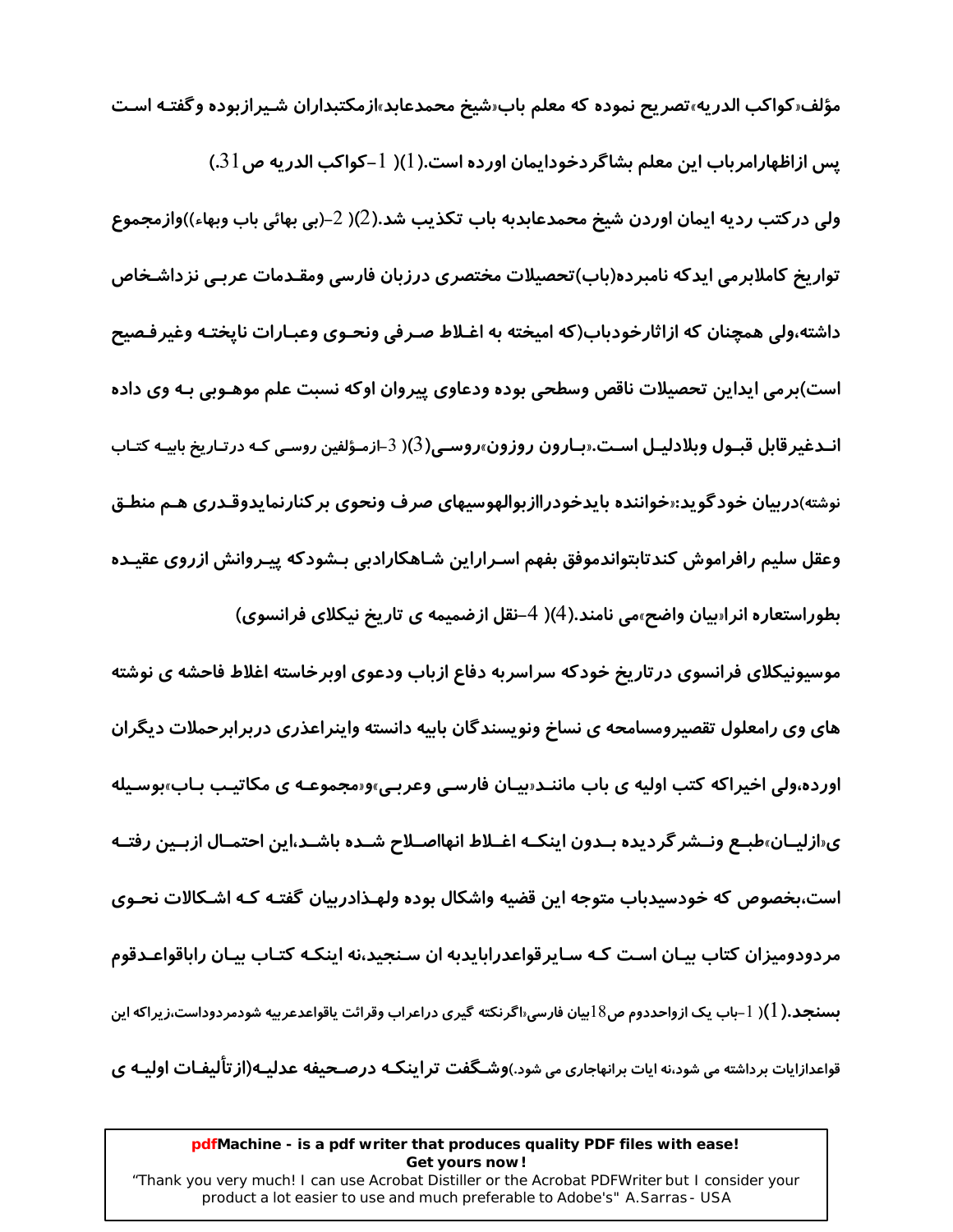مؤلف«كواكب الدريه»تصريح نموده كه معلم باب«شيخ محمدعابد»ازمكتبداران شـيرازبوده وگفتـه اسـت یس ازاظهارامرباب این معلم بشاگردخودایمان اورده است.(1)( 1–کواکب الدریه ص $31$ ) ولی در کتب ردیه ایمان اوردن شیخ محمدعابدبه باب تکذیب شد.(2)( 2–(بی بهائی باب وبهاء))وازمجموع تواریخ کاملابرمی ایدکه نامبرده(باب)تحصیلات مختصری درزبان فارسی ومقـدمات عربـی نزداشـخاص داشته،ولی همچنان که ازاثارخودباب(که امیخته به اغـلاط صـرفی ونحـوی وعبـارات نایختـه وغیرفـصیح است)برمی ایداین تحصیلات ناقص وسطحی بوده ودعاوی پیروان اوکه نسبت علم موهـوبی بـه وی داده انــدغیرقابل قبــول وبلادلیــل اســت.«بــارون روزون»روســی(3)( 3–ازمـؤلفین روسـی کـه در *ت*ـاریخ بابیـه کتـاب نوشته)دربیان خودگوید:«خواننده بایدخودراازبوالهوسیهای صرف ونحوی بر کنارنمایدوقـدری هـم منطـق وعقل سليم رافراموش كندتابتواندموفق بفهم اسـراراين شـاهكارادبي بـشودكه ييـروانش ازروى عقيـده بطوراستعاره انراسیان واضح»می نامند.(4)( 4–نقل ازضمیمه ی تاریخ نیکلای فرانسوی)

موسیونیکلای فرانسوی در تاریخ خودکه سراسربه دفاع ازباب ودعوی اوبرخاسته اغلاط فاحشه ی نوشته های وی رامعلول تقصیرومسامحه ی نساخ ونویسندگان بابیه دانسته واینراعذری دربرابرحملات دیگران اورده،ولی اخیراکه کتب اولیه ی باب ماننـد«پیـان فارسـی وعربـی»و«مجموعـه ی مکاتیـب بـاب»بوسـیله ی«ازلیــان»طبــع ونــشر گردیده بــدون اینکــه اغــلاط انهااصــلاح شــده باشــد،این احتمــال ازبــین رفتــه است،بخصوص که خودسیدباب متوجه این قضیه واشکال بوده ولهـذادربیان گفتـه کـه اشـکالات نحـوی مردودومیزان کتاب بیـان اسـت کـه سـایرقواعدرابایدبه ان سـنجید،نه اینکـه کتـاب بیـان راباقواعـدقوم بسنجد.( l )( l –باب یک ازواحددوم ص18بیان فارسی۱<sub>۰</sub>اگرنکته گیری دراعراب وقرائت یاقواعدعربیه شودمردوداست٬زیراکه این قواعدازایات برداشته می شود،نه ایات برانهاجاری می شود.)وشـگفت تراینکـه درصـحیفه عدلیـه(از تألیفـات اولیـه ی

#### pdfMachine - is a pdf writer that produces quality PDF files with ease! Get yours now!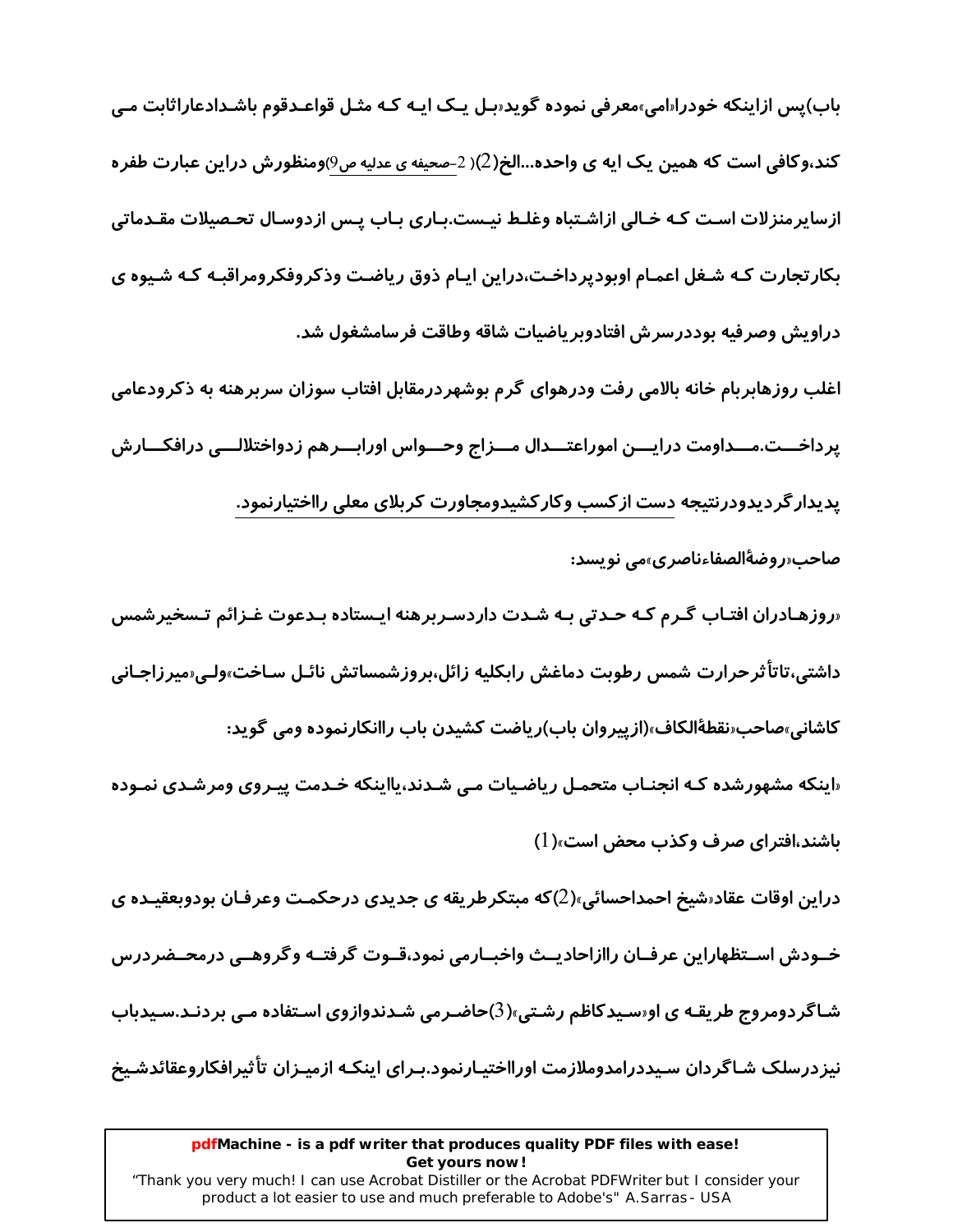باب)پس ازاینکه خودرا**للمی،معرفی نموده گوید**ابل یـک ایـه کـه مثـل قواعـدقوم باشـدادعاراثابت مـی کند،وکافی است که همین یک ایه ی واحده...الخ(2)( 2–صحیفه ی عدلیه ص9)ومنظورش دراین عبارت طفره ازسایرمنزلات است کـه خـالی ازاشـتباه وغلـط نیـست.پـاری بـاب پـس ازدوسـال تحـصیلات مقـدماتی بکار تجارت کـه شـغل اعمـام اوبودپرداخـت،دراین ایـام ذوق ریاضـت وذکروفکرومراقبـه کـه شـیوه ی دراويش وصرفيه بوددرسرش افتادوبرياضيات شاقه وطاقت فرسامشغول شد.

اغلب روزهابربام خانه بالامی رفت ودرهوای گرم بوشهردرمقابل افتاب سوزان سربرهنه به ذکرودعامی پرداخـــت.مـــداومت درايـــن اموراعتـــدال مـــزاج وحـــواس اورابـــرهم زدواختلالـــي درافكـــارش یدیدار گردیدودرنتیجه دست از کسب وکار کشیدومجاورت کربلای معلی رااختیارنمود. صاحب«روضةُالصفاءناصري»مي نويسد:

«روزهـادران افتـاب گـرم کـه حـدتی بـه شـدت داردسـربرهنه ایـستاده بـدعوت غـزائم تـسخیرشمس داشتی،تاتاًثرحرارت شمس رطوبت دماغش رابکلیه زائل،بروزشمساتش نائـل سـاخت»ولـی«میرزاجـانی کاشانی٬مباحب«نقطهٔالکاف٬(از پیروان باب)ریاضت کشیدن باب راانکارنموده ومی گوید:

«اینکه مشهورشده کـه انجنـاب متحمـل ریاضـیات مـی شـدند،یااینکه خـدمت پیـروی ومرشـدی نمـوده باشند،افترای صرف وکذب محض است»(1)

دراین اوقات عقاد«شیخ احمداحسائی»(2)که مبتکرطریقه ی جدیدی درحکمت وعرفـان بودوبعقیـده ی خــودش اســتظهاراين عرفــان راازاحاديــث واخبــارمى نمود،قــوت گرفتــه وگروهــي درمحــضردرس شـاگردومروج طریقـه ی او«سـیدکاظم رشـتی»(3)حاضـرمی شـدندوازوی اسـتفاده مـی بردنـد.سـیدباب نیز درسلک شـاگر دان سـیددرامدوملازمت اورااختیـارنمود.بـرای اینکـه ازمیـزان تأثیرافکاروعقائدشـیخ

#### pdfMachine - is a pdf writer that produces quality PDF files with ease! Get yours now!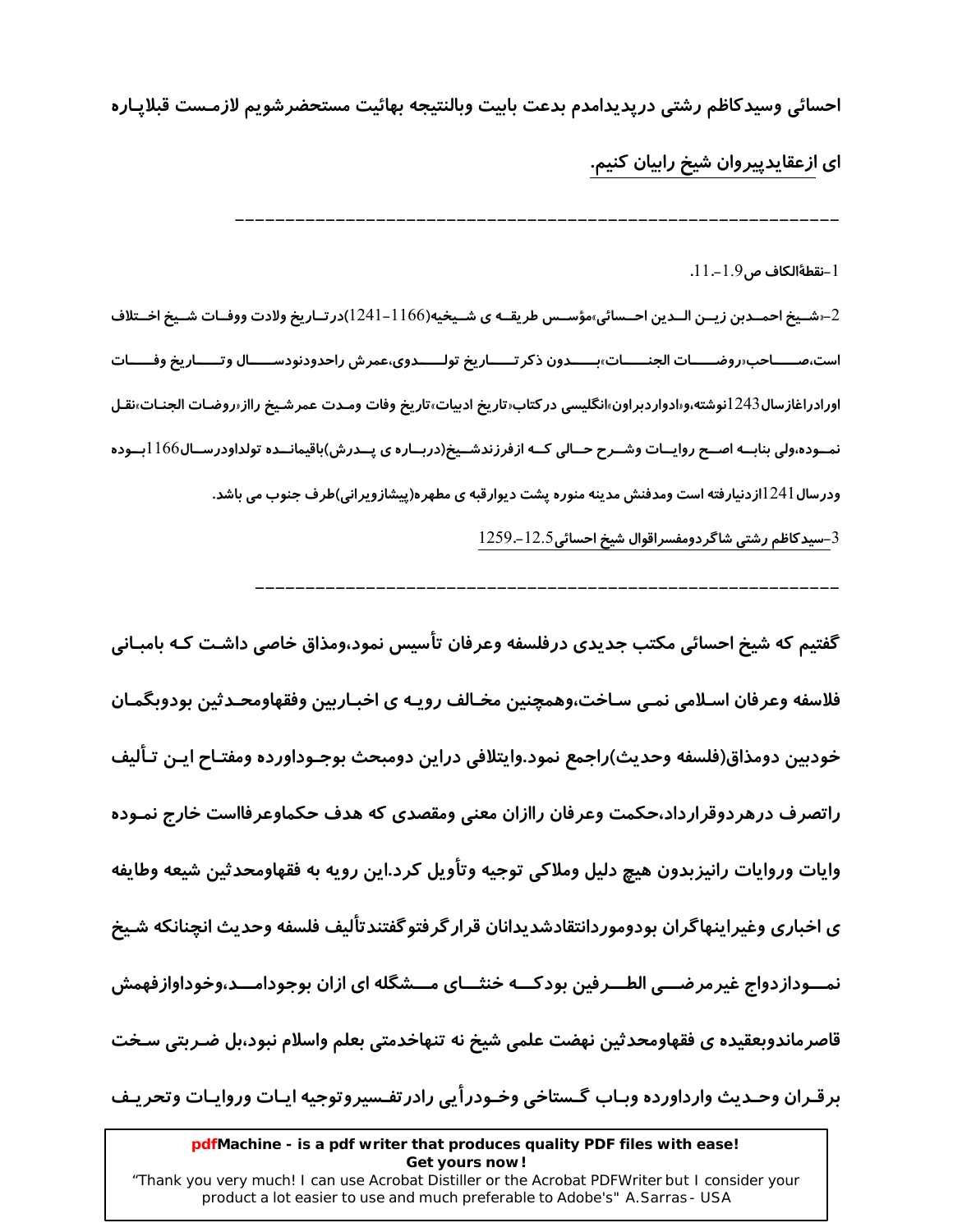احسائي وسيدكاظم رشتي دريديدامدم بدعت بابيت وبالنتيجه بهائيت مستحضرشويم لازمـست قبلايـاره

ای ازعقایدپیروان شیخ رابیان کنیم.

 $11 - 1.9$ نقطةالكاف ص $-1$ .

2–«شــيخ احمــدبن زيــن الــدين احــسائي»مؤســس طريقــه ي شــيخيه(1166–1241)در تــاريخ ولادت ووفــات شــيخ اخــتلاف است،صـــــاحب‹روضــــــات الجنــــــات›بــــــدون ذكر تـــــاريخ تولــــــدوي،عمرش راحدودنودســـــال وتـــــاريخ وفـــــات اورادراغازسال243 انوشته،و«ادواردبراون»انگليسي در كتاب«تاريخ ادبيات»تاريخ وفات ومـدت عمرشـيخ رااز«روضـات الجنـات»نقـل نمــوده،ولی بنابــه اصــح روایــات وشــرح حــالی کــه ازفرزندشــیخ(دربــاره ی پــدرش)باقیمانــده تولداودرســال166 ابــوده ودرسال ا 24اازدنیارفته است ومدفنش مدینه منوره پشت دیوارقبه ی مطهره(پیشازویرانی)طرف جنوب می باشد.

3-سيدكاظم رشتي شاگردومفسراقوال شيخ احسائي12.5-1259.

گفتیم که شیخ احسائی مکتب جدیدی درفلسفه وعرفان تأسیس نمود،ومذاق خاصی داشـت کـه ىامــانی فلاسفه وعرفان اسـلامی نمـی سـاخت،وهمچنین مخـالف رویـه ی اخبـاربین وفقهاومحـدثین بودوبگمـان خودبين دومذاق(فلسفه وحديث)راجمع نمود.وايتلافى دراين دومبحث بوجـوداورده ومفتـاح ايـن تـأليف راتصرف درهردوقرارداد،حکمت وعرفان راازان معنی ومقصدی که هدف حکماوعرفااست خارج نمـوده وايات وروايات رانيزبدون هيچ دليل وملاكي توجيه وتأويل كرد.اين رويه به فقهاومحدثين شيعه وطايفه ي اخباري وغيراينهاگران بودوموردانتقادشديدانان قرار گرفتوگفتندتأليف فلسفه وحديث انچنانكه شـيخ نمـــودازدواج غیرمرضـــی الطـــرفین بودکـــه خنثـــای مـــشگله ای ازان بوجودامـــد،وخوداوازفهمش قاصرماندوبعقیده ی فقهاومحدثین نهضت علمی شیخ نه تنهاخدمتی بعلم واسلام نبود،بل ضـربتی سـخت برقـران وحـديث وارداورده وبـاب گـستاخي وخـودرأيي رادرتفـسيروتوجيه ايـات وروايـات وتحريـف

pdfMachine - is a pdf writer that produces quality PDF files with ease! Get yours now!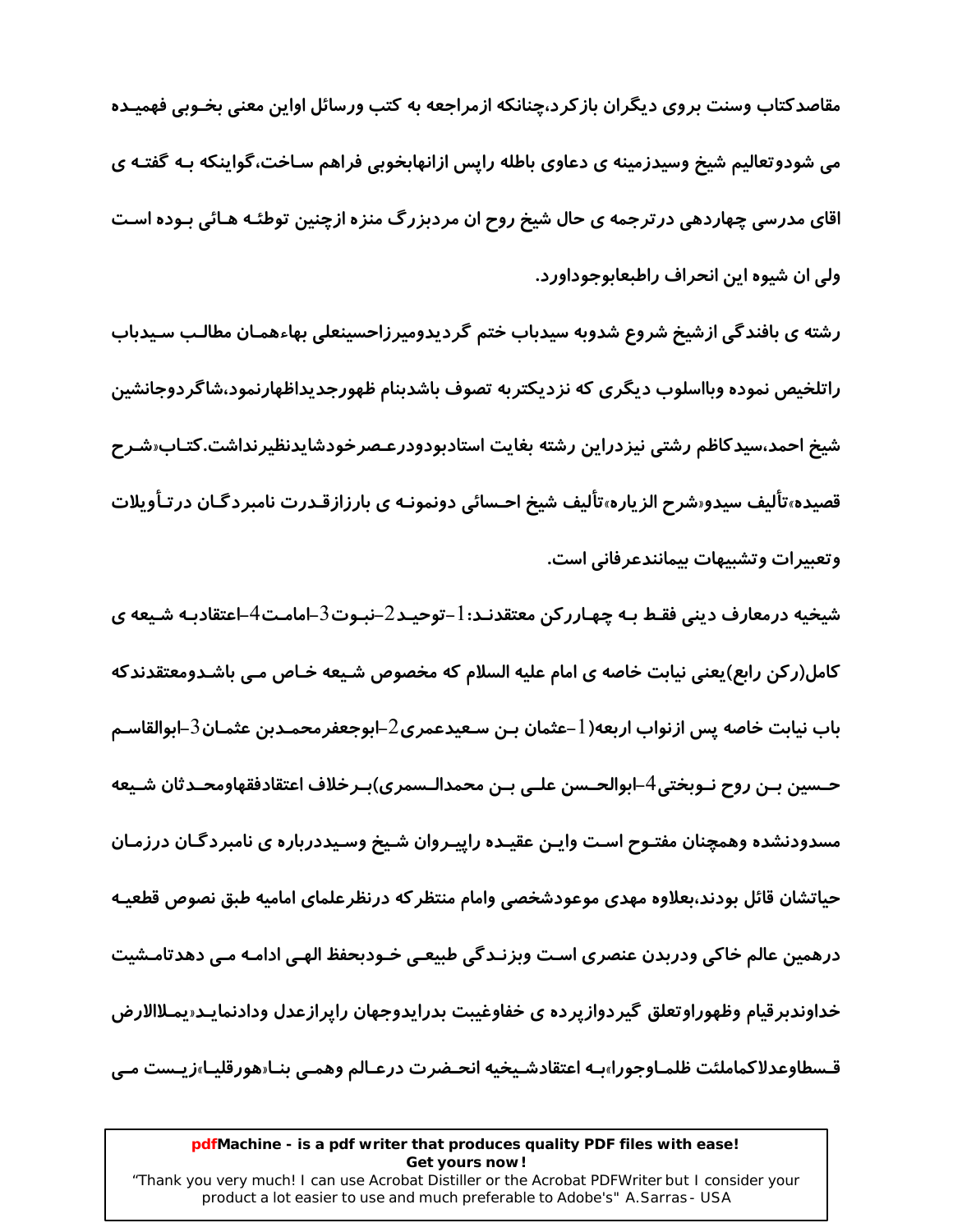مقاصدکتاب وسنت بروی دیگران بازکرد،چنانکه ازمراجعه به کتب ورسائل اواین معنی بخـوبی فهمیـده می شودوتعالیم شیخ وسیدزمینه ی دعاوی باطله رایس ازانهابخوبی فراهم سـاخت،گواینکه بـه گفتـه ی اقای مدرسی چهاردهی در ترجمه ی حال شیخ روح ان مردبزرگ منزه ازچنین توطئـه هـائی بـوده اسـت ولي ان شيوه اين انحراف راطبعابوجوداورد.

رشته ی بافندگی ازشیخ شروع شدوبه سیدباب ختم گردیدومیرزاحسینعلی بهاءهمـان مطالـب سـیدباب راتلخیص نموده وبااسلوب دیگری که نزدیکتربه تصوف باشدبنام ظهورجدیداظهارنمود،شاگردوجانشین شیخ احمد،سیدکاظم رشتی نیزدراین رشته بغایت استادبودودرعـصرخودشایدنظیرنداشت.کتـاب«شـرح قصیده،تألیف سیدو«شرح الزیاره،تألیف شیخ احـسائی دونمونـه ی با*ر*زازقـدرت نامبردگـان درتـأویلات وتعبيرات وتشبيهات بيمانندعرفاني است.

شیخیه درمعارف دینی فقـط بـه چهـاررکن معتقدنـد: l –توحیـد2–نبـوت3–امامـت4–اعتقادبـه شـیعه ی کامل(رکن رابع)یعنی نیابت خاصه ی امام علیه السلام که مخصوص شـیعه خـاص مـی باشـدومعتقدندکه باب نيابت خاصه يس ازنواب اربعه( l –عثمان بـن سـعيدعمري $\mathsf L$ ابوجعفرمحمـدبن عثمـان $\mathsf L$ ابوالقاسـم حـسين بــن روح نــوبختى4–ابوالحــسن علــى بــن محمدالــسمري)بــرخلاف اعتقادفقهاومحــدثان شـيعه مسدودنشده وهمچنان مفتـوح اسـت وایـن عقیـده راییـروان شـیخ وسـیددرباره ی نامبردگـان درزمـان حياتشان قائل بودند،بعلاوه مهدى موعودشخصي وامام منتظركه درنظرعلماي اماميه طبق نصوص قطعيـه درهمین عالم خاکی ودربدن عنصری است وبزنـدگی طبیعـی خـودبحفظ الهـی ادامـه مـی دهدتامـشیت خداوندبرقیام وظهوراوتعلق گیردوازپرده ی خفاوغیبت بدرایدوجهان راپرازعدل ودادنمایـد«پمـلاالارض قـسطاوعدلاكماملئت ظلمـاوجورا»بـه اعتقادشـيخيه انحـضرت درعـالم وهمـي بنـا«هورقليـا»زيـست مـي

#### pdfMachine - is a pdf writer that produces quality PDF files with ease! Get yours now!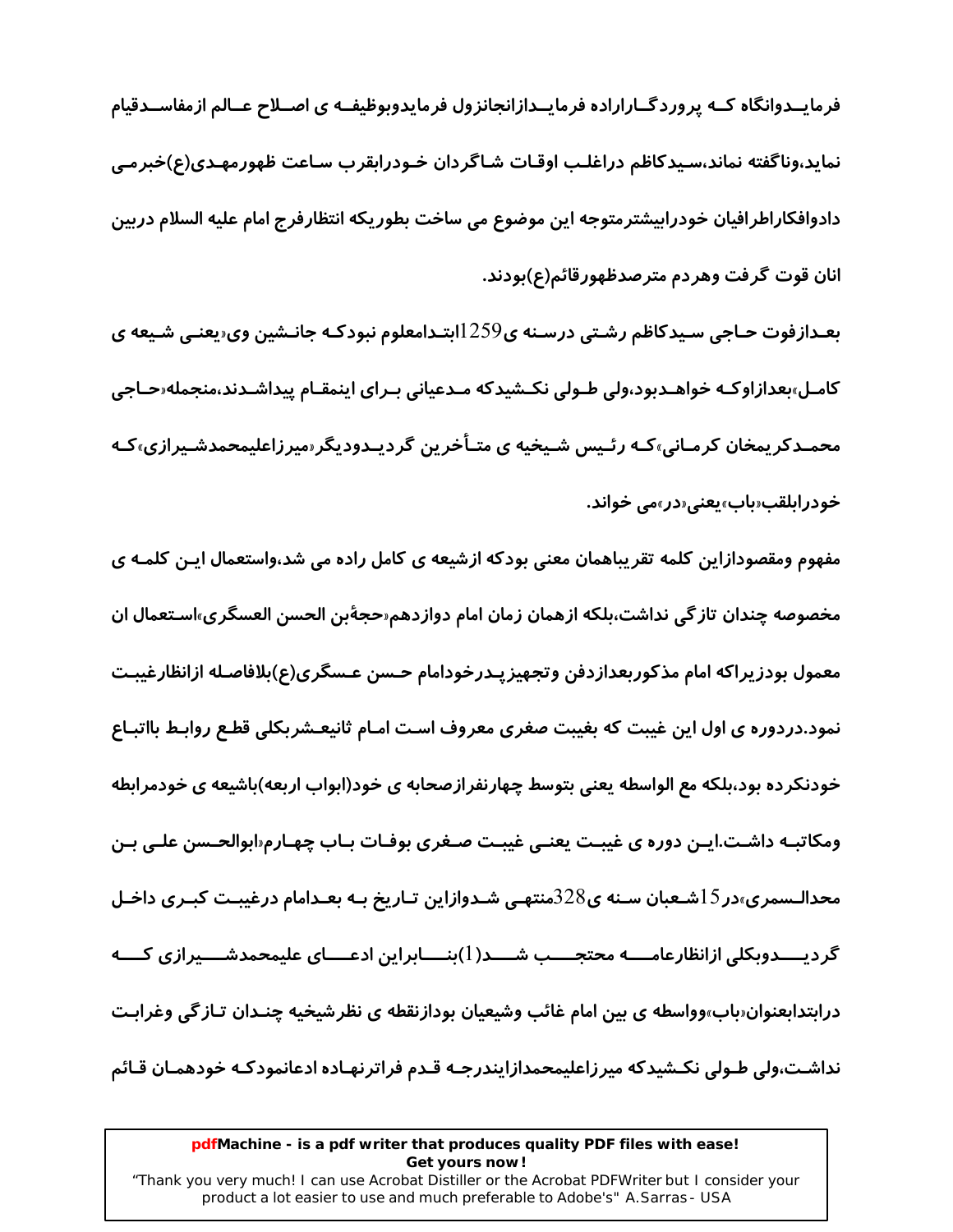فرمایــدوانگاه کــه پروردگــاراراده فرمایــدازانجانزول فرمایدوبوظیفــه ی اصــلاح عــالم ازمفاســدقیام نمايد،وناگفته نماند،سـيدكاظم دراغلـب اوقـات شـاگردان خـودرابقرب سـاعت ظهورمهـدي(ع)خبرمـي دادوافکاراطرافیان خودرابیشترمتوجه این موضوع می ساخت بطوریکه انتظارفرج امام علیه السلام دربین انان قوت گرفت وهردم مترصدظهورقائم(ع)بودند.

بعـدازفوت حـاجي سـيدكاظم رشـتي درسـنه ي259[ابتـدامعلوم نبودكـه جانـشين وي«يعنـي شـيعه ي کامـل»بعدازاوکـه خواهـدبود،ولی طـولی نکـشیدکه مـدعیانی بـرای اینمقـام پیداشـدند،منجمله«حـاجی محمـدکریمخان کرمـانی،کـه رئـیس شـیخیه ی متـأخرین گردیـدودیگر‹میرزاعلیمحمدشـیرازی،کـه خودرابلقب«باب»يعني«در»مي خواند.

مفهوم ومقصودازاین کلمه تقریباهمان معنی بودکه ازشیعه ی کامل راده می شد،واستعمال ایـن کلمـه ی مخصوصه چندان تاز گی نداشت،بلکه ازهمان زمان امام دوازدهم«حجهٔبن الحسن العسگری»اسـتعمال ان معمول بودزيراكه امام مذكوربعدازدفن وتجهيز يـدرخودامام حـسن عـسگري(ع)بلافاصـله ازانظارغيبـت نمود.دردوره ی اول این غیبت که بغیبت صغری معروف اسـت امـام ثانیعـشربکلی قطـع روابـط بااتبـاع خودنکرده بود،بلکه مع الواسطه یعنی بتوسط چهارنفرازصحابه ی خود(ابواب اربعه)باشیعه ی خودمرابطه ومکاتبـه داشـت.ایـن دوره ی غیبـت یعنـی غیبـت صـغری بوفـات بـاب چهـارم«ابوالحـسن علـی بـن محدالـسمری»در $15$ شـعبان سـنه ی $328$ منتهـی شـدوازاین تـاریخ بـه بعـدامام درغیبـت کبـری داخـل گردیــــدوبکلی ازانظارعامــــه محتجــــب شــــد( 1)بنــــابراین ادعــــای علیمحمدشــــیرازی کــــه درابتدابعنوان‹باب›وواسطه ی بین امام غائب وشیعیان بودازنقطه ی نظرشیخیه چنـدان تـازگی وغرابـت نداشت،ولی طـولی نکـشیدکه میرزاعلیمحمدازایندرجـه قـدم فراترنهـاده ادعانمودکـه خودهمـان قـائم

#### pdfMachine - is a pdf writer that produces quality PDF files with ease! Get yours now!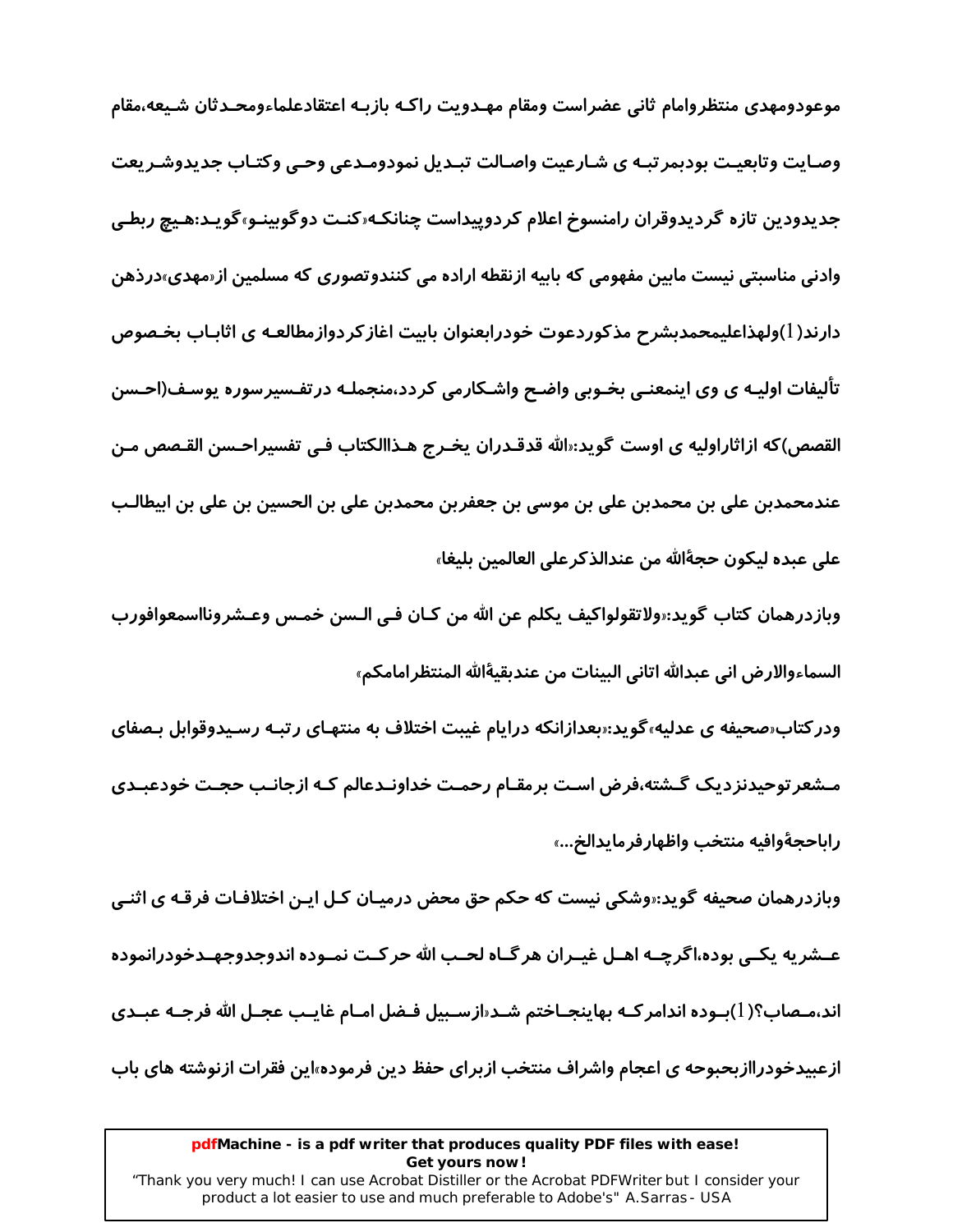موعودومهدى منتظروامام ثانى عضراست ومقام مهـدويت راكـه بازبـه اعتقادعلماءومحـدثان شـيعه،مقام وصـایت وتابعیـت بودبمرتبـه ی شـارعیت واصـالت تبـدیل نمودومـدعی وحـی وکتـاب جدیدوشـریعت جدیدودین تازه گردیدوقران رامنسوخ اعلام کردوییداست چنانکه«کنـت دوگوبینـو»گویـد:هـیچ *ر*بطـی وادنی مناسبتی نیست مابین مفهومی که بابیه ازنقطه اراده می کنندوتصوری که مسلمین از«مهدی»درذهن دارند(1)ولهذاعلیمحمدبشرح مذکوردعوت خودرابعنوان بابیت اغازکردوازمطالعـه ی اثابـاب بخـصوص تألیفات اولیـه ی وی اینمعنـی بخـوبی واضـح واشـکارمی کردد،منجملـه درتفـسیرسوره پوسـف(احـسن القصص)كه ازاثاراوليه ي اوست گويد:«الله قدقـدران يخـرج هـذاالكتاب فـي تفسيراحـسن القـصص مـن عندمحمدبن على بن محمدبن على بن موسى بن جعفربن محمدبن على بن الحسين بن على بن ابيطالـب على عبده ليكون حجةَالله من عندالذكرعلى العالمين بليغا»

وبازدرهمان كتاب گويد:«ولاتقولواكيف يكلم عن الله من كـان فـي الـسن خمـس وعـشرونااسمعوافورب السماءوالارض اني عبدالله اتاني البينات من عندبقيةالله المنتظرامامكم»

ودر کتاب هحیفه ی عدلیه،گوید: بعدازانکه درایام غیبت اختلاف به منتهـای رتبـه رسـیدوقوابل بـصفای مـشعر توحیدنزدیک گـشته،فرض اسـت برمقـام رحمـت خداونـدعالم کـه ازجانـب حجـت خودعبـدی راباحجةوافيه منتخب واظهارفرمايدالخ…»

وبازدرهمان صحیفه گوید:‹وشکی نیست که حکم حق محض درمیـان کـل ایـن اختلافـات فرقـه ی اثنـی عــشریه یکــی بوده،اگرچــه اهــل غیــران هرگــاه لحــب الله حرکــت نمــوده اندوجدوجهــدخودرانموده اند،مـصاب؟( l)بـوده اندامر كـه بهاينجـاختم شـد«ازسـبيل فـضل امـام غايـب عجـل الله فرجـه عبـدي ازعبیدخودراازبحبوحه ی اعجام واشراف منتخب ازبرای حفظ دین فرموده»این فقرات ازنوشته های باب

#### pdfMachine - is a pdf writer that produces quality PDF files with ease! Get yours now!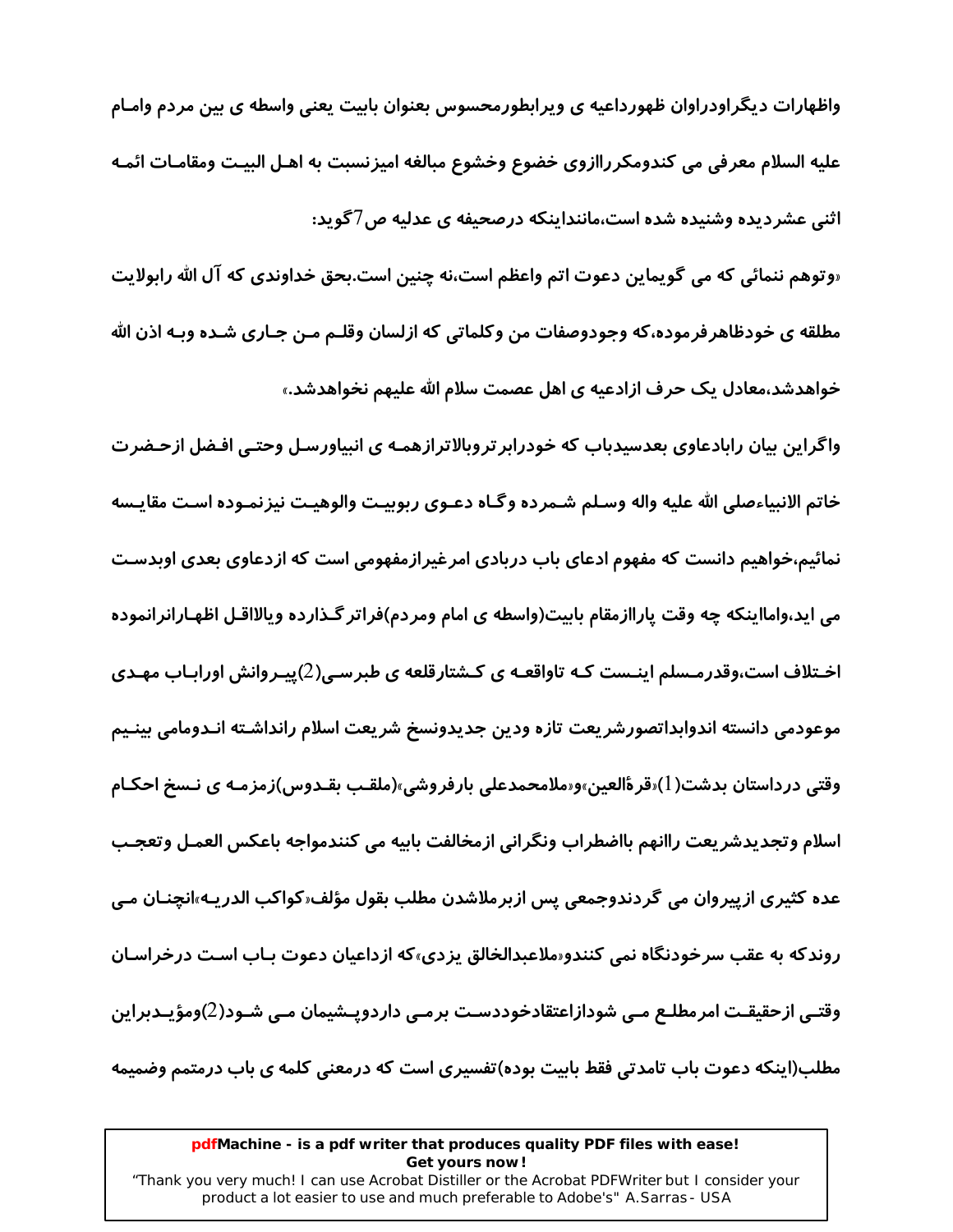واظهارات دیگراودراوان ظهورداعیه ی ویرابطورمحسوس بعنوان بابیت یعنی واسطه ی بین مردم وامـام عليه السلام معرفي مي كندومكرراازوي خضوع وخشوع مبالغه اميزنسبت به اهـل البيـت ومقامـات ائمـه اثنی عشردیده وشنیده شده است،ماننداینکه درصحیفه ی عدلیه ص7گوید:

«وتوهم ننمائي كه مي گويماين دعوت اتم واعظم است،نه چنين است.بحق خداوندي كه آل الله *ر*ابولايت مطلقه ی خودظاهرفرموده،که وجودوصفات من وکلماتی که ازلسان وقلـم مـن جـاری شـده وبـه اذن الله خواهدشد،معادل یک حرف ازادعیه ی اهل عصمت سلام الله علیهم نخواهدشد.»

واگراین بیان رابادعاوی بعدسیدباب که خودرابر تروبالاترازهمـه ی انبیاورسـل وحتـی افـضل ازحـضرت خاتم الانبياءصلي الله عليه واله وسـلم شـمرده وگـاه دعـوي ربوبيـت والوهيـت نيزنمـوده اسـت مقايـسه نمائیم،خواهیم دانست که مفهوم ادعای باب دربادی امرغیرازمفهومی است که ازدعاوی بعدی اوبدسـت می اید،وامااینکه چه وقت پاراازمقام بابیت(واسطه ی امام ومردم)فراتر گـذارده ویالااقـل اظهـارانرانموده اخـتلاف است،وقدرمـسلم اینـست کـه تاواقعـه ی کـشتارقلعه ی طبرسـی(2)پیـروانش اورابـاب مهـدی موعودمى دانسته اندوابداتصورشريعت تازه ودين جديدونسخ شريعت اسلام رانداشـته انـدومامى بينـيم وقتی درداستان بدشت( l)«قر ۂالعین»و«ملامحمدعلی بارفروشی»(ملقـب بقـدوس)زمزمـه ی نـسخ احکـام اسلام وتجديدشريعت راانهم بااضطراب ونگراني ازمخالفت بابيه مي كنندمواجه باعكس العمـل وتعجـب عدہ کثیری ازپیروان می گردندوجمعی پس ازبرملاشدن مطلب بقول مؤلف«کواکب الدریـه»انچنـان مـی روندکه به عقب سرخودنگاه نمی کنندو«ملاعبدالخالق یزدی»که ازداعیان دعوت بـاب اسـت درخراسـان وقتـي ازحقيقـت امرمطلـع مـي شودازاعتقادخوددسـت برمـي داردويـشيمان مـي شـود(2)ومؤيـدبراين مطلب(اینکه دعوت باب تامدتی فقط بابیت بوده)تفسیری است که درمعنی کلمه ی باب درمتمم وضمیمه

#### pdfMachine - is a pdf writer that produces quality PDF files with ease! Get yours now!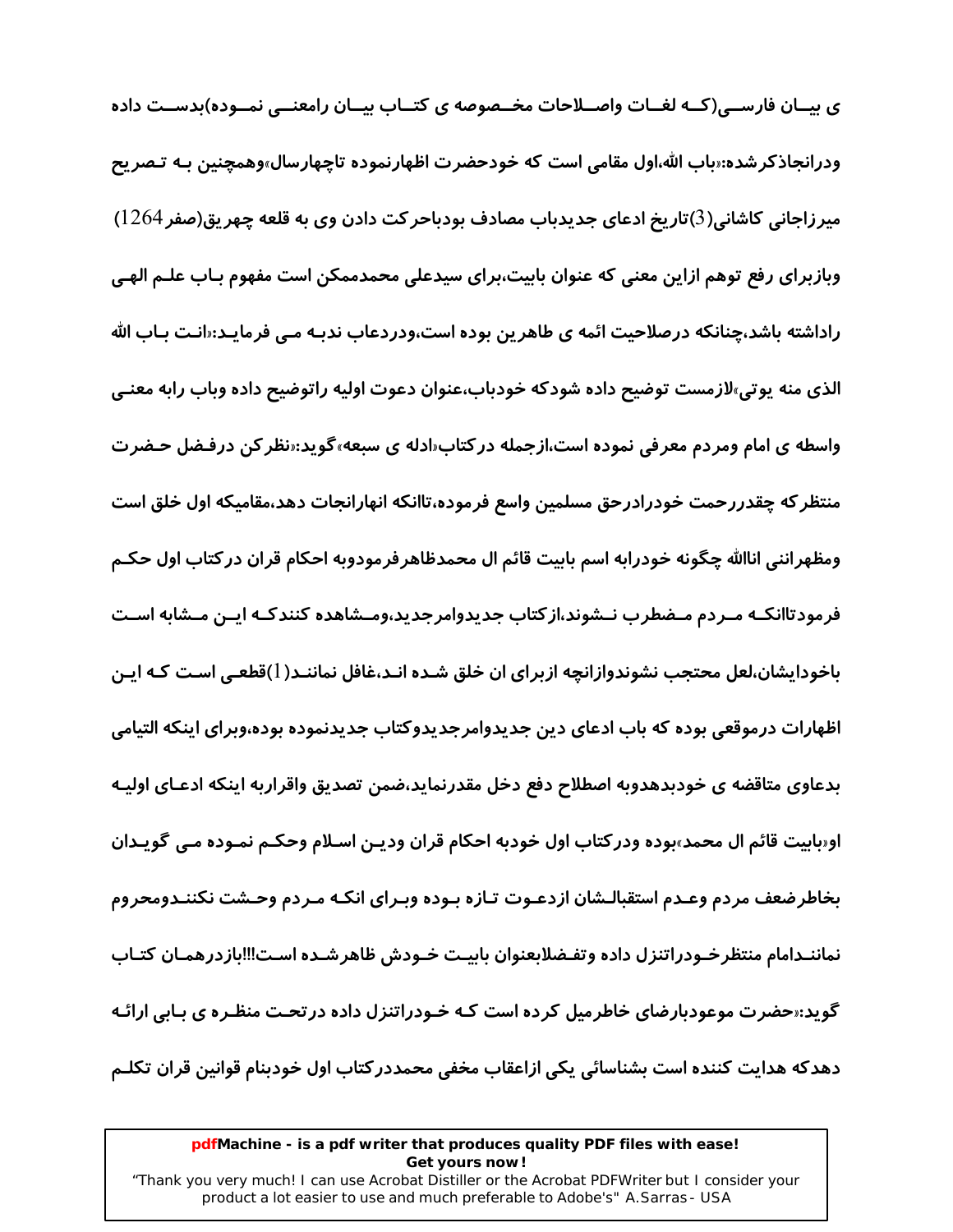ی بیــان فارســی(کــه لغــات واصــلاحات مخــصوصه ی کتــاب بیــان رامعنــی نمــوده)بدســت داده ودرانجاذکرشده:«باب الله،اول مقامی است که خودحضرت اظهارنموده تاچهارسال»وهمچنین بـه تـصریح میرزاجانی کاشانی(3)تاریخ ادعای جدیدباب مصادف بودباحر کت دادن وی به قلعه چهریق(صفر 1264) وبازبرای رفع توهم ازاین معنی که عنوان بابیت،برای سیدعلی محمدممکن است مفهوم بـاب علـم الهـی راداشته باشد،چنانکه درصلاحیت ائمه ی طاهرین بوده است،ودردعاب ندبـه مـی فرمایـد:«انـت بـاب الله الذی منه پوتی،لازمست توضیح داده شودکه خودباب،عنوان دعوت اولیه راتوضیح داده وباب رابه معنـی واسطه ی امام ومردم معرفی نموده است،ازجمله درکتاب«ادله ی سبعه»گوید:«نظر کن درفـضل حـضرت منتظر که چقدررحمت خودرادرحق مسلمین واسع فرموده،تاانکه انهارانجات دهد،مقامیکه اول خلق است ومظهرانني اناالله چگونه خودرابه اسم بابيت قائم ال محمدظاهرفرمودوبه احكام قران دركتاب اول حكـم فرمودتاانکـه مـردم مـضطرب نــشوند،از کتاب جدیدوامرجدید،ومــشاهده کنندکـه ایــن مــشابه اســت باخودایشان،لعل محتجب نشوندوازانچه ازبرای ان خلق شـده انـد،غافل نماننـد(١)قطعـی اسـت کـه ایـن اظهارات درموقعی بوده که باب ادعای دین جدیدوامرجدیدوکتاب جدیدنموده بوده،وبرای اینکه التیامی بدعاوی متاقضه ی خودبدهدوبه اصطلاح دفع دخل مقدرنماید،ضمن تصدیق واقراربه اینکه ادعـای اولیـه او«بابيت قائم ال محمد»بوده ودر كتاب اول خودبه احكام قران وديـن اسـلام وحكـم نمـوده مـي گويـدان بخاطرضعف مردم وعـدم استقبالـشان ازدعـوت تـازه بـوده وبـراى انكـه مـردم وحـشت نكننـدومحروم نماننـدامام منتظرخـودراتنزل داده وتفـضلابعنوان بابيـت خـودش ظاهرشـده اسـت!!!بازدرهمـان كتـاب گوید:«حضرت موعودبارضای خاطرمیل کرده است کـه خـودراتنزل داده در تحـت منظـره ی بـابی ارائـه دهدكه هدايت كننده است بشناسائي يكي ازاعقاب مخفى محمددر كتاب اول خودبنام قوانين قران تكلـم

#### pdfMachine - is a pdf writer that produces quality PDF files with ease! Get yours now!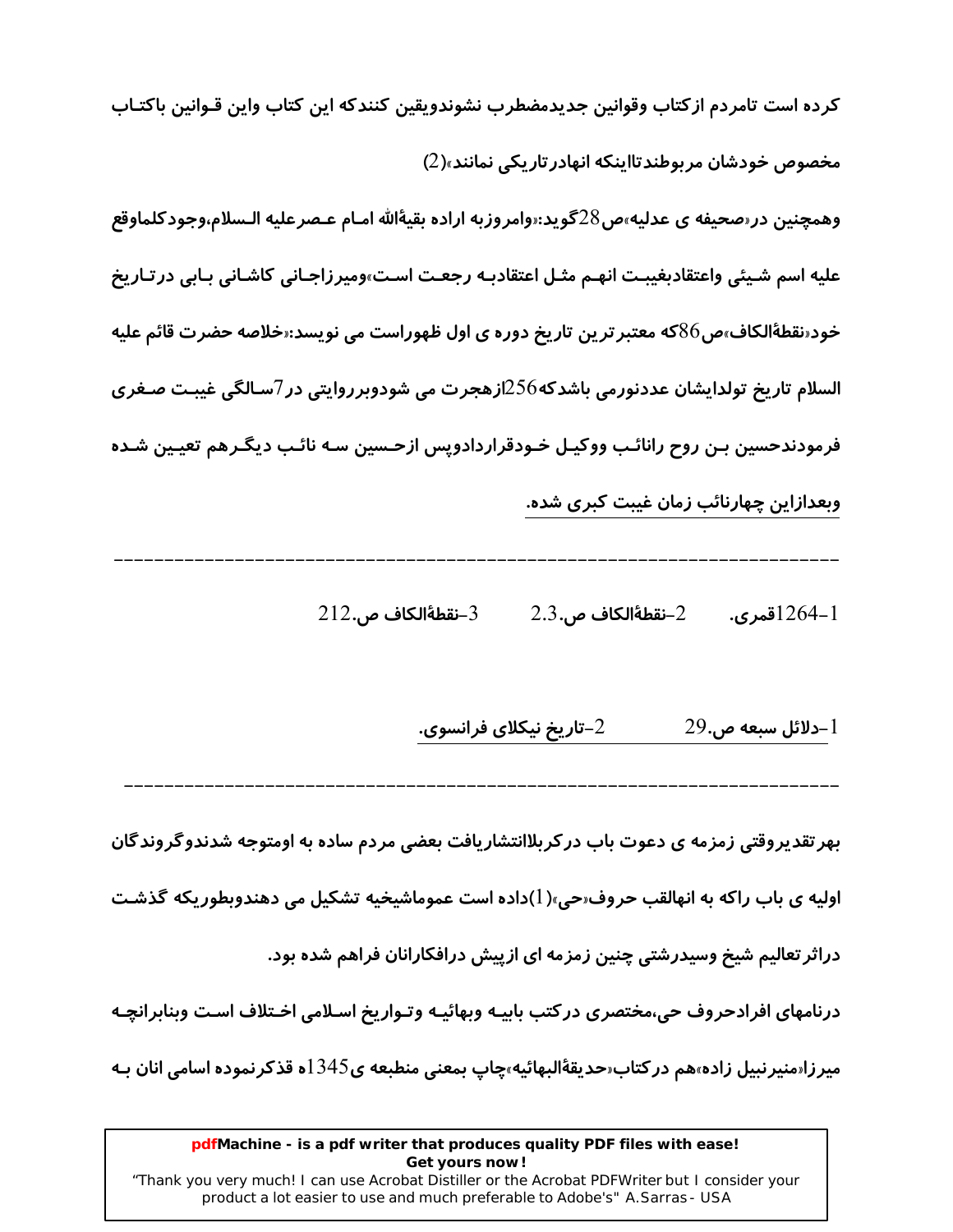كرده است تامردم ازكتاب وقوانين جديدمضطرب نشوندويقين كنندكه اين كتاب واين قـوانين باكتـاب مخصوص خودشان مر بوطندتااینکه انهادر تاریکی نمانند»(2)

وهمچنين در«صحيفه ي عدليه»ص28گويد:«وامروزبه اراده بقيۀالله امـام عـصرعليه الـسلام،وجودكلماوقع عليه اسم شـيئي واعتقادبغيبـت انهـم مثـل اعتقادبـه رجعـت اسـت»وميرزاجـاني كاشـاني بـابي در تـاريخ خود«نقطهٔالکاف»ص86که معتبر ترین تاریخ دوره ی اول ظهوراست می نویسد:«خلاصه حضرت قائم علیه السلام تاریخ تولدایشان عددنورمی باشدکه $256$ ازهجرت می شودوبرروایتی در 7سـالگی غیبـت صـغری فرمودندحسین بـن روح رانائـب ووکیـل خـودقراردادوپس ازحـسین سـه نائـب دیگـرهم تعیـین شـده وبعدازاین چهارنائب زمان غیبت کبری شده.

> $212$ .-نقطةالكاف ص $-3$  $2.3$ .-نقطهٔالکاف ص $-2$ 1-1264قمری.

> > تاریخ نیکلای فرانسوی. $\!-2$  $29.$ دلائل سبعه ص-.

بهر تقدیروقتی زمزمه ی دعوت باب در کربلاانتشاریافت بعضی مردم ساده به اومتوجه شدندوگروندگان

اولیه ی باب راکه به انهالقب حروف«حی»(1)داده است عموماشیخیه تشکیل می دهندوبطوریکه گذشت

دراثر تعالیم شیخ وسیدرشتی چنین زمزمه ای ازپیش درافکارانان فراهم شده بود.

درنامهای افرادحروف حی،مختصری درکتب بابیـه وبهائیـه وتـواریخ اسـلامی اخـتلاف اسـت وبنابرانچـه

میرزاسمنیرنبیل زاده»هم در کتاب«حدیقهٔالبهائیه»چاپ بمعنی منطبعه ی345ده قذکرنموده اسامی انان بـه

#### pdfMachine - is a pdf writer that produces quality PDF files with ease! Get yours now!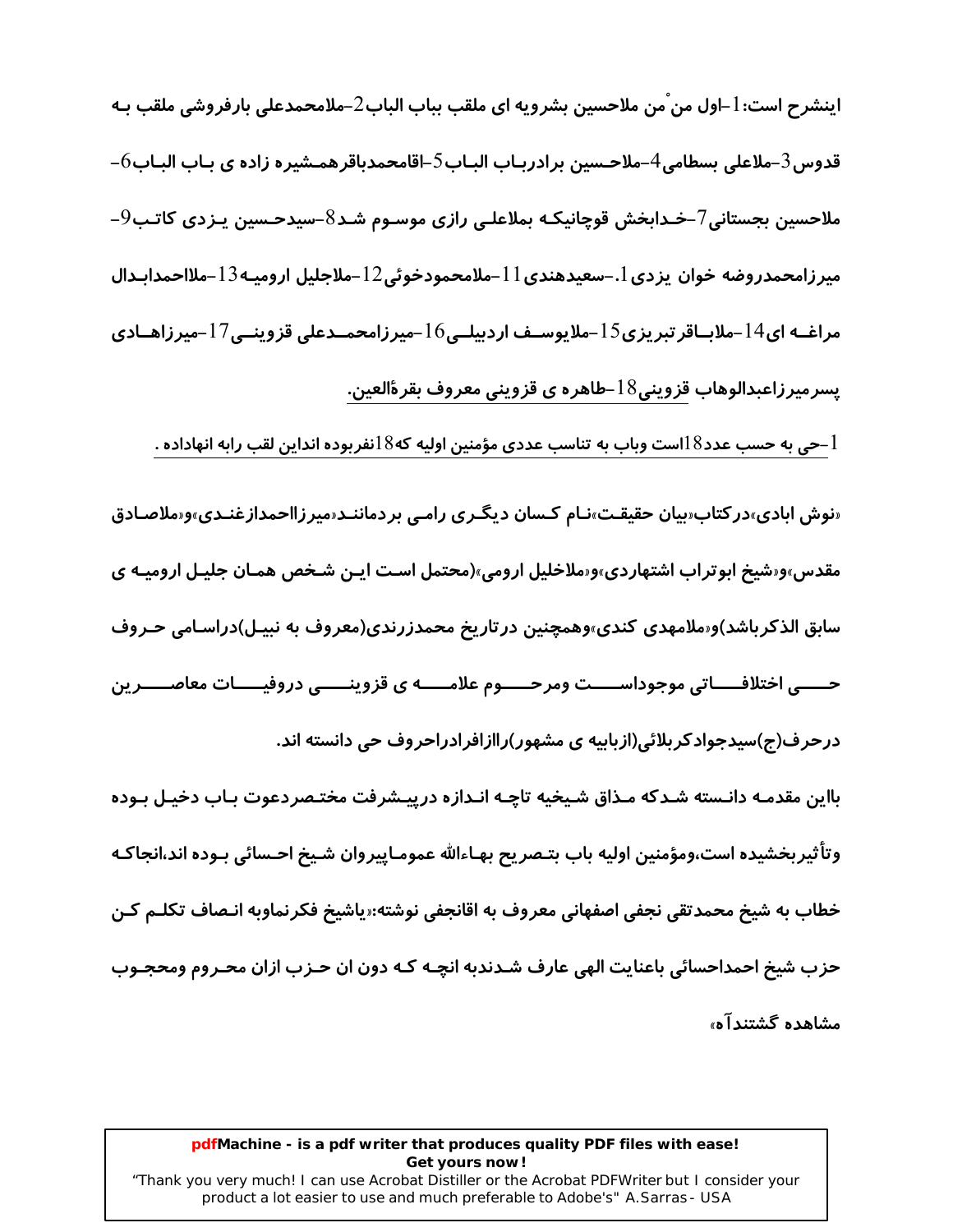اينشرح است: 1-اول من من ملاحسين بشرويه اي ملقب بباب الباب2-ملامحمدعلي بارفروشي ملقب بـه قدوس $\,$ -ملاعلی بسطامی $\,$ -ملاحـسین برادربـاب البـاب $\,$ –اقامحمدباقرهمـشیره زاده ی بـاب البـاب $\,$ – ملاحسین بجستانی7–خـدابخش قوچانیکـه بملاعلـی رازی موسـوم شـد8–سیدحـسین پـزدی کاتـب9– ميرزامحمدروضه خوان يزدي [.–سعيدهندي 1 |–ملامحمودخوئي12 –ملاجليل اروميـه13 –ملااحمدابـدال مراغــه ای $14$ –ملابــاقر تبریزی $15$ –ملایوســف اردبیلــی $16$ –میرزامحمــدعلی قزوینــی7 $–میرزاهــادی$ پسرمیرزاعبدالوهاب قزوینی $18$ –طاهره ی قزوینی معروف بقرۀالعین.

می به حسب عدد $18$ است وباب به تناسب عددی مؤمنین اولیه که $18$ نفربوده انداین لقب رابه انهاداده  $\!1$ 

«نوش ابادی»در کتاب«بیان حقیقـت»نـام کـسان دیگـری رامـی بردماننـد«میرزااحمدازغنـدی»و«ملاصـادق مقدس»و«شیخ ابوتراب اشتهاردی»و«ملاخلیل ارومی»(محتمل اسـت ایـن شـخص همـان جلیـل ارومیـه ی سابق الذکرباشد)و«ملامهدی کندی»وهمچنین درتاریخ محمدزرندی(معروف به نبیـل)دراسـامی حـروف حـــــي اختلافـــــاتي موجوداســـــت ومرحـــــوم علامــــــه ی قزوینــــــی دروفیـــــات معاصـــــرین درحرف(ج)سیدجوادکربلائی(ازبابیه ی مشهور)راازافرادراحروف حی دانسته اند.

بااین مقدمـه دانـسته شـدکه مـذاق شـیخیه تاچـه انـدازه درپیـشرفت مختـصردعوت بـاب دخیـل بـوده وتأثيربخشيده است،ومؤمنين اوليه باب بتـصريح بهـاءالله عمومـاييروان شـيخ احـسائي بـوده اند،انجاكـه خطاب به شیخ محمدتقی نجفی اصفهانی معروف به اقانجفی نوشته:«پاشیخ فکرنماوبه انـصاف تکلـم کـن حزب شيخ احمداحسائي باعنايت الهي عارف شـدندبه انچـه کـه دون ان حـزب ازان محـروم ومحجـوب مشاهده گشتند آه،

#### pdfMachine - is a pdf writer that produces quality PDF files with ease! Get yours now!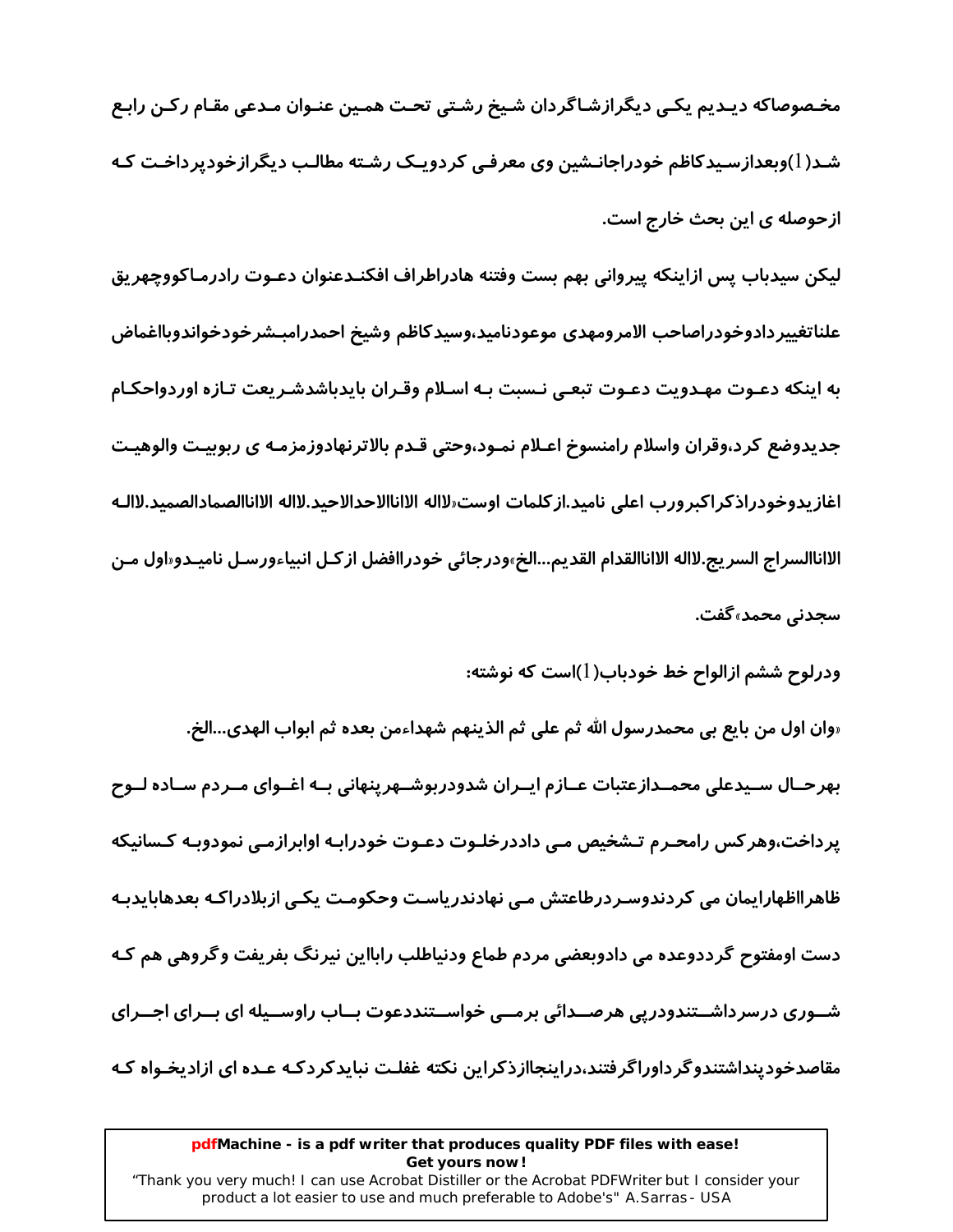مخـصوصاكه ديـديم يكـى ديگرازشـاگردان شـيخ رشـتى تحـت همـين عنـوان مـدعى مقـام ركـن رابـع شـد(1)وبعدازسـیدکاظم خودراجانـشین وی معرفـی کردویـک رشـته مطالـب دیگرازخودیرداخـت کـه ازحوصله ی این بحث خارج است.

لیکن سیدباب پس ازاینکه پیروانی بهم بست وفتنه هادراطراف افکنـدعنوان دعـوت رادرمـاکووچهریق علناتغيير دادوخودراصاحب الامرومهدى موعودناميد،وسيدكاظم وشيخ احمدرامبـشرخودخواندوبااغماض به اینکه دعـوت مهـدویت دعـوت تبعـی نـسبت بـه اسـلام وقـران بایدباشدشـریعت تـازه اوردواحکـام جدیدوضع کرد،وقران واسلام رامنسوخ اعـلام نمـود،وحتی قـدم بالاترنهادوزمزمـه ی ربوبیـت والوهیـت اغازيدوخودراذكراكبرورب اعلى ناميد.ازكلمات اوست«لااله الااناالاحدالاحيد.لااله الااناالصمادالصميد.لاالـه الااناالسراج السريج.لااله الااناالقدام القديم...الخ»ودرجائي خودراافضل از كـل انبياءورسـل ناميـدو«اول مـن سجدنی محمد»گفت.

ودرلوح ششم ازالواح خط خودباب( ])است که نوشته:

«وان اول من بايع بي محمدرسول الله ثم على ثم الذينهم شهداءمن بعده ثم ابواب الهدى…الخ. بهرحـال سـيدعلى محمــدازعتبات عــازم ايــران شدودربوشــهرپنهاني بــه اغــواي مــردم ســاده لــوح پرداخت،وهر کس رامحـرم تـشخیص مـی داددرخلـوت دعـوت خودرابـه اوابرازمـی نمودوبـه کـسانیکه ظاهرااظهارایمان می کردندوسـردرطاعتش مـی نهادندریاسـت وحکومـت یکـی ازبلادراکـه بعدهابایدبـه دست اومفتوح گرددوعده می دادوبعضی مردم طماع ودنیاطلب رابااین نیرنگ بفریفت وگروهی هم کـه شـوری درسرداشــتندودرپی هرصــدائی برمــی خواســتنددعوت بــاب راوســیله ای بــرای اجــرای مقاصدخودینداشتندوگرداوراگرفتند،دراینجاازذکراین نکته غفلـت نبایدکردکـه عـده ای ازادیخـواه کـه

#### pdfMachine - is a pdf writer that produces quality PDF files with ease! Get yours now!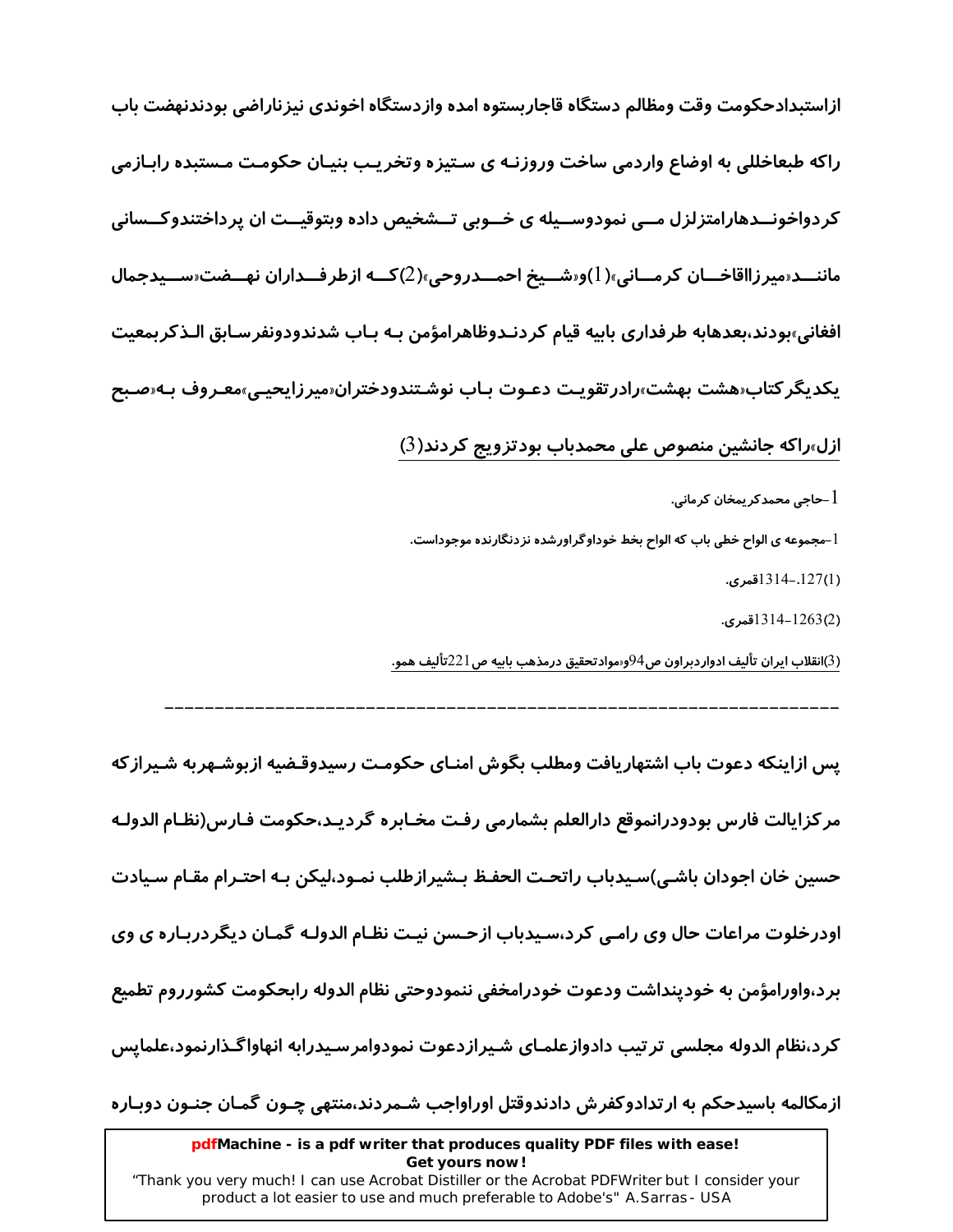ازاستبدادحكومت وقت ومظالم دستگاه قاجاربستوه امده وازدستگاه اخوندي نيزناراضي بودندنهضت باب راکه طبعاخللی به اوضاع واردمی ساخت وروزنـه ی سـتیزه وتخریـب بنیـان حکومـت مـستبده رابـازمی کردواخونــدهارامتزلزل مــی نمودوســیله ی خــوبی تــشخیص داده وبتوقیــت ان پرداختندوکــسانی ماننـــد«میرزااقاخـــان کرمـــانی»(1)و«شـــیخ احمـــدروحی»(2)کــه ازطرفـــداران نهـــضت«ســـیدجمال افغاني<sub>»</sub>بودند،بعدهابه طرفداري بابيه قيام كردنـدوظاهرامؤمن بـه بـاب شدندودونفرسـابق الـذكربمعيت یکدیگر کتاب«هشت بهشت»رادر تقویـت دعـوت بـاب نوشـتندودختران«میرزایحیـی»معـروف بـه«صـبح

ازل»راکه جانشین منصوص علی محمدباب بودتزویج کردند(3)

أ –حاجي محمدكر يمخان كرماني.  $1\,$ 

l-مجموعه ی الواح خطی باب که الواح بخط خوداوگراورشده نزدنگارنده موجوداست.

(1)127.-1314قىرى.

(2)1263-1314قىرى.

(3)انقلاب ايران تأليف ادواردبراون ص94وسوادتحقيق درمذهب بابيه ص221تأليف همو.

یس ازاینکه دعوت باب اشتهاریافت ومطلب بگوش امنـای حکومـت رسیدوقـضیه ازبوشـهربه شـیراز که

مركزايالت فارس بودودرانموقع دارالعلم بشمارمي رفت مخـابره گرديـد،حكومت فـارس(نظـام الدولـه

حسین خان اجودان باشی)سیدباب راتحـت الحفـظ بـشیرازطلب نمـود،لیکن بـه احتـرام مقـام سـیادت

اودرخلوت مراعات حال وی رامـی کرد،سـیدباب ازحـسن نیـت نظـام الدولـه گمـان دیگردربـاره ی وی

برد،واورامؤمن به خودينداشت ودعوت خودرامخفي ننمودوحتي نظام الدوله رابحكومت كشورروم تطميع

كرد،نظام الدوله مجلسي ترتيب دادوازعلمـاي شـيرازدعوت نمودوامرسـيدرابه انهاواگـذارنمود،علمايس

ازمکالمه باسیدحکم به ارتدادوکفرش دادندوقتل اوراواجب شـمردند،منتهی چـون گمـان جنـون دوبـاره

pdfMachine - is a pdf writer that produces quality PDF files with ease! Get yours now!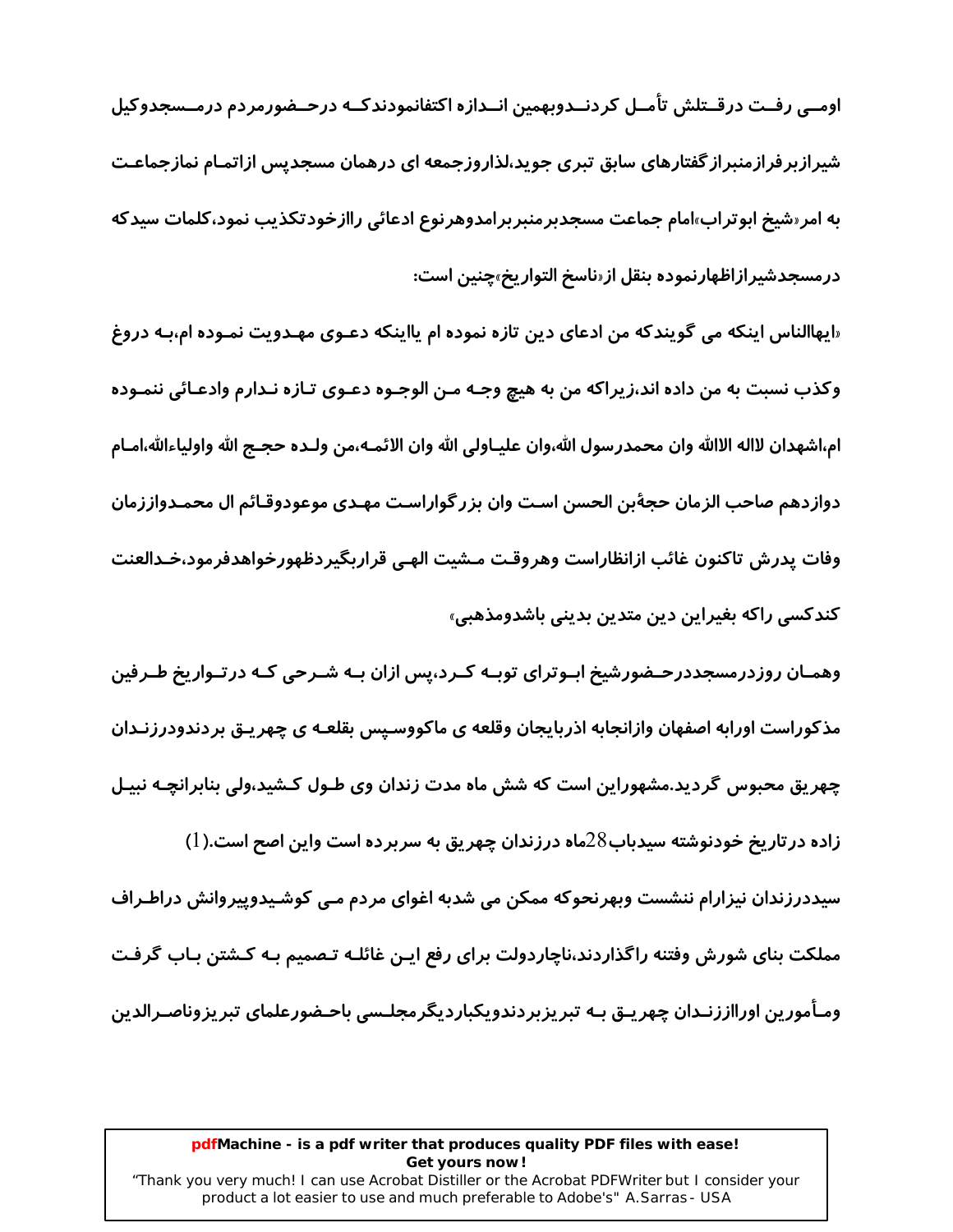اومــی رفــت درقــتلش تأمــل کردنــدوبهمین انــدازه اکتفانمودندکــه درحــضورمردم درمــسجدوکیل شیرازبر فرازمنبراز گفتارهای سابق تبری جوید،لذاروزجمعه ای درهمان مسجدیس ازاتمـام نمازجماعـت به امر «شیخ ابوتراب»امام جماعت مسجدبرمنبربرامدوهرنوع ادعائی راازخودتکذیب نمود،کلمات سیدکه درمسجدشیرازاظهارنموده بنقل از«ناسخ التوا*ر*یخ»چنین است:

«ایهاالناس اینکه می گویندکه من ادعای دین تازه نموده ام پااینکه دعـوی مهـدویت نمـوده ام،بـه دروغ وكذب نسبت به من داده اند،زيراكه من به هيچ وجـه مـن الوجـوه دعـوى تـازه نـدارم وادعـائي ننمـوده ام،اشهدان لااله الاالله وان محمدرسول الله،وان عليـاولي الله وان الائمـه،من ولـده حجـج الله واولياءالله،امـام دوازدهم صاحب الزمان حجةبن الحسن اسـت وان بزر گواراسـت مهـدي موعودوقـائم ال محمـدواززمان وفات يدرش تاكنون غائب ازانظاراست وهروقت مـشيت الهـي قراربگيردظهورخواهدفرمود،خـدالعنت کندکسی راکه بغیراین دین متدین بدینی باشدومذهبی»

وهمـان روزدرمسجددرحـضورشیخ ابـوترای توبـه کـرد،پس ازان بـه شـرحی کـه درتـواریخ طـرفین مذکوراست اورابه اصفهان وازانجابه اذربایجان وقلعه ی ماکووسـیس بقلعـه ی چهر یـق بردندودرزنـدان چهریق محبوس گردید.مشهوراین است که شش ماه مدت زندان وی طـول کـشید،ولی بنابرانچـه نبیـل زاده در تاریخ خودنوشته سیدباب $28$ ماه درزندان چهریق به سربرده است واین اصح است.(1) سیددرزندان نیزارام ننشست وبهرنحوکه ممکن می شدبه اغوای مردم مـی کوشـیدوپیروانش دراطـراف مملکت بنای شورش وفتنه راگذاردند،ناچاردولت برای رفع ایـن غائلـه تـصمیم بـه کـشتن بـاب گرفـت ومـاًمورین اورااززنـدان چهریـق بـه تبریزبردندویکباردیگرمجلـسی باحـضورعلمای تبریزوناصـرالدین

#### pdfMachine - is a pdf writer that produces quality PDF files with ease! Get yours now!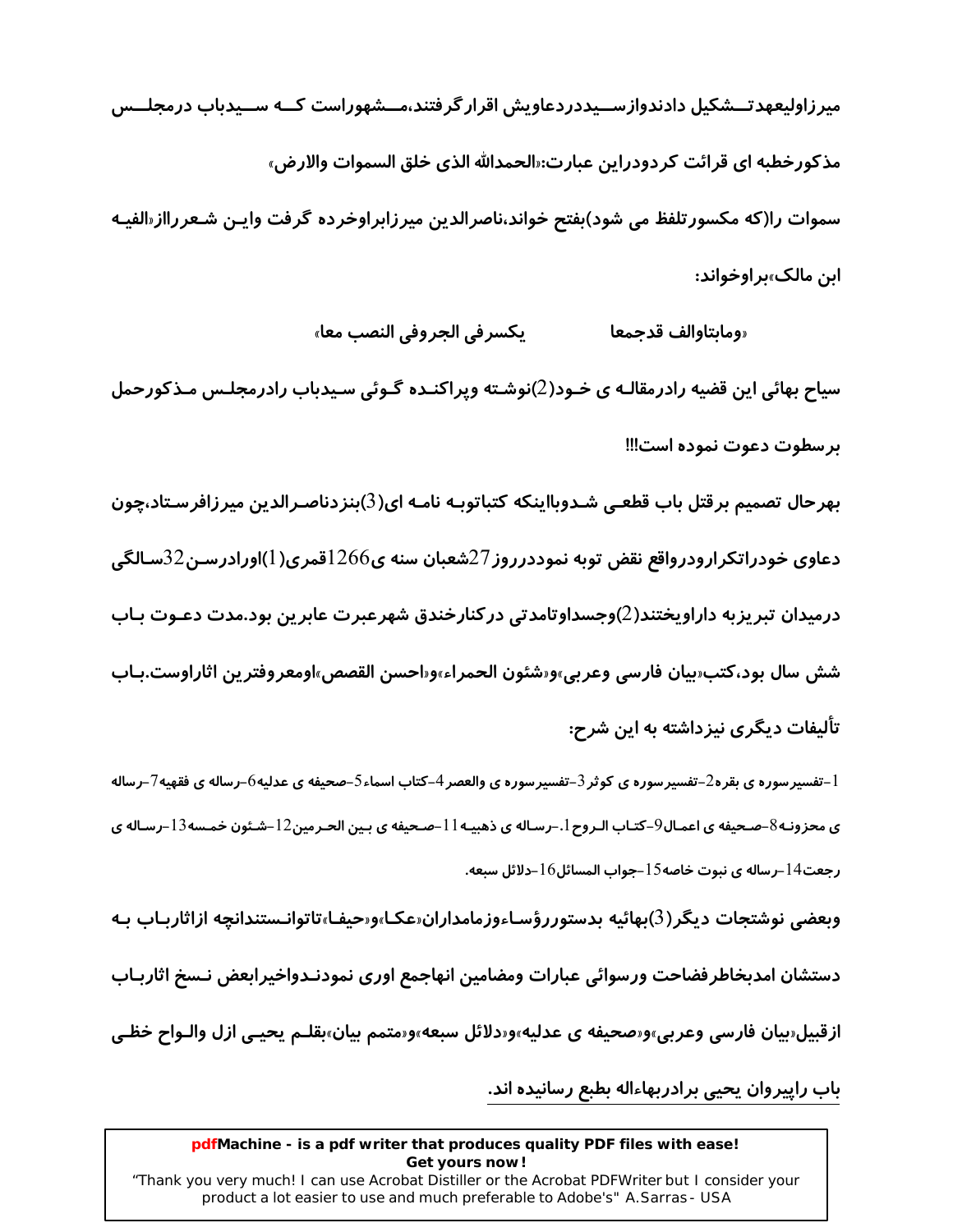میرزاولیعهدتــشکیل دادندوازســیددردعاویش اقرار گرفتند،مــشهوراست کــه ســیدباب درمجلــس مذكورخطبه اي قرائت كردودراين عبارت:«الحمدالله الذي خلق السموات والارض» سموات را(که مکسورتلفظ می شود)بفتح خواند،ناصرالدین میرزابراوخرده گرفت واپـن شـعررااز«الفیـه این مالک»بر اوخواند:

> يكسرفي الجروفي النصب معا» «ومايتاوالف قدحمعا

سیاح بهائی این قضیه رادرمقالـه ی خـود(2)نوشـته ویراکنـده گـوئی سـیدباب رادرمجلـس مـذکورحمل برسطوت دعوت نموده است!!!

بهرحال تصمیم برقتل باب قطعی شـدوبااینکه کتباتوبـه نامـه ای(3)بنزدناصـرالدین میرزافرسـتاد،چون دعاوی خودراتکرارودرواقع نقض توبه نموددرروز 27شعبان سنه ی266 آقمری( 1)اورادرسـن32سـالگی درمیدان تبریزبه داراویختند(2)وجسداوتامدتی درکنارخندق شهرعبرت عابرین بود.مدت دعـوت بـاب شش سال بود،كتب«بيان فارسى وعربي»و«شئون الحمراء»و«احسن القصص»اومعروفترين اثاراوست.بـاب تألیفات دیگری نیزداشته به این شرح:

1–تفسیرسوره ی بقره2–تفسیرسوره ی کوثر 3–تفسیرسوره ی والعصر 4–کتاب اسماء5–صحیفه ی عدلیه6–رساله ی فقهیه7–رساله ي محزونـه8–صـحيفه ي اعمـال9–كتـاب الـروح 1.–رسـاله ي ذهبيـه 11–صـحيفه ي بـين الحـرمين12–شـئون خمـسه13–رسـاله ي رجعت14-رساله ي نبوت خاصه15-جواب المسائل16-دلائل سبعه.

وبعضي نوشتجات ديگر (3)بهائيه بدستوررؤسـاءوزمامداران«عكـا»و«حيفـا»تاتوانـستندانچه ازاثاربـاب بـه

دستشان امدبخاطرفضاحت ورسوائي عبارات ومضامين انهاجمع اورى نمودنـدواخيرابعض نـسخ اثاربـاب

ازقبیل«بیان فارسی وعربی»و«صحیفه ی عدلیه»و«دلائل سبعه»و«متمم بیان»بقلـم یحیـی ازل والـواح خظـی

باب راپیروان یحیی برادربهاءاله بطبع رسانیده اند.

#### pdfMachine - is a pdf writer that produces quality PDF files with ease! Get yours now!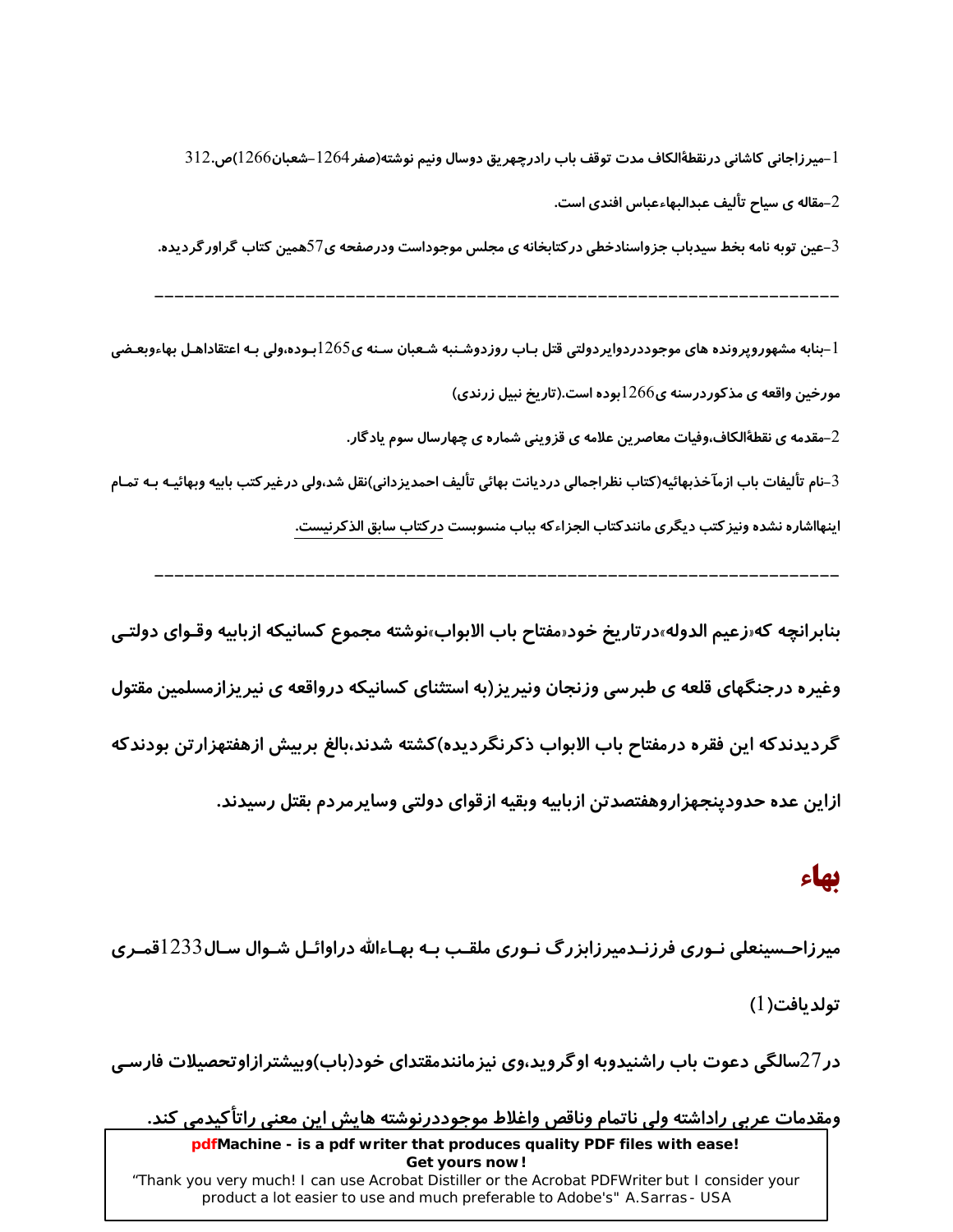l –میرزاجانی کاشانی درنقطهٔالکاف مدت توقف باب رادرچهریق دوسال ونیم نوشته(صفر 1264–شعبان1266)ص.312 ست. - مقاله ی سیاح تألیف عبدالبهاءعباس افندی است $\!-2$ 3–عین توبه نامه بخط سیدباب جزواسنادخطی در کتابخانه ی مجلس موجوداست ودرصفحه ی77همین کتاب گراور گردیده.

 $1$ جنابه مشهوروپرونده های موجوددردوایردولتی قتل بـاب روزدوشـنبه شـعبان سـنه ی $1265$ بـوده،ولی بـه اعتقاداهـل بهاءوبعـضی  $\,$ مورخین واقعه ی مذکوردرسنه ی $1266$ بوده است.(تاریخ نبیل زرندی)

مقدمه ی نقطهٔالکاف،وفیات معاصرین علامه ی قزوینی شماره ی چهارسال سوم یادگار. $\!2$ 

3–نام تألیفات باب ازمآخذبهائیه(کتاب نظراجمالی دردیانت بهائی تألیف احمدیزدانی)نقل شد،ولی درغیر کتب بابیه وبهائیـه بـه تمـام اینهااشاره نشده ونیز کتب دیگری مانندکتاب الجزاءکه بباب منسوبست در کتاب سابق الذکرنیست.

بنابرانچه که«زعیم الدوله»در تاریخ خود«مفتاح باب الابواب»نوشته مجموع کسانیکه ازبابیه وقـوای دولتـی وغیره درجنگهای قلعه ی طبرسی وزنجان ونیریز(به استثنای کسانیکه درواقعه ی نیریزازمسلمین مقتول گردیدندکه این فقره درمفتاح باب الابواب ذکرنگردیده)کشته شدند،بالغ بربیش ازهفتهزارتن بودندکه ازاین عده حدودپنجهزاروهفتصدتن ازبابیه وبقیه ازقوای دولتی وسایرمردم بقتل رسیدند.

## بهاء

میرزاحـسینعلی نـوری فرزنـدمیرزابزرگ نـوری ملقـب بـه بهـاءالله دراوائـل شـوال سـال233اقمـری تولديافت(1)

در 27سالگی دعوت باب راشنیدوبه اوگروید،وی نیزمانندمقتدای خود(باب)وبیشترازاوتحصیلات فارسـی

ومقدمات عربي راداشته ولي ناتمام وناقص واغلاط موجوددرنوشته هايش اين معنى راتاكيدمي كند. pdfMachine - is a pdf writer that produces quality PDF files with ease! Get yours now! "Thank you very much! I can use Acrobat Distiller or the Acrobat PDFWriter but I consider your product a lot easier to use and much preferable to Adobe's" A.Sarras - USA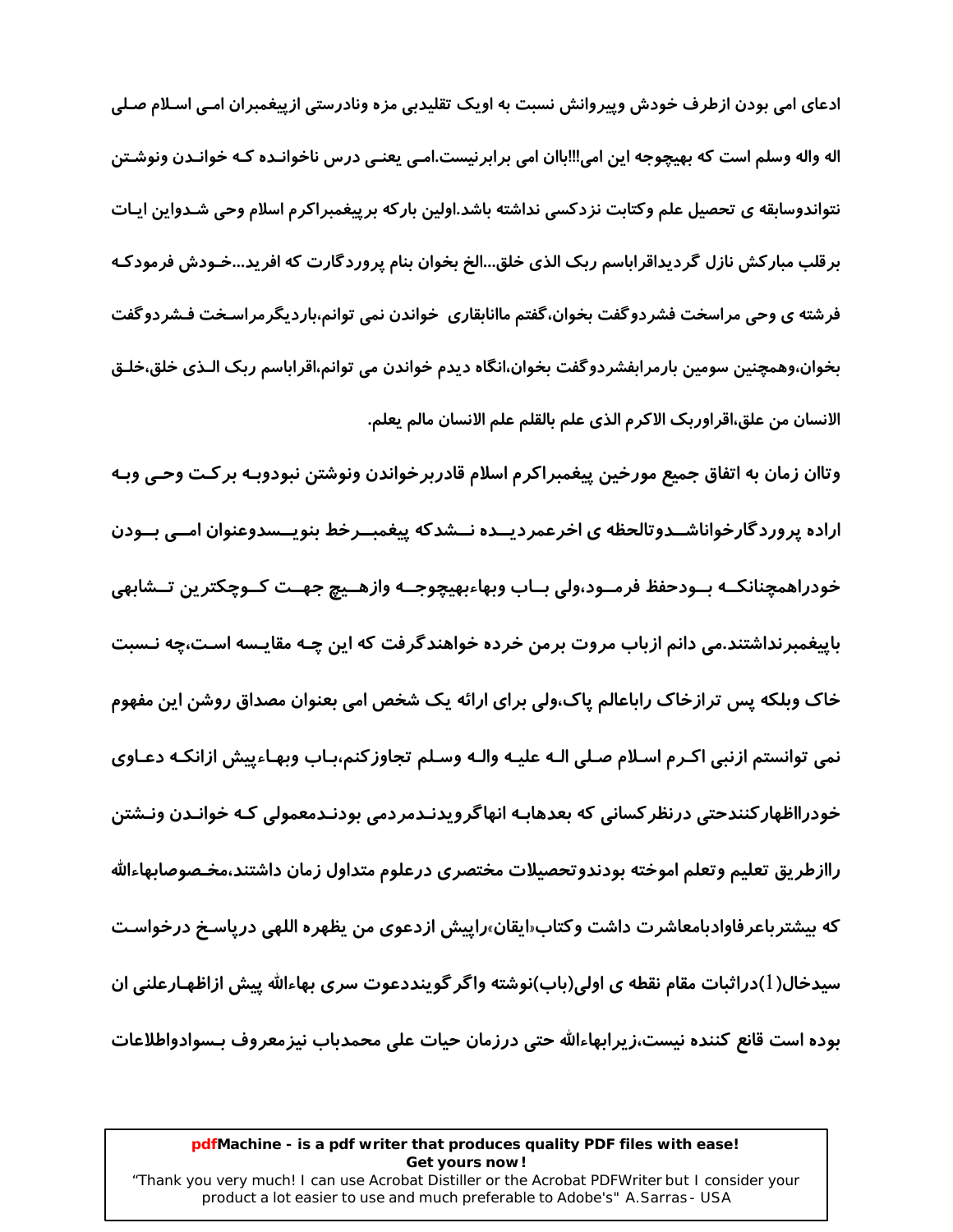ادعای امی بودن ازطرف خودش وپیروانش نسبت به اویک تقلیدبی مزه ونادرستی ازپیغمبران امـی اسـلام صـلی اله واله وسلم است که بهیچوجه این امی!!!باان امی برابرنیست.امـی یعنـی درس ناخوانـده کـه خوانـدن ونوشـتن نتواندوسابقه ی تحصیل علم وکتابت نزدکسی نداشته باشد.اولین بارکه برپیغمبراکرم اسلام وحی شـدواین ایـات برقلب مبارکش نازل گردیداقراباسم ربک الذی خلق...الخ بخوان بنام پروردگارت که افرید...خـودش فرمودکـه فرشته ی وحی مراسخت فشردوگفت بخوان،گفتم ماانابقاری خواندن نمی توانم،باردیگرمراسـخت فـشردوگفت بخوان،وهمچنین سومین بارمرابفشردوگفت بخوان،انگاه دیدم خواندن می توانم،اقراباسم ربک الـذی خلق،خلـق الانسان من علق،اقراوربک الاکرم الذي علم بالقلم علم الانسان مالم يعلم.

وتاان زمان به اتفاق جمیع مورخین پیغمبراکرم اسلام قادربرخواندن ونوشتن نبودوبـه برکـت وحـی وبـه اراده پروردگارخواناشــدوتالحظه ی اخرعمردیــده نــشدکه پیغمبــرخط بنویــسدوعنوان امــی بــودن خودراهمچنانكــه بــودحفظ فرمــود،ولي بــاب وبهاءبهيچوجــه وازهــيچ جهــت كــوچكترين تــشابهي باییغمبرنداشتند.می دانم ازباب مروت برمن خرده خواهندگرفت که این چـه مقایـسه اسـت،چه نـسبت خاک وبلکه پس ترازخاک راباعالم پاک،ولی برای ارائه یک شخص امی بعنوان مصداق روشن این مفهوم نمی توانستم ازنبی اکـرم اسـلام صـلی الـه علیـه والـه وسـلم تجاوز کنم،بـاب وبهـاءپیش ازانکـه دعـاوی خودرااظهار کنندحتی درنظر کسانی که بعدهابـه انهاگرویدنـدمردمی بودنـدمعمولی کـه خوانـدن ونـشتن راازطريق تعليم وتعلم اموخته بودندوتحصيلات مختصرى درعلوم متداول زمان داشتند،مخـصوصابهاءالله که بیشترباعرفاوادبامعاشرت داشت وکتاب«ایقان»راپیش ازدعوی من یظهره اللهی د*ر*پاسـخ درخواسـت سیدخال(1)دراثبات مقام نقطه ی اولی(باب)نوشته واگر گوینددعوت سری بهاءالله پیش ازاظهـارعلنی ان بوده است قانع کننده نیست،زیرابهاءالله حتی درزمان حیات علی محمدباب نیزمعروف بـسوادواطلاعات

#### pdfMachine - is a pdf writer that produces quality PDF files with ease! Get yours now!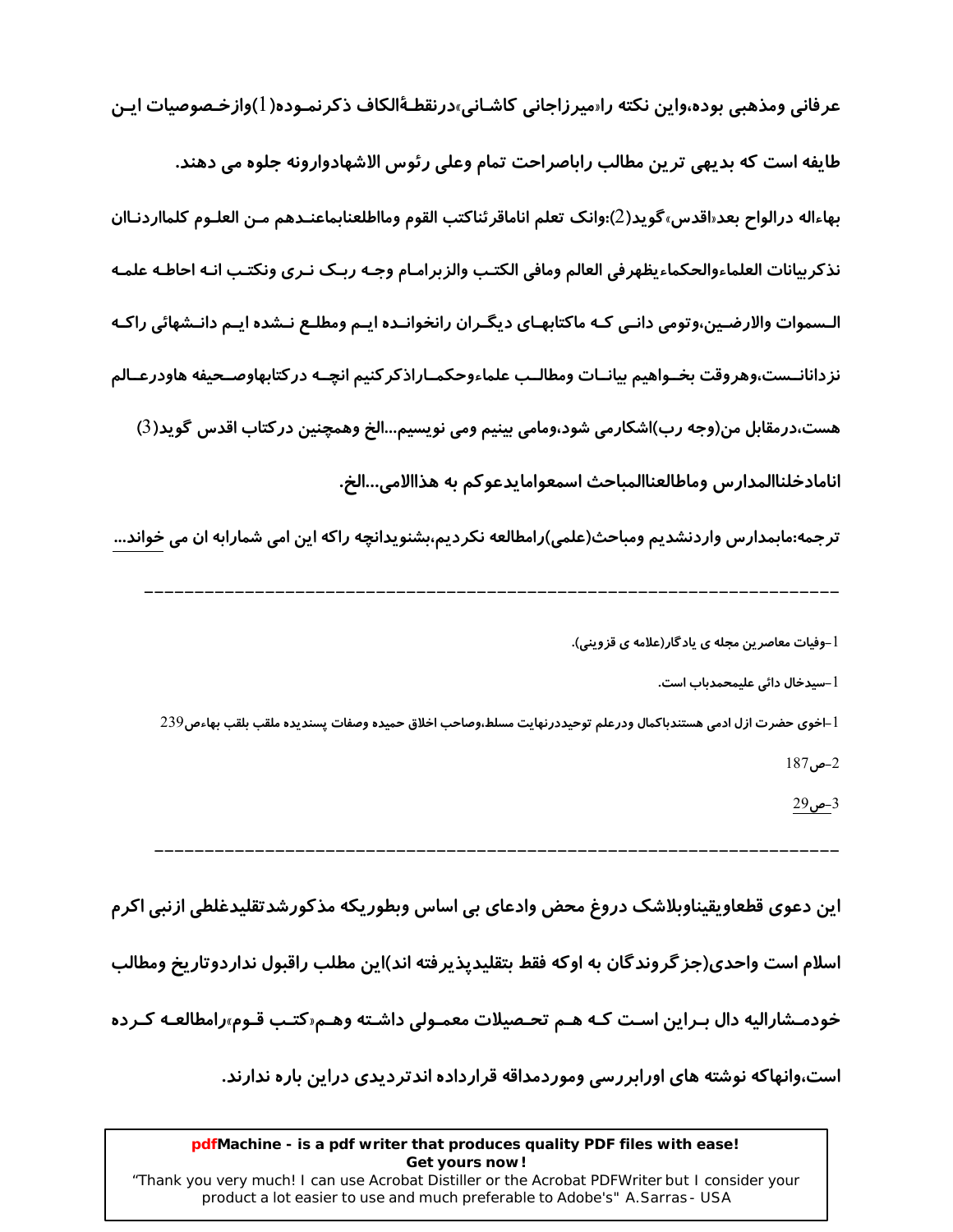عرفانی ومذهبی بوده،واین نکته راسیرزاجانی کاشـانی،درنقطـهٔالکاف ذکرنمـوده(۱)وازخـصوصیات ایـن طايفه است كه بديهي ترين مطالب راباصراحت تمام وعلى رئوس الاشهادوارونه جلوه مي دهند. بهاءاله درالواح بعد«اقدس»گويد(2):وانک تعلم اناماقرئناکتب القوم ومااطلعنابماعنـدهم مـن العلـوم کلمااردنـاان نذكربيانات العلماءوالحكماءيظهرفي العالم ومافى الكتب والزبرامـام وجـه ربـك نـرى ونكتـب انـه احاطـه علمـه الـسموات والارضـین،وتومی دانـی کـه ماکتابهـای دیگـران رانخوانـده ایـم ومطلـع نـشده ایـم دانـشهائی راکـه نزدانانــست،وهروقت بخــواهيم بيانــات ومطالــب علماءوحكمــاراذكركنيم انچــه دركتابهاوصــحيفه هاودرعــالم هست،درمقابل من(وجه رب)اشکارمی شود،ومامی بینیم ومی نویسیم...الخ وهمچنین درکتاب اقدس گوید(3) انامادخلناالمدارس وماطالعناالمباحث اسمعوامايدعوكم به هذاالامي…الخ.

ترجمه:مابمدارس واردنشدیم ومباحث(علمی)رامطالعه نکردیم،بشنویدانچه راکه این امی شمارابه ان می خواند…

l –سیدخال دائی علیمحمدباب است.

أ –اخوى حضرت ازل ادمى هستندباكمال ودرعلم توحيددرنهايت مسلط،وصاحب اخلاق حميده وصفات پسنديده ملقب بلقب بهاءص239  $187, -2$ 

3-ص29

این دعوی قطعاویقیناوبلاشک دروغ محض وادعای بی اساس وبطوریکه مذکورشدتقلیدغلطی ازنبی اکرم

اسلام است واحدی(جز گروندگان به اوکه فقط بتقلیدیذیرفته اند)این مطلب راقبول نداردوتاریخ ومطالب

خودمـشاراليه دال بـراين اسـت كـه هـم تحـصيلات معمـولي داشـته وهـم«كتـب قـوم»رامطالعـه كـرده

است،وانهاکه نوشته های اورابررسی وموردمداقه قرارداده اندتردیدی دراین باره ندارند.

#### pdfMachine - is a pdf writer that produces quality PDF files with ease! Get yours now!

l –وفیات معاصرین مجله ی یاد گا*ر*(علامه ی قزوینی).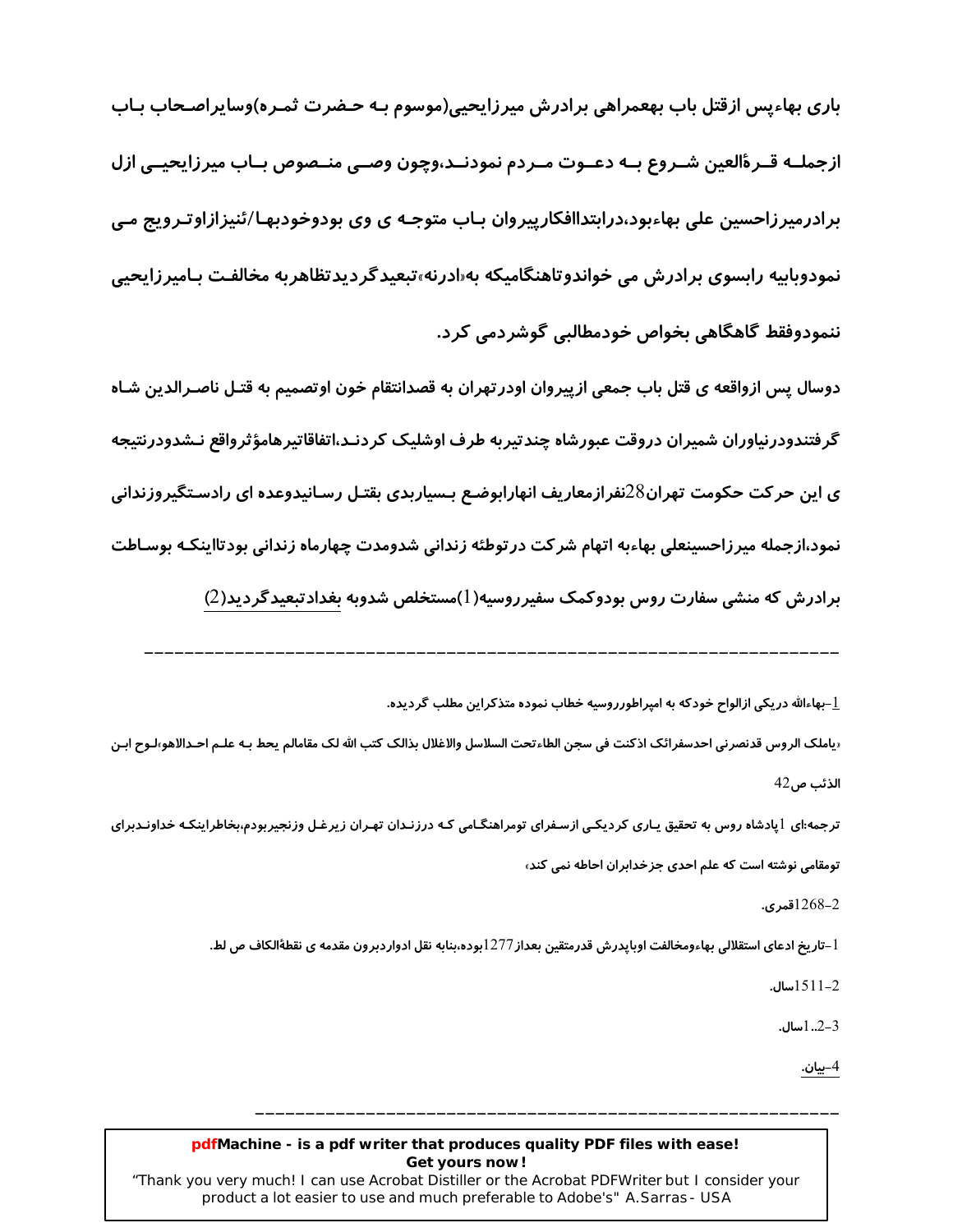باری بهاءپس ازقتل باب بهعمراهی برادرش میرزایحیی(موسوم بـه حـضرت ثمـره)وسایراصـحاب بـاب ازجملــه قــرةالعين شــروع بــه دعــوت مــردم نمودنــد،وچون وصــي منــصوص بــاب ميرزايحيــي ازل برادرمیرزاحسین علی بهاءبود،درابتداافکارپیروان بـاب متوجـه ی وی بودوخودبهـا/ئنیزازاوتـرویج مـی نمودوبابیه رابسوی برادرش می خواندوتاهنگامیکه به«ادرنه»تبعیدگردیدتظاهربه مخالفت بـامیرزایحیی ننمودوفقط گاهگاهی بخواص خودمطالبی گوشردمی کرد.

دوسال پس ازواقعه ی قتل باب جمعی ازپیروان اودر تهران به قصدانتقام خون اوتصمیم به قتـل ناصـرالدین شـاه گرفتندودرنیاوران شمیران دروقت عبورشاه چندتیربه طرف اوشلیک کردنـد،اتفاقاتیرهامؤثرواقع نـشدودرنتیجه ی این حرکت حکومت تهران $28$ نفرازمعاریف انهارابوضع بـسیاربدی بقتـل رسـانیدوعده ای رادسـتگیروزندانی نمود،ازجمله میرزاحسینعلی بهاءبه اتهام شرکت در توطئه زندانی شدومدت چهارماه زندانی بودتااینکـه بوسـاطت

برادرش که منشی سفارت روس بودوکمک سفیرروسیه(1)مستخلص شدوبه بغدادتبعیدگردید(2)

-بهاءالله دریکی ازالواح خودکه به امیراطورروسیه خطاب نموده متذکراین مطلب گردیده.

‹ياملک الروس قدنصرني احدسفرائک اذکنت في سجن الطاءتحت السلاسل والاغلال بذالک کتب الله لک مقامالم يحط بـه علـم احـدالاهو٬اـوح ابـن الذئب ص42

ترجمه:ای ایادشاه روس به تحقیق پـاری کردیکـی ازسـفرای تومراهنگـامی کـه درزنـدان تهـران زیرغـل وزنجیربودم،بخاطراینکـه خداونـدبرای تومقامی نوشته است که علم احدی جزخدابران احاطه نمی کند،

2–1268قمری.

 $1$ \_تاریخ ادعای استقلالی بهاءومخالفت اوبایدرش قدرمتقین بعداز $1277$ بوده،بنابه نقل ادواردبرون مقدمه ی نقطۀالکاف ص لط.

 $1511-2$ 

 $1.2-3$ ...

4-بيان.

#### pdfMachine - is a pdf writer that produces quality PDF files with ease! Get yours now!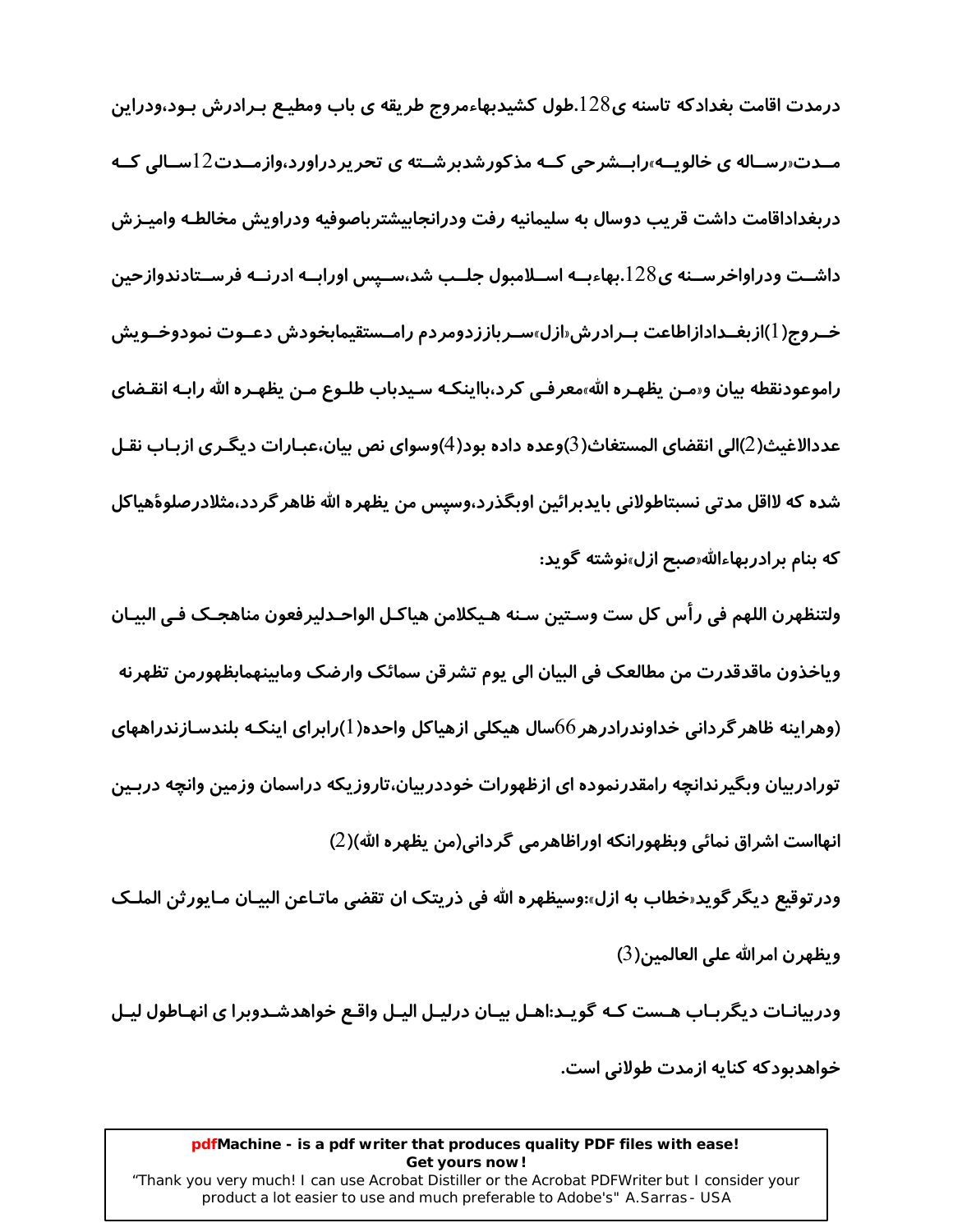درمدت اقامت بغدادکه تاسنه ی $128$ .طول کشیدبهاءمروج طریقه ی باب ومطیـع بـرادرش بـود،ودراین مــدت«رسـاله ی خالویــه»رابــشرحی کــه مذکورشدبرشــته ی تحریردراورد،وازمــدت12ســالی کــه دربغداداقامت داشت قريب دوسال به سليمانيه رفت ودرانجابيشترباصوفيه ودراويش مخالطـه واميـزش داشــت ودراواخرســنه ی128.بهاءبــه اســلامبول جلــب شد،ســیس اورابــه ادرنــه فرســتادندوازحین خـروج(1)ازبغــدادازاطاعت بــرادرش«ازل»ســرباززدومردم رامــستقيمابخودش دعــوت نمودوخــويش راموعودنقطه بیان و«مـن یظهـره الله»معرفـی کرد،بااینکـه سـیدباب طلـوع مـن یظهـره الله *ر*ابـه انقـضای عددالاغيث(2)الى انقضاي المستغاث(3)وعده داده بود(4)وسواي نص بيان،عبـارات ديگـري ازبـاب نقـل شده که لااقل مدتی نسبتاطولانی بایدبرائین اوبگذرد،وسیس من یظهره الله ظاهر گردد،مثلادرصلوۀهیاکل که بنام برادربهاءالله«صبح ازل»نوشته گوید:

ولتنظهرن اللهم في رأس كل ست وسـتين سـنه هـيكلامن هياكـل الواحـدلير فعون مناهجـك فـي البيـان وياخذون ماقدقدرت من مطالعک فی البیان الی یوم تشرقن سمائک وارضک ومابینهمابظهورمن تظهرنه (وهراینه ظاهر گردانی خداوندرادرهر 66سال هیکلی ازهیاکل واحده(1)رابرای اینکـه بلندسـازندراههای تورادربیان وبگیرندانچه رامقدرنموده ای ازظهورات خوددربیان،تاروزیکه دراسمان وزمین وانچه دربـین انهااست اشراق نمائي وبظهورانكه اوراظاهرمي گرداني(من يظهره الله)(2)

ودرتوقيع ديگر گويد«خطاب به ازل»:وسيظهره الله في ذريتک ان تقضي ماتـاعن البيـان مـايورثن الملـک ويظهرن امرالله على العالمين(3)

ودربیانـات دیگربـاب هـست کـه گویـد:اهـل بیـان درلیـل الیـل واقـع خواهدشـدوبرا ی انهـاطول لیـل

خواهدبودکه کنایه ازمدت طولانی است.

#### pdfMachine - is a pdf writer that produces quality PDF files with ease! Get yours now!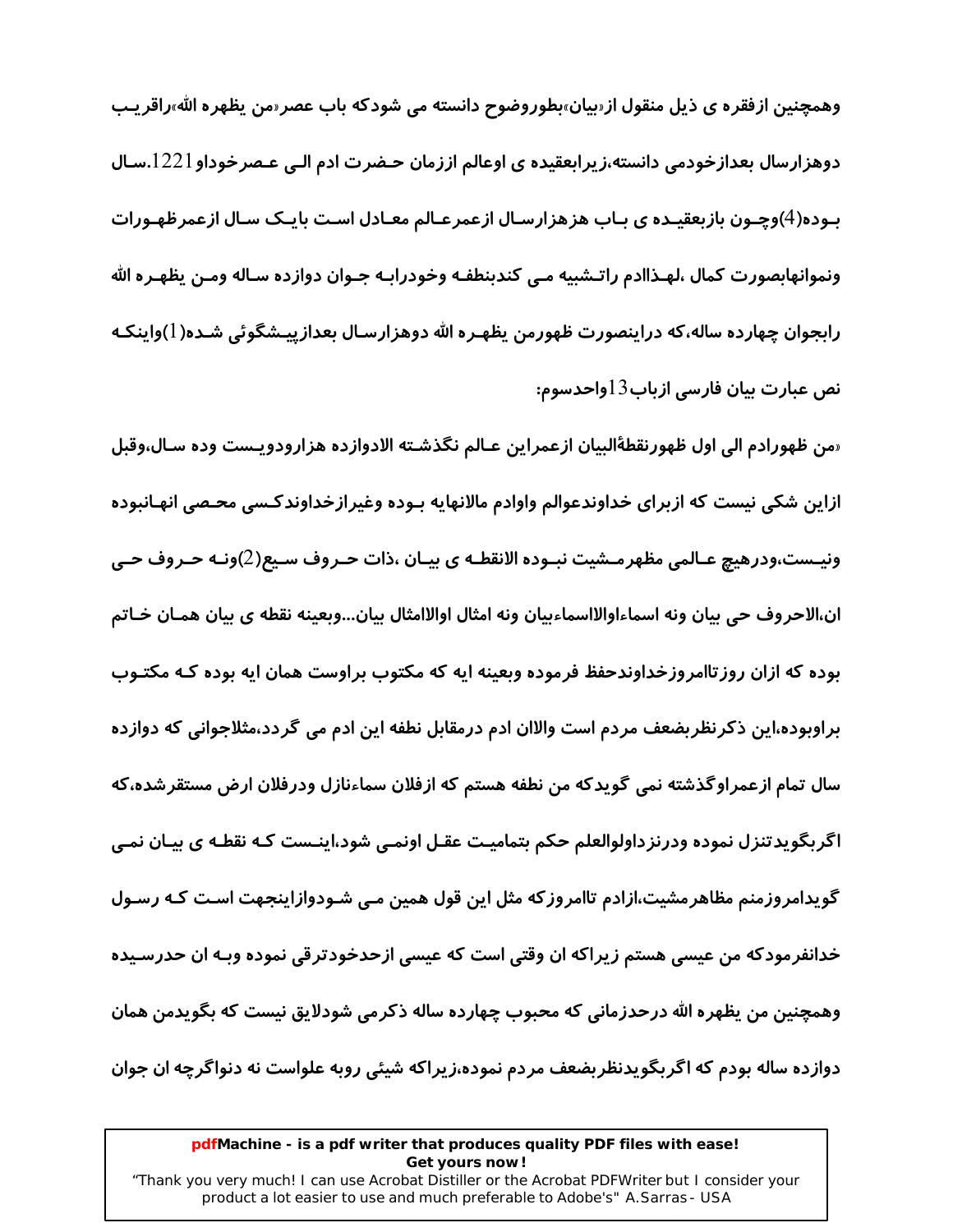وهمچنین ازفقره ی ذیل منقول از«بیان»بطوروضوح دانسته می شودکه باب عصر«من یظهره الله»راقریـب دوهزارسال بعدازخودمی دانسته،زیرابعقیده ی اوعالم اززمان حـضرت ادم الـی عـصرخوداو 1221.سـال بـوده(4)وچـون بازبعقیـده ی بـاب هزهزارسـال ازعمرعـالم معـادل اسـت بایـک سـال ازعمرظهـورات ونموانهابصورت كمال ،لهـذاادم راتـشبيه مـي كندبنطفـه وخودرابـه جـوان دوازده سـاله ومـن يظهـره الله رابجوان چهارده ساله،که دراینصورت ظهورمن یظهـره الله دوهزارسـال بعدازییـشگوئی شـده(1)واینکـه نص عبارت بيان فارسي ازباب13واحدسوم:

«من ظهورادم الى اول ظهورنقطةٔالبیان ازعمراین عـالم نگذشـته الادوازده هزارودویـست وده سـال،وقبل ازاین شکی نیست که ازبرای خداوندعوالم واوادم مالانهایه بـوده وغیرازخداوندکـسی محـصی انهـانبوده ونيــست،ودرهيچ عــالمي مظهرمــشيت نبــوده الانقطــه ي بيــان ،ذات حــروف ســيع(2)ونــه حــروف حــي ان،الاحروف حي بيان ونه اسماءاوالااسماءبيان ونه امثال اوالاامثال بيان...وبعينه نقطه ي بيان همـان خـاتم بوده که ازان روز تاامروزخداوندحفظ فرموده وبعینه ایه که مکتوب براوست همان ایه بوده کـه مکتـوب براوبوده،این ذکرنظربضعف مردم است والاان ادم درمقابل نطفه این ادم می گردد،مثلاجوانی که دوازده سال تمام ازعمراوگذشته نمی گویدکه من نطفه هستم که ازفلان سماءنازل ودرفلان ارض مستقرشده،که اگربگویدتنزل نموده ودرنزداولوالعلم حکم بتمامیـت عقـل اونمـی شود٬اینـست کـه نقطـه ی بیـان نمـی گویدامروزمنم مظاهرمشیت،ازادم تاامروزکه مثل این قول همین مـی شـودوازاینجهت اسـت کـه رسـول خدانفرمودکه من عیسی هستم زیراکه ان وقتی است که عیسی ازحدخودترقی نموده وبـه ان حدرسـیده وهمچنین من یظهره الله درحدزمانی که محبوب چهارده ساله ذکرمی شودلایق نیست که بگویدمن همان دوازده ساله بودم که اگربگویدنظربضعف مردم نموده،زیراکه شیئی روبه علواست نه دنواگرچه ان جوان

#### pdfMachine - is a pdf writer that produces quality PDF files with ease! Get yours now!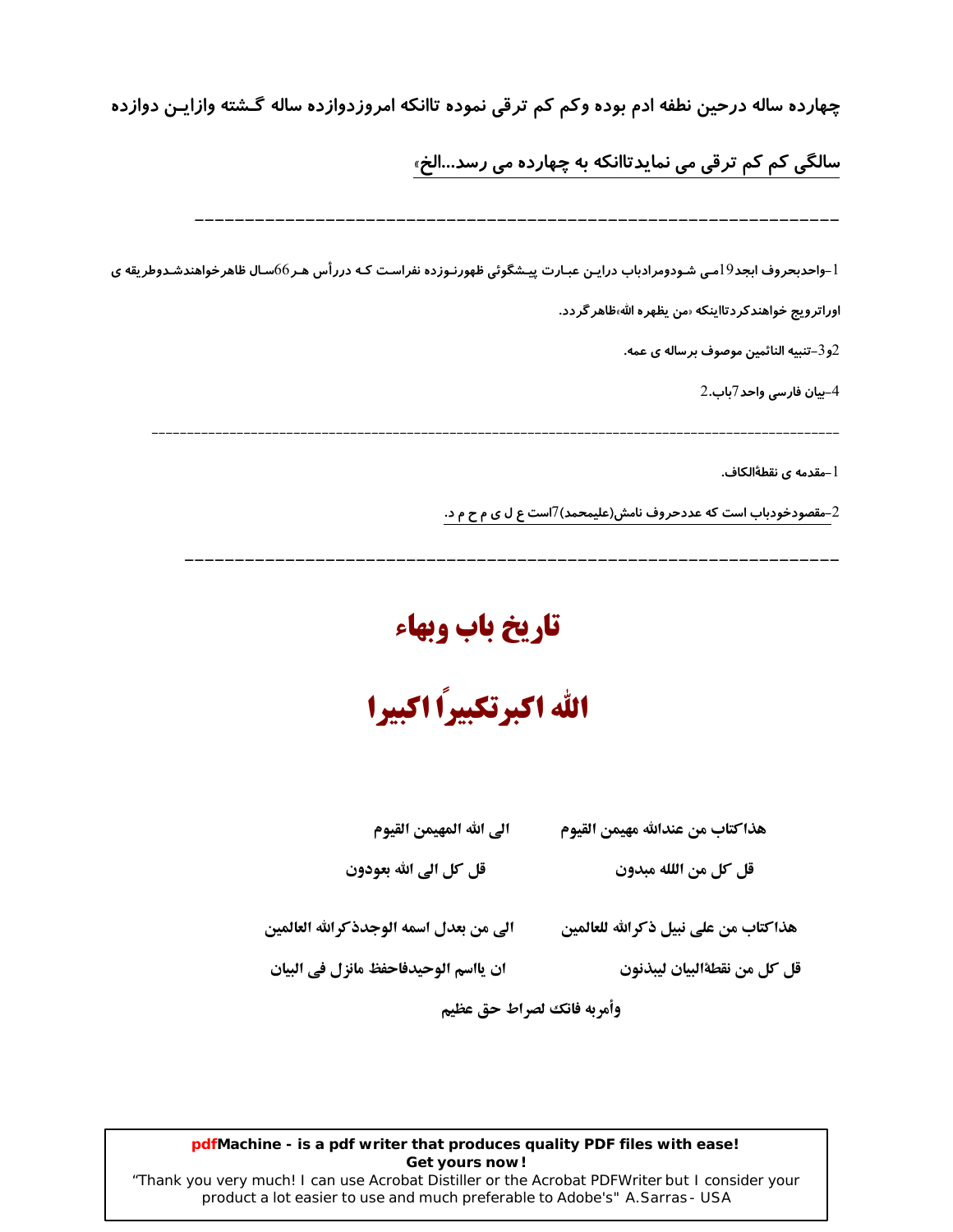چهارده ساله درحین نطفه ادم بوده وکم کم ترقی نموده تاانکه امروزدوازده ساله گـشته وازایـن دوازده

سالگی کم کم ترقی می نمایدتاانکه به چها*ر*ده می رسد...الخ<sub>»</sub>

1–واحدبحروف ابجد19می شـودومرادباب درایـن عبـارت پیـشگوئی ظهورنـوزده نفراسـت کـه دررأس هـر66سـال ظاهرخواهندشـدوطريقه ی

اوراتر ويج خواهند كر دتااينكه سن يظهر ه الله،ظاهر گر دد.

و3–تنبيه النائمين موصوف برساله ي عمه. $2\,$ 

4–بيان فارسى واحد7باب.2

l –مقدمه ی نقطهٔالکاف.

2-مقصودخودباب است که عددحروف نامش(علیمحمد)7است ع ل ی م ح م د.

تاريخ باب وبهاء

الله اكبرتكبيراً اكبيرا

الى الله المهيمن القيوم هذاكتاب من عندالله مهيمن القيوم

قل كل من اللله مبدون قل کل الی الله بعودون

ان يااسم الوحيدفاحفظ مانزل في البيان

الى من بعدل اسمه الوجدذكرالله العالمين هذاكتاب من على نبيل ذكرالله للعالمين

قل كل من نقطةالبيان ليبذنون

وأمربه فانك لصراط حق عظيم

#### pdfMachine - is a pdf writer that produces quality PDF files with ease! Get yours now!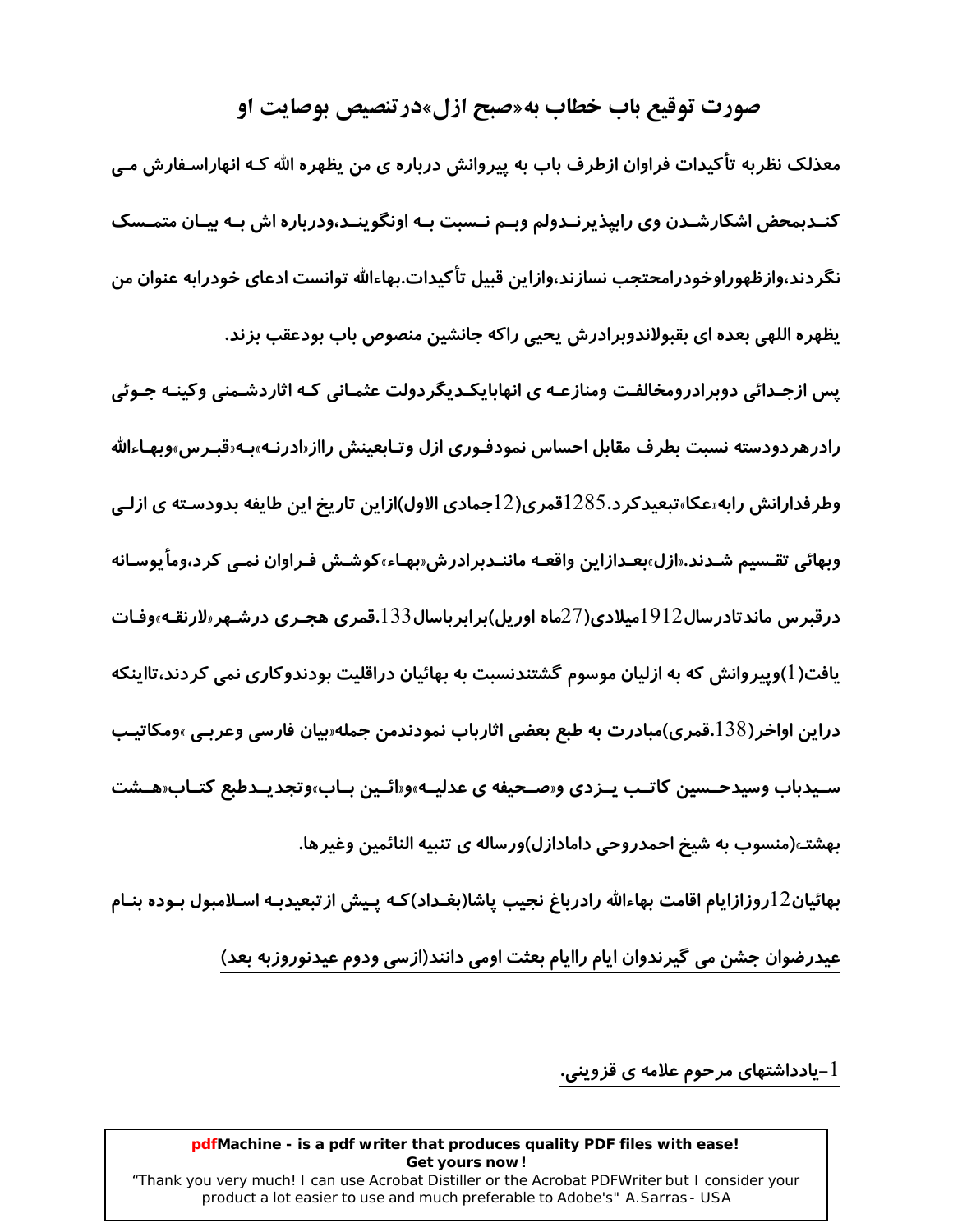#### صورت توقیع باب خطاب به«صبح ازل»درتنصیص بوصایت او

معذلک نظربه تأکیدات فراوان ازطرف باب به پیروانش درباره ی من یظهره الله کـه انهاراسـفارش مـی کنـدبمحض اشکارشـدن وی رابیذیرنـدولم وبـم نـسبت بـه اونگوینـد،ودرباره اش بـه بیـان متمـسک نگردند،وازظهوراوخودرامحتجب نسازند،وازاین قبیل تأکیدات.بهاءالله توانست ادعای خودرابه عنوان من یظهره اللهی بعده ای بقبولاندوبرادرش یحیی راکه جانشین منصوص باب بودعقب بزند.

یس ازجـدائی دوبرادرومخالفـت ومنازعـه ی انهابایکـدیگردولت عثمـانی کـه اثاردشـمنی وکینـه جـوئی رادرهر دودسته نسبت بطرف مقابل احساس نمودفـوري ازل وتـابعينش رااز «ادرنـه»بـه «قبـرس»وبهـاءالله وطرفدارانش رابه«عکا»تبعیدکرد.1285قمری(12جمادی الاول)ازاین تاریخ این طایفه بدودسـته ی ازلـی وبهائي تقـسیم شـدند.«ازل»بعـدازاین واقعـه ماننـدبرادرش«بهـاء»کوشـش فـراوان نمـی کر د،وماً یوسـانه درقبرس ماندتادرسال1912میلادی(27ماه اوریل)برابرباسال133.قمری هجـری درشـهر«لارنقـه»وفـات یافت( ا)وپیروانش که به ازلیان موسوم گشتندنسبت به بهائیان دراقلیت بودندوکاری نمی کردند،تااینکه دراین اواخر(138.قمری)مبادرت به طبع بعضی اثارباب نمودندمن جمله«بیان فارسی وعربـی »ومکاتیـب سـیدباب وسیدحــسین کاتــب یــزدی و«صــحیفه ی عدلیــه»و«ائــین بــاب»وتجدیــدطبع کتــاب«هــشت بهشته(منسوب به شیخ احمدروحی دامادازل)ورساله ی تنبیه النائمین وغیرها.

بهائيان12روزازايام اقامت بهاءالله رادرباغ نجيب ياشا(بغـداد)كـه يـيش ازتبعيدبـه اسـلامبول بـوده بنـام عیدرضوان جشن می گیرندوان ایام راایام بعثت اومی دانند(ازسی ودوم عیدنوروزبه بعد)

یادداشتهای مرحوم علامه ی قزوینی. $\mathsf{l}$ 

#### pdfMachine - is a pdf writer that produces quality PDF files with ease! Get yours now!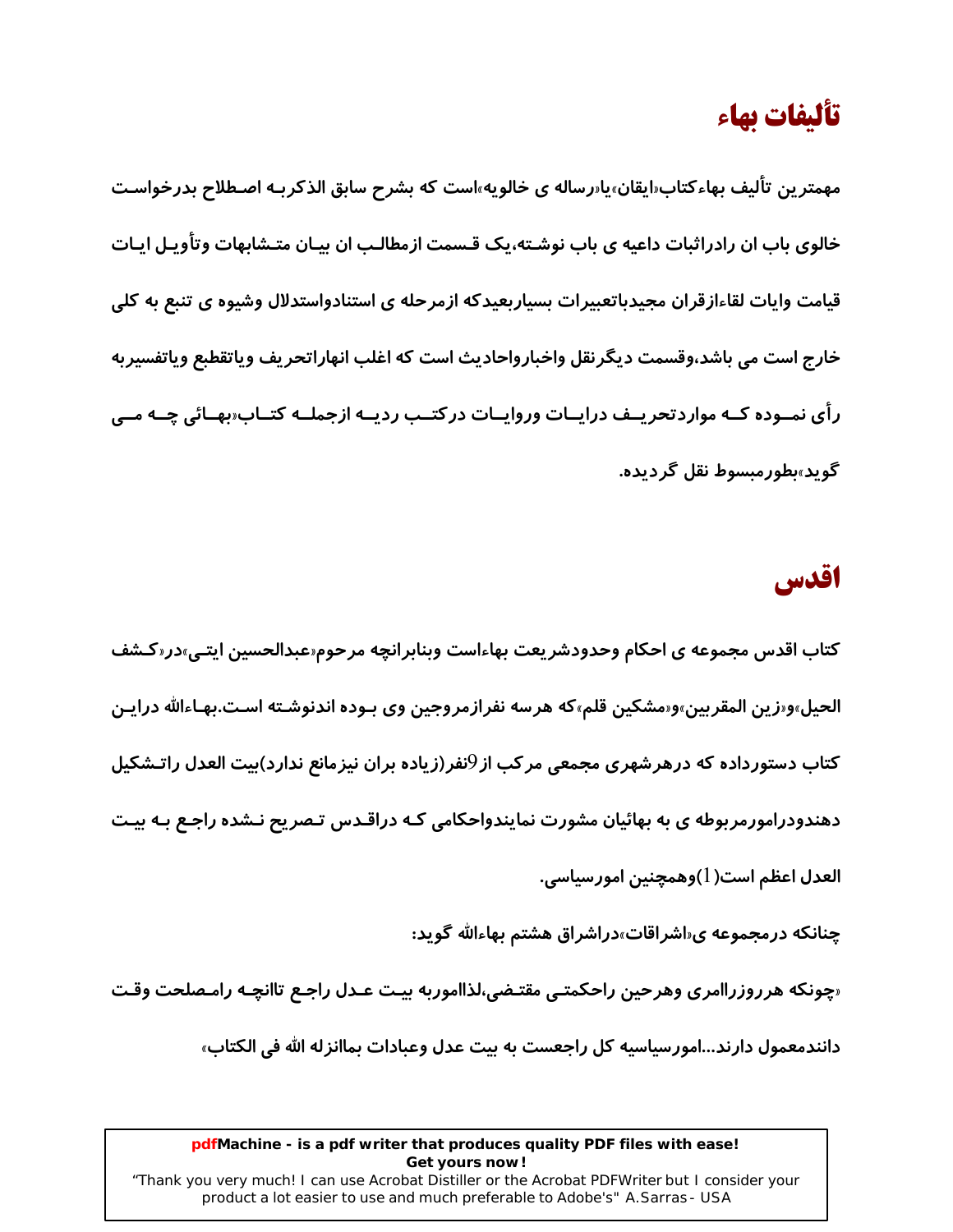## تأليفات بهاء

مهمترين تأليف بهاءكتاب«ايقان»يا«رساله ي خالويه»است كه بشرح سابق الذكربـه اصـطلاح بدرخواسـت خالوی باب ان رادراثبات داعیه ی باب نوشـته،یک قـسمت ازمطالـب ان بیـان متـشابهات وتأویـل ایـات قیامت وایات لقاءازقران مجیدباتعبیرات بسیاربعیدکه ازمرحله ی استنادواستدلال وشیوه ی تنبع به کلی خارج است مي باشد،وقسمت ديگر نقل واخبارواحاديث است كه اغلب انهاراتحريف وياتقطبع وياتفسيربه رأی نمــوده کــه مواردتحریــف درایــات وروایــات درکتــب ردیــه ازجملــه کتــاب«بهــائی چــه مــی گويد»پطورمېسوط نقل گردېده.

## اقدس

کتاب اقدس مجموعه ی احکام وحدودشریعت بهاءاست وبنابرانچه مرحوم«عبدالحسین ایتـی»در«کـشف الحيل»و«زين المقربين»و«مشكين قلم»كه هرسه نفرازمروجين وي بـوده اندنوشـته اسـت.بهـاءالله درايـن کتاب دستورداده که درهرشهری مجمعی مرکب از<sup>0</sup>نفر(زیاده بران نیزمانع ندارد)بیت العدل راتـشکیل دهندودرامورمربوطه ی به بهائیان مشورت نمایندواحکامی کـه دراقـدس تـصریح نـشده راجـع بـه بیـت العدل اعظم است( 1)وهمچنین امور سیاسی.

چنانکه درمجموعه ی«اشراقات»دراشراق هشتم بهاءالله گوید:

«چونکه هرروزراامری وهرحین راحکمتـی مقتـضی،لذااموربه بیـت عـدل راجـع تاانچـه رامـصلحت وقـت

دانندمعمول دارند...امورسیاسیه کل راجعست به بیت عدل وعبادات بماانزله الله فی الکتاب»

#### pdfMachine - is a pdf writer that produces quality PDF files with ease! Get yours now!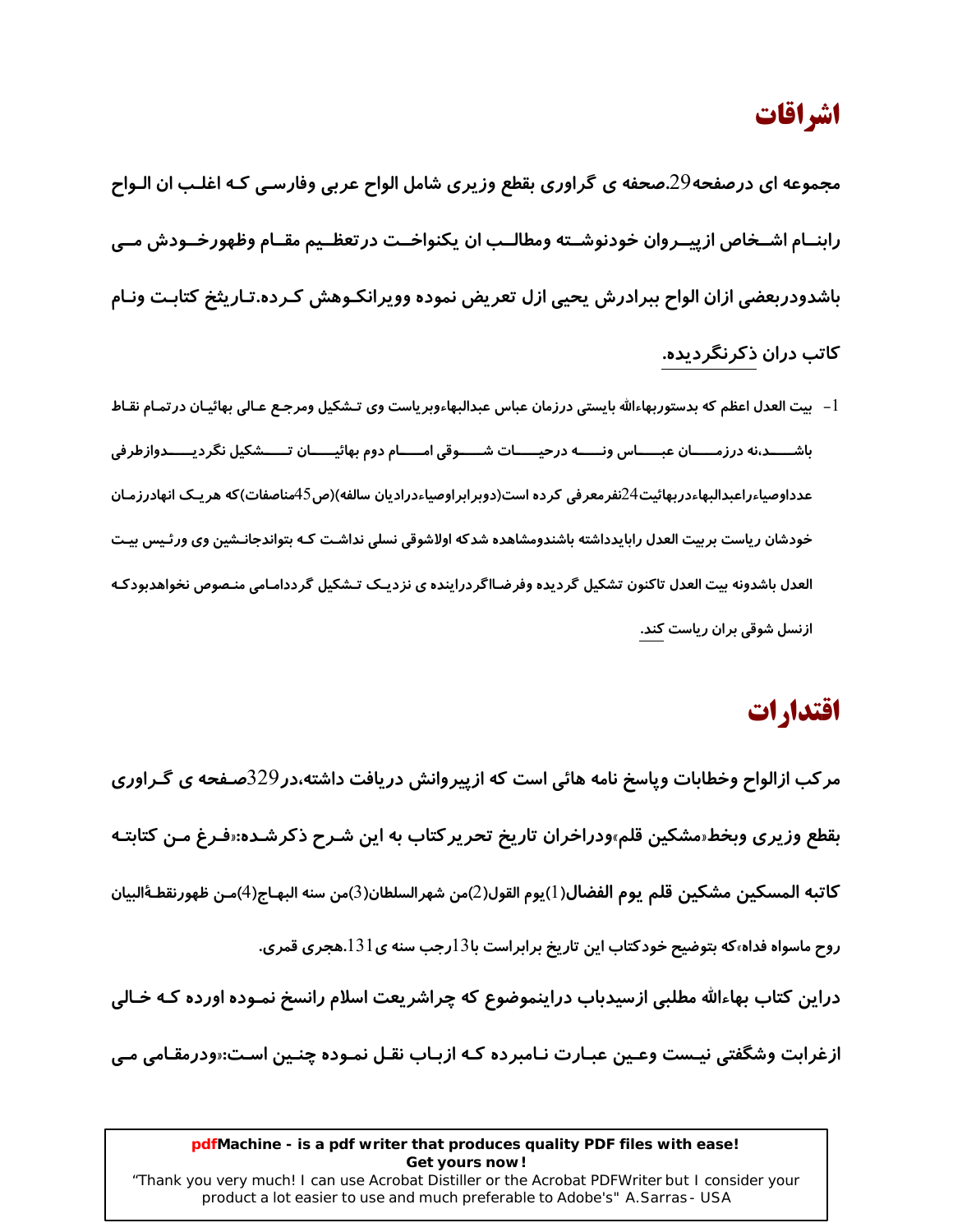## اشراقات

مجموعه ای درصفحه29.صحفه ی گراوری بقطع وزیری شامل الواح عربی وفارسـی کـه اغلـب ان الـواح رابنــام اشــخاص ازپيــروان خودنوشــته ومطالــب ان يكنواخــت در تعظــيم مقــام وظهورخــودش مــي باشدودربعضي ازان الواح ببرادرش يحيى ازل تعريض نموده وويرانكـوهش كـرده.تـاريثخ كتابـت ونـام کاتب دران ذکرنگر دیده.

l – بيت العدل اعظم كه بدستوربهاءالله بايستي درزمان عباس عبدالبهاءوبرياست وي تـشكيل ومرجـع عـالي بهائيـان درتمـام نقـاط باشـــــد،نه درزمـــــان عبــــــاس ونــــــه درحيـــــات شـــــوقى امـــــام دوم بهائيـــــان تـــــشكيل نگرديــــــدوازطرفى عدداوصیاءراعبدالبهاءدربهائیت24نفرمعرفی کرده است(دوبرابراوصیاءدرادیان سالفه)(ص45مناصفات)که هریـک انهادرزمـان خودشان ریاست بربیت العدل رابایدداشته باشندومشاهده شدکه اولاشوقی نسلی نداشـت کـه بتواندجانـشین وی ورئـیس بیـت العدل باشدونه بيت العدل تاكنون تشكيل گرديده وفرضـااگردراينده ي نزديـک تـشکيل گرددامـامي منـصوص نخواهدبودکـه ازنسل شوقی بران ریاست کند.

## اقتدارات

مر کب ازالواح وخطابات وپاسخ نامه هائی است که ازپیروانش دریافت داشته،در 329صـفحه ی گـراوری بقطع وزیری وبخط«مشکین قلم»ودراخران تاریخ تحریر کتاب به این شـرح ذکرشـده:«فـرغ مـن کتابتـه كاتبه المسكين مشكين قلم يوم الفضال(1)يوم القول(2)من شهرالسلطان(3)من سنه البهـاج(4)مـن ظهورنقطـةالبيان روح ماسواه فداه،که بتوضیح خودکتاب این تاریخ برابراست با13رجب سنه ی131.هجری قمری. دراین کتاب بهاءالله مطلبی ازسیدباب دراینموضوع که چراشریعت اسلام رانسخ نمـوده اورده کـه خـالی ازغرابت وشگفتی نیـست وعـین عبـارت نـامبرده کـه ازبـاب نقـل نمـوده چنـین اسـت:«ودرمقـامی مـی

#### pdfMachine - is a pdf writer that produces quality PDF files with ease! Get yours now!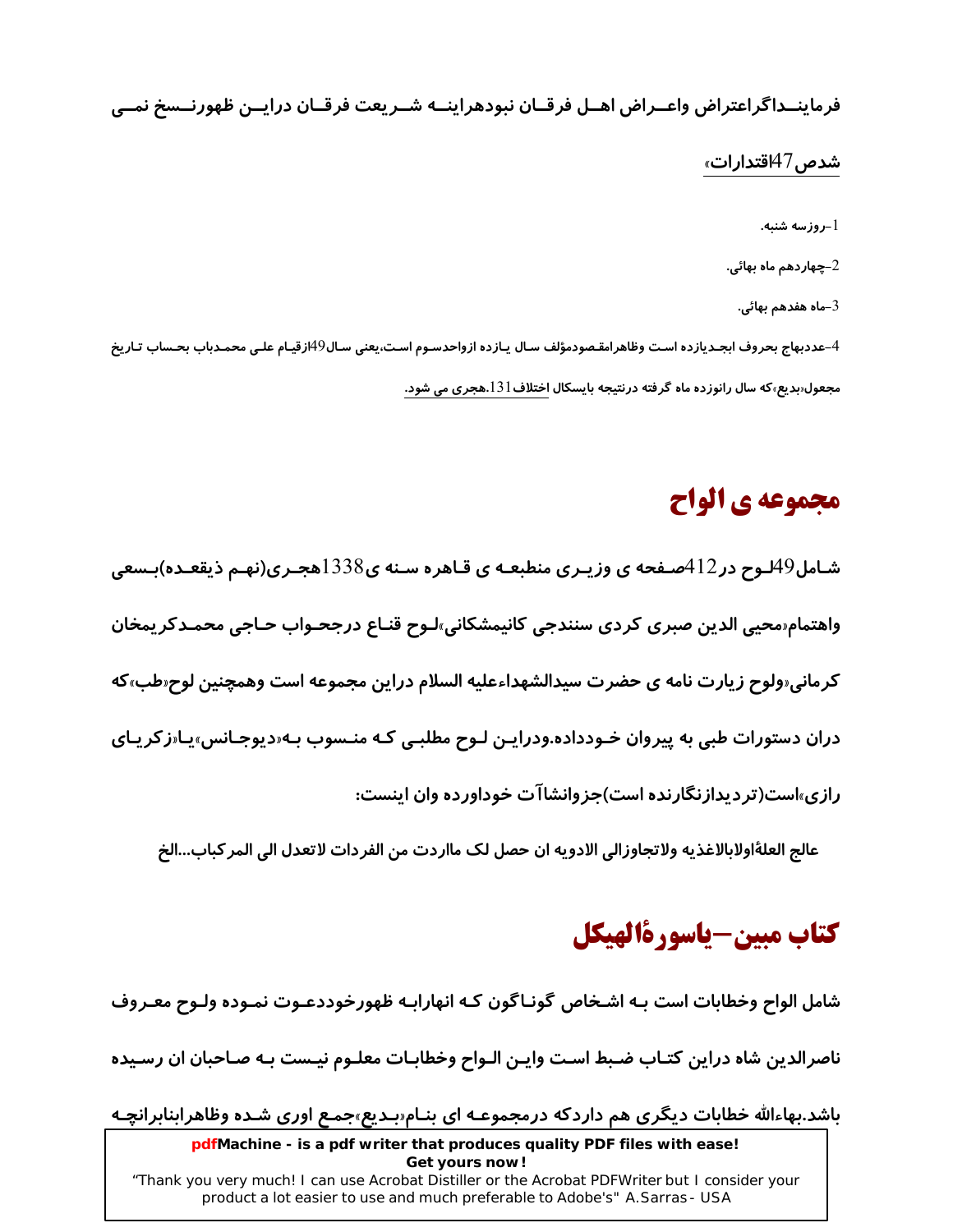فرماينــداگراعتراض واعــراض اهــل فرقــان نبودهراينــه شــريعت فرقــان درايــن ظهورنــسخ نمــي

#### شدص 47آقتدا*ر*ات»

ر وز سه شنبه.  $\!-1$ 2–چهاردهم ماه بهائي. ماه هفدهم بهائی- $3\,$ 4–عددبهاج بحروف ابجـديازده اسـت وظاهرامقـصودمؤلف سـال يـازده ازواحدسـوم اسـت،يعني سـال49ازقيـام علـي محمـدباب بحـساب تـاريخ

#### مجعول ربدیع،که سال رانوزده ماه گرفته درنتیجه بایسکال اختلاف 131.هجری می شود.

## مجموعه ي الواح

شـامل49لـوح در122صـفحه ی وزیـری منطبعـه ی قـاهره سـنه ی3388هجـری(نهـم ذیقعـده)بـسعی واهتمام محيى الدين صبرى كردى سنندجى كانيمشكاني،لوح قنـاع درجحـواب حـاجى محمـدكر يمخان کرمانی«ولوح زیارت نامه ی حضرت سیدالشهداءعلیه السلام دراین مجموعه است وهمچنین لوح«طب»که دران دستورات طبی به پیروان خـودداده.ودرایـن لـوح مطلبـی کـه منـسوب بـه«دیوجـانس»پـا«زکریـای رازی»است(تردیدازنگارنده است)جزوانشاآت خوداورده وان اینست:

عالج العلةَاولابالاغذيه ولاتجاوزالي الادويه ان حصل لک مااردت من الفردات لاتعدل الى المر كباب...الخ

## كتاب مبين-ياسورةالهيكل

شامل الواح وخطابات است بـه اشـخاص گونـاگون کـه انهارابـه ظهورخوددعـوت نمـوده ولـوح معـروف

ناصرالدین شاه دراین کتـاب ضـبط اسـت وایـن الـواح وخطابـات معلـوم نیـست بـه صـاحبان ان رسـیده

باشد.بهاءالله خطابات دیگری هم داردکه درمجموعـه ای بنـامسبدیع»جمـع اوری شـده وظاهرابنابرانچـه

pdfMachine - is a pdf writer that produces quality PDF files with ease! Get yours now!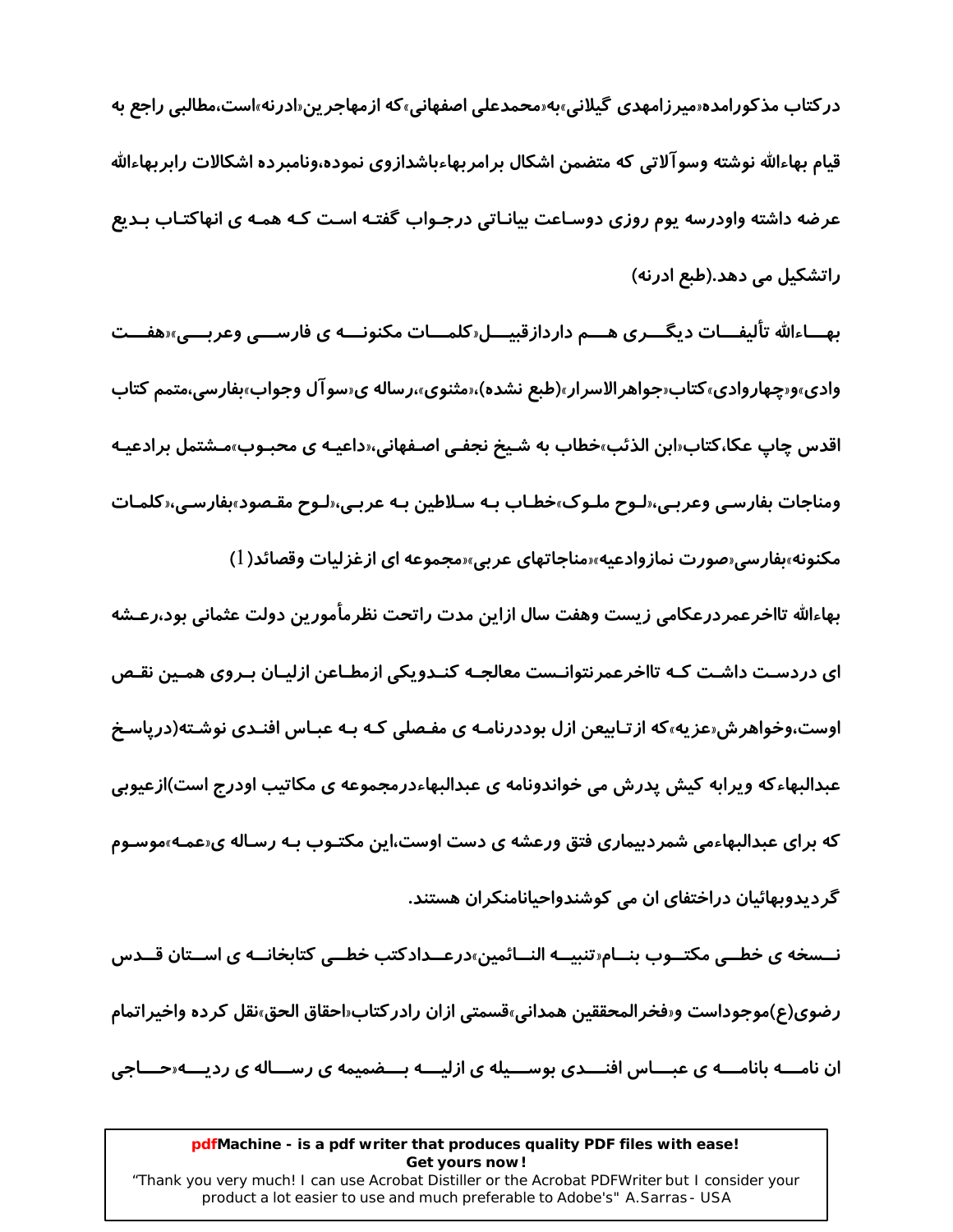در کتاب مذکورامده«میرزامهدی گیلانی»به«محمدعلی اصفهانی»که ازمهاجرین«ادرنه»است،مطالبی راجع به قیام بهاءالله نوشته وسوآلاتی که متضمن اشکال برامربهاءباشدازوی نموده،ونامبرده اشکالات رابربهاءالله عرضه داشته واودرسه یوم روزی دوسـاعت بیانـاتی درجـواب گفتـه اسـت کـه همـه ی انهاکتـاب بـدیع راتشکیل می دهد.(طبع ادرنه)

بهـــاءالله تألیفـــات دیگـــری هــــم داردازقبیـــل‹کلمـــات مکنونــــه ی فارســـی وعربـــی›‹هفـــت وادی»و«چهاروادی»کتاب«جواهرالاسرار»(طبع نشده)،«مثنوی»،رساله ی«سوآل وجواب»بفارسی،متمم کتاب اقدس چاپ عکا،کتاب«ابن الذئب»خطاب به شـیخ نجفـی اصـفهانی،«داعیـه ی محبـوب»مـشتمل برادعیـه ومناجات بفارسی وعربی،«لـوح ملـوک»خطـاب بـه سـلاطین بـه عربـی،«لـوح مقـصود»بفارسـی،«کلمـات مکنونه»بفارسی«صورت نمازوادعیه»«مناجاتهای عربی»«مجموعه ای ازغزلیات وقصائد( l)

بهاءالله تااخرعمردرعكامي زيست وهفت سال ازاين مدت راتحت نظرمأمورين دولت عثماني بود،رعـشه ای دردسـت داشـت کـه تااخرعمرنتوانـست معالجـه کنـدویکی ازمطـاعن ازلیـان بـروی همـین نقـص اوست،وخواهرِ ش مز به»که از تـابیعن ازل بوددرِنامـه ی مفـصلی کـه بـه عبـاس افنـدی نوشـته(دریاسـخ عبدالبهاءکه ویرابه کیش پدرش می خواندونامه ی عبدالبهاءدرمجموعه ی مکاتیب اودرج است)ازعیوبی که برای عبدالبهاءمی شمردبیماری فتق ورعشه ی دست اوست،این مکتـوب بـه رسـاله ی«عمـه»موسـوم گردیدوبهائیان دراختفای ان می کوشندواحیانامنکران هستند.

نــسخه ی خطــی مکتــوب بنــام«تنبیــه النــائمین»درعــدادکتب خطــی کتابخانــه ی اســتان قــدس رضوي(ع)موجوداست و«فخرالمحققين همداني»قسمتي ازان رادركتاب«احقاق الحق»نقل كرده واخيراتمام ان نامـــه بانامـــه ی عبـــاس افنـــدی بوســـیله ی ازلیـــه بـــضمیمه ی رســـاله ی ردیـــه«حـــاجی

#### pdfMachine - is a pdf writer that produces quality PDF files with ease! Get yours now!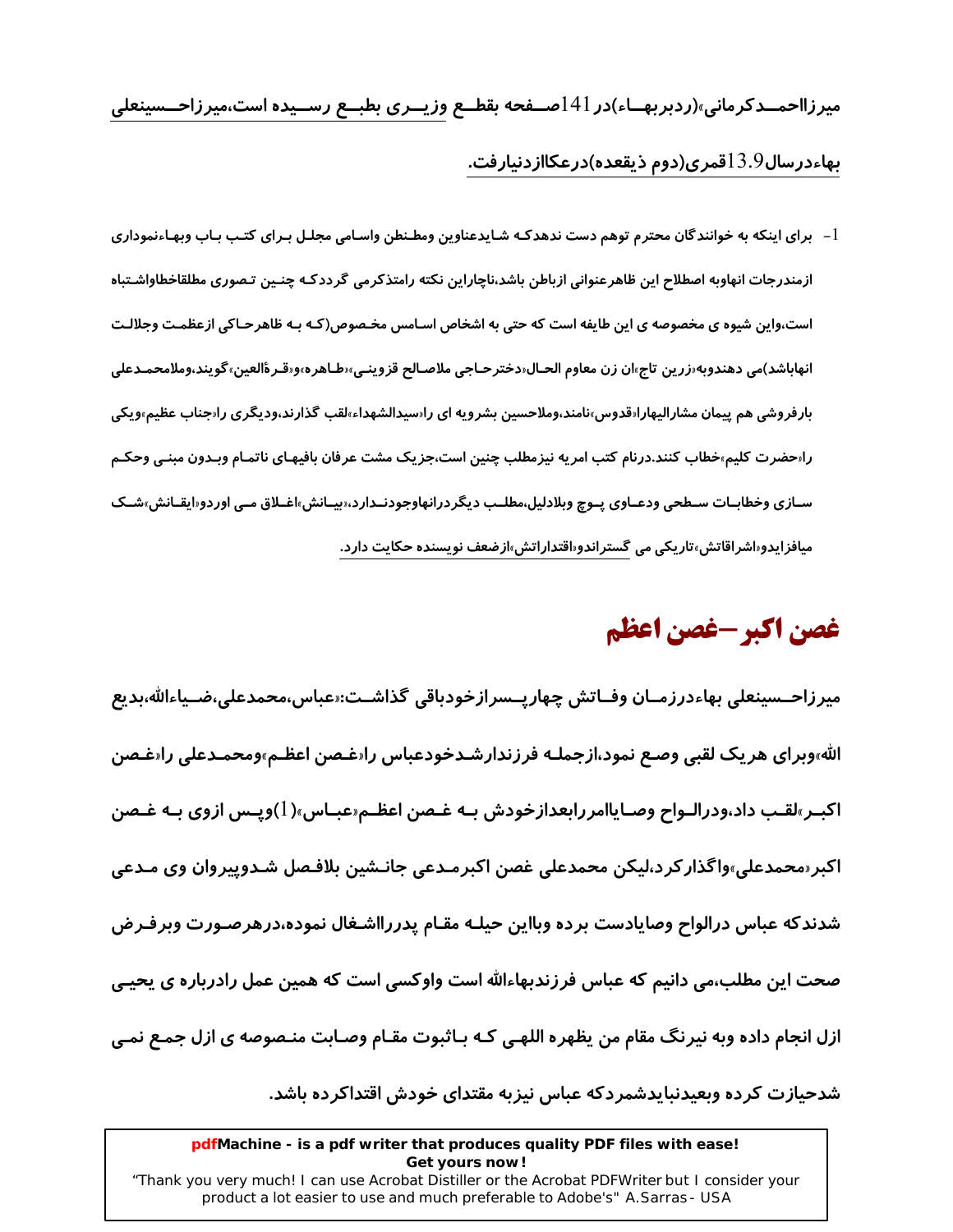میرزااحمــدکرمانی»(ردبربهــاء)در 141صــفحه بقطــع وزیــری بطبــع رســیده است،میرزاحــسینعلی بهاءدرسال $13.9$ قمری(دوم ذیقعده)درعکاازدنیارفت.

l – برای اینکه به خوانندگان محترم توهم دست ندهدکـه شـایدعناوین ومطـنطن واسـامی مجلـل بـرای کتـب بـاب وبهـاءنموداری ازمندرجات انهاوبه اصطلاح اين ظاهرعنواني ازباطن باشد،ناچاراين نكته رامتذكرمي گرددكـه چنـين تـصوري مطلقاخطاواشـتباه است،واین شیوه ی مخصوصه ی این طایفه است که حتی به اشخاص اسـامس مخـصوص(کـه بـه ظاهرحـاکی ازعظمـت وجلالـت انهاباشد)مي دهندوبه زرين تاج،ان زن معاوم الحـال‹دخترحـاجي ملاصـالح قزوينـي،‹طـاهره،و‹قـرةالعين، گويند،وملامحمـدعلي بارفروشی هم پیمان مشارالیهارا‹قدوس،نامند،وملاحسین بشرویه ای را‹سیدالشهداء٬قلب گذارند٬ودیگری را‹جناب عظیم٬ویکی رارحضرت کلیم،خطاب کنند.درنام کتب امریه نیزمطلب چنین است،جزیک مشت عرفان بافیهـای ناتمـام وبـدون مبنـی وحکـم سـازی وخطابـات سـطحی ودعـاوی پـوچ وبلادلیل،مطلـب دیگردرانهاوجودنـدارد،«بیـانش،اغـلاق مـی اوردو«ایقـانش،شـک میافزایدو«اشراقاتش»تاریکی می گستراندو«اقتداراتش»ازضعف نویسنده حکایت دا*ر*د.

# غصن اكبر -غصن اعظم

ميرزاحــسينعلى بهاءدرزمــان وفــاتش چهارپــسرازخودباقى گذاشــت:‹عباس،محمدعلى،ضــياءالله،بديع الله،وبراي هريک لقبي وصـع نمود،ازجملـه فرزندارشـدخودعباس را«غـصن اعظـم،ومحمـدعلي را«غـصن اکبـر»لقـب داد،ودرالـواح وصـایاامررابعدازخودش بـه غـصن اعظـم«عبـاس»( l)وپـس ازوی بـه غـصن اکبر«محمدعلی»واگذارکرد،لیکن محمدعلی غصن اکبرمـدعی جانـشین بلافـصل شـدوپیروان وی مـدعی شدندكه عباس درالواح وصايادست برده وبااين حيلـه مقـام پدررااشـغال نموده،درهرصـورت وبرفـرض صحت این مطلب،می دانیم که عباس فرزندبهاءالله است واوکسی است که همین عمل رادرباره ی یحیـی ازل انجام داده وبه نیرنگ مقام من یظهره اللهـی کـه بـاثبوت مقـام وصـابت منـصوصه ی ازل جمـع نمـی شدحیازت کرده وبعیدنبایدشمردکه عباس نیزبه مقتدای خودش اقتداکرده باشد.

#### pdfMachine - is a pdf writer that produces quality PDF files with ease! Get yours now!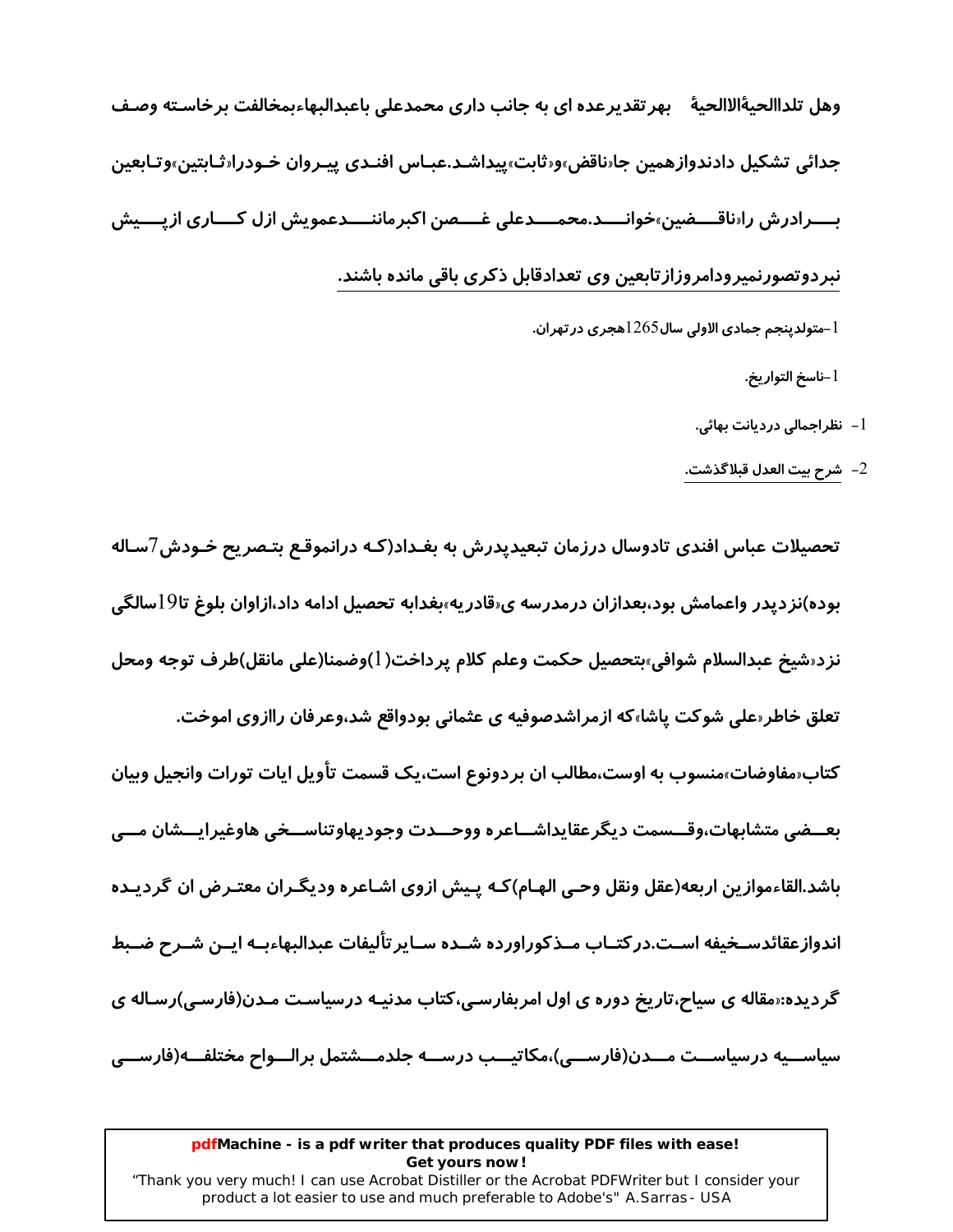وهل تلداالحيةَالاالحية بهر تقديرعده اي به جانب داري محمدعلي باعبدالبهاءبمخالفت برخاسـته وصـف جدائي تشكيل دادندوازهمين جارناقض»ورثابت»پيداشـد.عبـاس افنـدي پيـروان خـودرارثـابتين»وتـابعين بــــرادرش را«ناقــــضین»خوانــــد.محمــــدعلی غــــصن اکبرماننــــدعمویش ازل کــــاری ازیــــیش نبردوتصورنمیرودامروزازتابعین وی تعدادقابل ذکری باقی مانده باشند. سولدینجم جمادی الاولی سال $1265$ هجری در تهران. $\!1$ 

1-ناسخ التوا*ر*يخ.

1– نظراجمالی دردیانت بهائی.

شرح بيت العدل قبلاگذشت.  $\!-2}$ 

تحصیلات عباس افندی تادوسال درزمان تبعیدیدرش به بغـداد(کـه درانموقـع بتـصریح خـودش7سـاله بوده)نزدیدر واعمامش بود،بعدازان درمدرسه ی«قادریه»بغدابه تحصیل ادامه داد،ازاوان بلوغ تا9اسالگی نزد«شيخ عبدالسلام شوافي»بتحصيل حكمت وعلم كلام يرداخت(1)وضمنا(على مانقل)طرف توجه ومحل تعلق خاطر معلی شوکت پاشا،که ازمراشدصوفیه ی عثمانی بودواقع شد،وعرفان راازوی اموخت. کتاب«مفاوضات»منسوب به اوست،مطالب ان بردونوع است،یک قسمت تأویل ایات تو*ر*ات وانجیل وبیان بعـــضے متشابهات،وقـــسمت دیگرعقایداشـــاعره ووحـــدت وجودیهاوتناســـخی هاوغیرایـــشان مـــی باشد.القاءموازین اربعه(عقل ونقل وحـی الهـام)کـه پـیش ازوی اشـاعره ودیگـران معتـرض ان گردیـده اندوازعقائدسـخيفه اسـت.در كتـاب مـذكوراورده شـده سـاير تأليفات عبدالبهاءبـه ايـن شـرح ضـبط گردیده:<sub>"</sub>مقاله ی سیاح،تاریخ دوره ی اول امربفارسـی،کتاب مدنیـه درسیاسـت مـدن(فارسـی)رسـاله ی سياســيه درسياســت مـــدن(فارســـي)،مكاتيـــب درســـه جلدمـــشتمل برالـــواح مختلفـــه(فارســـي

#### pdfMachine - is a pdf writer that produces quality PDF files with ease! Get yours now!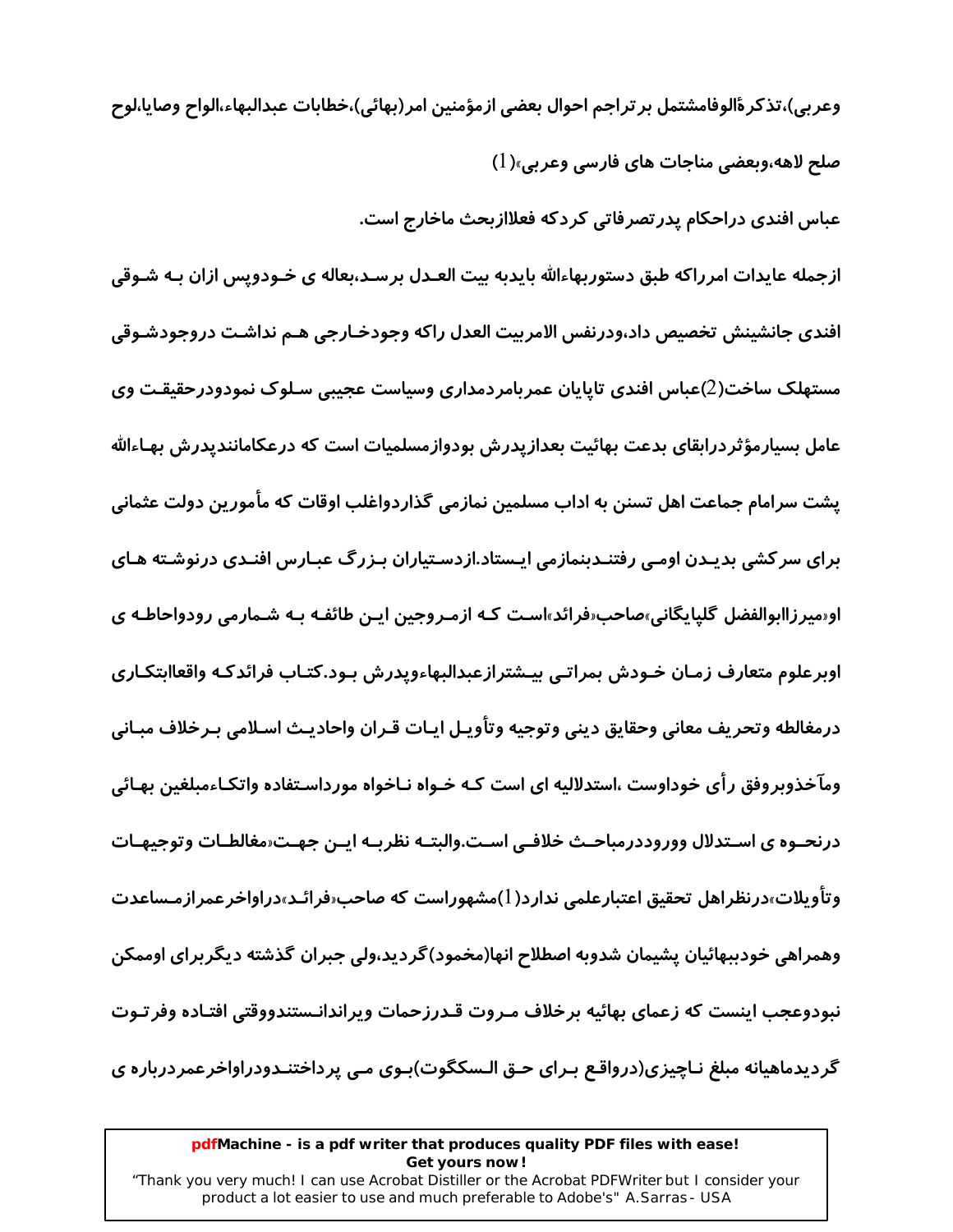وعربي)،تذكرةٔالوفامشتمل بر تراجم احوال بعضي ازمؤمنين امر(بهائي)،خطابات عبدالبهاء،الواح وصايا،لوح صلح لاهه،وبعضي مناجات هاي فارسي وعربي»(1)

عباس افندی دراحکام پدر تصرفاتی کردکه فعلاازبحث ماخارج است.

ازجمله عایدات امرراکه طبق دستوربهاءالله بایدبه بیت العـدل برسـد،بعاله ی خـودویس ازان بـه شـوقی افندي جانشينش تخصيص داد،ودرنفس الامربيت العدل راكه وجودخـارجي هـم نداشـت دروجودشـوقي مستهلک ساخت(2)عباس افندی تاپایان عمربامردمداری وسیاست عجیبی سـلوک نمودودرحقیقـت وی عامل بسیارمؤثر درابقای بدعت بهائیت بعدازیدرش بودوازمسلمیات است که درعکامانندیدرش بهـاءالله پشت سرامام جماعت اهل تسنن به اداب مسلمین نمازمی گذاردواغلب اوقات که مأمورین دولت عثمانی برای سرکشی بدیـدن اومـی رفتنـدبنمازمی ایـستاد.ازدسـتیاران بـزرگ عبـارس افنـدی درنوشـته هـای او«میرزاابوالفضل گلیایگانی»صاحب«فرائد»است کـه ازمـروجین ایـن طائفـه بـه شـمارمی رودواحاطـه ی اوبرعلوم متعارف زمـان خـودش بمراتـي بيـشترازعبدالبهاءويدرش بـود.كتـاب فرائدكـه واقعاابتكـاري درمغالطه وتحريف معاني وحقايق ديني وتوجيه وتأويـل ايـات قـران واحاديـث اسـلامي بـرخلاف مبـاني وماخذوبروفق رآی خوداوست ،استدلالیه ای است کـه خـواه نـاخواه مورداسـتفاده واتکـاءمبلغین بهـائی درنحـوه ی اسـتدلال ووروددرمباحـث خلافـی اسـت.والبتـه نظربـه ایـن جهـت«مغالطـات وتوجیهـات وتاًویلات»درنظراهل تحقیق اعتبارعلمی ندارد( ا)مشهوراست که صاحب«فرائـد»دراواخرعمرازمـساعدت وهمراهی خودببهائیان پشیمان شدوبه اصطلاح انها(مخمود)گردید،ولی جبران گذشته دیگربرای اوممکن نبودوعجب اينست كه زعماي بهائيه برخلاف مـروت قـدرزحمات ويراندانـستندووقتي افتـاده وفرتـوت گردیدماهیانه مبلغ نـاچیزی(درواقـع بـرای حـق الـسکگوت)بـوی مـی پرداختنـدودراواخرعمردرباره ی

#### pdfMachine - is a pdf writer that produces quality PDF files with ease! Get yours now!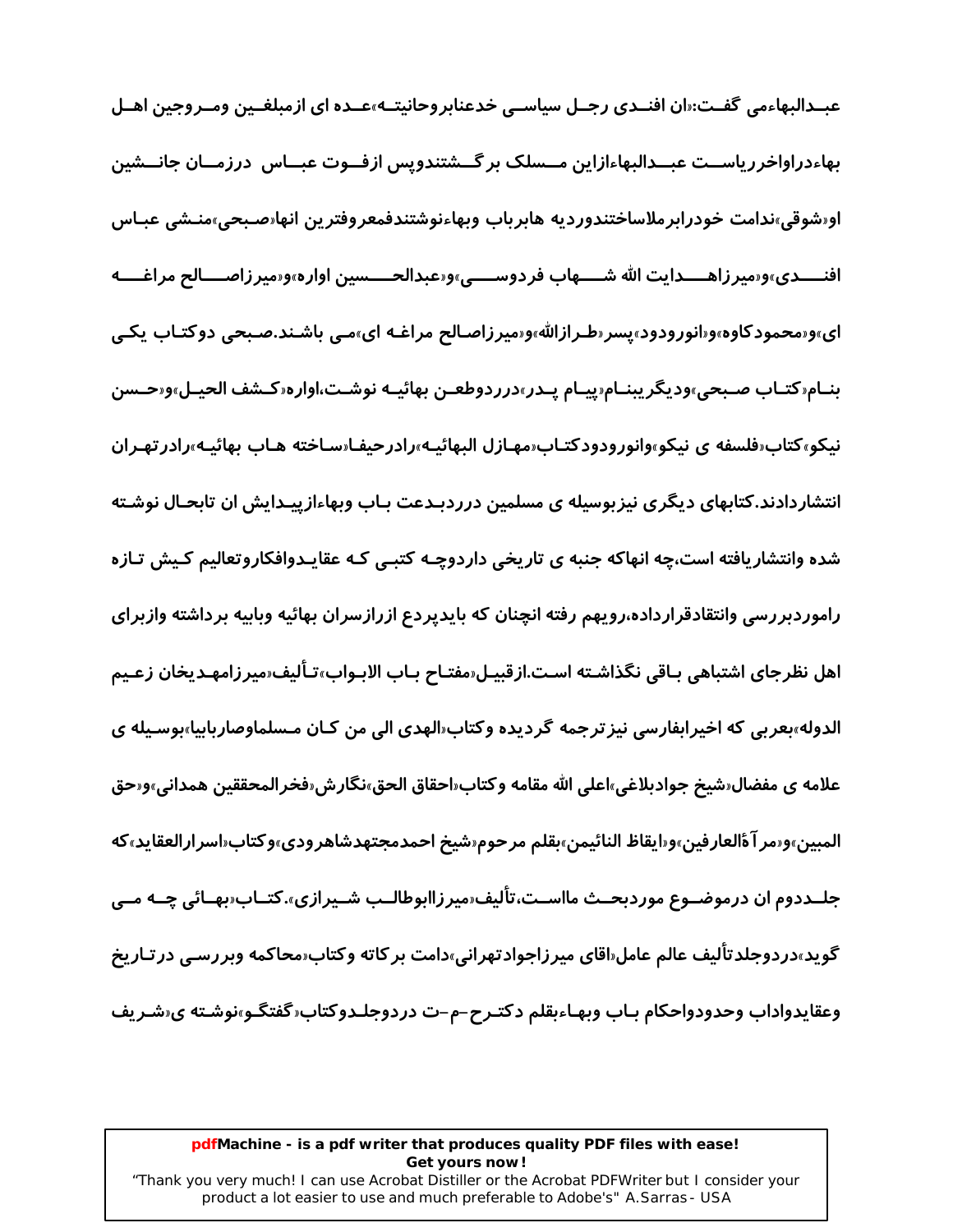عبــدالبهاءمي گفــت:«ان افنــدی رجــل سياســي خدعنابروحانيتــه»عــده ای ازمبلغــين ومــروجين اهــل بهاءدراواخررياســت عبــدالبهاءازاين مــسلک بر گــشتندويس ازفــوت عبــاس درزمــان جانــشين اورشوقي،ندامت خودرابرملاساختندورديه هابرباب وبهاءنوشتندفمعروفترين انهارصـبحي،منـشي عبـاس افنــــدي»و«ميرزاهــــدايت الله شــــهاب فردوســــي»و«عبدالحـــــسين اواره»و«ميرزاصــــالح مراغــــه ای»و«محمودکاوه»و«انورودود»پسر«طـرازالله»و«میرزاصـالح مراغـه ای»مـی باشـند.صـبحی دوکتـاب یکـی بنـام«كتـاب صـبحى»وديگريبنـام«پيـام پـدر»درردوطعـن بهائيـه نوشـت،اواره«كـشف الحيـل»و«حـسن نیکو»کتاب«فلسفه ی نیکو»وانورودودکتـاب«مهـازل البهائیـه»رادرحیفـا«سـاخته هـاب بهائیـه»رادر تهـران انتشاردادند.کتابهای دیگری نیزبوسیله ی مسلمین درردبـدعت بـاب وبهاءازییـدایش ان تابحـال نوشـته شده وانتشاریافته است،چه انهاکه جنبه ی تاریخی داردوچـه کتبـی کـه عقایـدوافکاروتعالیم کـیش تـازه راموردبررسی وانتقادقرارداده،رویهم رفته انچنان که بایدپردع ازرازسران بهائیه وبابیه برداشته وازبرای اهل نظرجاي اشتباهي بـاقي نگذاشـته اسـت.ازقبيـل«مفتـاح بـاب الابـواب»تـأليف«ميرزامهـديخان زعـيم الدوله»بعربي كه اخيرابفارسي نيز ترجمه گرديده وكتاب«الهدي الى من كـان مـسلماوصاربابيا»بوسـيله ي علامه ي مفضال«شيخ جوادبلاغي»اعلى الله مقامه وكتاب«احقاق الحق»نگارش«فخرالمحققين همداني»و«حق المبين»و«مر آةالعارفين»و«ايقاظ النائيمن»بقلم مرحوم«شيخ احمدمجتهدشاهرودي»وكتاب«اسرارالعقايد»كه جلــددوم ان درموضــوع موردبحــث مااســت،تاليف«ميرزاابوطالــب شــيرازي».كتــاب«بهــائي چــه مــي گوید»دردوجلدتاَلیف عالم عامل«اقای میرزاجوادتهرانی»دامت بر کاته وکتاب«محاکمه وبررسـی در *ت*ـاریخ وعقايدواداب وحدودواحكام بـاب وبهـاءبقلم دكتـرح–م–ت دردوجلـدوكتاب«گفتگـو»نوشـته ي«شـريف

#### pdfMachine - is a pdf writer that produces quality PDF files with ease! Get yours now!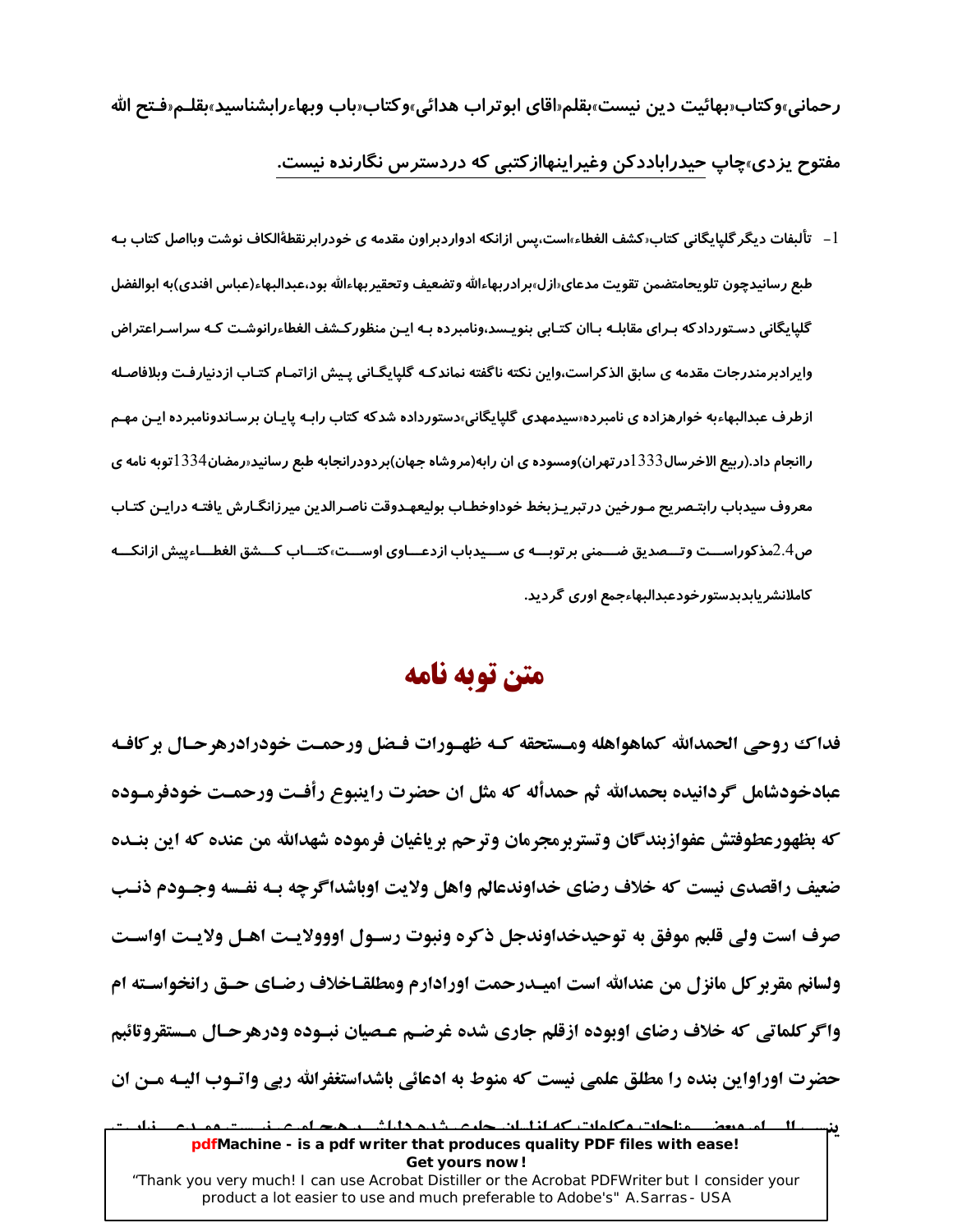رحمانی»وکتاب«بهائیت دین نیست»بقلم«اقای ابوتراب هدائی»وکتاب«باب وبهاءرابشناسید»بقلـم«فـتح الله مفتوح پزدی»چاپ حیدراباددکن وغیراینهاازکتبی که دردسترس نگا*ر*نده نیست.

l – تألبفات دیگر گلپایگانی کتاب‹کشف الغطاء›است،پس ازانکه ادواردبراون مقدمه ی خودرابرنقطهٔالکاف نوشت وبااصل کتاب بـه طبع رسانيدچون تلويحامتضمن تقويت مدعاى‹ازل››برادربهاءالله وتضعيف وتحقيربهاءالله بود،عبدالبهاء(عباس افندي)به ابوالفضل گلیایگانی دسـتوردادکه بـرای مقابلـه بـاان کتـابی بنویـسد٬ونامبرده بـه ایـن منظورکـشف الغطاءرانوشـت کـه سراسـراعتراض وايرادبرمندرجات مقدمه ى سابق الذكراست،واين نكته ناگفته نماندكـه گلپايگـانى پـيش ازاتمـام كتـاب ازدنيارفـت وبلافاصـله ازطرف عبدالبهاءبه خوارهزاده ی نامبرده«سیدمهدی گلپایگانی»دستورداده شدکه کتاب *ر*ابـه پایـان برسـاندونامبرده ایـن مهـم راانجام داد.(ربیع الاخر سال 1333در تهران)ومسوده ی ان رابه(مروشاه جهان)بردودرانجابه طبع رسانید«رمضان1334توبه نامه ی معروف سيدباب رابتـصريح مـورخين درتبريـزبخط خوداوخطـاب بوليعهـدوقت ناصـرالدين ميرزانگـارش يافتـه درايـن كتـاب ص2.4مذکوراســـت وتـــصدیق ضـــمنی بر توبـــه ی ســـیدباب ازدعـــاوی اوســـت،کتـــاب کـــشق الغطــاءییش ازانکـــه كاملانشر يابدبدستورخودعبدالبهاءجمع اورى گرديد.

### متن توبه نامه

فداك روحي الحمدالله كماهواهله ومستحقه كـه ظهـورات فـضل ورحمـت خودرادرهرحـال بركافـه عبادخودشامل گردانیده بحمدالله ثم حمدأله که مثل ان حضرت راینبوع رأفـت ورحمـت خودفرمـوده که بظهورعطوفتش عفوازبندگان وتستربرمجرمان وترحم برياغيان فرموده شهدالله من عنده که اين بنـده ضعيف راقصدي نيست كه خلاف رضاي خداوندعالم واهل ولايت اوباشداگرچه بـه نفـسه وجـودم ذنـب صرف است ولي قلبم موفق به توحيدخداوندجل ذكره ونبوت رسـول اووولايـت اهـل ولايـت اواسـت ولسانم مقربر کل مانزل من عندالله است امیـدرحمت اورادارم ومطلقـاخلاف رضـای حـق رانخواسـته ام واگر کلماتی که خلاف رضای اوبوده ازقلم جاری شده غرضـم عـصیان نبـوده ودرهرحـال مـستقروتائبم حضرت اوراواین بنده را مطلق علمی نیست که منوط به ادعائی باشداستغفرالله ربی واتـوب الیـه مـن ان بن سب المسلميون مناجات وكلمات كه اناسان حليم شده داراش و هيد امرم  $\mathbf{A}$ pdfMachine - is a pdf writer that produces quality PDF files with ease!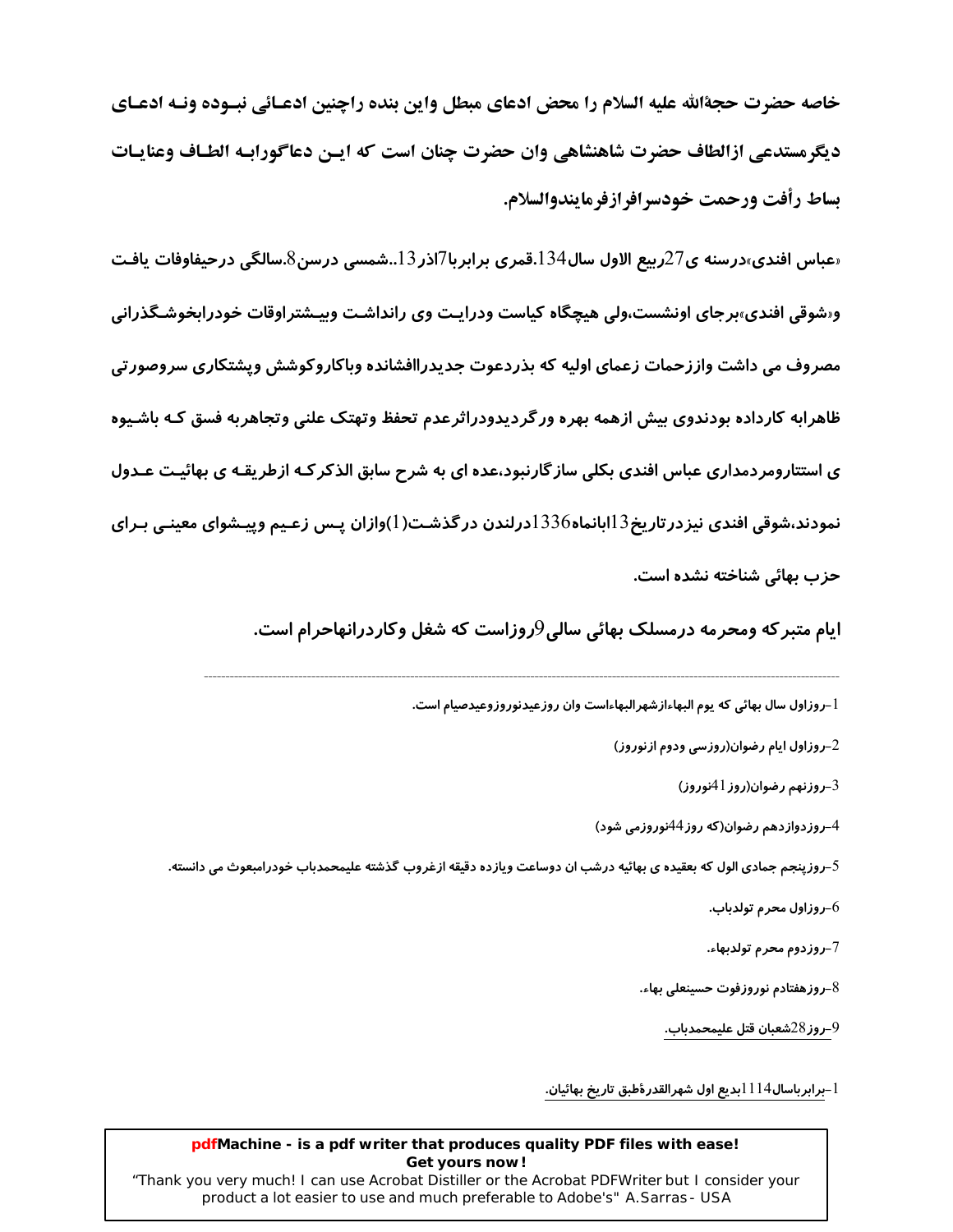خاصه حضرت حجةالله عليه السلام را محض ادعاي مبطل واين بنده راچنين ادعـائي نبـوده ونـه ادعـاي ديگرمستدعي ازالطاف حضرت شاهنشاهي وان حضرت چنان است که ايـن دعاگورابـه الطـاف وعنايـات بساط رأفت ورحمت خودسرافرازفرمايندوالسلام.

«عباس افندی»درسنه ی72ربیع الاول سال134.قمری برابربا7اذر13..شمسی درسن8.سالگی درحیفاوفات یافـت و«شوقی افندی»برجای اونشست،ولی هیچگاه کیاست ودرایـت وی رانداشـت وییـشتراوقات خودرابخوشـگذرانی مصروف می داشت واززحمات زعمای اولیه که بذردعوت جدیدراافشانده وباکاروکوشش ویشتکاری سروصورتی ظاهرابه کارداده بودندوی بیش ازهمه بهره ورگردیدودراثرعدم تحفظ وتهتک علنی وتجاهربه فسق کـه باشـیوه ی استتارومردمداری عباس افندی بکلی ساز گارنبود،عده ای به شرح سابق الذکر کـه ازطریقـه ی بهائیـت عـدول نمودند،شوقی افندی نیزدر تاریخ $13$ ابانماه $1336$ درلندن در گذشـت(1)وازان پـس زعـیم وییـشوای معینـی بـرای حزب بهائي شناخته نشده است.

ایام متبر که ومحرمه درمسلک بهائی سالی9روزاست که شغل وکاردرانهاحرام است.

ا\_روزاول سال بهائي كه يوم البهاءازشهرالبهاءاست وان روزعيدنوروزوعيدصيام است.

روزاول ایام رضوان(روزسی ودوم ازنوروز $\!2$ 

روزنهم رضوان(روز 1 $41$ نوروز) $-3$ 

4–روزدوازدهم رضوان(که روز 44نوروزمی شود)

5–روزپنجم جمادی الول که بعقیده ی بهائیه درشب ان دوساعت ویازده دقیقه ازغروب گذشته علیمحمدباب خودرامبعوث می دانسته.

روزاول محرم تولدباب. $6\,$ 

7–روزدوم محرم تولدبهاء.

روزهفتادم نوروزفوت حسينعلى بهاء. $8\,$ 

9–روز 28شعبان قتل عليمحمدباب.

l -برابرباسال $114$ بديع اول شهرالقدرۀطبق تاريخ بهائيان.

#### pdfMachine - is a pdf writer that produces quality PDF files with ease! Get yours now!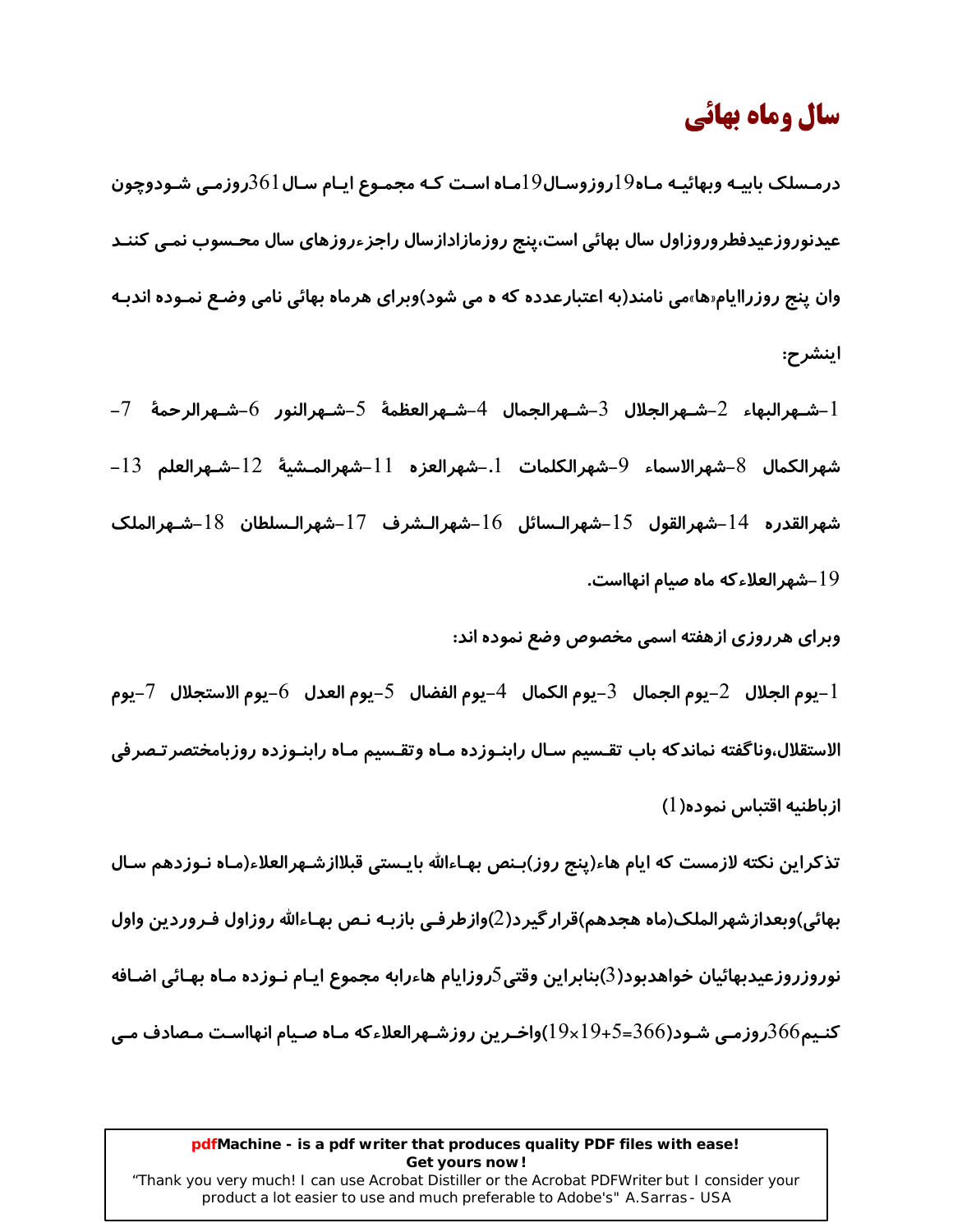# سال وماه بهائي

درمـسلک بابیـه وبهائیـه مـاه $19$ روزوسـال $19$ مـاه اسـت کـه مجمـوع ایـام سـال $361$ روزمـی شـودوچون عیدنوروزعیدفطروروزاول سال بهائی است،پنج روزمازادازسال راجزءروزهای سال محـسوب نمـی کننـد وان پنج *ر*وزراایام«ها»می نامند(به اعتبارعدده که ه می شود)وبرای هرماه بهائی نامی وضـع نمـوده اندبـه اینشرح:

1-شـهرالبهاء 2-شـهرالجلال 3-شـهرالجمال 4-شـهرالعظمهٔ 5-شـهرالنور 6-شـهرالرحمهٔ 7-شهرالكمال  $8$ –شهرالاسماء  $9$ –شهرالكلمات  $1$ –شهرالعزه  $11$ –شهرالمـشيهٔ  $12$ –شـهرالعلم  $8$ – شهرالقدره  $14$ –شهرالقول  $15$ –شهرالـسائل  $16$ –شهرالـشرف  $17$ –شهرالـسلطان  $18$ –شـهرالملک شهرالعلاءكه ماه صيام انهااست. $19\,$ 

وبرای هرروزی ازهفته اسمی مخصوص وضع نموده اند:

يوم الجلال  $\,$ 2–يوم الجمال  $\,$ 3–يوم الكمال  $\,$ 4–يوم الفضال  $\,$ 5–يوم العدل  $\,$ 6–يوم الاستجلال  $\,$ 7–يوم $\,$ الاستقلال،وناگفته نماندکه باب تقـسیم سـال رابنـوزده مـاه وتقـسیم مـاه رابنـوزده روزبامختصر تـصرفی از باطنيه اقتباس نموده(1)

تذکراین نکته لازمست که ایام هاء(پنج روز)بـنص بهـاءالله بایـستی قبلاازشـهرالعلاء(مـاه نـوزدهم سـال بهائی)وبعدازشهرالملک(ماه هجدهم)قرار گیرد(2)وازطرفـی بازبـه نـص بهـاءالله روزاول فـروردین واول نوروزروزعيدبهائيان خواهدبود $(3)$ بنابراين وقتى $5$ روزايام هاءرابه مجموع ايـام نـوزده مـاه بهـائي اضـافه کنـیم366روزمـی شـود(366=1 $19\times19$ واخـرین روزشـهرالعلاءکه مـاه صـیام انهااسـت مـصادف مـی

#### pdfMachine - is a pdf writer that produces quality PDF files with ease! Get yours now!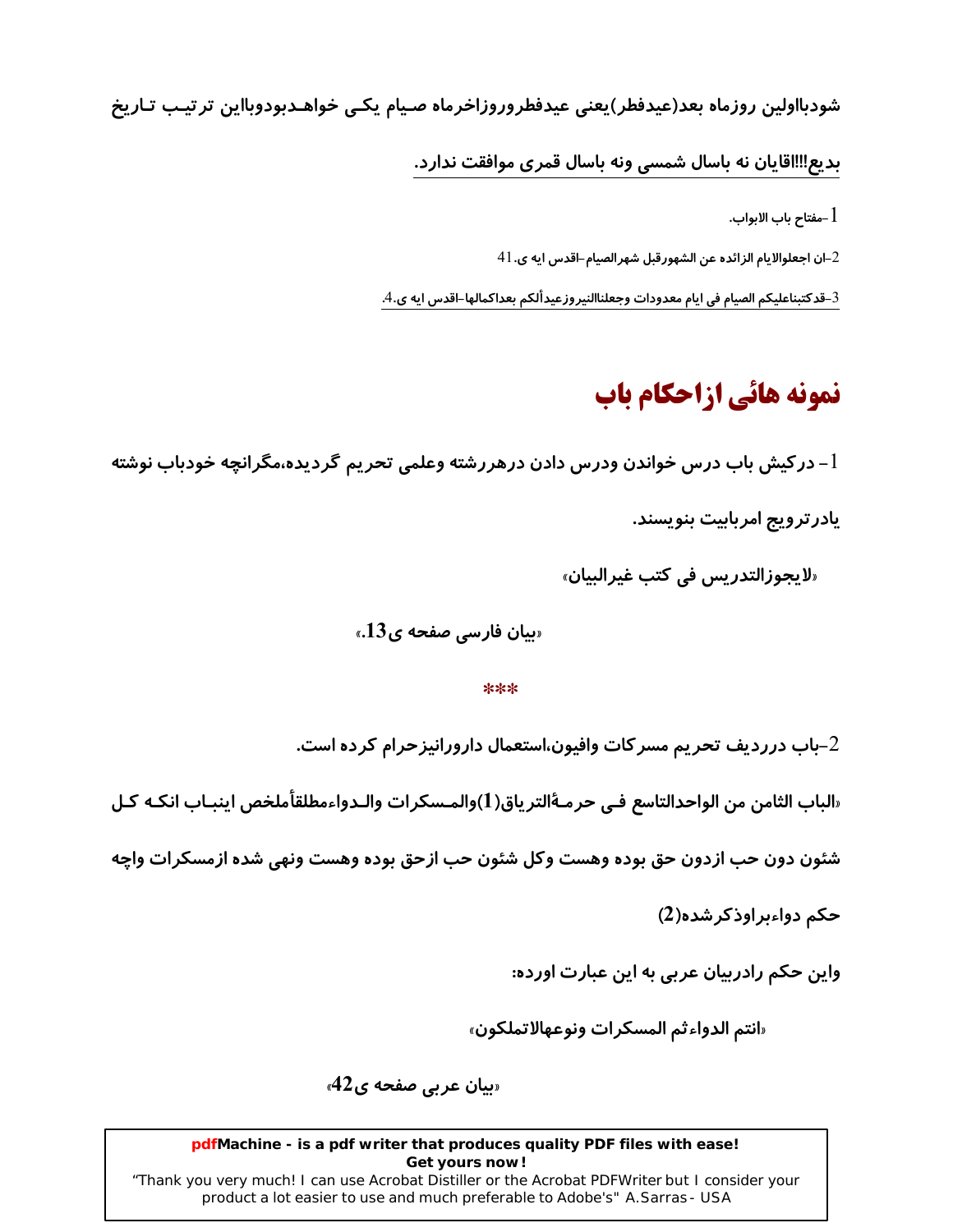شودبااولین روزماه بعد(عیدفطر)یعنی عیدفطروروزاخرماه صیام یکی خواهـدبودوبااین ترتیـب تـاریخ

بدیع‼ااقایان نه باسال شمسی ونه باسال قمری موافقت ندارد.

مفتاح باب الابواب.  $1\,$ 

أ−ان اجعلوالايام الزائده عن الشهورقبل شهرالصيام–اقدس ايه ي. $\pm 1$ 

 $\,$ قدكتبناعليكم الصيام في ايام معدودات وجعلناالنيروزعيدألكم بعداكمالها–اقدس ايه ى.4. $\,$ 

# نمونه هائي ازاحكام باب

در کیش باب درس خواندن ودرس دادن درهررشته وعلمی تحریم گردیده،مگرانچه خودباب نوشته  $\!-\!1$ 

یادر ترویج امربابیت بنویسند.

«لا يحوز التدريس في كتب غير البيان»

«بیان فارسی صفحه ی13.»

#### $***$

باب درردیف تحریم مسرکات وافیون،استعمال دارورانیزحرام کرده است. $\!2$ 

«الباب الثامن من الواحدالتاسع فـي حرمــهٔالترياق(1)والمـسكرات والـدواءمطلقأملخص اينبـاب انكـه كـل

شئون دون حب ازدون حق بوده وهست وكل شئون حب ازحق بوده وهست ونهى شده ازمسكرات واچه

حکم دواءبراوذکرشده(2)

واین حکم رادربیان عربی به این عبارت اورده:

«انتم الدواءثم المسكرات ونوعهالاتملكون»

«بیان عربی صفحه ی42»

pdfMachine - is a pdf writer that produces quality PDF files with ease! Get yours now!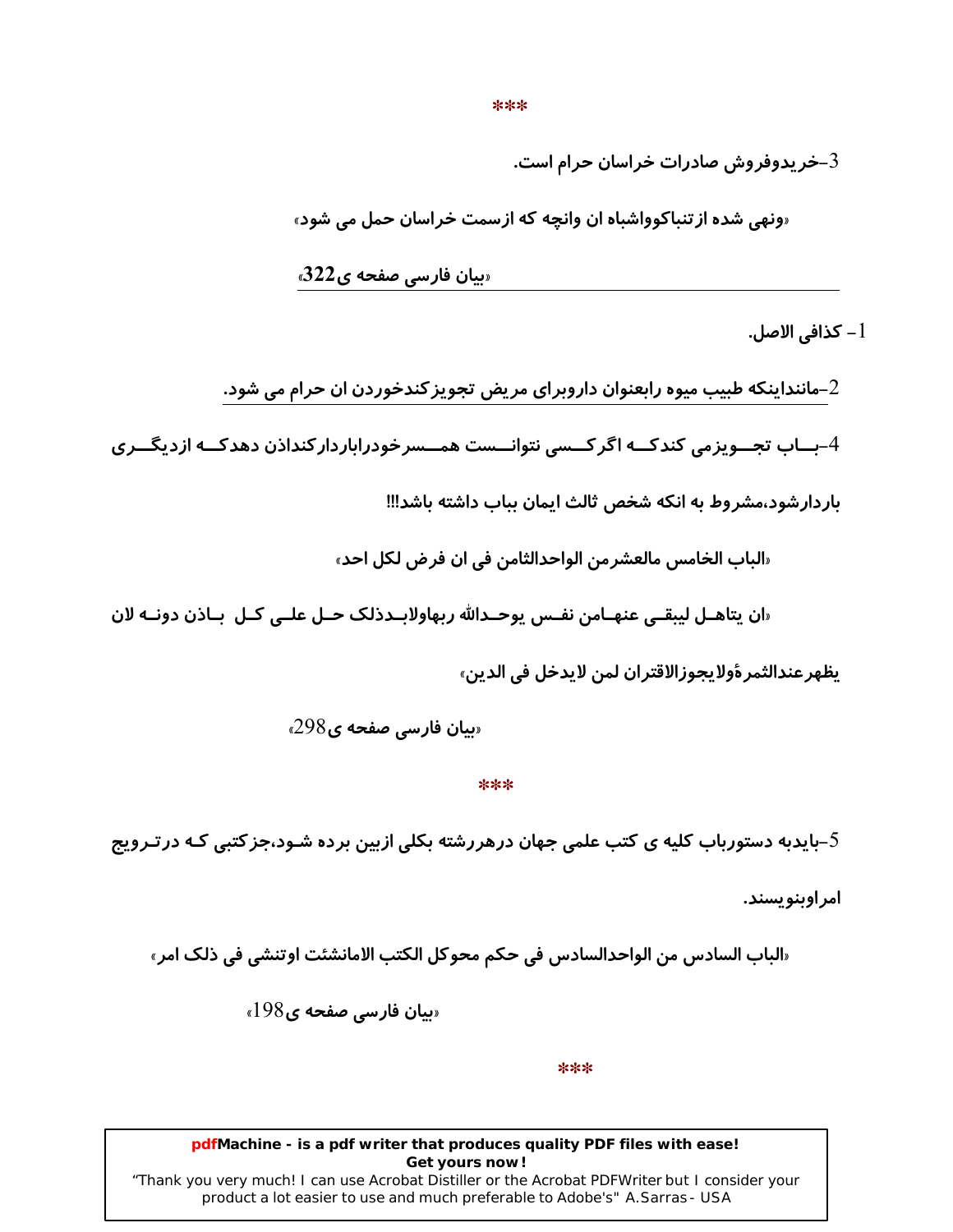\*\*\*

خریدوفروش صادرات خراسان حرام است. $3\,$ 

«ونهي شده از تنباكوواشباه ان وانچه كه ازسمت خراسان حمل مي شود»

«بیان فارسی صفحه ی322»

ا – كذافي الأصل.  $1$ 

ماننداینکه طبیب میوه *ر*ابعنوان داروبرای مریض تجویز کندخوردن ان حرام می شود. $\mathcal{2}$ 

4–بــاب تجــویزمی کندکــه اگر کــسی نتوانــست همــسرخودراباردار کنداذن دهدکــه ازدیگــری

باردارشود،مشروط به انکه شخص ثالث ایمان بباب داشته باشد!!!

«الباب الخامس مالعشرمن الواحدالثامن في ان فرض لكل احد»

«ان يتاهـل ليبقـي عنهـامن نفـس يوحـدالله ربهاولابـدذلک حـل علـي کـل بـاذن دونــه لان

ِيظهر عندالثمر ؤولايجوزالاقتران لمن لايدخل في الدين»

 $298$ یان فارسی صفحه ی

\*\*\*

بایدبه دستورباب کلیه ی کتب علمی جهان درهررشته بکلی ازبین برده شـود،جزکتبی کـه درتـرویج-

امر اوینویسند.

«الباب السادس من الواحدالسادس في حكم محوكل الكتب الامانشئت اوتنشي في ذلك امر»

 $198$ یان فارسی صفحه ی

\*\*\*

#### pdfMachine - is a pdf writer that produces quality PDF files with ease! Get yours now!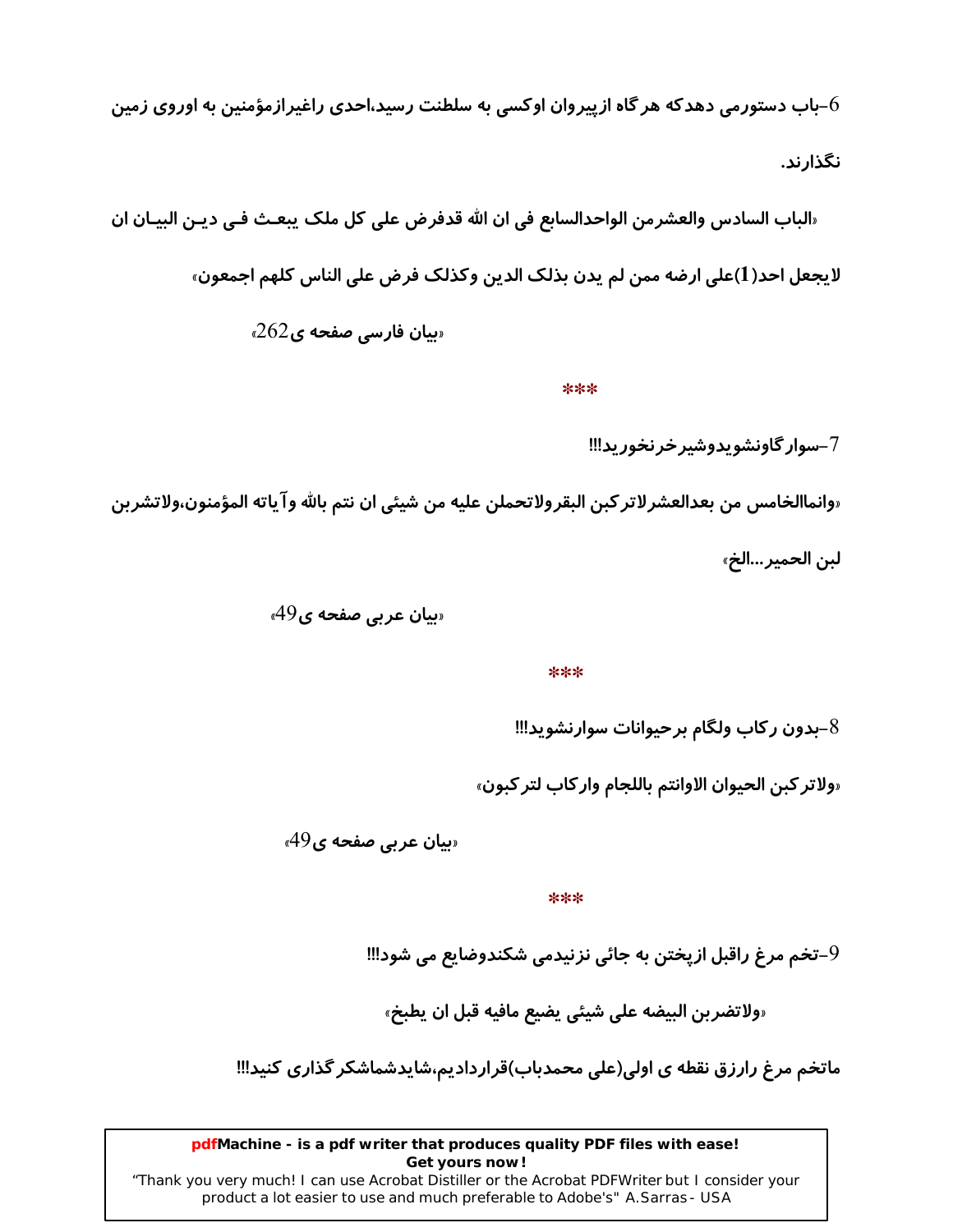باب دستورمی دهدکه هر گاه ازپیروان اوکسی به سلطنت رسید،احدی راغیرازمؤمنین به اوروی زمین $\epsilon$ نگذارند.

«الباب السادس والعشرمن الواحدالسابع في ان الله قدفرض على كل ملك يبعـث فـي ديـن البيـان ان لايجعل احد(1)على ارضه ممن لم يدن بذلك الدين وكذلك فرض على الناس كلهم اجمعون»

 $262$ وبیان فارسی صفحه ی

\*\*\*

7-سوار گاونشو پدوشیر خرنخورید!!!

«وانماالخامس من بعدالعشر لاتر كبن البقرولاتحملن عليه من شيئي ان نتم بالله وآ ياته المؤمنون،ولاتشر بن

لبن الحمير...الخ»

«بیان عربی صفحه ی49»

\*\*\*

-بدون ركاب ولگام برحيوانات سوارنشويد!!!

«ولاتر كبن الحيوان الاوانتم باللجام واركاب لتر كبون»

 $49$ یان عربی صفحه ی

\*\*\*

-تخم مرغ راقبل ازپختن به جائی نزنیدمی شکندوضایع می شود!!!

«ولاتضربن البيضه على شيئي يضيع مافيه قبل ان يطبخ»

ماتخم مرغ رارزق نقطه ی اولی(علی محمدباب)قراردادیم،شایدشماشکر گذاری کنید!!!

pdfMachine - is a pdf writer that produces quality PDF files with ease! Get yours now!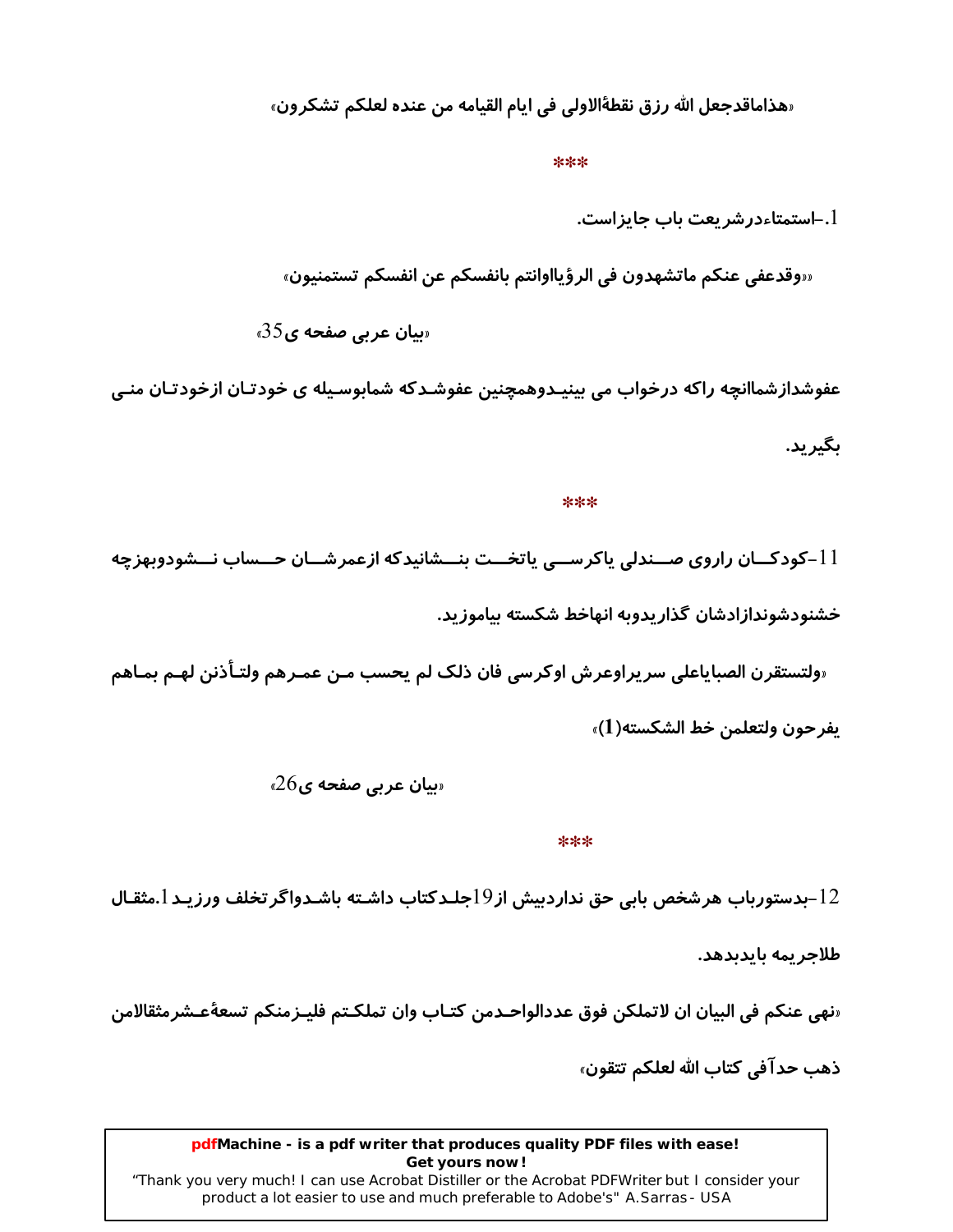«هذاماقدجعل الله رزق نقطةالاولى في ايام القيامه من عنده لعلكم تشكرون»

\*\*\*

1.–استمتاءدرشر بعت باب حایز است.

«روقدعفي عنكم ماتشهدون في الرؤيااوانتم بانفسكم عن انفسكم تستمنيون»

 $35$ یبان عربی صفحه ی

عفوشدازشماانچه راکه درخواب می بینیـدوهمچنین عفوشـدکه شمابوسـیله ی خودتـان ازخودتـان منـی ىگىرىد.

\*\*\*

11–کودکــان راروی صــندلی پاکرســی پاتخــت بنــشانیدکه ازعمرشــان حــساب نــشودوبهزچه خشنودشوندازادشان گذاريدوبه انهاخط شكسته بياموزيد.

«ولتستقرن الصباياعلى سريراوعرش اوكرسي فان ذلك لم يحسب مـن عمـرهم ولتـأذنن لهـم بمـاهم يفرحون ولتعلمن خط الشكسته(1)»

 $26$ یبان عربی صفحه ی

\*\*\*

12–بدستورباب هرشخص بابي حق نداردبيش از19جلـدكتاب داشـته باشـدواگر تخلف ورزيـد 1.مثقـال

طلاجريمه بايدبدهد.

«نهي عنكم في البيان ان لاتملكن فوق عددالواحـدمن كتـاب وان تملكـتم فليـزمنكم تسعةُعـشرمثقالامن

ذهب حدآفي كتاب الله لعلكم تتقون»

pdfMachine - is a pdf writer that produces quality PDF files with ease! Get yours now!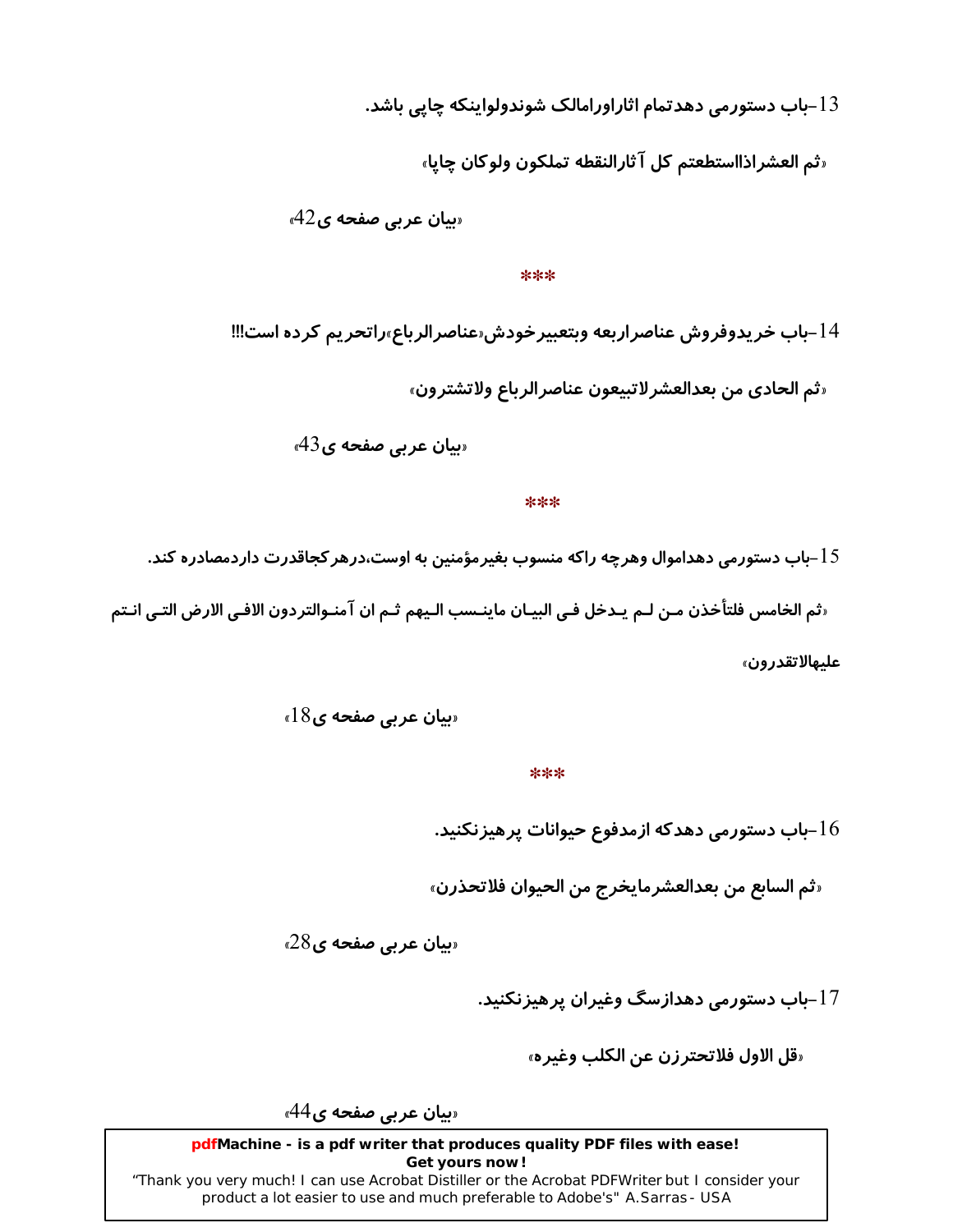### باب دستورمی دهدتمام اثاراورامالک شوندولواینکه چاپی باشد. $13\,$

«ثم العشراذااستطعتم كل آثارالنقطه تملكون ولوكان چايا»

 $42$ یبان عربی صفحه ی

#### \*\*\*

14–باب خريدوفروش عناصراربعه وبتعبيرخودش«عناصرالرباع»راتحريم كرده است!!! «ثم الحادي من بعدالعشر لاتبيعون عناصر الرياع ولاتشترون»

 $43$ یبان عربی صفحه ی

#### \*\*\*

باب دستورمی دهداموال وهرچه راکه منسوب بغیرمؤمنین به اوست،درهر کجاقدرت داردمصادره کند. $15\,$ 

«ثم الخامس فلتأخذن مـن لـم يـدخل فـي البيـان ماينـسب الـيهم ثـم ان آمنـوالتردون الافـي الارض التـي انـتم علىھالاتقدرون»

 $18$ یان عربی صفحه ی

\*\*\*

-باب دستورمی دهدکه ازمدفوع حیوانات پرهیزنکنید. $16\,$ 

«ثم السابع من بعدالعشرمايخرج من الحيوان فلاتحذرن»

 $28$ یان عربی صفحه ی

17–باب دستورمی دهدازسگ وغیران پرهیزنکنید.

«قل الاول فلاتحتر زن عن الكلب وغير ه»

«بیان عربی صفحه ی44»

pdfMachine - is a pdf writer that produces quality PDF files with ease! Get yours now!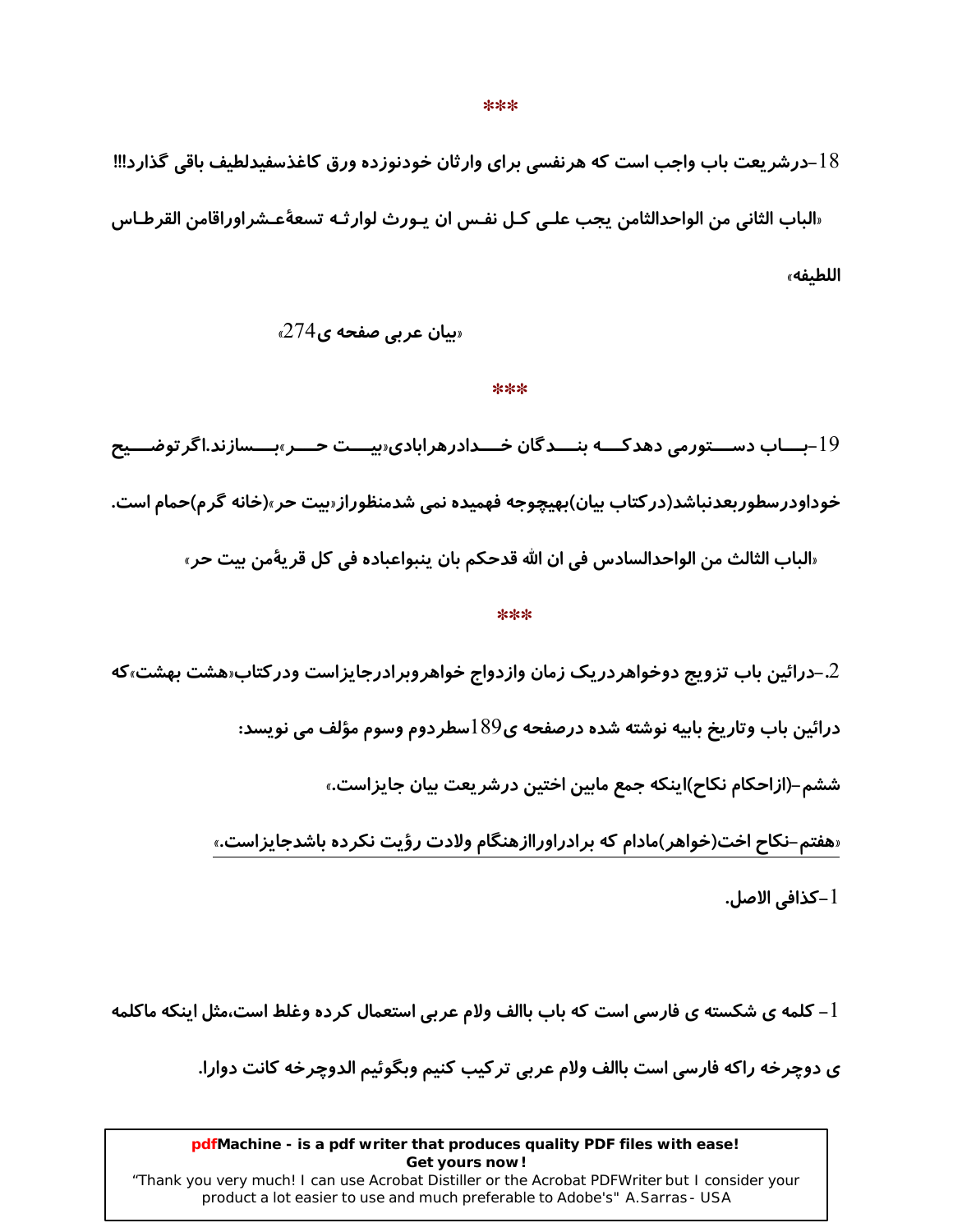18–درشریعت باب واجب است که هرنفسی برای وارثان خودنوزده ورق کاغذسفیدلطیف باقی گذارد!!! «الباب الثاني من الواحدالثامن يجب علـي كـل نفـس ان يـورث لوارثـه تسعةًعـشراوراقامن القرطـاس اللطيفه»

 $274$ یان عربی صفحه ی

#### \*\*\*

19-بـــاب دســـتورمی دهدکـــه بنـــدگان خـــدادرهرابادی«بیـــت حـــر»بـــسازند.اگر توضـــیح خوداودر سطوربعدنباشد(در کتاب بیان)بهیچوجه فهمیده نمی شدمنظوراز«بیت حر»(خانه گرم)حمام است. «الباب الثالث من الواحدالسادس في ان الله قدحكم بان ينبواعباده في كل قريةُمن بيت حر»

#### \*\*\*

حرائین باب تزویج دوخواهردریک زمان وازدواج خواهروبرادرجایزاست ودرکتاب هشت بهشت،که $\,2\,$ 

درائين باب وتاريخ بابيه نوشته شده درصفحه ي39 اسطردوم وسوم مؤلف مي نويسد:

ششم–(ازاحکام نکاح)اینکه جمع مابین اختین درشریعت بیان جایزاست.»

«هفتم–نکاح اخت(خواهر)مادام که برادراوراازهنگام ولادت رؤیت نکرده باشدجایزاست.»

l –كذافي الاصل.

 $-1$  کلمه ی شکسته ی فارسی است که باب باالف ولام عربی استعمال کرده وغلط است،مثل اینکه ماکلمه  $\,$ 

ي دوچرخه راكه فارسي است باالف ولام عربي تركيب كنيم وبگوئيم الدوچرخه كانت دوارا.

#### pdfMachine - is a pdf writer that produces quality PDF files with ease! Get yours now!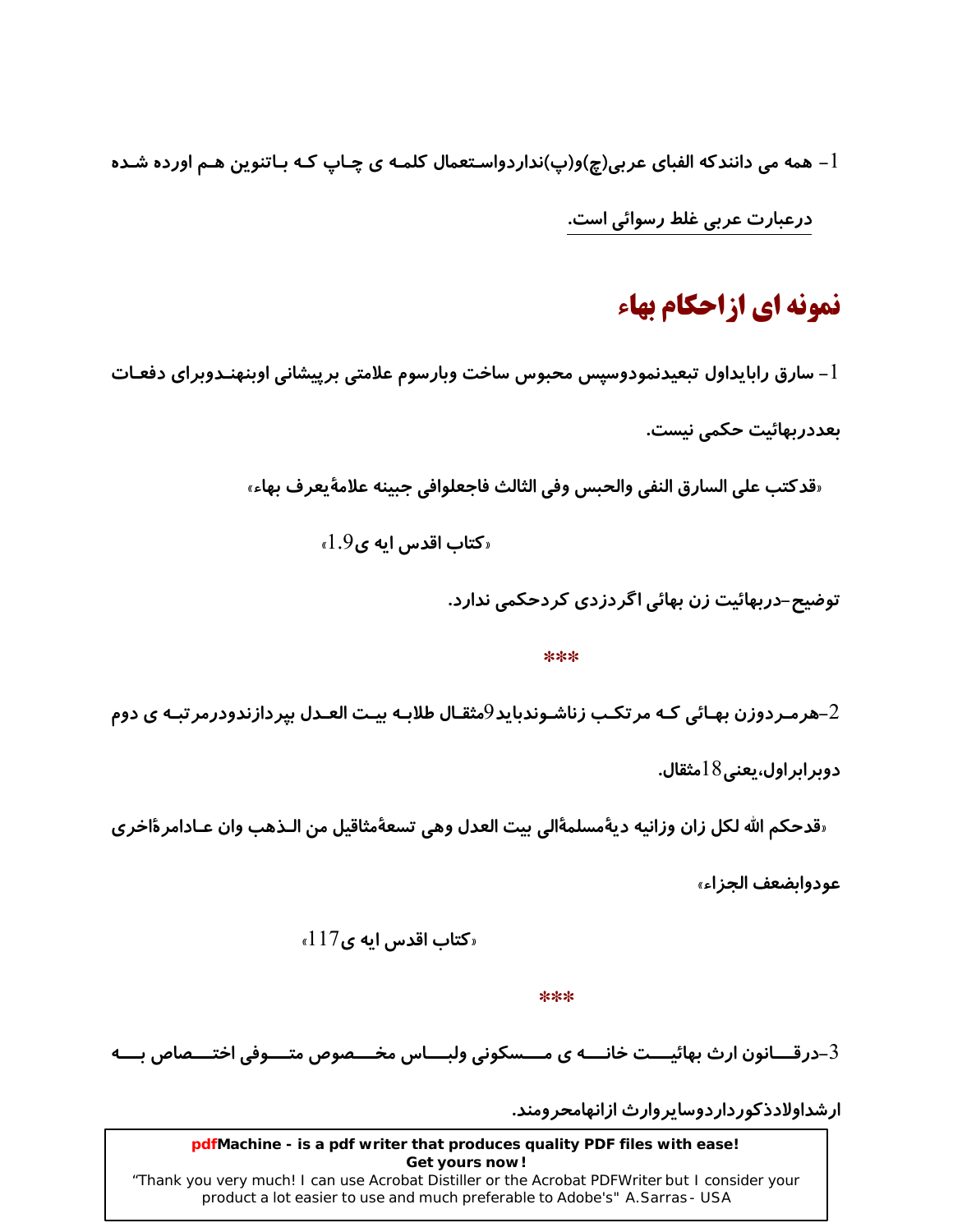مهه می دانندکه الفبای عربی(چ)و(پ)نداردواسـتعمال کلمـه ی چـاپ کـه بـاتنوین هـم اورده شـده –  $1$ درعبارت عربی غلط رسوائی است.

## نمونه ای ازاحکام بهاء

l – سارق رابایداول تبعیدنمودوسپس محبوس ساخت وبارسوم علامتی برپیشانی اوبنهنـدوبرای دفعـات ىعددرىھائىت حكمى نيست.

«قدكتب على السارق النفي والحبس وفي الثالث فاجعلوافي جبينه علامةٌ يعرف بهاء»

 $.9$ کتاب اقدس ایه ی $1.9$ 

توضیح–دربهائیت زن بهائی اگردزدی کردحکمی ندارد.

#### \*\*\*

هرمـردوزن بهـائي كـه مر تكـب زناشـوندبايد $9$ مثقـال طلابـه بيـت العـدل بيردازندودرمر تبـه ي دوم $\!-2$ 

دوبر ابر اول، یعنی $18$ مثقال.

«قدحكم الله لكل زان وزانيه ديةُمسلمةَالي بيت العدل وهي تسعةُمثاقيل من الـذهب وان عـادامر ةاخرى

عودوايضعف الجزاء»

 $\triangleleft 17$ کتاب اقدس ایه ی $\triangleq 1$ 

\*\*\*

درقـــانون ارث بهائيـــت خانـــه ي مــــسكوني ولبـــاس مخــــصوص متــــوفي اختــــصاص بــــه $\!3$ 

ار شداولادذ کور دار دوسایر وارث ازانهامحر ومند.

pdfMachine - is a pdf writer that produces quality PDF files with ease! Get yours now!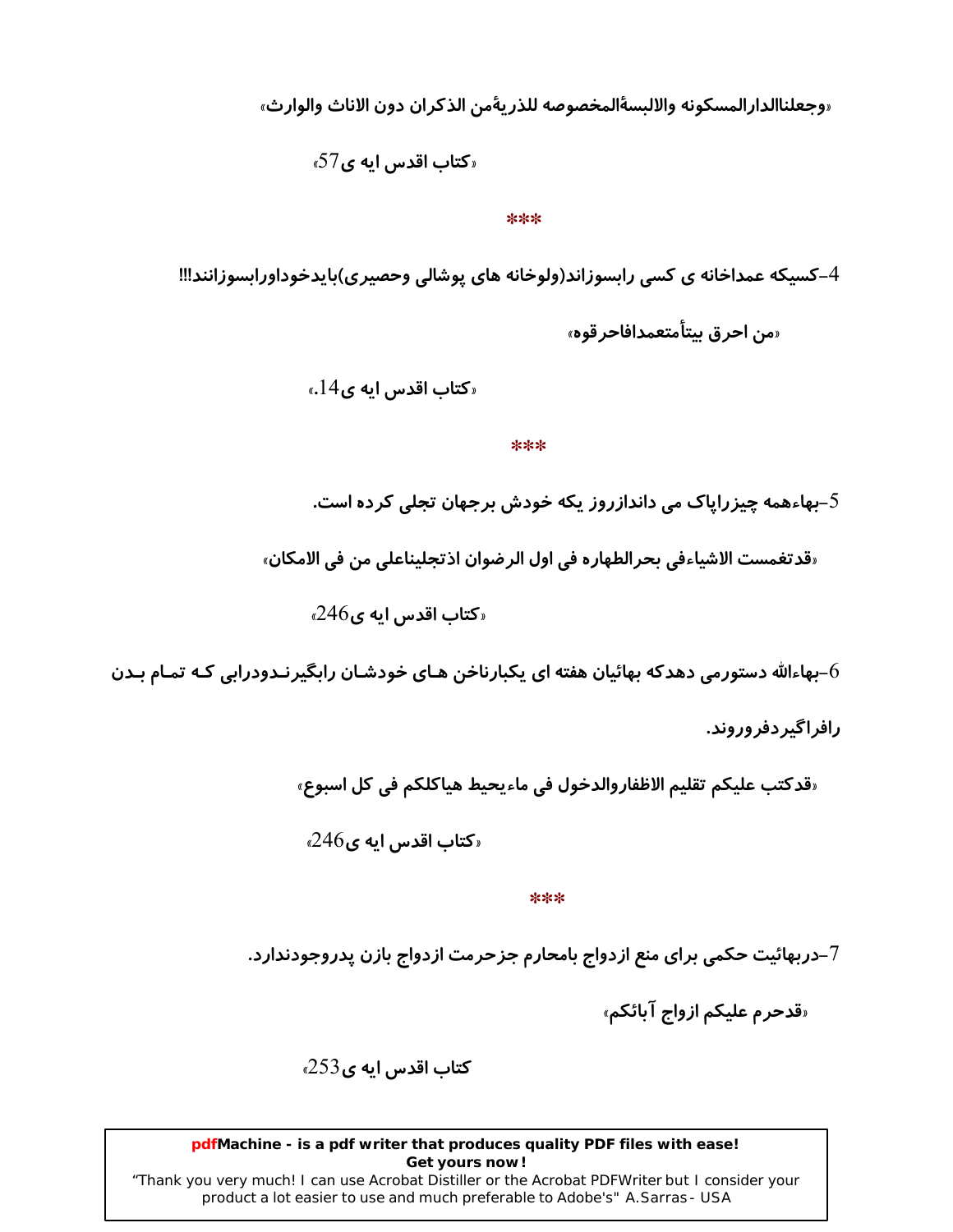«وجعلناالدارالمسكونه والالبسةالمخصوصه للذريةمن الذكران دون الاناث والوارث»

 $57$ کتاب اقدس ایه ی

#### $***$

4-کسیکه عمداخانه ی کسی رابسوزاند(ولوخانه های پوشالی وحصیری)بایدخوداورابسوزانند!!! «من احرق بيتأمتعمدافاجر قوه»

 $\epsilon.14$ و کتاب اقدس ایه ی $\epsilon$ 

#### \*\*\*

بهاءهمه چیزرایاک می داندازروز یکه خودش برجهان تجلی کرده است. $5$ 

«قدتغمست الاشياءفي بحرالطهاره في اول الرضوان اذتجليناعلي من في الامكان»

 $246$ کتاب اقدس ایه ی $246$ 

بهاءالله دستورمی دهدکه بهائیان هفته ای یکبارناخن هـای خودشـان رابگیرنـدودرابی کـه تمـام بـدن-

رافراگیردفروروند.

«قدكتب عليكم تقليم الاظفاروالدخول في ماءيحيط هياكلكم في كل اسبوع»

 $246$ کتاب اقدس ایه ی $246$ 

\*\*\*

7–دربهائیت حکمی برای منع ازدواج بامحارم جزحرمت ازدواج بازن پدروجودندارد.

«قدحرم عليكم ازواج آبائكم»

کتاب اقدس ایه ی 253<sub>»</sub>

pdfMachine - is a pdf writer that produces quality PDF files with ease! Get yours now!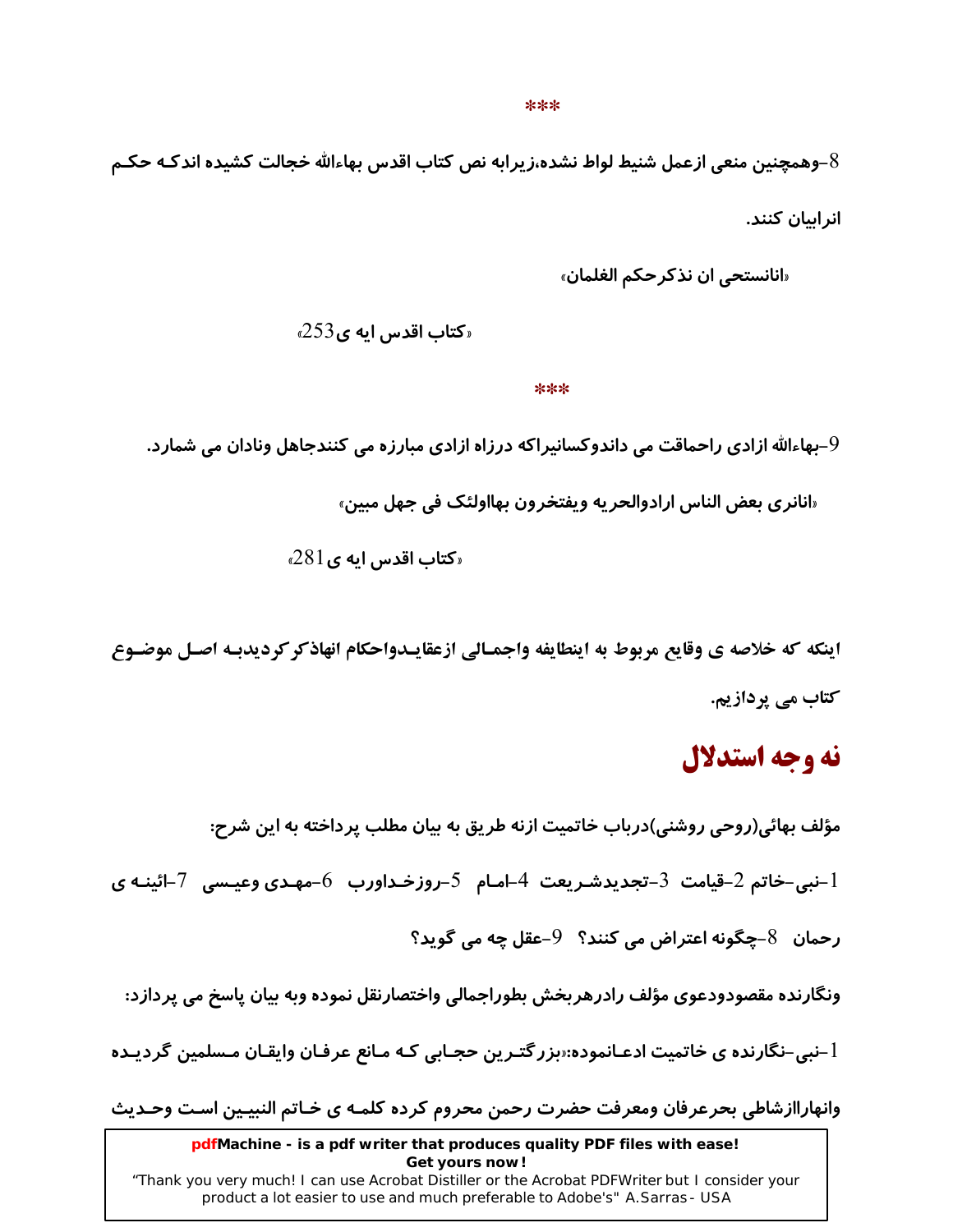#### \*\*\*

وهمچنین منعی ازعمل شنیط لواط نشده،زیرابه نص کتاب اقدس بهاءالله خجالت کشیده اندکـه حکـم– $8\,$ انر اسان کنند.

«انانستحی ان نذکر *ح*کم الغلمان»

 $\epsilon$ کتاب اقدس ایه ی $253$ 

#### \*\*\*

9–بهاءالله ازادی راحماقت می داندوکسانیراکه درزاه ازادی مبارزه می کنندجاهل ونادان می شمارد.

«انانري بعض الناس ارادوالحريه ويفتخرون بهااولئک في جهل مبين»

 $\epsilon$ کتاب اقدس ایه ی $1$   $81$ 

اينكه كه خلاصه ي وقايع مربوط به اينطايفه واجمـالي ازعقايـدواحكام انهاذكر كرديدبـه اصـل موضـوع کتاب مے ،یردازیم.

### نه وجه استدلال

مؤلف بهائي(روحي روشني)درباب خاتميت ازنه طريق به بيان مطلب پرداخته به اين شرح: نبی–خاتم 2–قیامت  $\,$ 3–تجدیدشـریعت 4–امـام  $\,$ 5–روزخـداورب  $\,$ 6–مهـدی وعیـسی  $\,$ –ائینـه $\,$ ی  $\,$ رحمان  $8-$ چگونه اعتراض می کنند؟  $9-$ عقل چه می گوید؟ ونگارنده مقصودودعوی مؤلف رادرهربخش بطوراجمالی واختصارنقل نموده وبه بیان پاسخ می پردازد:

اً –نبی–نگارنده ی خاتمیت ادعـانموده:«بزر گتـرین حجـابی کـه مـانع عرفـان وایقـان مـسلمین گردیـده

وانهاراازشاطي بحرعرفان ومعرفت حضرت رحمن محروم كرده كلمـه ي خـاتم النبيـين اسـت وحـديث

pdfMachine - is a pdf writer that produces quality PDF files with ease! Get yours now!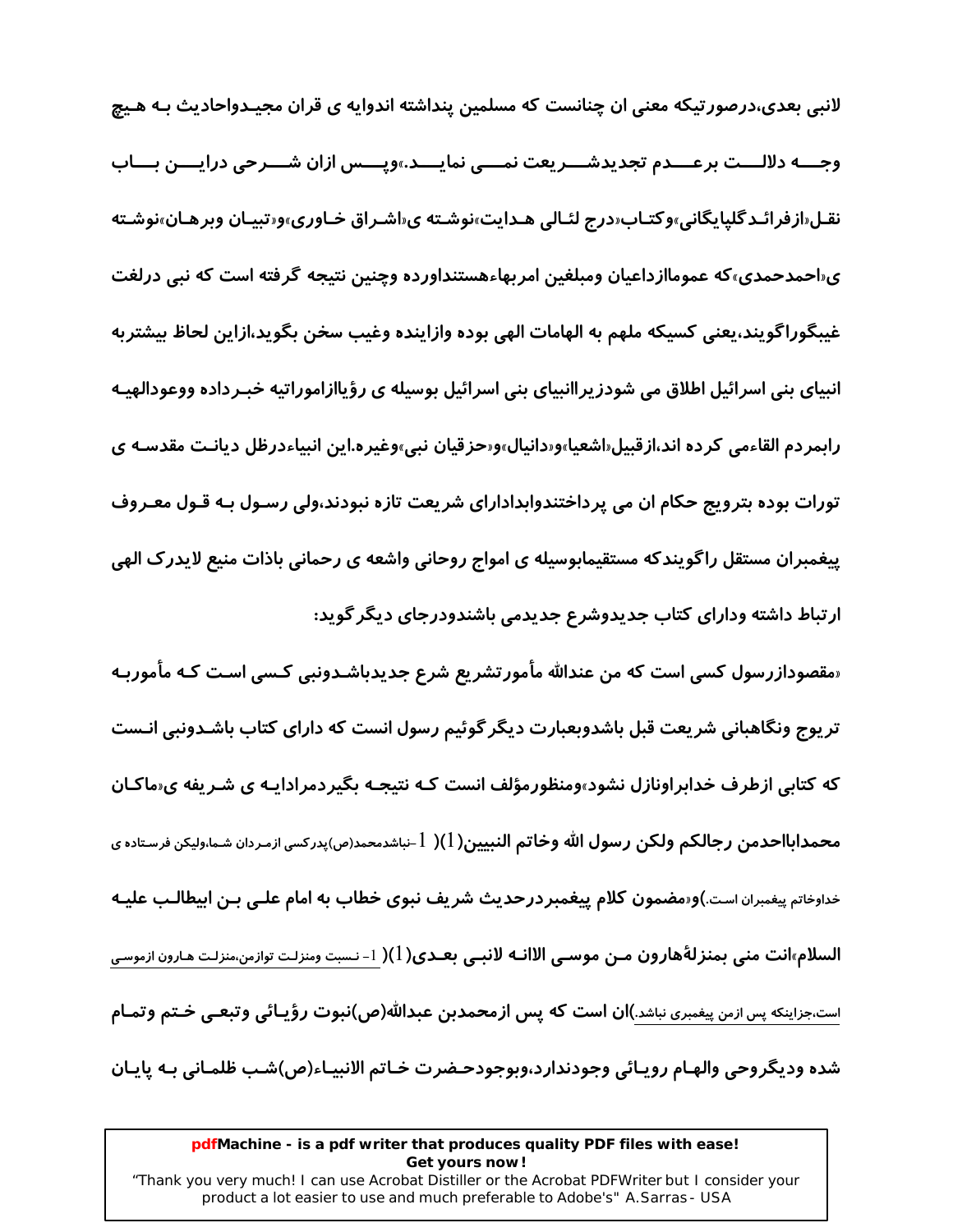لانبی بعدی،درصورتیکه معنی ان چنانست که مسلمین پنداشته اندوایه ی قران مجیـدواحادیث بـه هـیچ وجـــه دلالـــت برعـــدم تجديدشـــريعت نمــــى نمايــــد.»ويــــس ازان شـــرحى درايــــن بـــاب نقـل«ازفرائـدگلیایگانی»وکتـاب«درج لئـالی هـدایت»نوشـته ی«اشـراق خـاوری»و«تبیـان وبرهـان»نوشـته ی«احمدحمدی»که عموماازداعیان ومبلغین امربهاءهستنداورده وچنین نتیجه گرفته است که نبی درلغت غيبگوراگويند،يعني كسيكه ملهم به الهامات الهي بوده وازاينده وغيب سخن بگويد،ازاين لحاظ بيشتربه انبیای بنی اسرائیل اطلاق می شودز پراانبیای بنی اسرائیل بوسیله ی رؤیاازاموراتیه خبـرداده ووعودالهیـه رابمردم القاءمي كرده اند،ازقبيل«اشعيا»و«دانيال»و«حزقيان نبي»وغيره.اين انبياءدرظل ديانـت مقدسـه ي تورات بوده بترویج حکام ان می پرداختندوابدادارای شریعت تازه نبودند،ولی رسـول بـه قـول معـروف پیغمبران مستقل راگویندکه مستقیمابوسیله ی امواج روحانی واشعه ی رحمانی باذات منیع لایدرک الهی ارتباط داشته ودارای کتاب جدیدوشرع جدیدمی باشندودرجای دیگر گوید:

«مقصودازرسول کسی است که من عندالله مأمورتشریع شرع جدیدباشـدونبی کـسی اسـت کـه مأموربـه تر یوج ونگاهبانی شریعت قبل باشدوبعبارت دیگر گوئیم رسول انست که دارای کتاب باشـدونبی انـست که کتابی ازطرف خدابراونازل نشود»ومنظورمؤلف انست کـه نتیجـه بگیردمرادایـه ی شـریفه ی«ماکـان محمدابااحدمن رجالكم ولكن رسول الله وخاتم النبيين(1)( 1-نباشدمحمد(ص)يدركسي ازمـردان شـما،وليكن فرسـتاده ي خداوخاتم پیغمبران است.)و«مضمون کلام پیغمبر در حدیث شریف نبوی خطاب به امام علـی بـن ابیطالـب علیـه السلام»انت مني بمنزلةهارون مـن موسـى الاانـه لانبـي بعـدي( l )( 1- نـست ومنزلـت توازمن،منزلـت هـارون ازموسى است،جزاینکه پس ازمن پیغمبری نباشد.)ان است که پس ازمحمدبن عبدالله(ص)نبوت رؤیـائی وتبعـی خـتم وتمـام شده وديگروحي والهـام رويـائي وجودندارد،وبوجودحـضرت خـاتم الانبيـاء(ص)شـب ظلمـاني بـه پايـان

#### pdfMachine - is a pdf writer that produces quality PDF files with ease! Get yours now!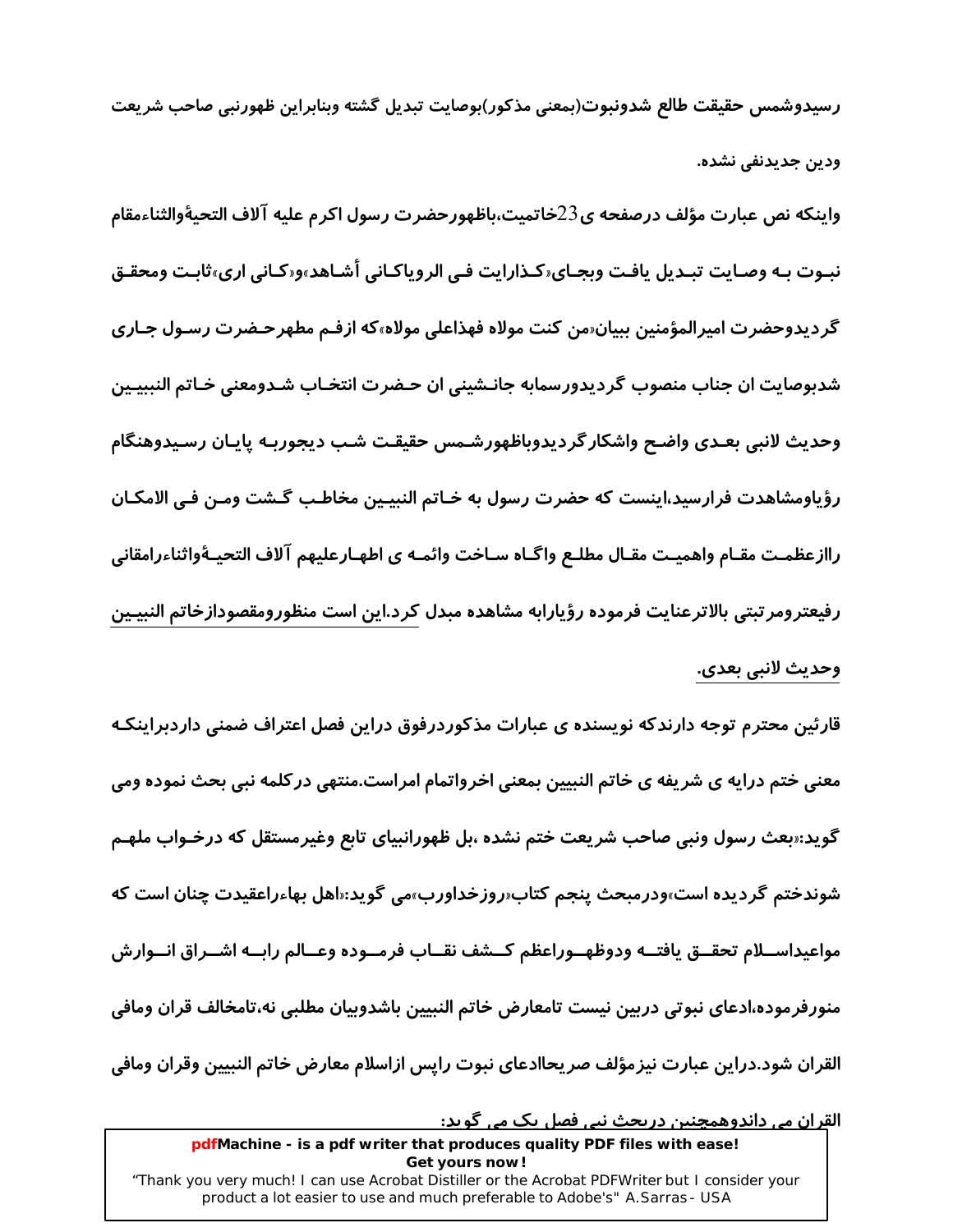رسيدوشمس حقيقت طالع شدونبوت(بمعنى مذكور)بوصايت تبديل گشته وبنابراين ظهورنبي صاحب شريعت ودين جديدنفي نشده.

واينكه نص عبارت مؤلف درصفحه ي23خاتميت،باظهورحضرت رسول اكرم عليه آلاف التحيةوالثناءمقام نبـوت بـه وصـايت تبـديل يافـت وبجـاي‹كـذارايت فـي الروياكـاني أشـاهد»و«كـاني ارى»ثابـت ومحقـق گردیدوحضرت امیرالمؤمنین ببیان«من کنت مولاه فهذاعلی مولاه»که ازفـم مطهرحـضرت رسـول جـا*ر*ی شدبوصایت ان جناب منصوب گردیدورسمابه جانـشینی ان حـضرت انتخـاب شـدومعنی خـاتم النببیـین وحديث لانبى بعـدى واضـح واشكار گرديدوباظهورشـمس حقيقـت شـب ديجوربـه پايـان رسـيدوهنگام رؤياومشاهدت فرارسيد،اينست كه حضرت رسول به خـاتم النبيـين مخاطـب گـشت ومـن فـي الامكـان راازعظمـت مقـام واهميـت مقـال مطلـع واگـاه سـاخت وائمـه ي اطهـارعليهم آلاف التحيـهٔواثناءرامقاني رفيعترومر تبتى بالاترعنايت فرموده رؤيارابه مشاهده مبدل كرد.اين است منظورومقصودازخاتم النبيـين وحديث لانبي بعدي.

قارئین محترم توجه دارندکه نویسنده ی عبارات مذکوردرفوق دراین فصل اعتراف ضمنی داردبراینکـه معنی ختم درایه ی شریفه ی خاتم النبیین بمعنی اخرواتمام امراست.منتهی در کلمه نبی بحث نموده ومی گوید:«بعث رسول ونبی صاحب شریعت ختم نشده ،بل ظهورانبیای تابع وغیرمستقل که درخـواب ملهـم شوندختم گردیده است»ودرمبحث پنجم کتاب«*ر*وزخداورب»می گوید:«اهل بهاءراعقیدت چنان است که مواعيداســلام تحقــق يافتــه ودوظهــوراعظم كــشف نقــاب فرمــوده وعــالم رابــه اشــراق انــوارش منورفرموده،ادعاى نبوتى دربين نيست تامعارض خاتم النبيين باشدوبيان مطلبي نه،تامخالف قران ومافى القران شود.دراين عبارت نيزمؤلف صريحاادعاى نبوت رايس ازاسلام معارض خاتم النبيين وقران ومافى

<u>القران می داندوهمچنین دریجث نبی فصل یک می گوید:</u> pdfMachine - is a pdf writer that produces quality PDF files with ease! Get yours now! "Thank you very much! I can use Acrobat Distiller or the Acrobat PDFWriter but I consider your product a lot easier to use and much preferable to Adobe's" A. Sarras - USA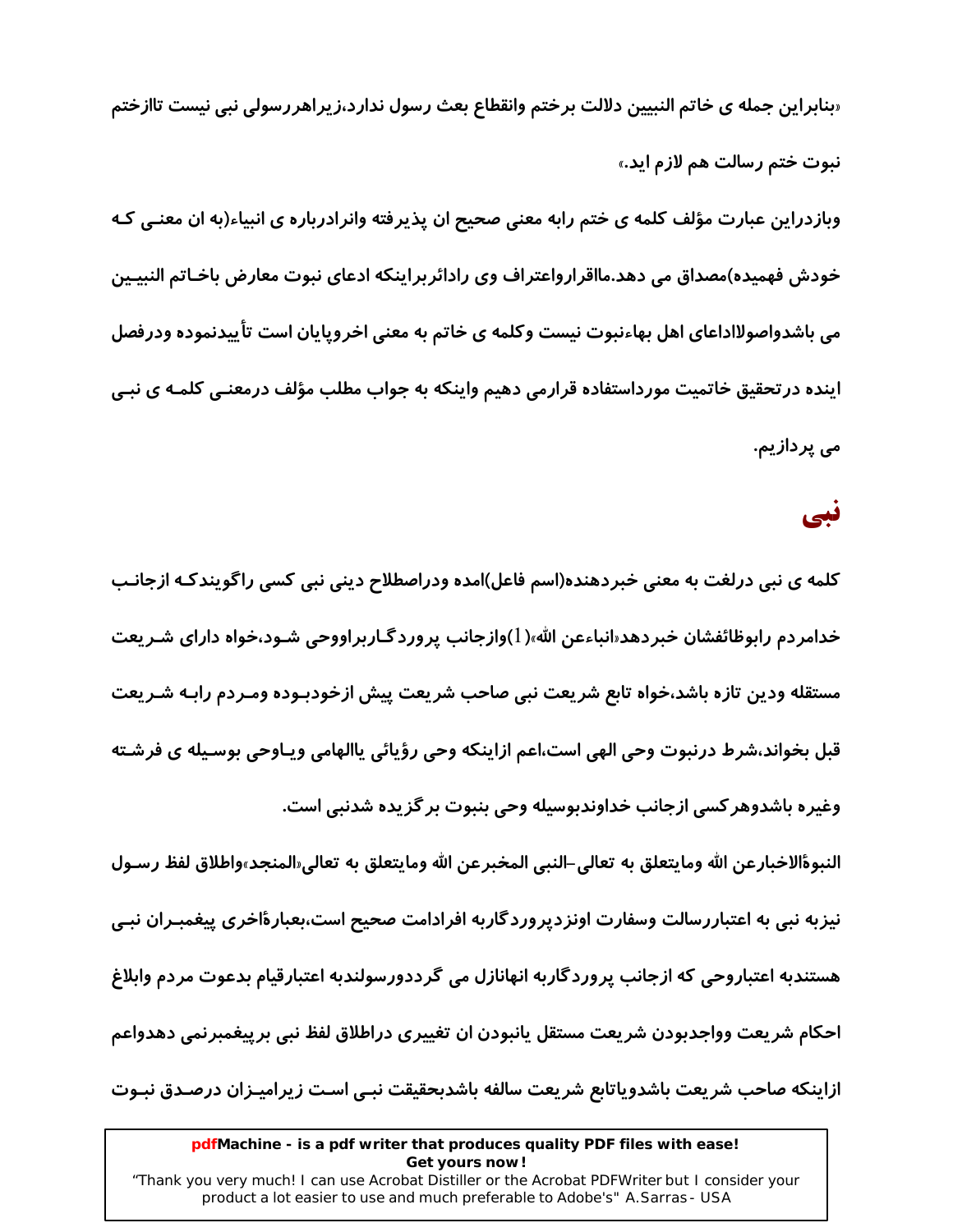«بنابراین جمله ی خاتم النبیین دلالت برختم وانقطاع بعث رسول ندارد،زیراهررسولی نبی نیست تاازختم نبوت ختم رسالت هم لازم اید.»

وبازدراین عبارت مؤلف کلمه ی ختم رابه معنی صحیح ان پذیرفته وانرادرباره ی انبیاء(به ان معنـی کـه خودش فهمیده)مصداق می دهد.مااقرارواعتراف وی رادائربراینکه ادعای نبوت معارض باخـاتم النبیـین می باشدواصولااداعای اهل بهاءنبوت نیست وکلمه ی خاتم به معنی اخروپایان است تأییدنموده ودرفصل اینده در تحقیق خاتمیت مورداستفاده قرارمی دهیم واینکه به جواب مطلب مؤلف درمعنـی کلمـه ی نبـی می پردازیم.

### نبی

کلمه ی نبی درلغت به معنی خبردهنده(اسم فاعل)امده ودراصطلاح دینی نبی کسی راگویندکـه ازجانـب خدامردم رابوظائفشان خبردهد«انباءعن الله»( l)وازجانب پروردگـاربراووحی شـود،خواه دارای شـریعت مستقله ودين تازه باشد،خواه تابع شريعت نبي صاحب شريعت پيش ازخودبـوده ومـردم رابـه شـريعت قبل بخواند،شرط درنبوت وحی الهی است،اعم ازاینکه وحی رؤیائی یاالهامی ویـاوحی بوسـیله ی فرشـته وغيره باشدوهر كسى ازجانب خداوندبوسيله وحى بنبوت بر گزيده شدنبي است.

النبوةالاخبارعن الله ومايتعلق به تعالى–النبي المخبرعن الله ومايتعلق به تعالى«المنجد»واطلاق لفظ رسـول نیزبه نبی به اعتباررسالت وسفارت اونزدیروردگاربه افرادامت صحیح است،بعبارةاخری پیغمبـران نبـی هستندبه اعتباروحی که ازجانب پروردگاربه انهانازل می گرددورسولندبه اعتبارقیام بدعوت مردم وابلاغ احکام شریعت وواجدبودن شریعت مستقل یانبودن ان تغییری دراطلاق لفظ نبی برییغمبرنمی دهدواعم ازاینکه صاحب شریعت باشدویاتابع شریعت سالفه باشدبحقیقت نبـی اسـت زیرامیـزان درصـدق نبـوت

<sup>&</sup>quot;Thank you very much! I can use Acrobat Distiller or the Acrobat PDFWriter but I consider your product a lot easier to use and much preferable to Adobe's" A. Sarras - USA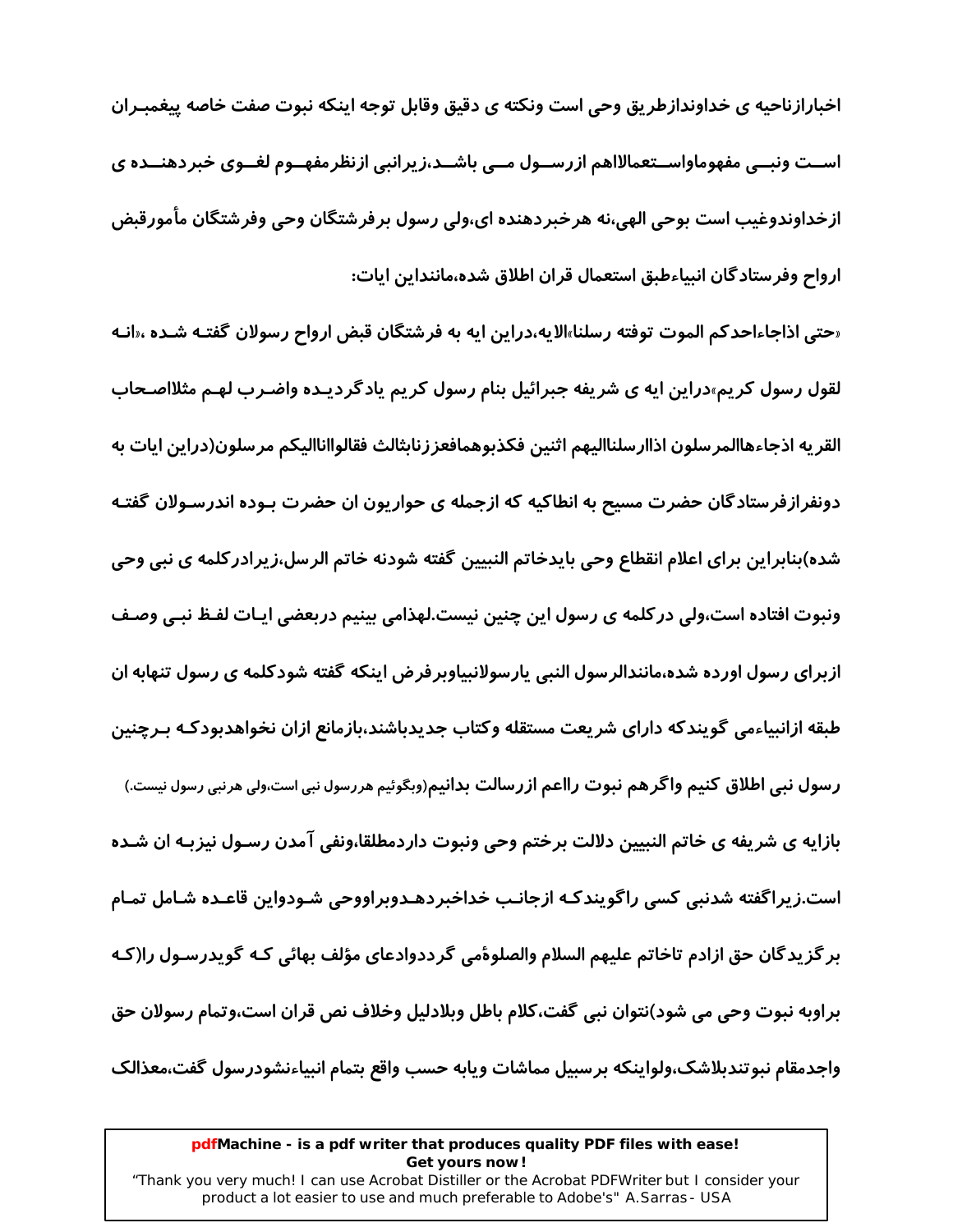اخبارازناحیه ی خداوندازطریق وحی است ونکته ی دقیق وقابل توجه اینکه نبوت صفت خاصه پیغمبـران اســت ونبــی مفهوماواســتعمالااهم ازرســول مــی باشــد،زیرانبی ازنظرمفهــوم لغــوی خبردهنــده ی ازخداوندوغيب است بوحي الهي،نه هرخبردهنده اي،ولي رسول برفرشتگان وحي وفرشتگان مأمورقبض ارواح وفرستادگان انبیاءطبق استعمال قران اطلاق شده،ماننداین ایات:

«حتى اذاجاءاحدكم الموت توفته رسلنا»الايه،دراين ايه به فرشتگان قبض ارواح رسولان گفتـه شـده ،«انـه لقول رسول کریم»دراین ایه ی شریفه جبرائیل بنام رسول کریم یادگردیـده واضـرب لهـم مثلااصـحاب القريه اذجاءهاالمرسلون اذاارسلنااليهم اثنين فكذبوهمافعززنابثالث فقالواانااليكم مرسلون(دراين ايات به دونفرازفرستادگان حضرت مسیح به انطاکیه که ازجمله ی حواریون ان حضرت بـوده اندرسـولان گفتـه شده)بنابراین برای اعلام انقطاع وحی بایدخاتم النبیین گفته شودنه خاتم الرسل،زیرادرکلمه ی نبی وحی ونبوت افتاده است،ولی در کلمه ی رسول این چنین نیست.لهذامی بینیم دربعضی ایـات لفـظ نبـی وصـف ازبرای رسول اورده شده،مانندالرسول النبی پارسولانبیاوبرفرض اینکه گفته شودکلمه ی رسول تنهابه ان طبقه ازانبیاءمی گویندکه دارای شریعت مستقله وکتاب جدیدباشند،بازمانع ازان نخواهدبودکـه بـرچنین رسول نبی اطلاق کنیم واگرهم نبوت رااعم ازرسالت بدانیم(وبگوئیم هررسول نبی است،ولی هرنبی رسول نیست.) بازایه ی شریفه ی خاتم النبیین دلالت برختم وحی ونبوت داردمطلقا،ونفی آمدن رسـول نیزبـه ان شـده است.زیراگفته شدنبی کسی راگویندکه ازجانب خداخبردهـدوبراووحی شـودواین قاعـده شـامل تمـام بر گزیدگان حق ازادم تاخاتم علیهم السلام والصلوهٔمی گرددوادعای مؤلف بهائی کـه گویدرسـول را(کـه براوبه نبوت وحی می شود)نتوان نبی گفت،کلام باطل وبلادلیل وخلاف نص قران است،وتمام رسولان حق واجدمقام نبوتندبلاشك،ولواينكه برسبيل مماشات ويابه حسب واقع بتمام انبياءنشودرسول گفت،معذالک

#### pdfMachine - is a pdf writer that produces quality PDF files with ease! Get yours now!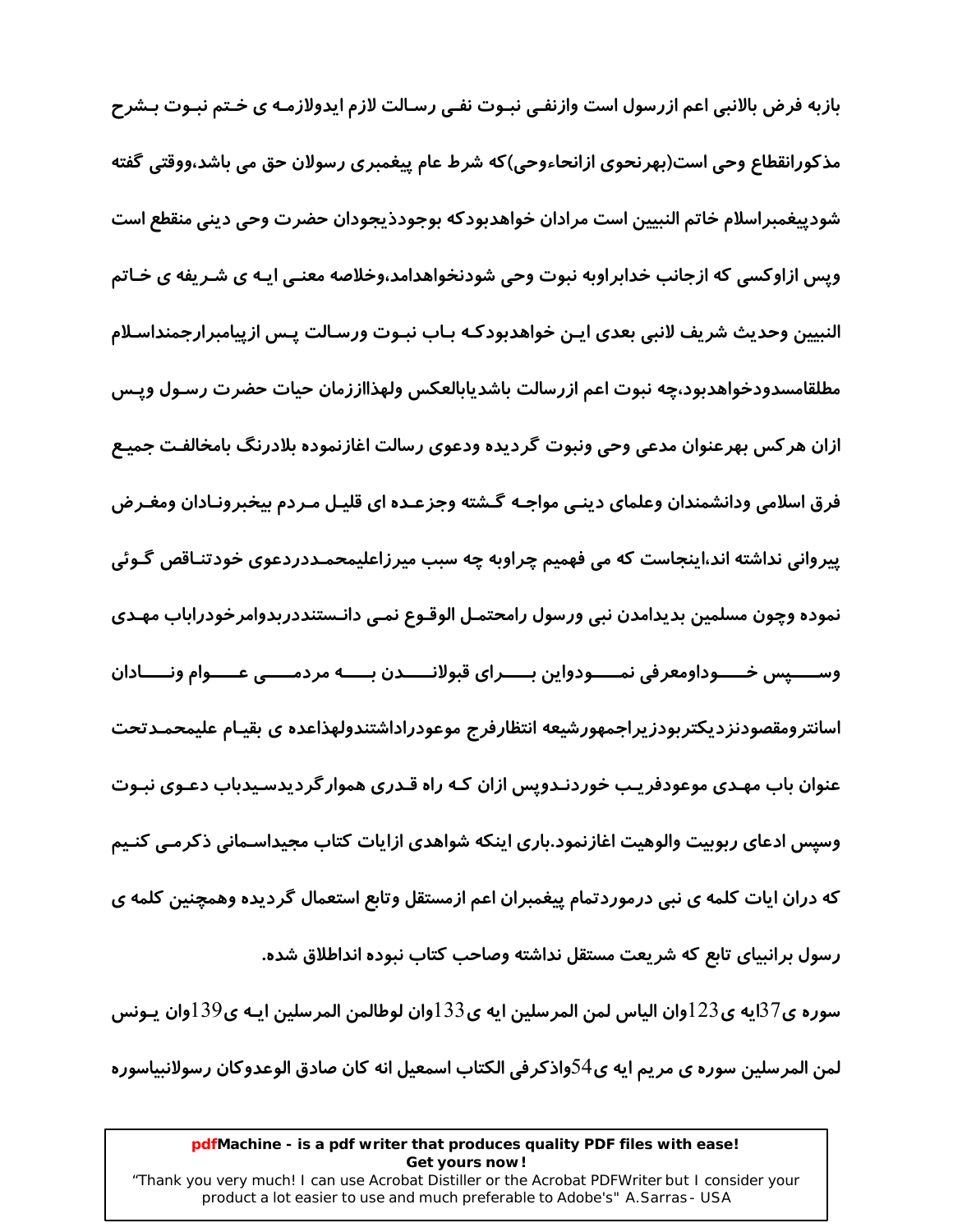بازبه فرض بالانبی اعم ازرسول است وازنفـی نبـوت نفـی رسـالت لازم ایدولازمـه ی خـتم نبـوت بـشرح مذکورانقطاع وحی است(بهرنحوی ازانحاءوحی)که شرط عام پیغمبری رسولان حق می باشد،ووقتی گفته شودييغمبراسلام خاتم النبيين است مرادان خواهدبودكه بوجودذيجودان حضرت وحى دينى منقطع است وپس ازاوکسی که ازجانب خدابراوبه نبوت وحی شودنخواهدامد،وخلاصه معنـی ایـه ی شـریفه ی خـاتم النبيين وحديث شريف لانبي بعدي ايـن خواهدبودكـه بـاب نبـوت ورسـالت يـس ازييامبرارجمنداسـلام مطلقامسدودخواهدبود،چه نبوت اعم ازرسالت باشديابالعكس ولهذااززمان حيات حضرت رسـول ويـس ازان هر کس بهرعنوان مدعی وحی ونبوت گردیده ودعوی رسالت اغازنموده بلادرنگ بامخالفت جمیـع فرق اسلامی ودانشمندان وعلمای دینـی مواجـه گـشته وجزعـده ای قلیـل مـردم بیخبرونـادان ومغـرض پیروانی نداشته اند،اینجاست که می فهمیم چراوبه چه سبب میرزاعلیمحمـددردعوی خودتنـاقص گـوئی نموده وچون مسلمین بدیدامدن نبی ورسول رامحتمـل الوقـوع نمـی دانـستنددربدوامرخودراباب مهـدی ــــيس خـــــوداومعرفي نمـــــودواين بـــــراي قبولانـــــدن بـــــه مردمـــــي عـــــوام ونـــــادان وس اسانترومقصودنزديكتربودزيراجمهورشيعه انتظارفرج موعودراداشتندولهذاعده ى بقيـام عليمحمـدتحت عنوان باب مهـدی موعودفریـب خوردنـدوپس ازان کـه راه قـدری هموار گردیدسـیدباب دعـوی نبـوت وسیس ادعای ربوبیت والوهیت اغازنمود.باری اینکه شواهدی ازایات کتاب مجیداسـمانی ذکرمـی کنـیم که دران ایات کلمه ی نبی درموردتمام پیغمبران اعم ازمستقل وتابع استعمال گردیده وهمچنین کلمه ی رسول برانبیای تابع که شریعت مستقل نداشته وصاحب کتاب نبوده انداطلاق شده. سورہ ي $87$ ايه ي $123$ وان الياس لمن المرسلين ايه ي $133$ وان لوطالمن المرسلين ايـه ي $139$ وان يـونس

لمن المرسلين سوره ي مريم ايه ي54واذكر في الكتاب اسمعيل انه كان صادق الوعدوكان رسولانبياسوره

#### pdfMachine - is a pdf writer that produces quality PDF files with ease! Get yours now!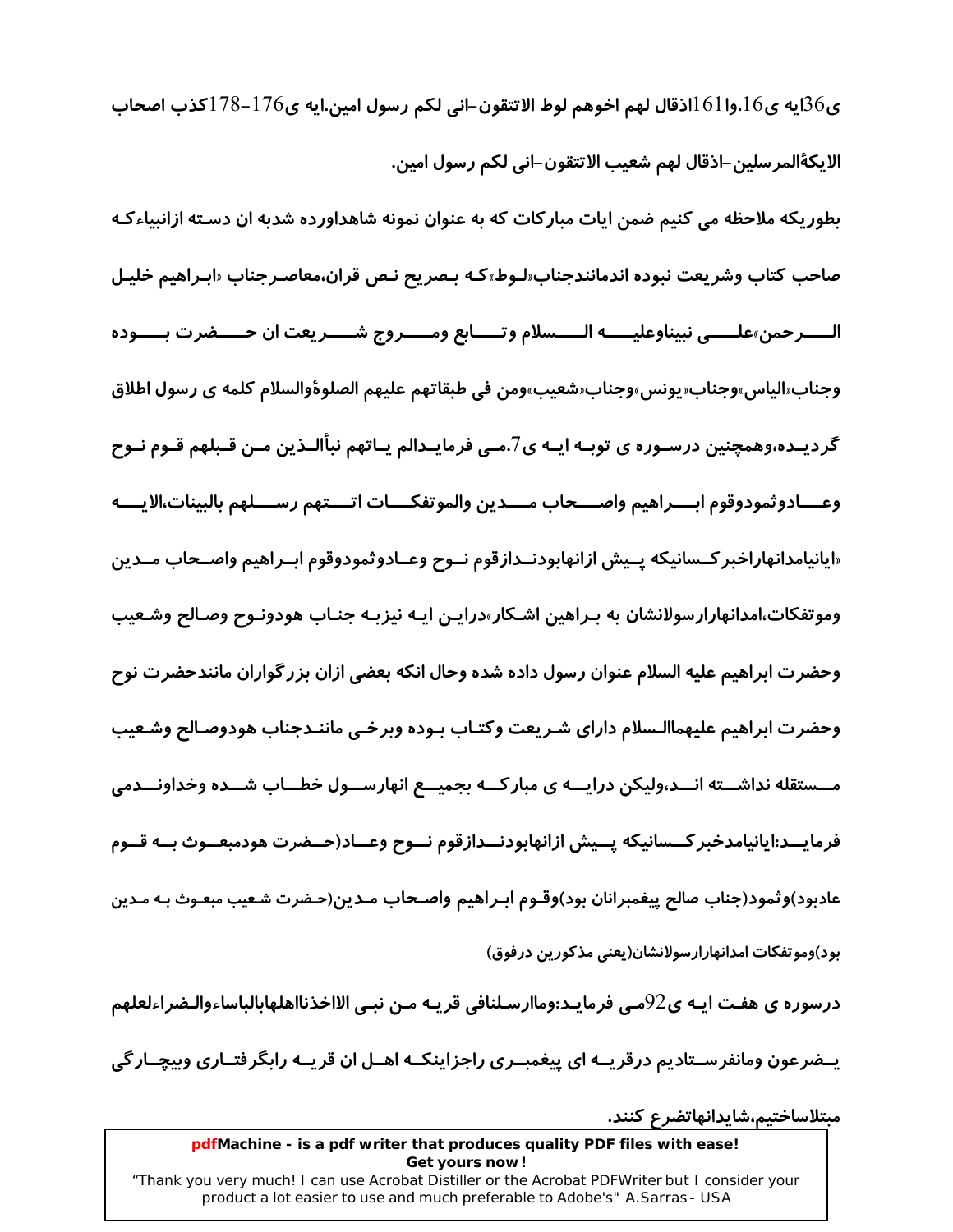ى $36$ ايه ي $161$ وا $161$ اذقال لهم اخوهم لوط الاتتقون–اني لكم رسول امين.ايه ي $176$ –178كذب اصحاب الايكةالمرسلين–اذقال لهم شعيب الاتتقون–اني لكم رسول امين.

بطوریکه ملاحظه می کنیم ضمن ایات مبارکات که به عنوان نمونه شاهداورده شدبه ان دسـته ازانبیاءکـه صاحب كتاب وشريعت نبوده اندمانندجناب«لـوط»كـه بـصريح نـص قران،معاصـرجناب «ابـراهيم خليـل الـــــرحمن»علــــــى نبيناوعليــــــه الــــــسلام وتـــــابع ومــــــروج شــــــريعت ان حـــــضرت بـــــوده وجناب«الياس»وجناب«يونس»وجناب«شعيب»ومن في طبقاتهم عليهم الصلوةوالسلام كلمه ي رسول اطلاق گردیــده،وهمچنین درسـوره ی توبـه ایـه ی7.مــی فرمایــدالم یــاتهم نبأالــذین مــن قــبلهم قــوم نــوح وعــــادوثمودوقوم ابــــراهيم واصــــحاب مــــدين والموتفكــــات اتــــتهم رســــلهم بالبينات،الايــــه «ايانيامدانهاراخبر *كـ*سانيكه پـيش ازانهابودنــدازقوم نــوح وعــادوثمودوقوم ابــراهيم واصــحاب مــدين وموتفکات،امدانها*ر*ارسولانشان به بـراهین اشـکار»درایـن ایـه نیزبـه جنـاب هودونـوح وصـالح وشـعیب وحضرت ابراهیم علیه السلام عنوان رسول داده شده وحال انکه بعضی ازان بزر گواران مانندحضرت نوح وحضرت ابراهيم عليهماالـسلام داراي شـريعت وكتـاب بـوده وبرخـي ماننـدجناب هودوصـالح وشـعيب مــستقله نداشــته انـــد،ولیکن درایـــه ی مبارکـــه بجمیـــع انهارســـول خطـــاب شـــده وخداونـــدمی فرمايــد:ايانيامدخبر كــسانيكه يــيش ازانهابودنــدازقوم نــوح وعــاد(حــضرت هودمبعــوث بــه قــوم عادبود)وثمود(جناب صالح پیغمبرانان بود)وقـوم ابـراهیم واصـحاب مـدین(حـضرت شـعیب مبعـوث بـه مـدین بود)وموتفكات امدانهارارسولانشان(یعنی مذكورین درفوق)

درسوره ی هفـت ایـه ی $92$ مـی فرمایـد:وماارسـلنافی قریـه مـن نبـی الااخذنااهلهابالباساءوالـضراءلعلهم

یــفـرعون ومانفرســتادیم درقریــه ای پیغمبــری راجزاینکــه اهــل ان قریــه رابگرفتــاری وبیچــار گی

مبتلاساختيم،شايدانهاتضرع كنند.

#### pdfMachine - is a pdf writer that produces quality PDF files with ease! Get yours now!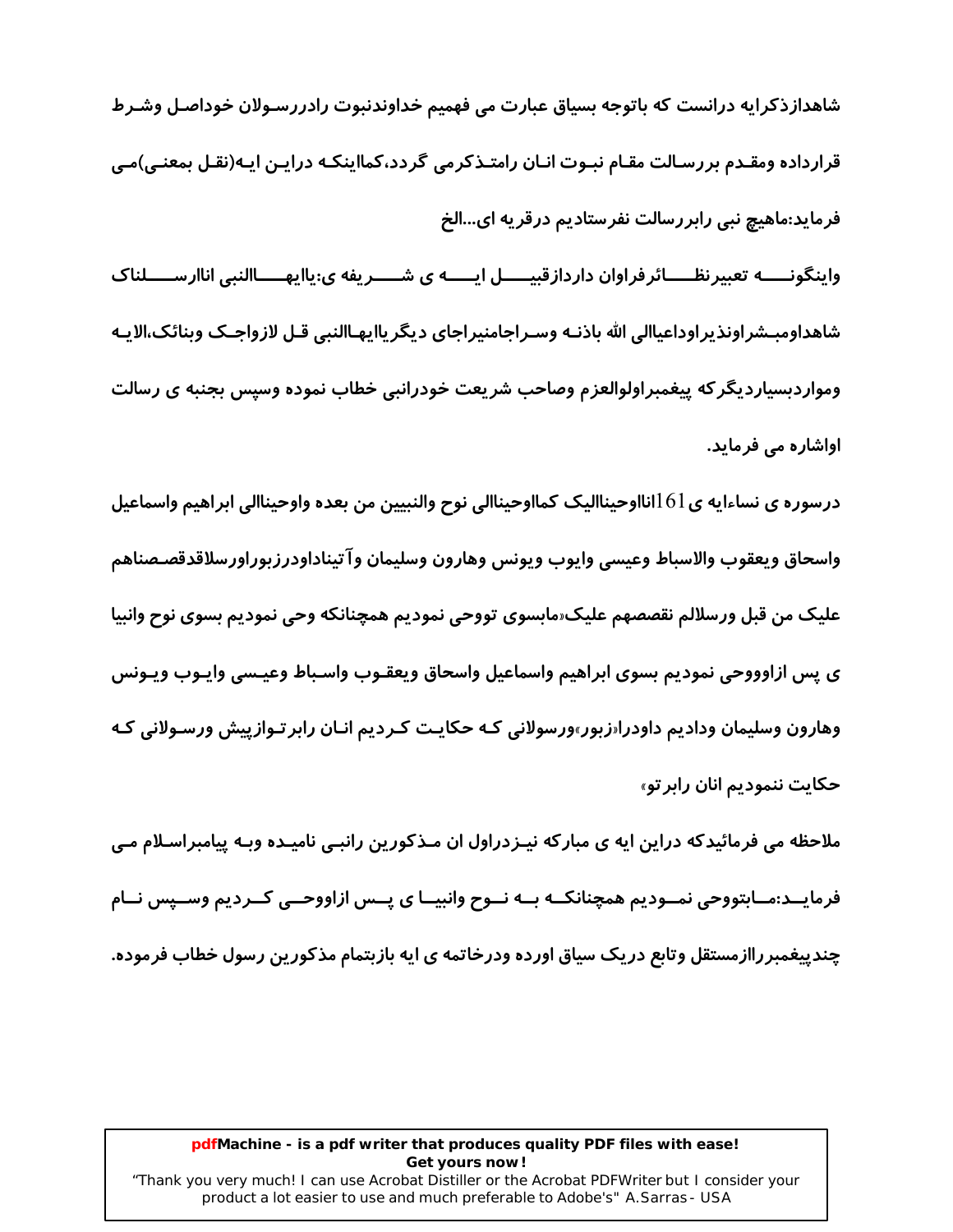شاهدازذکرایه درانست که باتوجه بسیاق عبارت می فهمیم خداوندنبوت رادررسـولان خوداصـل وشـرط قرارداده ومقـدم بررسـالت مقـام نبـوت انـان رامتـذکرمی گردد،کمااینکـه درایـن ایـه(نقـل بمعنـی)مـی فرماید:ماهیچ نبی رابررسالت نفرستادیم درقریه ای...الخ

واینگونـــــه تعبیرنظـــــائرفراوان داردازقبیـــــل ایـــــه ی شـــــریفه ی:پاایهـــــاالنبی اناارســـــلناک شاهداومبـشراونذیراوداعیاالی الله باذنـه وسـراجامنیراجای دیگر باایهـاالنبی قـل لازواجـک وبنائک،الایـه ومواردبسیاردیگر که پیغمبراولوالعزم وصاحب شریعت خودرانبی خطاب نموده وسپس بجنبه ی رسالت اواشارہ مے فرماید.

درسوره ی نساءایه ی $161$ انااوحیناالیک کمااوحیناالی نوح والنبیین من بعده واوحیناالی ابراهیم واسماعیل واسحاق ويعقوب والاسباط وعيسى وايوب ويونس وهارون وسليمان وآتيناداودرزبوراورسلاقدقصـصناهم علیک من قبل ورسلالم نقصصهم علیک«مابسوی تووحی نمودیم همچنانکه وحی نمودیم بسوی نوح وانبیا ى پس ازاوووحى نموديم بسوى ابراهيم واسماعيل واسحاق ويعقـوب واسـباط وعيـسى وايـوب ويـونس وهارون وسلیمان ودادیم داودرا«زبور»ورسولانی کـه حکایـت کـردیم انـان رابر تـوازییش ورسـولانی کـه حکایت ننمودیم انان *ر*ابر تو»

ملاحظه می فرمائیدکه دراین ایه ی مبارکه نیـزدراول ان مـذکورین رانبـی نامیـده وبـه پیامبراسـلام مـی فرمایــد:مــابتووحی نمــودیم همچنانکــه بــه نــوح وانبیــا ی پــس ازاووحــی کــردیم وســپس نــام چندپیغمبرراازمستقل وتابع دریک سیاق اورده ودرخاتمه ی ایه بازبتمام مذکورین رسول خطاب فرموده.

#### pdfMachine - is a pdf writer that produces quality PDF files with ease! Get yours now!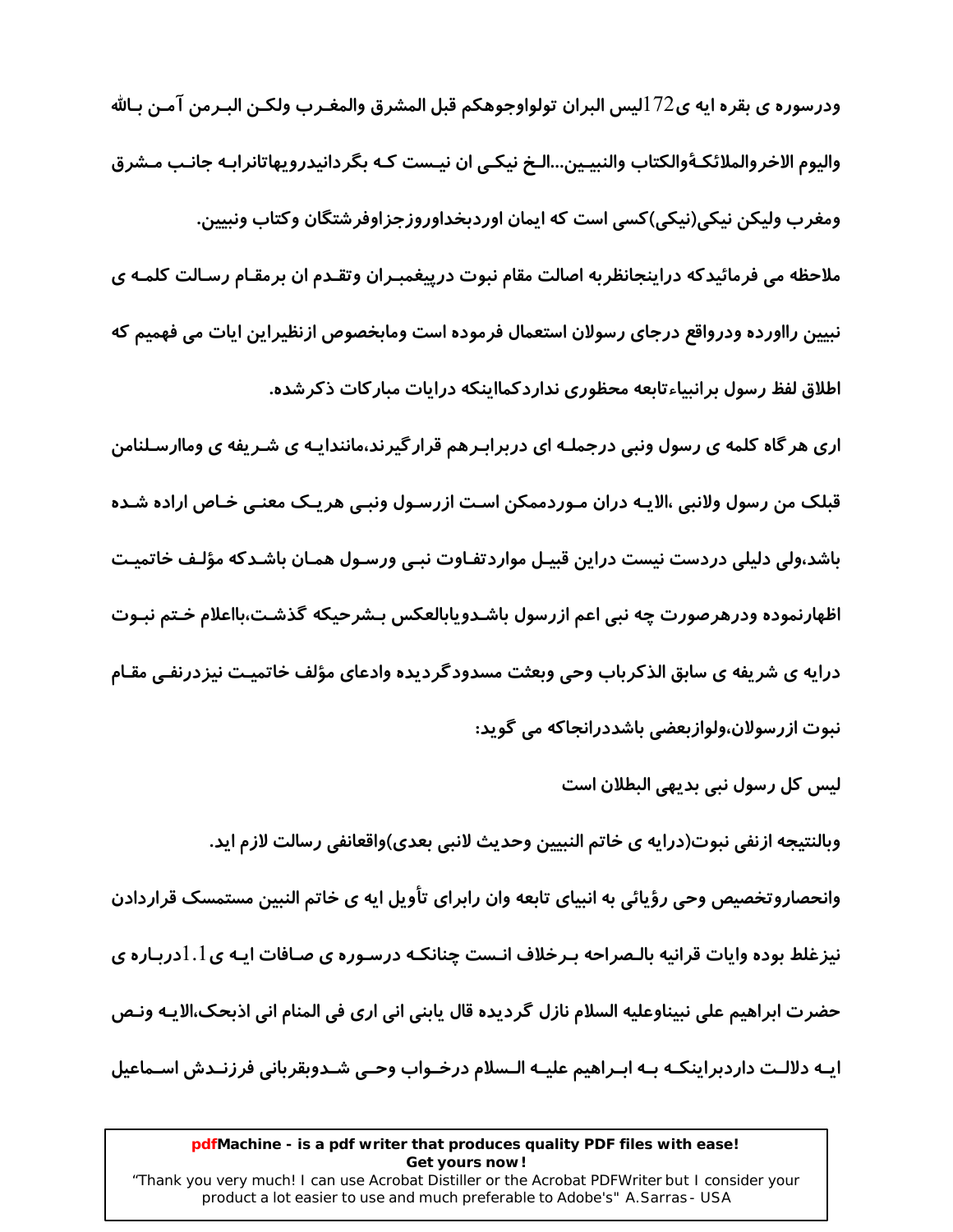ودرسوره ي بقره ايه ي $172$ ليس البران تولواوجوهكم قبل المشرق والمغـرب ولكـن البـرمن آمـن بـالله والیوم الاخروالملائکـۀوالکتاب والنبیـین...الـخ نیکـی ان نیـست کـه بگردانیدرویهاتانرابـه جانـب مـشرق ومغرب ولیکن نیکی(نیکی)کسی است که ایمان اوردبخداوروزجزاوفرشتگان وکتاب ونییین. ملاحظه می فرمائیدکه دراینجانظربه اصالت مقام نبوت درپیغمبـران وتقـدم ان برمقـام رسـالت کلمـه ی نبیین رااورده ودرواقع درجای رسولان استعمال فرموده است ومابخصوص ازنظیراین ایات می فهمیم که اطلاق لفظ رسول برانبیاءتابعه محظوری نداردکمااینکه درایات مبارکات ذکرشده.

اری هر گاه کلمه ی رسول ونبی درجملـه ای دربرابـرهم قرار گیرند،مانندایـه ی شـریفه ی وماارسـلنامن قبلک من رسول ولانبی ،الایـه دران مـوردممکن اسـت ازرسـول ونبـی هریـک معنـی خـاص اراده شـده باشد،ولی دلیلی دردست نیست دراین قبیـل مواردتفـاوت نبـی ورسـول همـان باشـدکه مؤلـف خاتمیـت اظهارنموده ودرهرصورت چه نبی اعم ازرسول باشـدویابالعکس بـشرحیکه گذشـت،بااعلام خـتم نبـوت درایه ی شریفه ی سابق الذکرباب وحی وبعثت مسدودگردیده وادعای مؤلف خاتمیـت نیزدرنفـی مقـام نبوت ازرسولان،ولوازبعضی باشددرانجاکه می گوید:

لیس کل رسول نبی بدیهی البطلان است

وبالنتيجه ازنفي نبوت(درايه ي خاتم النبيين وحديث لانبي بعدي)واقعانفي رسالت لازم ايد.

وانحصاروتخصیص وحی رؤیائی به انبیای تابعه وان رابرای تأویل ایه ی خاتم النبین مستمسک قراردادن نیزغلط بوده وایات قرانیه بالـصراحه بـرخلاف انـست چنانکـه درسـوره ی صـافات ایـه ی $1.1$ دربـاره ی حضرت ابراهيم على نبيناوعليه السلام نازل گرديده قال يابني اني ارى في المنام اني اذبحک،الايـه ونـص ایـه دلالـت داردبراینکـه بـه ابـراهیم علیـه الـسلام درخـواب وحـی شـدوبقربانی فرزنـدش اسـماعیل

#### pdfMachine - is a pdf writer that produces quality PDF files with ease! Get yours now!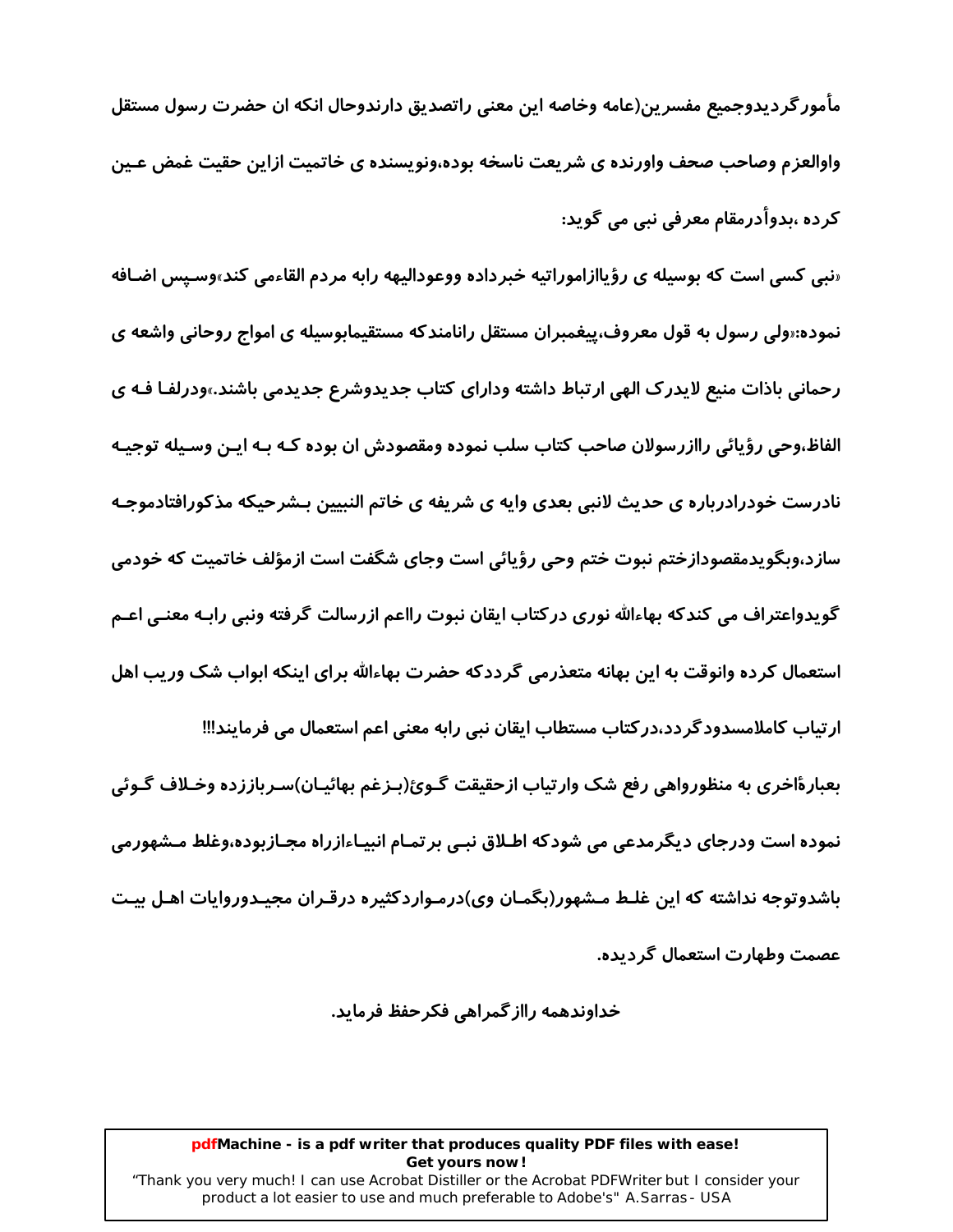مأمور گردیدوجمیع مفسرین(عامه وخاصه این معنی راتصدیق دارندوحال انکه ان حضرت رسول مستقل واوالعزم وصاحب صحف واورنده ی شریعت ناسخه بوده،ونویسنده ی خاتمیت ازاین حقیت غمض عـین کردہ ،بدوأدرمقام معرفی نبی می گوید:

«نبي کسي است که بوسيله ي رؤياازاموراتيه خبرداده ووعوداليهه رابه مردم القاءمي کند»وسـيس اضـافه نموده:«ولی رسول به قول معروف،پیغمبران مستقل رانامندکه مستقیمابوسیله ی امواج روحانی واشعه ی رحمانی باذات منیع لایدرک الهی ارتباط داشته ودارای کتاب جدیدوشرع جدیدمی باشند.»ودرلفـا فـه ی الفاظ،وحي رؤيائي راازرسولان صاحب كتاب سلب نموده ومقصودش ان بوده كـه بـه ايـن وسـيله توجيـه نادرست خودرادرباره ی حدیث لانبی بعدی وایه ی شریفه ی خاتم النبیین بـشرحیکه مذکورافتادموجـه سازد،وبگویدمقصودازختم نبوت ختم وحی رؤیائی است وجای شگفت است ازمؤلف خاتمیت که خودمی گویدواعتراف می کندکه بهاءالله نوری درکتاب ایقان نبوت رااعم ازرسالت گرفته ونبی رابـه معنـی اعـم استعمال کرده وانوقت به این بهانه متعذرمی گرددکه حضرت بهاءالله برای اینکه ابواب شک وریب اهل ارتیاب کاملامسدودگردد،درکتاب مستطاب ایقان نبی رابه معنی اعم استعمال می فرمایند!!! بعبارهٔاخری به منظورواهی رفع شک وارتیاب ازحقیقت گـوئ(بـزغم بهائیـان)سـرباززده وخـلاف گـوئی نموده است ودرجای دیگرمدعی می شودکه اطـلاق نبـی برتمـام انبیـاءازراه مجـازبوده،وغلط مـشهورمی باشدوتوجه نداشته که این غلـط مـشهور(بگمـان وی)درمـواردکثیره درقـران مجیـدوروایات اهـل بیـت

عصمت وطهارت استعمال گر دیده.

خداوندهمه رااز گمراهی فکرحفظ فرماید.

#### pdfMachine - is a pdf writer that produces quality PDF files with ease! Get yours now!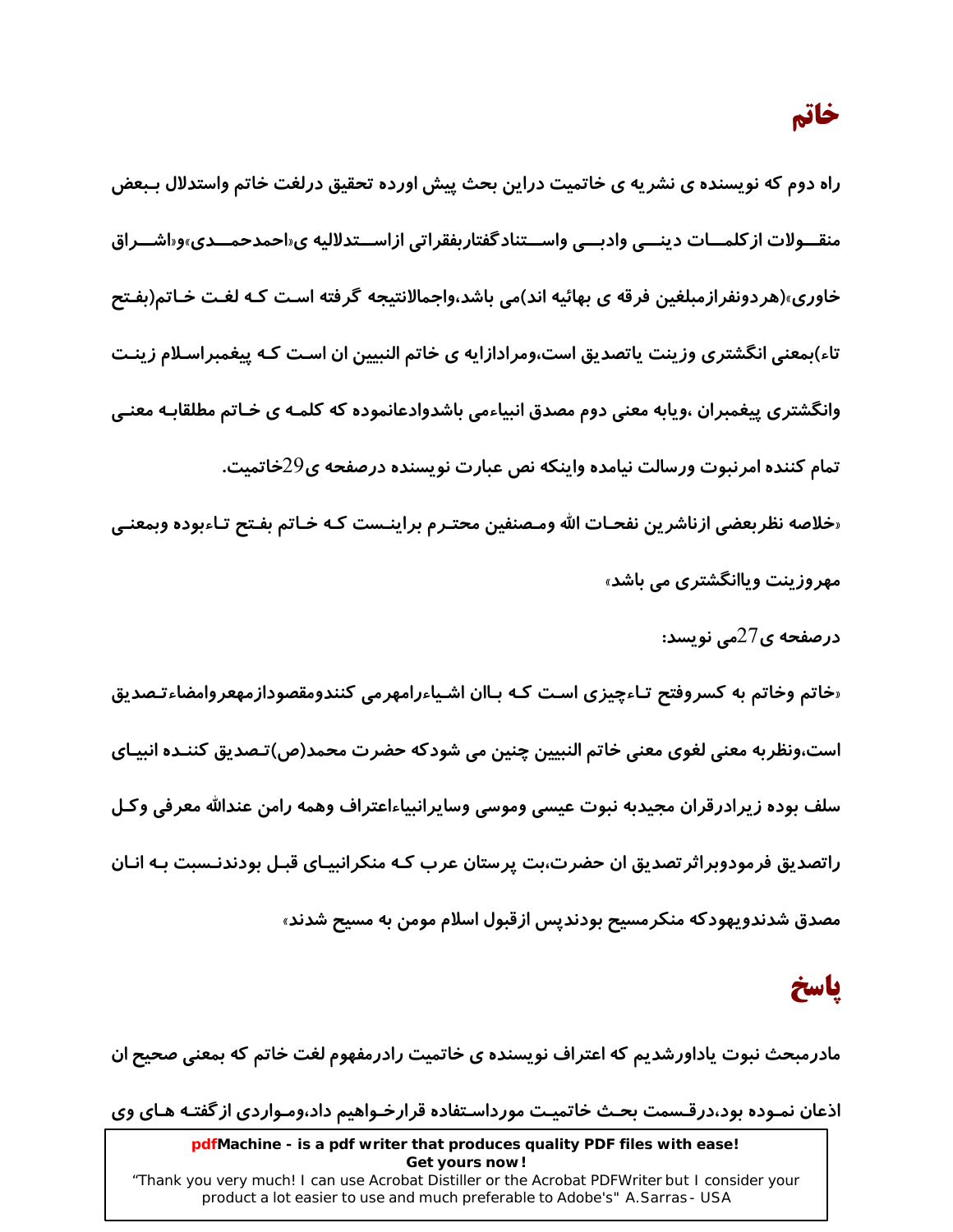خاتم

راه دوم که نویسنده ی نشریه ی خاتمیت دراین بحث پیش اورده تحقیق درلغت خاتم واستدلال بـبعض منقـــولات از کلمـــات دینـــی وادبـــی واســـتناد گفتاربفقراتی ازاســـتدلالیه ی«احمدحمـــدی»و«اشـــراق خاوری»(هردونفرازمبلغین فرقه ی بهائیه اند)می باشد،واجمالانتیجه گرفته اسـت کـه لغـت خـاتم(بفـتح تاء)بمعنی انگشتری وزینت پاتصدیق است،ومرادازایه ی خاتم النبیین ان است کـه پیغمبراسـلام زینـت وانگشتری پیغمبران ،ویابه معنی دوم مصدق انبیاءمی باشدوادعانموده که کلمـه ی خـاتم مطلقابـه معنـی تمام کننده امرنبوت ورسالت نیامده واینکه نص عبارت نویسنده درصفحه ی29خاتمیت. «خلاصه نظربعضي ازناشرين نفحـات الله ومـصنفين محتـرم براينـست كـه خـاتم بفـتح تـاءبوده وبمعنـي

- مهروزینت ویاانگشتری می باشد»
	- درصفحه ی $27$ می نویسد:

«خاتم وخاتم به کسروفتح تـاءچیزی اسـت کـه بـاان اشـیاءرامهرمی کنندومقصودازمهعروامضاءتـصدیق است،ونظربه معنی لغوی معنی خاتم النبیین چنین می شودکه حضرت محمد(ص)تـصدیق کننـده انبیـای سلف بوده زيرادرقران مجيدبه نبوت عيسى وموسى وسايرانبياءاعتراف وهمه رامن عندالله معرفي وكـل راتصدیق فرمودوبراثر تصدیق ان حضرت،بت پرستان عرب کـه منکرانبیـای قبـل بودندنـسبت بـه انـان مصدق شدندویهودکه منکرمسیح بودندیس ازقبول اسلام مومن به مسیح شدند»

## باسخ

مادرمبحث نبوت یاداورشدیم که اعتراف نویسنده ی خاتمیت رادرمفهوم لغت خاتم که بمعنی صحیح ان

اذعان نمـوده بود،درقـسمت بحـث خاتميـت مورداسـتفاده قرارخـواهيم داد،ومـواردي از گفتـه هـاي وي

pdfMachine - is a pdf writer that produces quality PDF files with ease! Get yours now! "Thank you very much! I can use Acrobat Distiller or the Acrobat PDFWriter but I consider your

product a lot easier to use and much preferable to Adobe's" A.Sarras - USA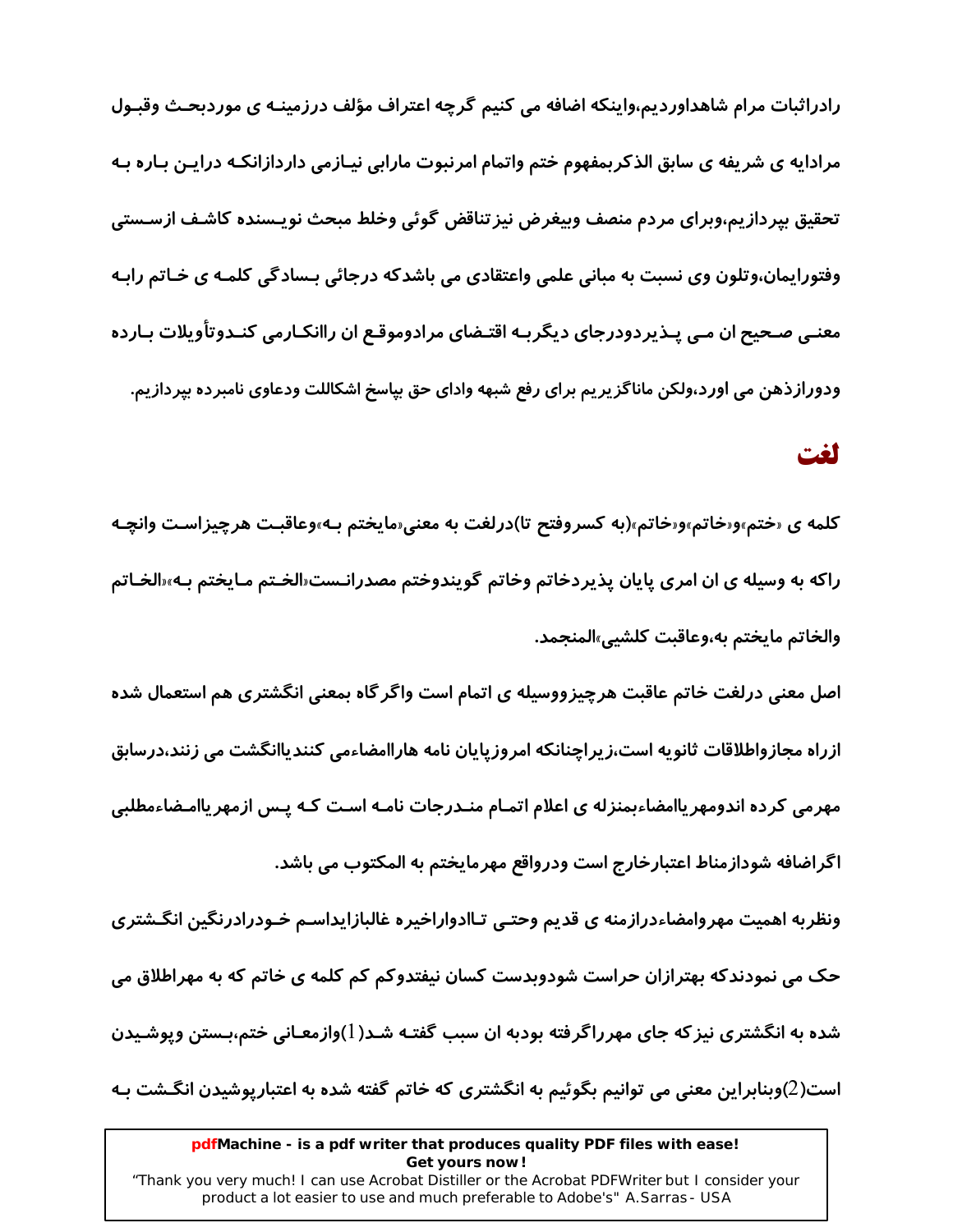رادراثبات مرام شاهداوردیم،واینکه اضافه می کنیم گرچه اعتراف مؤلف درزمینـه ی موردبحـث وقبـول مرادایه ی شریفه ی سابق الذکربمفهوم ختم واتمام امرنبوت مارابی نیـازمی داردازانکـه درایـن بـاره بـه تحقيق بيردازيم،وبراي مردم منصف وبيغرض نيز تناقض گوئي وخلط مبحث نويـسنده كاشـف ازسـستي وفتورایمان،وتلون وی نسبت به مبانی علمی واعتقادی می باشدکه درجائی بـسادگی کلمـه ی خـاتم رابـه معنـی صـحیح ان مـی پـذیردودرجای دیگربـه اقتـضای مرادوموقـع ان راانکـارمی کنـدوتأویلات بـارده ودورازذهن می اورد،ولکن ماناگزیریم برای رفع شبهه وادای حق بپاسخ اشکاللت ودعاوی نامبرده بپردازیم.

### لغت

کلمه ی «ختم»و«خاتم»و«خاتم»(به کسروفتح تا)درلغت به معنی«مایختم بـه»وعاقبـت هرچیزاسـت وانچـه راکه به وسیله ی ان امری پایان پذیردخاتم وخاتم گویندوختم مصدرانـست«الخـتم مـایختم بـه»«الخـاتم والخاتم مايختم به،وعاقبت كلشيي»المنجمد.

اصل معنی درلغت خاتم عاقبت هرچیزووسیله ی اتمام است واگر گاه بمعنی انگشتری هم استعمال شده ازراه مجازواطلاقات ثانویه است،زیراچنانکه امروزپایان نامه هاراامضاءمی کنندیاانگشت می زنند،درسابق مهرمی کرده اندومهر یاامضاءبمنزله ی اعلام اتمـام منـدرجات نامـه اسـت کـه یـس ازمهر یاامـضاءمطلبی اگراضافه شودازمناط اعتبارخارج است ودرواقع مهرمایختم به المكتوب می باشد.

ونظربه اهمیت مهروامضاءدرازمنه ی قدیم وحتے تـاادواراخیره غالبازایداسـم خـودرادرنگین انگـشتری حک می نمودندکه بهترازان حراست شودوبدست کسان نیفتدوکم کم کلمه ی خاتم که به مهراطلاق می شده به انگشتری نیز که جای مهرراگرفته بودبه ان سبب گفتـه شـد( ا)وازمعـانی ختم،بـستن وپوشـیدن است(2)وبنابراین معنی می توانیم بگوئیم به انگشتری که خاتم گفته شده به اعتبارپوشیدن انگـشت بـه

#### pdfMachine - is a pdf writer that produces quality PDF files with ease! Get yours now!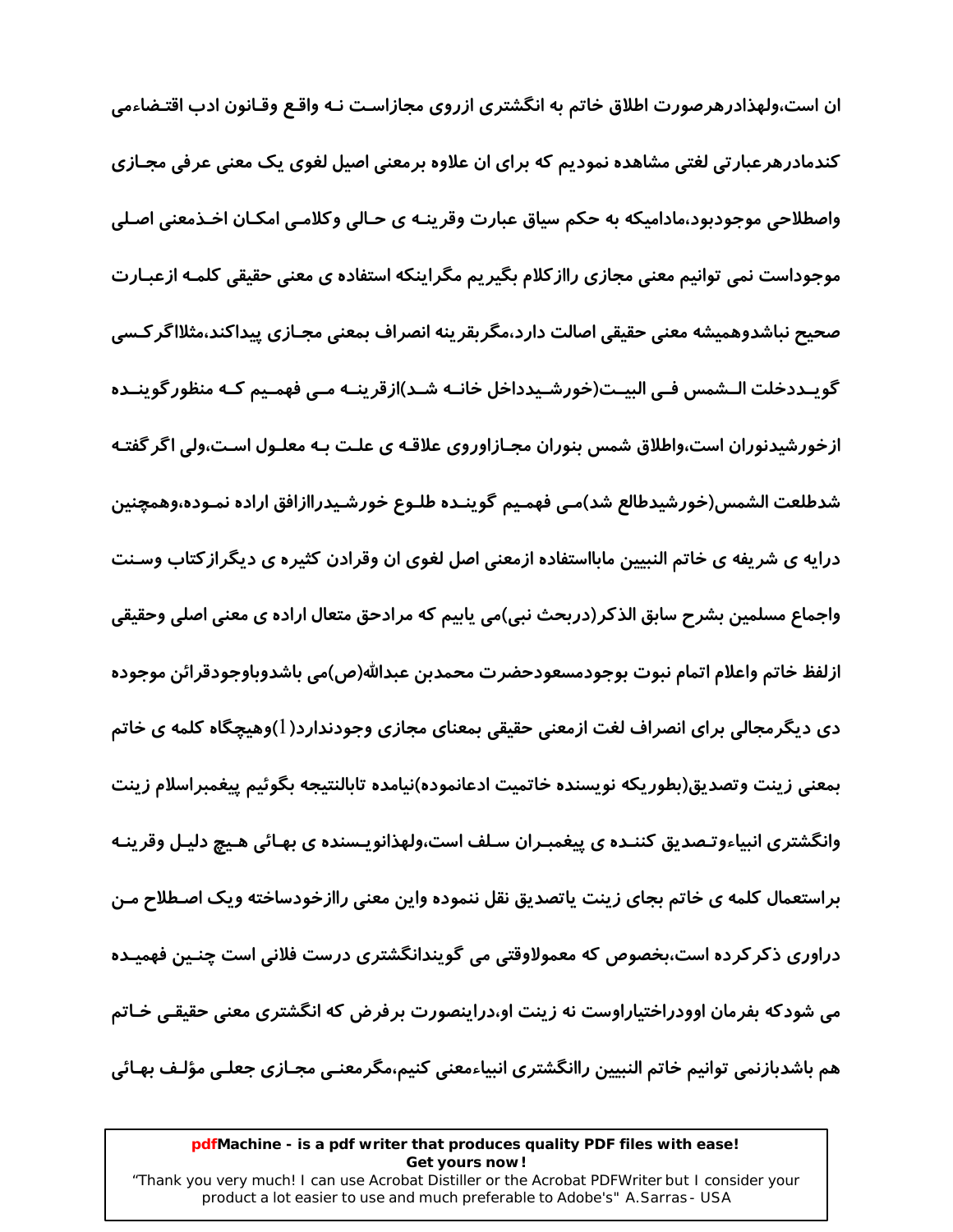ان است،ولهذادرهر صورت اطلاق خاتم به انگشتری ازروی مجازاسـت نـه واقـع وقـانون ادب اقتـضاءمی کندمادرهرعبارتی لغتی مشاهده نمودیم که برای ان علاوه برمعنی اصیل لغوی یک معنی عرفی مجـازی واصطلاحی موجودبود،مادامیکه به حکم سیاق عبارت وقرینـه ی حـالی وکلامـی امکـان اخـذمعنی اصـلی موجوداست نمی توانیم معنی مجازی راازکلام بگیریم مگراینکه استفاده ی معنی حقیقی کلمـه ازعبـارت صحیح نباشدوهمیشه معنی حقیقی اصالت دارد،مگربقرینه انصراف بمعنی مجـازی پیداکند،مثلااگر کـسی گویــددخلت الــشمس فــی البیــت(خورشـیدداخل خانــه شــد)ازقرینــه مــی فهمـیم کــه منظور گوینــده ازخورشیدنوران است،واطلاق شمس بنوران مجـازاوروی علاقـه ی علـت بـه معلـول اسـت،ولی اگر گفتـه شدطلعت الشمس(خورشيدطالع شد)مـى فهمـيم گوينـده طلـوع خورشـيدراازافق اراده نمـوده،وهمچنين درایه ی شریفه ی خاتم النبیین مابااستفاده ازمعنی اصل لغوی ان وقرادن کثیره ی دیگراز کتاب وسـنت واجماع مسلمین بشرح سابق الذكر(دربحث نبی)می پابیم كه مرادحق متعال اراده ی معنی اصلی وحقیقی ازلفظ خاتم واعلام اتمام نبوت بوجودمسعودحضرت محمدبن عبدالله(ص)مي باشدوباوجودقرائن موجوده دی دیگرمجالی برای انصراف لغت ازمعنی حقیقی بمعنای مجازی وجودندارد(1)وهیچگاه کلمه ی خاتم بمعنى زينت وتصديق(بطوريكه نويسنده خاتميت ادعانموده)نيامده تابالنتيجه بگوئيم پيغمبراسلام زينت وانگشتری انبیاءوتـصدیق کننـده ی پیغمبـران سـلف است،ولهذانویـسنده ی بهـائی هـیچ دلیـل وقرینـه براستعمال کلمه ی خاتم بجای زینت یاتصدیق نقل ننموده واین معنی راازخودساخته ویک اصـطلاح مـن دراوری ذکر کرده است،بخصوص که معمولاوقتی می گویندانگشتری درست فلانی است چنـین فهمیـده می شودکه بفرمان اوودراختیاراوست نه زینت او،دراینصورت برفرض که انگشتری معنی حقیقے, خـاتم هم باشدبازنمی توانیم خاتم النبیین راانگشتری انبیاءمعنی کنیم،مگرمعنـی مجـازی جعلـی مؤلـف بهـائی

#### pdfMachine - is a pdf writer that produces quality PDF files with ease! Get yours now!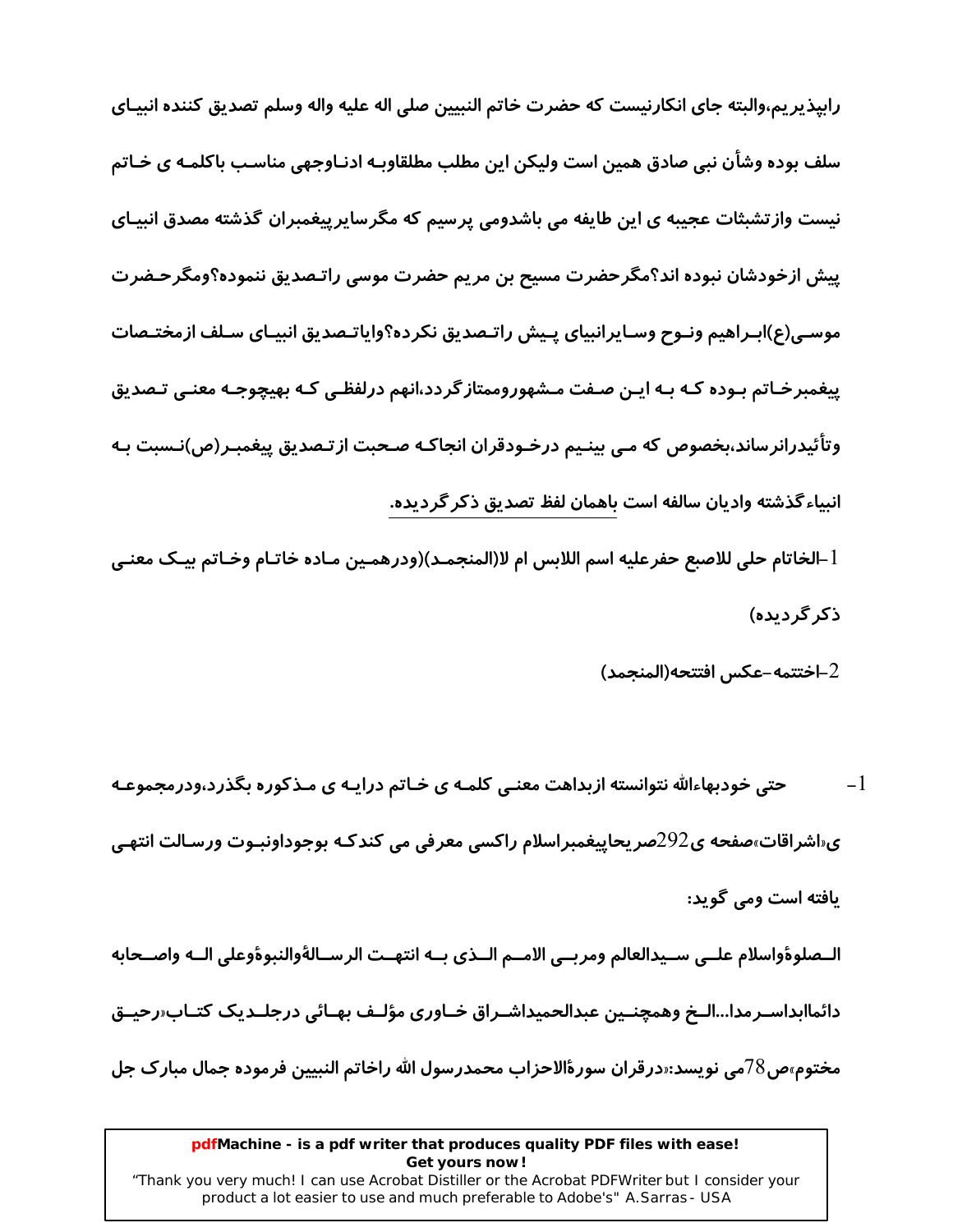رابپذیر یم،والبته جای انکارنیست که حضرت خاتم النبیین صلی اله علیه واله وسلم تصدیق کننده انبیـای سلف بوده وشاًن نبی صادق همین است ولیکن این مطلب مطلقاوبـه ادنـاوجهی مناسـب باکلمـه ی خـاتم نیست وازتشبثات عجیبه ی این طایفه می باشدومی پرسیم که مگرساپرییغمبران گذشته مصدق انبیـای پیش ازخودشان نبوده اند؟مگرحضرت مسیح بن مریم حضرت موسی راتـصدیق ننموده؟ومگرحـضرت موسـي(ع)ابـراهيم ونـوح وسـايرانبياي يـيش راتـصديق نكرده؟واياتـصديق انبيـاي سـلف ازمختـصات پیغمبرخـاتم بـوده کـه بـه ایـن صـفت مـشهوروممتاز گردد،انهم درلفظـی کـه بهیچوجـه معنـی تـصدیق وتأئیدرانرساند،بخصوص که مـی بینـیم درخـودقران انجاکـه صـحبت ازتـصدیق پیغمبـر(ص)نـسبت بـه انبیاءگذشته وادیان سالفه است باهمان لفظ تصدیق ذکر گردیده.

الخاتام حلى للاصبع حفرعليه اسم اللابس ام لا(المنجمـد)(ودرهمـين مـاده خاتـام وخـاتم بيـك معنـي-ذکر گر دیده)

2–اختتمه-عكس افتتحه(المنجمد)

 $-1$ حتی خودبهاءالله نتوانسته ازبداهت معنـی کلمـه ی خـاتم درایـه ی مـذکوره بگذرد،ودرمجموعـه ی اشراقات،صفحه ی292صر یحاییغمبراسلام راکسی معرفی می کندکـه بوجوداونبـوت ورسـالت انتهـی یافته است ومی گوید: الــصلوةَواسلام علــي ســيدالعالم ومربــي الامــم الــذي بــه انتهــت الرســالةَوالنبوةَوعلى الــه واصــحابه دائماابداسـرمدا...الــخ وهمچنــين عبدالحميداشــراق خــاوري مؤلــف بهــائي درجلــديک کتــاب«رحيــق

#### pdfMachine - is a pdf writer that produces quality PDF files with ease! Get yours now!

مختوم»ص78می نویسد:«درقران سورهٔالاحزاب محمدرسول الله راخاتم النبیین فرموده جمال مبارک جل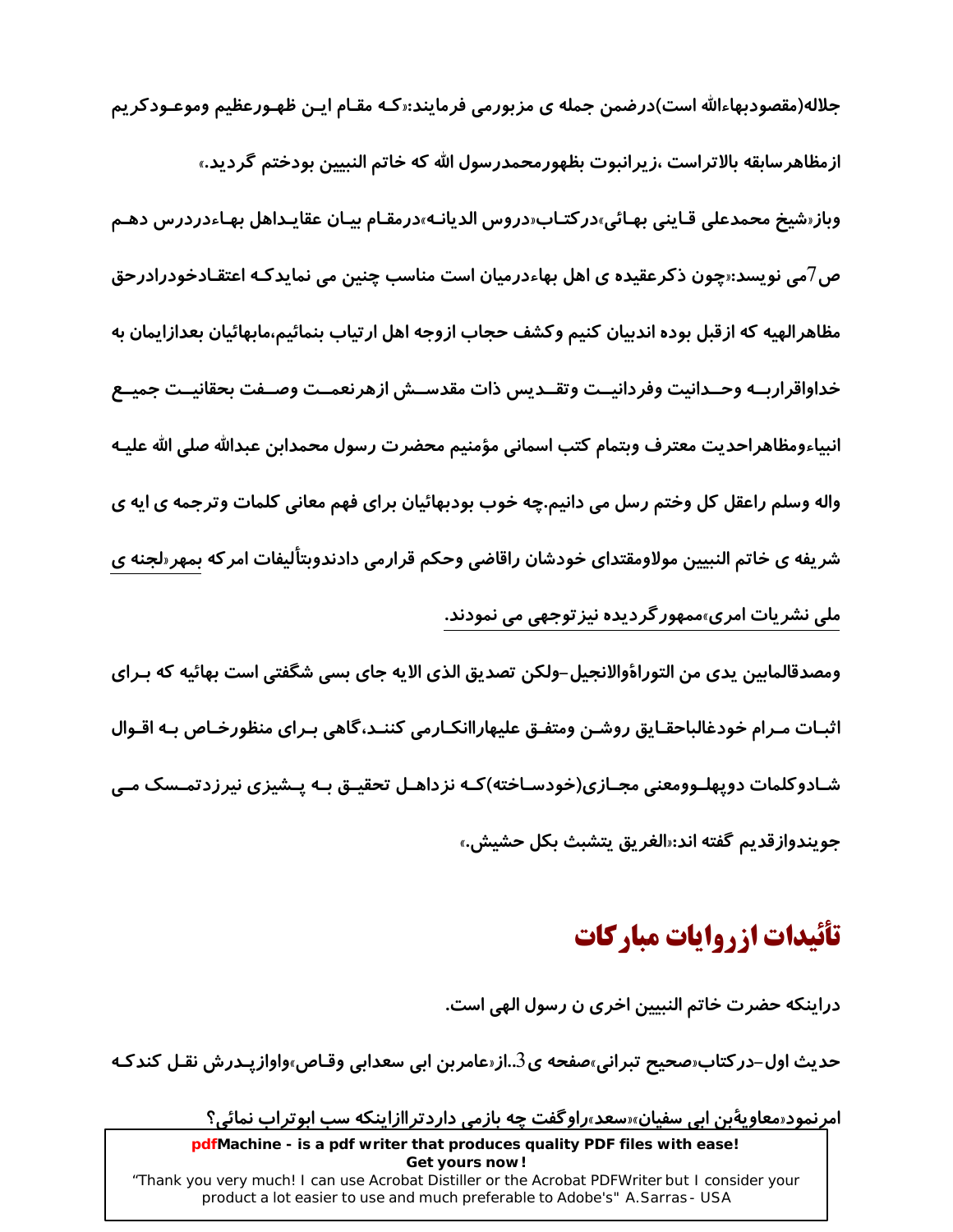جلاله(مقصودبهاءالله است)درضمن جمله ی مزبورمی فرمایند:«کـه مقـام ایـن ظهـورعظیم وموعـودکریم ازمظاهرسابقه بالاتراست ،زيرانبوت بظهورمحمدرسول الله كه خاتم النبيين بودختم گرديد.» وباز«شيخ محمدعلي قـايني بهـائي»در كتـاب«دروس الديانـه»درمقـام بيـان عقايـداهل بهـاءدردرس دهـم ص7می نویسد:«چون ذکرعقیده ی اهل بهاءدرمیان است مناسب چنین می نمایدکـه اعتقـادخودرادرحق مظاهرالهيه كه ازقبل بوده اندبيان كنيم وكشف حجاب ازوجه اهل ارتياب بنمائيم،مابهائيان بعدازايمان به خداواقراربــه وحــدانيت وفردانيــت وتقــديس ذات مقدســش ازهرنعمــت وصــفت بحقانيــت جميــع انبياءومظاهراحديت معترف وبتمام كتب اسماني مؤمنيم محضرت رسول محمدابن عبدالله صلى الله عليـه واله وسلم راعقل کل وختم رسل می دانیم.چه خوب بودبهائیان برای فهم معانی کلمات وترجمه ی ایه ی شریفه ی خاتم النبیین مولاومقتدای خودشان *ر*اقاضی وحکم قرارمی دادندوبتألیفات امرکه بمهر«لجنه ی ملی نشریات امری»ممهور گردیده نیز توجهی می نمودند.

ومصدقالمابين يدي من التوراةوالانجيل–ولكن تصديق الذي الايه جاي بسي شگفتي است بهائيه كه بـراي اثبـات مـرام خودغالباحقـايق روشـن ومتفـق عليهاراانكـارمي كننـد،گاهي بـراي منظورخـاص بـه اقـوال شـادوکلمات دوپهلـوومعنی مجـازی(خودسـاخته)کـه نزداهـل تحقیـق بـه پـشیزی نیرزدتمـسک مـی جويندوازقديم گفته اند:«الغريق يتشبث بكل حشيش.»

# تأئيدات ازروايات مباركات

دراینکه حضرت خاتم النبیین اخری ن رسول الهی است.

حدیث اول–در کتاب محیح تبرانی،صفحه ی3..از مامربن ابی سعدابی وقـاص،واوازپـدرش نقـل کندکـه

امرنمود«معاویهٔبن ابی سفیان»«سعد»راوگفت چه بازمی داردتراازاینکه سب ابوتراب نمائی؟

pdfMachine - is a pdf writer that produces quality PDF files with ease! Get yours now! "Thank you very much! I can use Acrobat Distiller or the Acrobat PDFWriter but I consider your product a lot easier to use and much preferable to Adobe's" A. Sarras - USA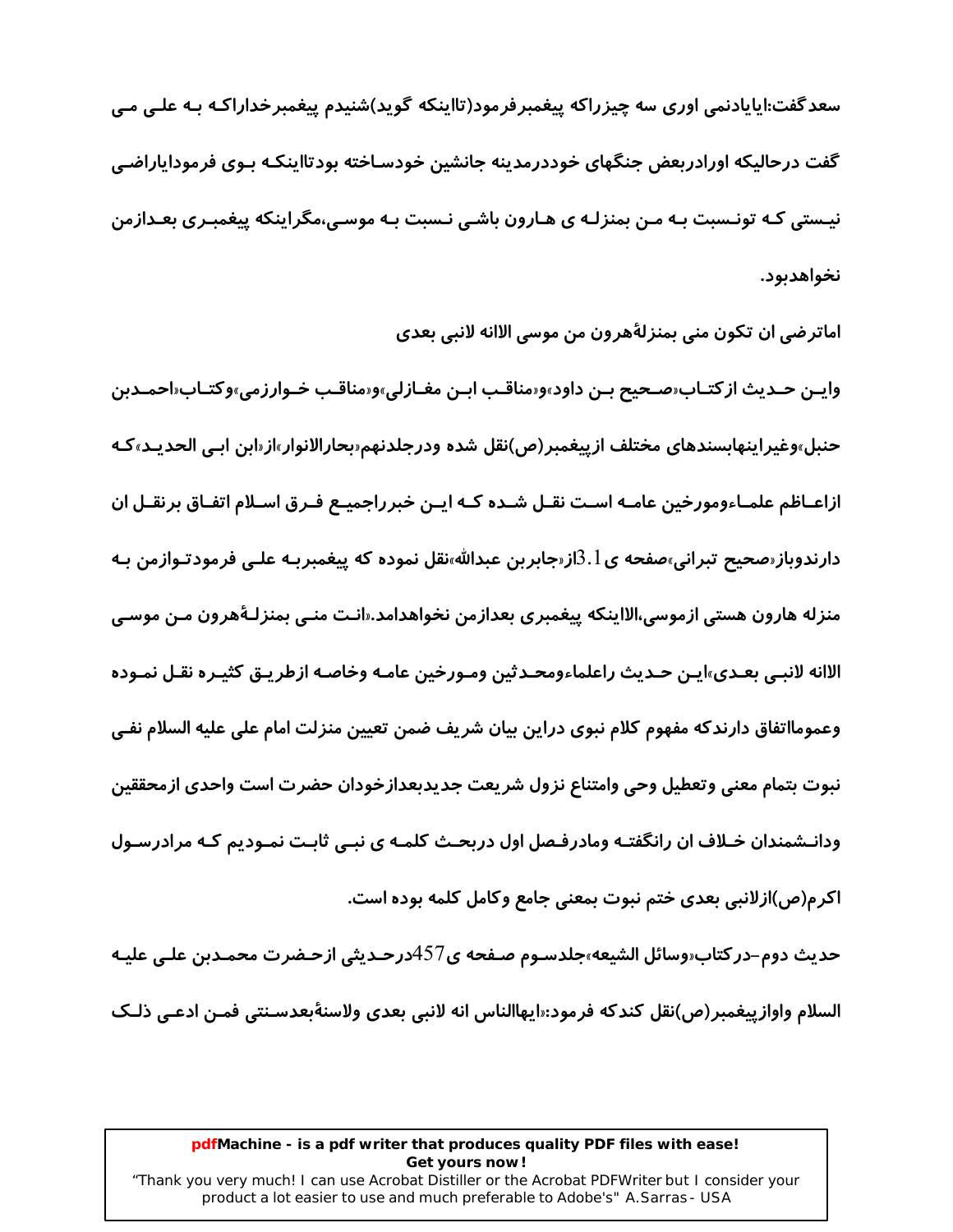سعدگفت:ایایادنمی اوری سه چیزراکه پیغمبرفرمود(تااینکه گوید)شنیدم پیغمبرخداراکـه بـه علـی مـی گفت درحالیکه اورادربعض جنگهای خوددرمدینه جانشین خودسـاخته بودتااینکـه بـوی فرمودایاراضـی نیـستی کـه تونـسبت بـه مـن بمنزلـه ی هـارون باشـی نـسبت بـه موسـی،مگراینکه پیغمبـری بعـدازمن نخواهدىود.

اماترضي ان تكون مني بمنزلةُهرون من موسى الاانه لانبي بعدي

واپـن حـدیث از کتـاب«صـحیح بـن داود»و«مناقـب ابـن مغـازلی»و«مناقـب خـوارزمی»وکتـاب«احمـدبن حنبل»وغيراينهابسندهاي مختلف ازييغمبر(ص)نقل شده ودرجلدنهم«بحارالانوار»از«ابن ابـي الحديـد»كـه ازاعـاظم علمـاءومورخين عامـه اسـت نقـل شـده كـه ايـن خبرراجميـع فـرق اسـلام اتفـاق برنقـل ان دارندوباز«صحیح تبرانی»صفحه ی $3.1$ از«جابربن عبدالله»نقل نموده که پیغمبربـه علـی فرمودتـوازمن بـه منزله ها*ر*ون هستي ازموسي،الااينكه پيغمبري بعدازمن نخواهدامد.«انـت منـي بمنزلـهٔهرون مـن موسـي الاانه لانبـي بعـدي»ايـن حـديث راعلماءومحـدثين ومـورخين عامـه وخاصـه ازطريـق كثيـره نقـل نمـوده وعمومااتفاق دارندكه مفهوم كلام نبوي دراين بيان شريف ضمن تعيين منزلت امام على عليه السلام نفـي نبوت بتمام معنى وتعطيل وحى وامتناع نزول شريعت جديدبعدازخودان حضرت است واحدى ازمحققين ودانـشمندان خـلاف ان رانگفتـه ومادرفـصل اول دربحـث کلمـه ی نبـی ثابـت نمـودیم کـه مرادرسـول اکرم(ص)ازلانبی بعدی ختم نبوت بمعنی جامع وکامل کلمه بوده است.

حديث دوم–دركتاب«وسائل الشيعه»جلدسـوم صـفحه ى457درحـديثي ازحـضرت محمـدبن علـي عليـه السلام واوازييغمبر(ص)نقل كندكه فرمود:«ايهاالناس انه لانبي بعدي ولاسنةبعدسـنتي فمـن ادعـي ذلـك

#### pdfMachine - is a pdf writer that produces quality PDF files with ease! Get yours now!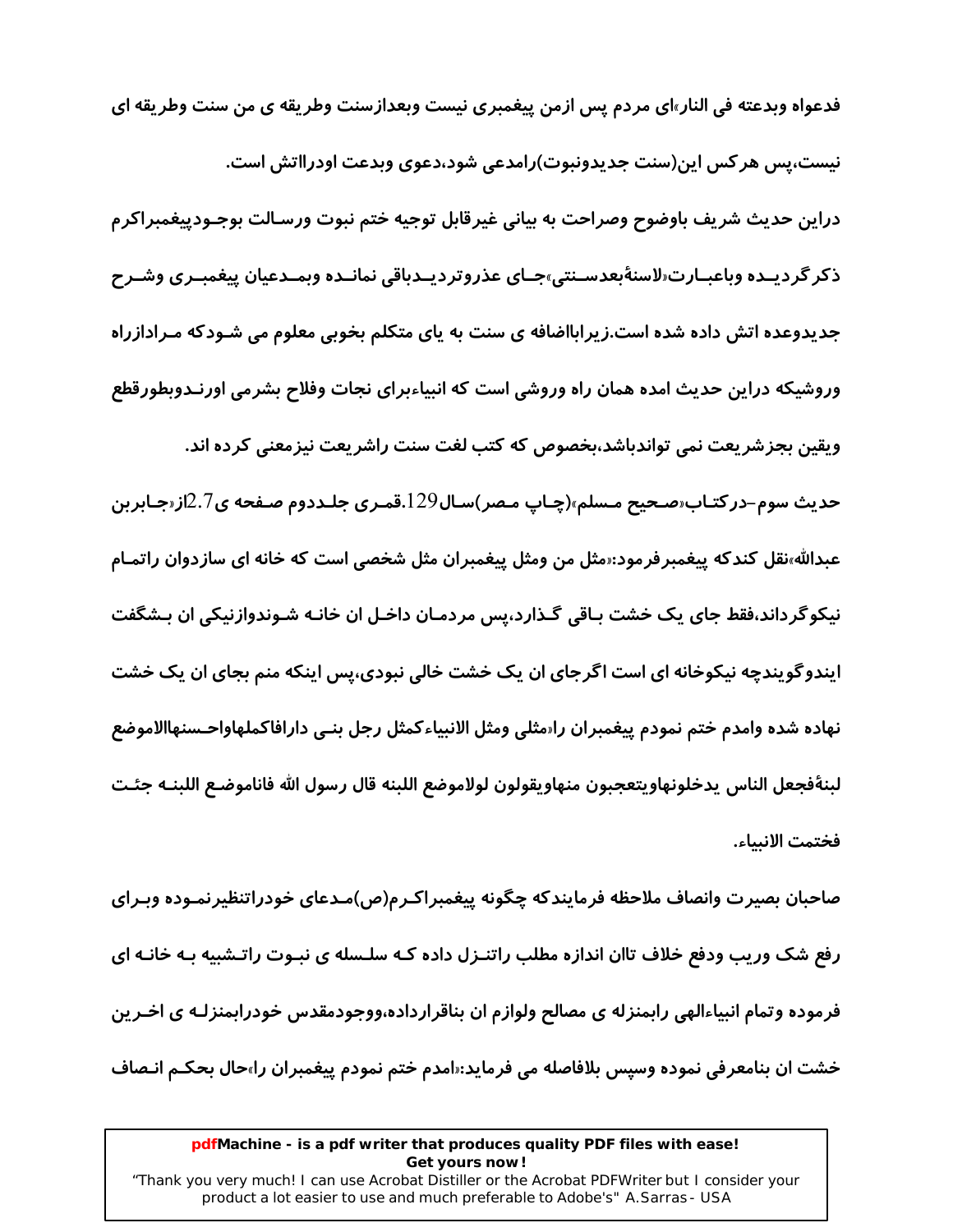فدعواه وبدعته في النار»اي مردم پس ازمن پيغمبري نيست وبعدازسنت وطريقه ي من سنت وطريقه اي نیست،پس هر کس این(سنت جدیدونبوت)رامدعی شود،دعوی وبدعت اودرااتش است. دراين حديث شريف باوضوح وصراحت به بياني غيرقابل توجيه ختم نبوت ورسـالت بوجـودييغمبراكرم ذكر گرديـده وباعبـارت«لاسنةبعدسـنتي»جـاي عذروترديـدباقي نمانـده وبمـدعيان پيغمبـري وشـرح جدیدوعده اتش داده شده است.زیرابااضافه ی سنت به پای متکلم بخوبی معلوم می شـودکه مـرادازراه وروشیکه دراین حدیث امده همان راه وروشی است که انبیاءبرای نجات وفلاح بشرمی اورنـدوبطورقطع ويقين بجزشريعت نمي تواندباشد،بخصوص كه كتب لغت سنت راشريعت نيزمعنى كرده اند. حدیث سوم–درکتـاب«صـحیح مـسلم»(چـاپ مـصر)سـال129.قمـری جلـددوم صـفحه ی2.7از«جـابربن عبدالله،نقل کندکه پیغمبرفرمود:«مثل من ومثل پیغمبران مثل شخصی است که خانه ای سازدوان راتمـام نیکو گرداند،فقط جای یک خشت بـاقی گـذارد،پس مردمـان داخـل ان خانـه شـوندوازنیکی ان بـشگفت ایندوگویندچه نیکوخانه ای است اگرجای ان یک خشت خالی نبودی،پس اینکه منم بجای ان یک خشت نهاده شده وامدم ختم نمودم ييغمبران راسثلي ومثل الانبياءكمثل رجل بنـي دارافاكملهاواحـسنهاالاموضع لبنةفجعل الناس يدخلونهاويتعجبون منهاويقولون لولاموضع اللبنه قال رسول الله فاناموضـع اللبنــه جئـت فختمت الانساء.

صاحبان بصيرت وانصاف ملاحظه فرمايندكه چگونه پيغمبراكـرم(ص)مـدعاى خودراتنظيرنمـوده وبـراى رفع شک وریب ودفع خلاف تاان اندازه مطلب راتنـزل داده کـه سلـسله ی نبـوت راتـشبیه بـه خانـه ای فرموده وتمام انبیاءالهی رابمنزله ی مصالح ولوازم ان بناقرارداده،ووجودمقدس خودرابمنزلـه ی اخـرین خشت ان بنامعرفی نموده وسپس بلافاصله می فرماید:«امدم ختم نمودم پیغمبران را»حال بحکـم انـصاف

#### pdfMachine - is a pdf writer that produces quality PDF files with ease! Get yours now!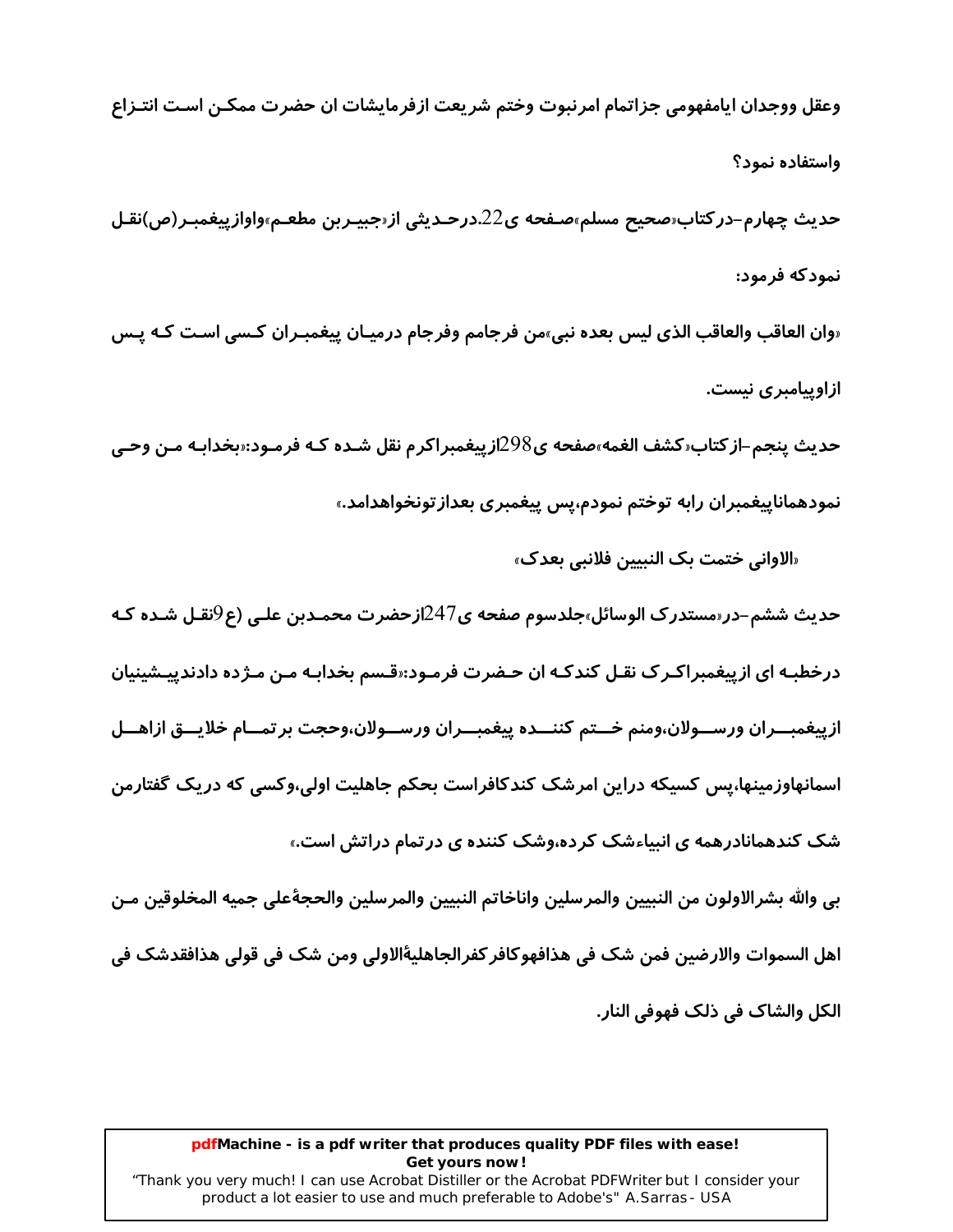وعقل ووجدان ايامفهومي جزاتمام امرنبوت وختم شريعت ازفرمايشات ان حضرت ممكـن اسـت انتـزاع واستفاده نمود؟ حديث چهارم–در كتاب«صحيح مسلم»صـفحه ي22.درحـديثي از«جبيـربن مطعـم»واوازييغمبـر(ص)نقـل نمودکه فرمود: «وان العاقب والعاقب الذي ليس بعده نبي»من فرجامم وفرجام درميـان پيغمبـران كـسي اسـت كـه يـس

حديث ينجم–از كتاب«كشف الغمه»صفحه ي298ازپيغمبراكرم نقل شـده كـه فرمـود:«بخدابـه مـن وحـي نمودهماناپیغمبران *ر*ابه توختم نمودم،پس پیغمبری بعداز تونخواهدامد.»

«الاواني ختمت بک النبيين فلانبي بعدک»

ازاویپامبری نیست.

حدیث ششم–در «مستدرک الوسائل»جلدسوم صفحه ی247ازحضرت محمـدبن علـی (ع9نقـل شـده کـه درخطبـه ای ازییغمبراکـر ک نقـل کندکـه ان حـضرت فرمـود:«قـسم بخدابـه مـن مـژده دادندپیـشینیان ازييغمبــران ورســـولان،ومنم خـــتم كننـــده ييغمبـــران ورســـولان،وحجت برتمـــام خلايـــق ازاهـــل اسمانهاوزمینها،پس کسیکه دراین امرشک کندکافراست بحکم جاهلیت اولی،وکسی که دریک گفتارمن شک کندهمانادرهمه ی انبیاءشک کرده،وشک کننده ی در تمام دراتش است.»

بي والله بشرالاولون من النبيين والمرسلين واناخاتم النبيين والمرسلين والحجةعلى جميه المخلوقين مـن اهل السموات والارضين فمن شک في هذافهوكافر كفرالجاهليةٔالاولى ومن شک في قولي هذافقدشک في الكل والشاک في ذلک فهوفي النار.

#### pdfMachine - is a pdf writer that produces quality PDF files with ease! Get yours now!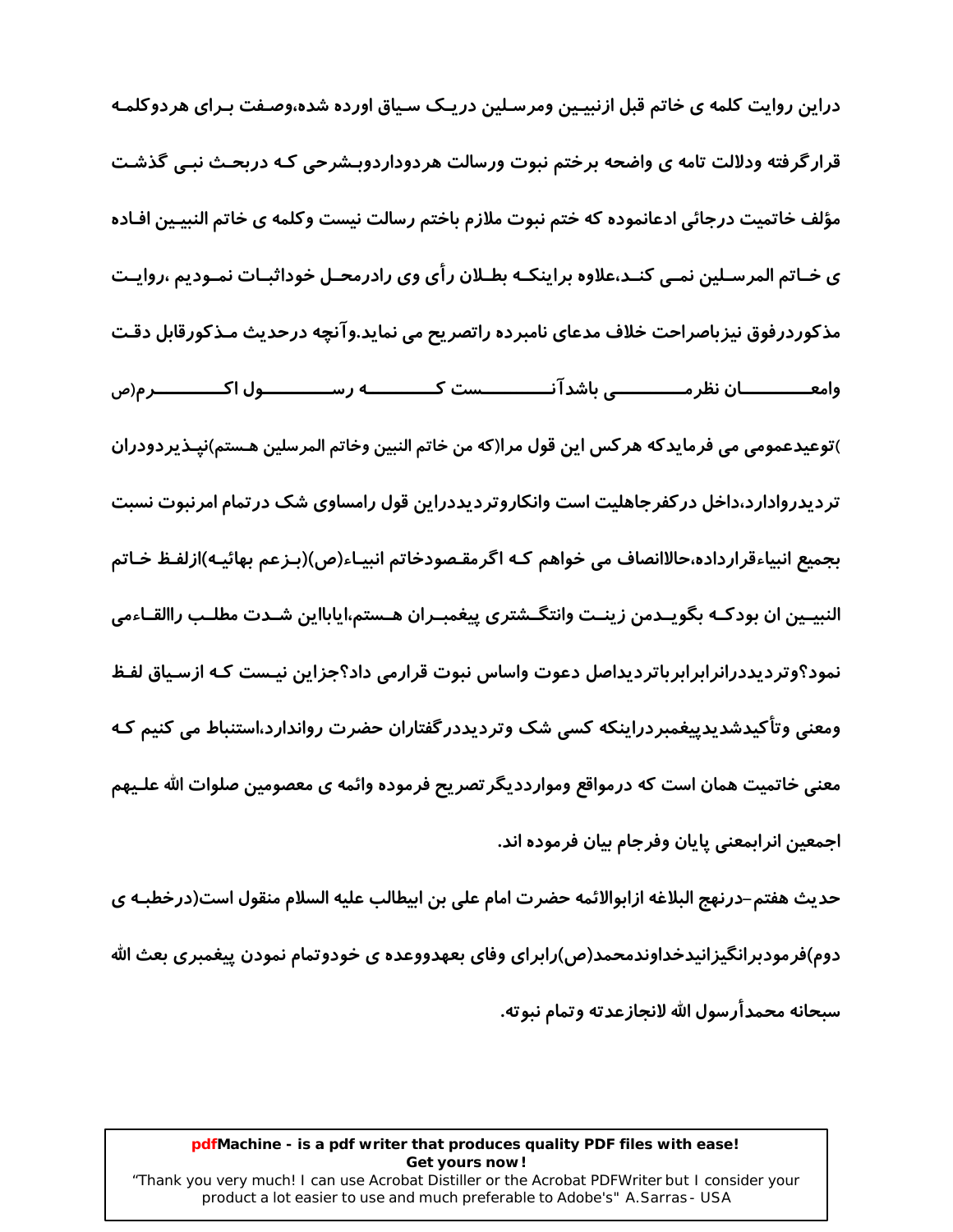دراین روایت کلمه ی خاتم قبل ازنبیـین ومرسـلین دریـک سـیاق اورده شده،وصـفت بـرای هردوکلمـه قرار گرفته ودلالت تامه ی واضحه برختم نبوت ورسالت هردوداردوبـشرحی کـه دربحـث نبـی گذشـت مؤلف خاتميت درجائي ادعانموده كه ختم نبوت ملازم باختم رسالت نيست وكلمه ى خاتم النبيـين افـاده ی خـاتم المرسـلین نمـی کنـد،علاوه براینکـه بطـلان رأی وی رادرمحـل خوداثبـات نمـودیم ،روایـت مذکوردرفوق نیزباصراحت خلاف مدعای نامبرده راتصریح می نماید.وآنچه درحدیث مـذکورقابل دقـت وامعـــــــــــان نظر مــــــــــــــى باشدآ نــــــــــــــست كـــــــــــــه رســـــــــــــول اكــــــــــــرم(ص )توعيدعمومي مي فرمايدكه هر كس اين قول مرا(كه من خاتم النبين وخاتم المرسلين هـستم)نيـذيردودران تردیدروادارد،داخل در کفرجاهلیت است وانکاروتردیددراین قول رامساوی شک در تمام امرنبوت نسبت بجميع انبياءقرارداده،حالاانصاف مي خواهم کـه اگرمقـصودخاتم انبيـاء(ص)(بـزعم بهائيـه)ازلفـظ خـاتم النبيـين ان بودكـه بگويــدمن زينــت وانتگــشتري پيغمبــران هــستم،ايابااين شــدت مطلــب راالقــاءمي نمود؟وتردیددرانرابرابرباتردیداصل دعوت واساس نبوت قرارمی داد؟جزاین نیـست کـه ازسـیاق لفـظ ومعنی وتأکیدشدیدییغمبردراینکه کسی شک وتردیددر گفتاران حضرت رواندارد،استنباط می کنیم کـه معنی خاتمیت همان است که درمواقع وموارددیگر تصریح فرموده وائمه ی معصومین صلوات الله علـیهم اجمعین انرابمعنی پایان وفرجام بیان فرموده اند.

حديث هفتم–درنهج البلاغه ازابوالائمه حضرت امام على بن ابيطالب عليه السلام منقول است(درخطبـه ي دوم)فرمودبرانگیزانیدخداوندمحمد(ص)رابرای وفای بعهدووعده ی خودوتمام نمودن پیغمبری بعث الله سىحانه محمدأرسول الله لانجازعدته وتمام نبوته.

#### pdfMachine - is a pdf writer that produces quality PDF files with ease! Get yours now!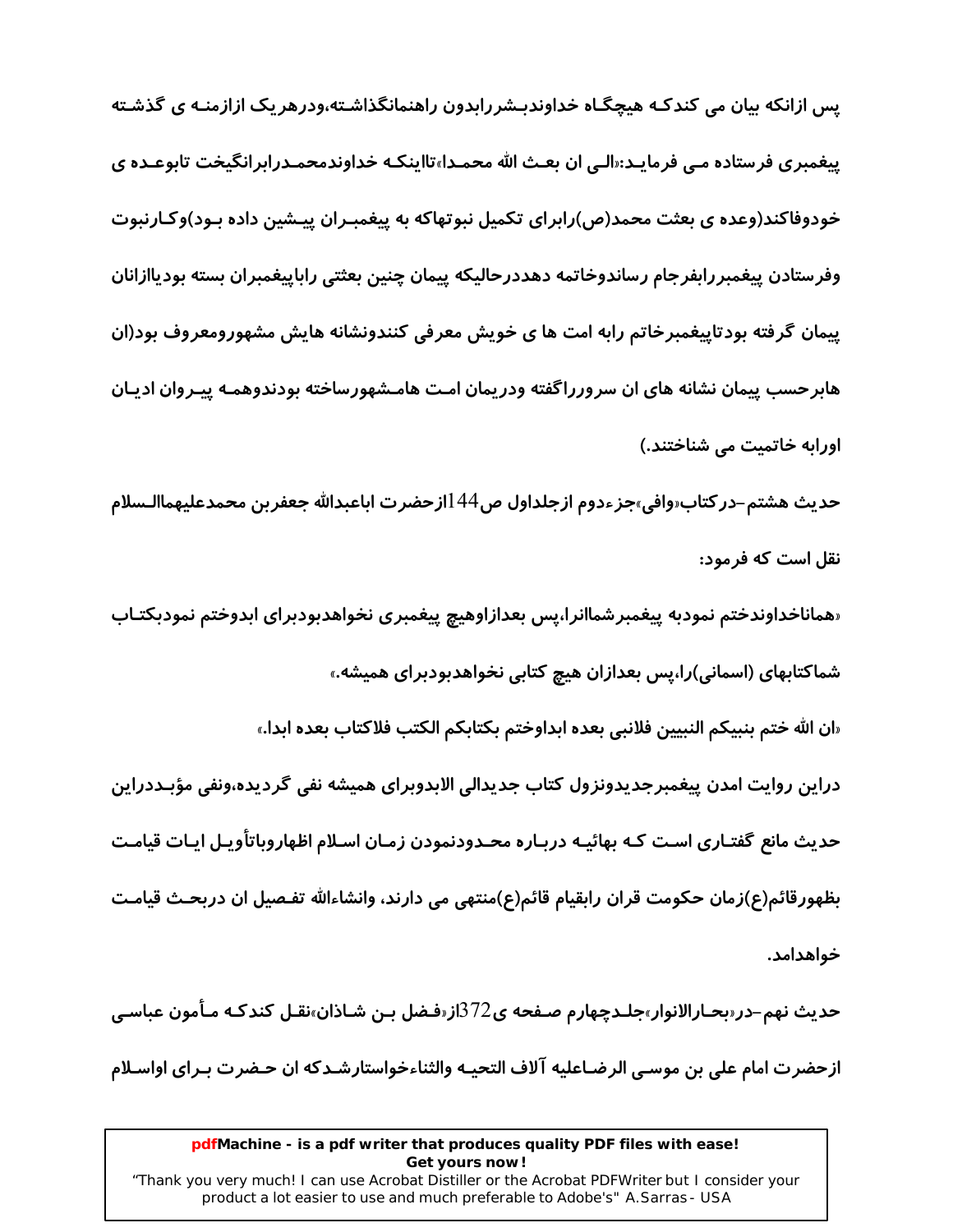یس ازانکه بیان می کندکـه هیچگـاه خداوندبـشررابدون راهنمانگذاشـته،ودرهریک ازازمنـه ی گذشـته پیغمبری فرستاده مـی فرمایـد:«الـی ان بعـث الله محمـدا»تااینکـه خداوندمحمـدرابرانگیخت تابوعـده ی خودوفاکند(وعده ی بعثت محمد(ص)رابرای تکمیل نبوتهاکه به پیغمبـران پیـشین داده بـود)وکـارنبوت وفرستادن پیغمبررابفرجام رساندوخاتمه دهددرحالیکه پیمان چنین بعثتی راباپیغمبران بسته بودیاازانان پیمان گرفته بودتاییغمبرخاتم رابه امت ها ی خویش معرفی کنندونشانه هایش مشهورومعروف بود(ان هابرحسب پیمان نشانه های ان سرورراگفته ودریمان امت هامـشهورساخته بودندوهمـه پیـروان ادیـان اورابه خاتمیت می شناختند.)

حديث هشتم–در كتاب«وافي»جزءدوم ازجلداول ص44 اازحضرت اباعبدالله جعفربن محمدعليهماالـسلام نقل است که فرمود:

«هماناخداوندختم نمودبه پیغمبرشماانرا،پس بعدازاوهیچ پیغمبری نخواهدبودبرای ابدوختم نمودبکتـاب شماکتابهای (اسمانی)را،پس بعدازان هیچ کتابی نخواهدبودبرای همیشه.»

«ان الله ختم بنبيكم النبيين فلانبي بعده ابداوختم بكتابكم الكتب فلاكتاب بعده ابدا.»

دراین روایت امدن پیغمبرجدیدونزول کتاب جدیدالی الابدوبرای همیشه نفی گردیده،ونفی مؤبـددراین حدیث مانع گفتـاری اسـت کـه بهائیـه دربـاره محـدودنمودن زمـان اسـلام اظهاروباتاًویـل ایـات قیامـت بظهورقائم(ع)زمان حكومت قران رابقيام قائم(ع)منتهى مى دارند، وانشاءالله تفـصيل ان دربحـث قيامـت خواهدامد.

حديث نهم–در«بحـارالانوار»جلـدچهارم صـفحه ي $372$ از«فـضل بـن شـاذان»نقـل كندكـه مـأمون عباسـي ازحضرت امام على بن موسـى الرضـاعليه آلاف التحيـه والثناءخواستارشـدكه ان حـضرت بـراي اواسـلام

#### pdfMachine - is a pdf writer that produces quality PDF files with ease! Get yours now!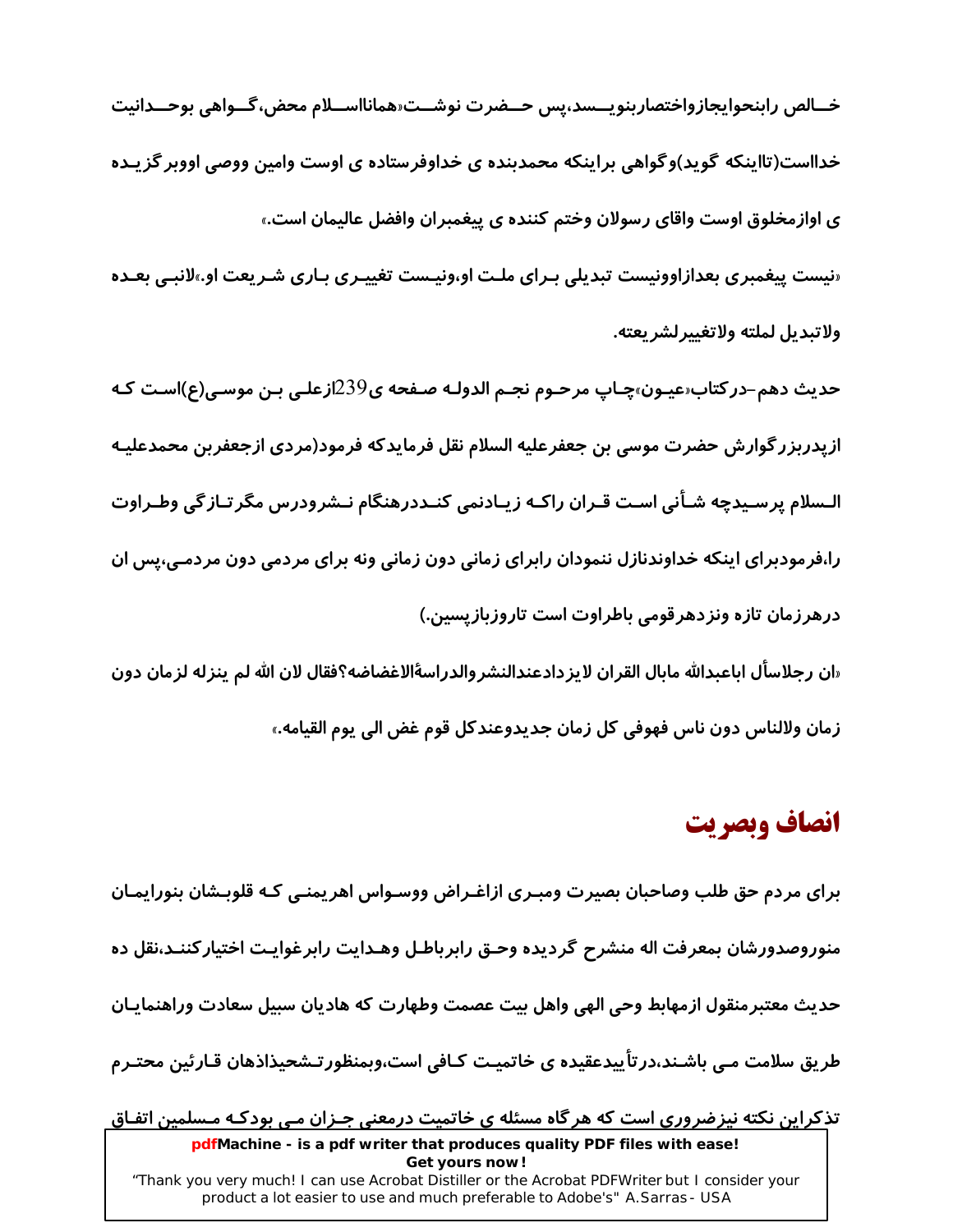خــالص رابنحوايجازواختصاربنويـــسد،پس حــضرت نوشــت«همانااســلام محض،گــواهي بوحــدانيت خدااست(تااینکه گوید)وگواهی براینکه محمدبنده ی خداوفرستاده ی اوست وامین ووصی اووبر گزیـده ی اوازمخلوق اوست واقای رسولان وختم کننده ی پیغمبران وافضل عالیمان است.» «نیست پیغمبری بعدازاوونیست تبدیلی بـرای ملـت او،ونیـست تغییـری بـاری شـریعت او.»لانبـی بعـده

ولاتىدىل لملته ولاتغىيرلشر بعته.

حدیث دهم–درکتاب‹عیـون›چـاپ مرحـوم نجـم الدولـه صـفحه ی239ازعلـی بـن موسـی(ع)اسـت کـه ازپدربزر گوارش حضرت موسى بن جعفرعليه السلام نقل فرمايدكه فرمود(مردى ازجعفربن محمدعليـه الـسلام پرسـیدچه شـأنی اسـت قـران راکـه زیـادنمی کنـددرهنگام نـشرودرس مگرتـازگی وطـراوت را،فرمودبرای اینکه خداوندنازل ننمودان رابرای زمانی دون زمانی ونه برای مردمی دون مردمـی،پس ان درهرزمان تازه ونزدهرقومی باطراوت است تاروزبازیسین.)

«ان رجلاسأل اباعبدالله مابال القران لايزدادعندالنشروالدراسةالاغضاضه؟فقال لان الله لم ينزله لزمان دون زمان ولالناس دون ناس فهوفي كل زمان جديدوعندكل قوم غض الى يوم القيامه.»

# انصاف وبصريت

برای مردم حق طلب وصاحبان بصیرت ومبـری ازاغـراض ووسـواس اهریمنـی کـه قلوبـشان بنورایمـان منوروصدورشان بمعرفت اله منشرح گردیده وحـق رابرباطـل وهـدایت رابرغوایـت اختیارکننـد،نقل ده حديث معتبرمنقول ازمهابط وحى الهى واهل بيت عصمت وطهارت كه هاديان سبيل سعادت وراهنمايـان طریق سلامت مـی باشـند،درتأییدعقیده ی خاتمیـت کـافی است،وبمنظورتـشحیذاذهان قـارئین محتـرم تذکراین نکته نیزضروری است که هرگاه مسئله ی خاتمیت درمعنی جـزان مـی بودکـه مـسلمین اتفـاق

pdfMachine - is a pdf writer that produces quality PDF files with ease! Get yours now! "Thank you very much! I can use Acrobat Distiller or the Acrobat PDFWriter but I consider your product a lot easier to use and much preferable to Adobe's" A. Sarras - USA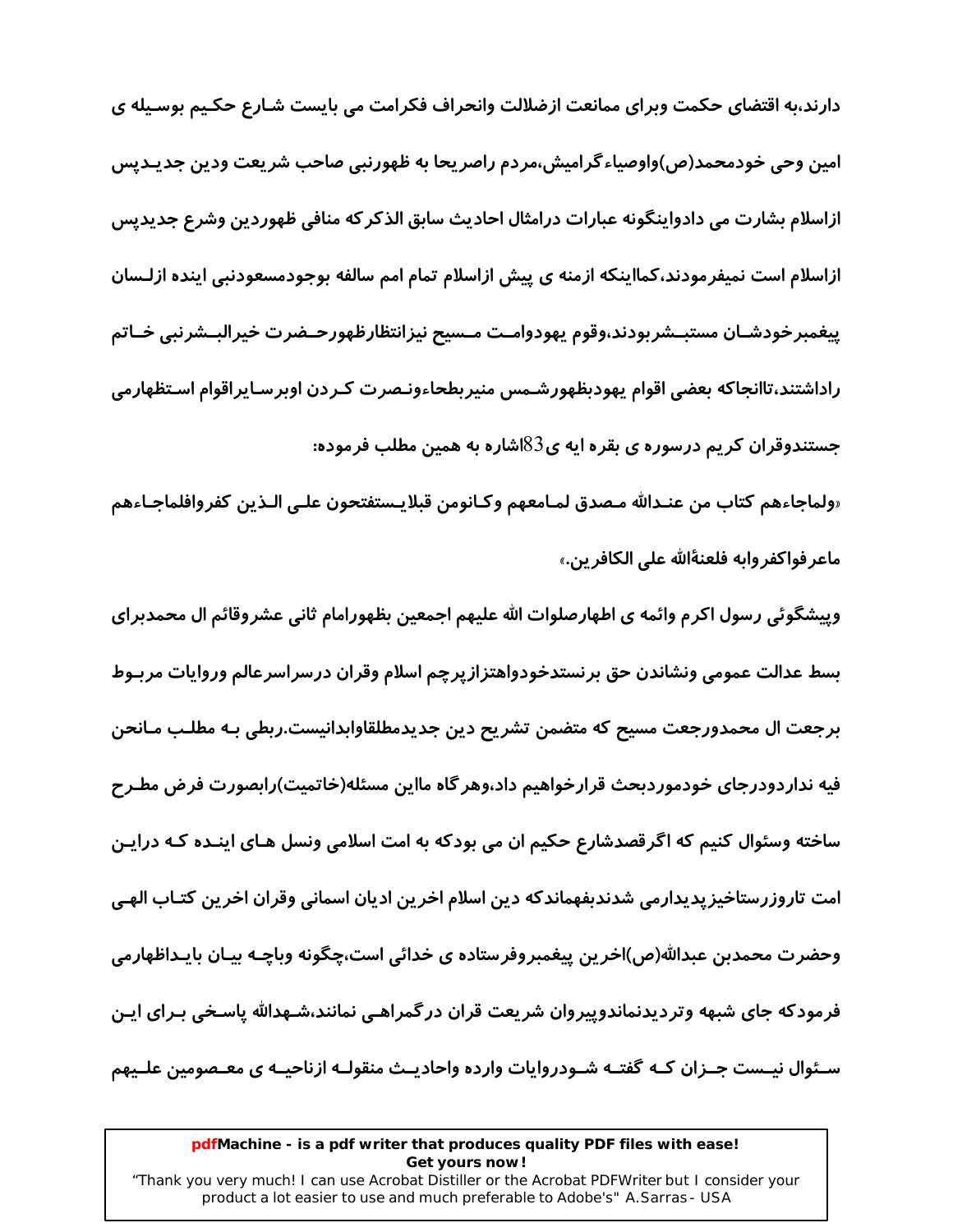دارند،به اقتضای حکمت وبرای ممانعت ازضلالت وانحراف فکرامت می بایست شـارع حکـیم بوسـیله ی امین وحی خودمحمد(ص)واوصیاءگرامیش،مردم راصریحا به ظهورنبی صاحب شریعت ودین جدیـدیس ازاسلام بشارت می دادواینگونه عبارات درامثال احادیث سابق الذکر که منافی ظهوردین وشرع جدیدیس ازاسلام است نمیفرمودند،کمااینکه ازمنه ی پیش ازاسلام تمام امم سالفه بوجودمسعودنبی اینده ازلـسان ييغمبرخودشـان مستبــشربودند،وقوم يهودوامـت مــسيح نيزانتظارظهورحــضرت خيرالبــشرنبي خــاتم راداشتند،تاانجاكه بعضي اقوام يهودبظهورشـمس منيربطحاءونـصرت كـردن اوبرسـايراقوام اسـتظهارمي جستندوقران کریم درسوره ی بقره ایه ی $83$ اشاره به همین مطلب فرموده:

«ولماجاءهم كتاب من عنـدالله مـصدق لمـامعهم وكـانومن قبلايـستفتحون علـى الـذين كفروافلماجـاءهم ماعر فواكفروابه فلعنةالله على الكافرين.»

وییشگوئی رسول اکرم وائمه ی اطهارصلوات الله علیهم اجمعین بظهورامام ثانی عشروقائم ال محمدبرای بسط عدالت عمومى ونشاندن حق برنستدخودواهتزازپرچم اسلام وقران درسراسرعالم وروايات مربـوط برجعت ال محمدورجعت مسيح كه متضمن تشريح دين جديدمطلقاوابدانيست.ربطي بـه مطلـب مـانحن فیه نداردودرجای خودموردبحث قرارخواهیم داد،وهر گاه مااین مسئله(خاتمیت)رابصورت فرض مطـرح ساخته وسئوال کنیم که اگرقصدشارع حکیم ان می بودکه به امت اسلامی ونسل هـای اینـده کـه درایـن امت تاروزرستاخیز پدیدارمی شدندبفهماندکه دین اسلام اخرین ادیان اسمانی وقران اخرین کتـاب الهـی وحضرت محمدبن عبدالله(ص)اخرين پيغمبروفرستاده ی خدائی است،چگونه وباچـه بيـان بايـداظهارمی فرمودکه جای شبهه وتردیدنماندوپیروان شریعت قران درگمراهـی نمانند،شـهدالله پاسـخی بـرای ایـن سـئوال نیــست جــزان کــه گفتــه شــودروایات وارده واحادیــث منقولــه ازناحیــه ی معـصومین علــیهم

### pdfMachine - is a pdf writer that produces quality PDF files with ease! Get yours now!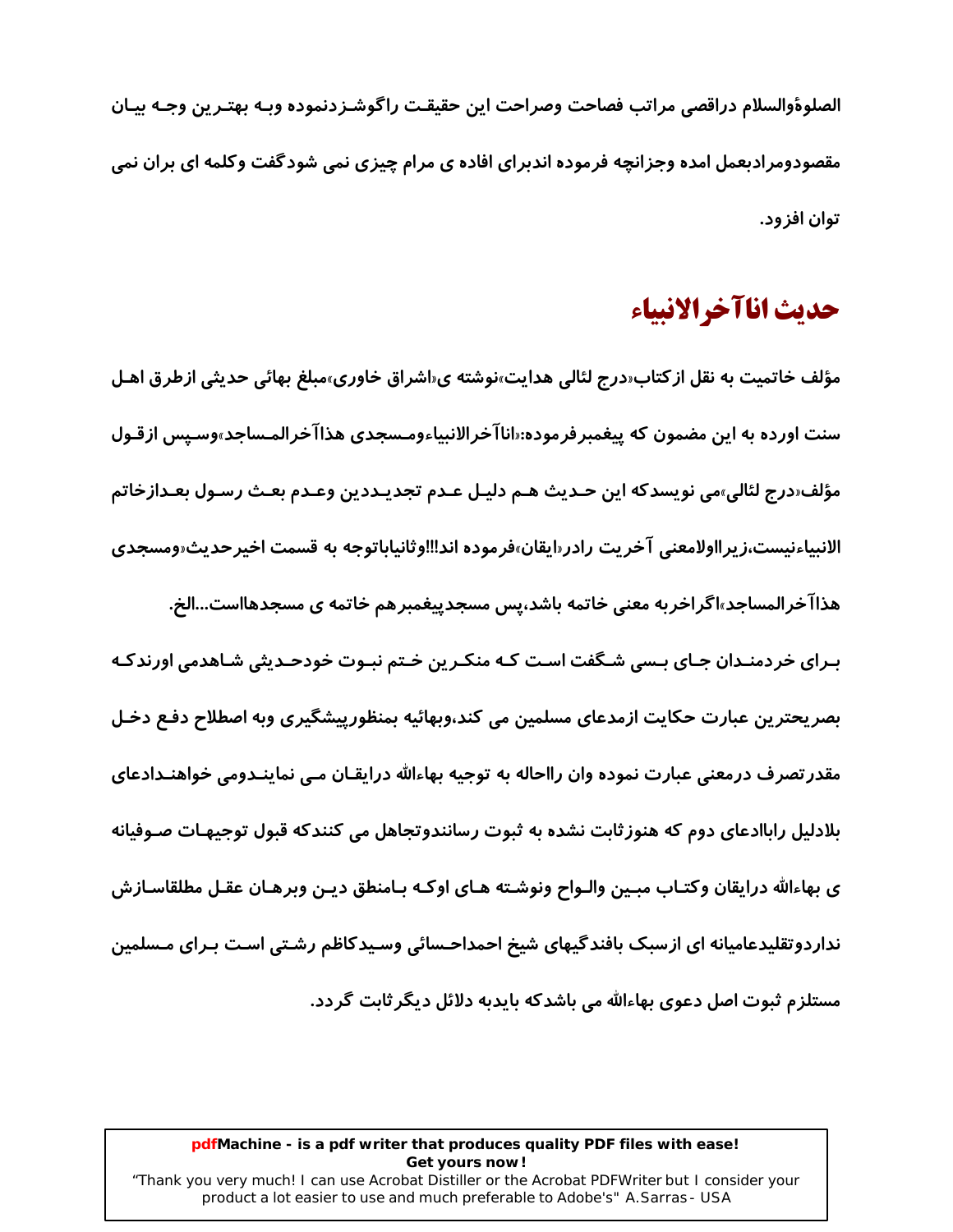الصلوةوالسلام دراقصي مراتب فصاحت وصراحت اين حقيقت راگوشـزدنموده وبـه بهتـرين وجـه بيـان مقصودومرادبعمل امده وجزانچه فرموده اندبرای افاده ی مرام چیزی نمی شودگفت وکلمه ای بران نمی توان افز ود.

### حديث اناآخرالانبياء

مؤلف خاتمیت به نقل از کتاب«درج لئالی هدایت»نوشته ی«اشراق خاوری»مبلغ بهائی حدیثی ازطرق اهـل سنت اورده به این مضمون که پیغمبرفرموده:«اناآخرالانبیاءومـسجدی هذاآخرالمـساجد»وسـیس ازقـول مؤلف«درج لئالي»مي نويسدكه اين حـديث هـم دليـل عـدم تجديـددين وعـدم بعـث رسـول بعـدازخاتم الانبياءنيست،زير ااولامعني آخريت رادر«ايقان»فر موده اند‼اوثانياباتوجه به قسمت اخير حديث«ومسجدي هذاا *خر*المساجد»اگراخربه معنی خاتمه باشد،پس مسجدپیغمبرهم خاتمه ی مسجدهااست...الخ. بـرای خردمنـدان جـای بـسی شـگفت اسـت کـه منکـرین خـتم نبـوت خودحـدیثی شـاهدمی اورندکـه بصريحترين عبارت حكايت ازمدعاي مسلمين مي كند،وبهائيه بمنظورييشگيري وبه اصطلاح دفـع دخـل مقدر تصرف درمعنی عبارت نموده وان رااحاله به توجیه بهاءالله درایقـان مـی نماینـدومی خواهنـدادعای بلادلیل راباادعای دوم که هنوز ثابت نشده به ثبوت رسانندوتجاهل می کنندکه قبول توجیهـات صـوفیانه ی بهاءالله درایقان وکتـاب مبـین والـواح ونوشـته هـای اوکـه بـامنطق دیـن وبرهـان عقـل مطلقاسـازش نداردوتقلیدعامیانه ای ازسبک بافندگیهای شیخ احمداحـسائی وسـیدکاظم رشـتی اسـت بـرای مـسلمین مستلزم ثبوت اصل دعوی بهاءالله می باشدکه بایدبه دلائل دیگر ثابت گردد.

### pdfMachine - is a pdf writer that produces quality PDF files with ease! Get yours now!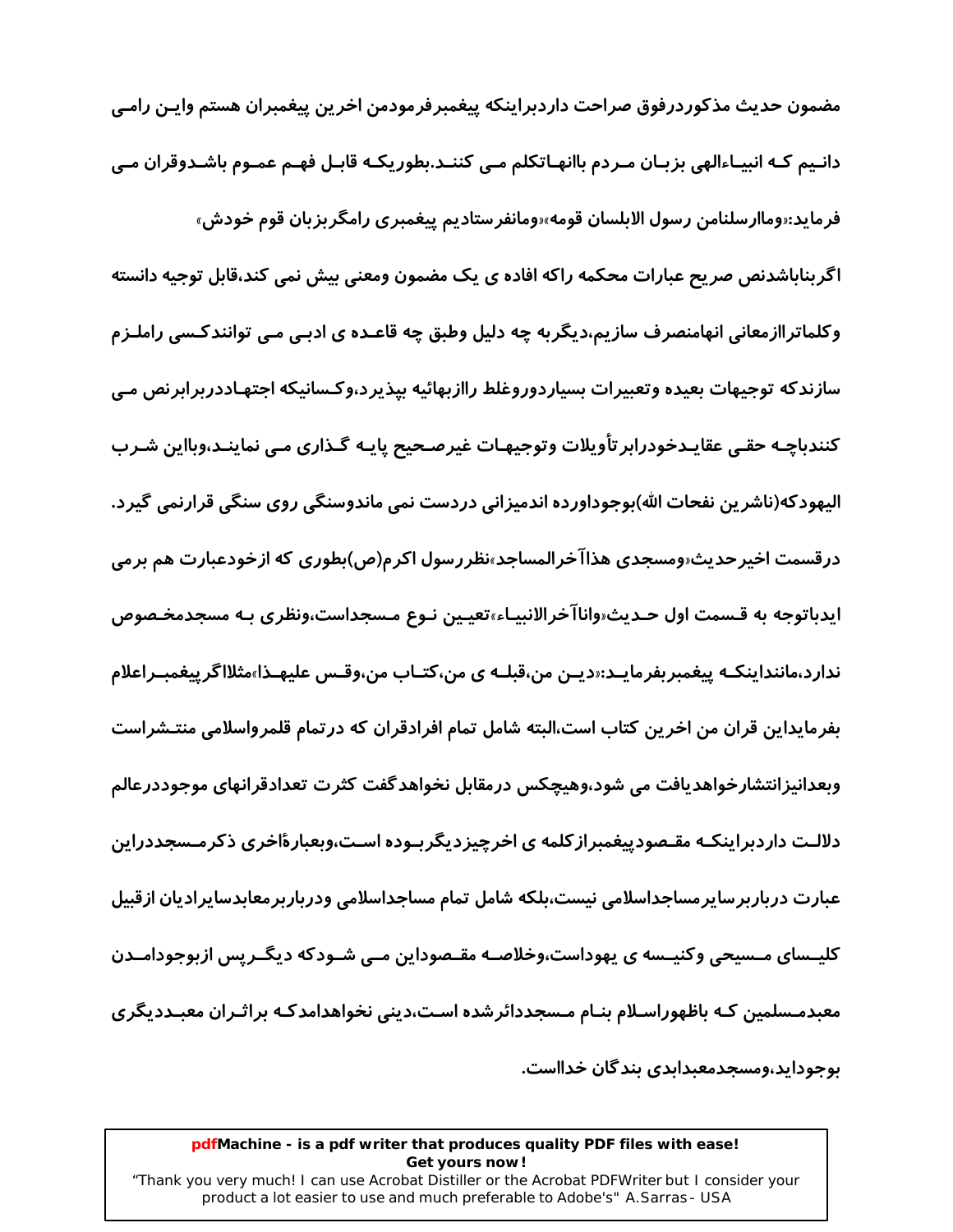مضمون حديث مذكوردرفوق صراحت داردبراينكه پيغمبرفرمودمن اخرين پيغمبران هستم وايـن رامـي دانـیم کـه انبیـاءالهی بزبـان مـردم باانهـاتکلم مـی کننـد.بطوریکـه قابـل فهـم عمـوم باشـدوقران مـی فرمايد:«وماارسلنامن رسول الابلسان قومه»«ومانفرستاديم پيغمبري رامگر بزبان قوم خودش»

اگربناباشدنص صریح عبارات محکمه راکه افاده ی یک مضمون ومعنی بیش نمی کند،قابل توجیه دانسته وکلماتراازمعانی انهامنصرف سازیم،دیگربه چه دلیل وطبق چه قاعـده ی ادبـی مـی توانندکـسی راملـزم سازندکه توجیهات بعیده وتعبیرات بسیاردوروغلط راازبهائیه بیذیرد،وکـسانیکه اجتهـاددربرابرنص مـی کنندباچـه حقـی عقایـدخودرابر تأویلات وتوجیهـات غیرصـحیح پایـه گـذاری مـی نماینـد،وبااین شـرب اليهودكه(ناشرين نفحات الله)بوجوداورده اندميزاني دردست نمي ماندوسنگي روي سنگي قرارنمي گيرد. درقسمت اخیرحدیث«ومسجدی هذاآخرالمساجد»نظررسول اکرم(ص)بطوری که ازخودعبارت هم برمی ایدباتوجه به قـسمت اول حـدیث«واناآخرالانبیـاء»تعیـین نـوع مـسجداست،ونظری بـه مسجدم*خـم*وص ندارد،ماننداینکـه پیغمبربفرمایـد:‹دیـن من،قبلـه ی من،کتـاب من،وقـس علیهـذا»مثلااگرییغمبـراعلام بفرمایداین قران من اخرین کتاب است،البته شامل تمام افرادقران که درتمام قلمرواسلامی منتـشراست وبعدانیزانتشارخواهدیافت می شود،وهیچکس درمقابل نخواهدگفت کثرت تعدادقرانهای موجوددرعالم دلالـت داردبراینکـه مقـصودییغمبراز کلمه ی اخرچیزدیگربـوده اسـت،وبعبارهٔاخری ذکرمـسجددراین عبارت درباربرسایرمساجداسلامی نیست،بلکه شامل تمام مساجداسلامی ودرباربرمعابدسایرادیان ازقبیل کلیــسای مــسیحی وکنیــسه ی یهوداست،وخلاصــه مقــصوداین مــی شــودکه دیگــریس ازبوجودامــدن معبدمـسلمین کـه باظهوراسـلام بنـام مـسجددائرشده اسـت،دینی نخواهدامدکـه براثـران معبـددیگری بوجوداید،ومسجدمعبدابدی بندگان خدااست.

#### pdfMachine - is a pdf writer that produces quality PDF files with ease! Get yours now!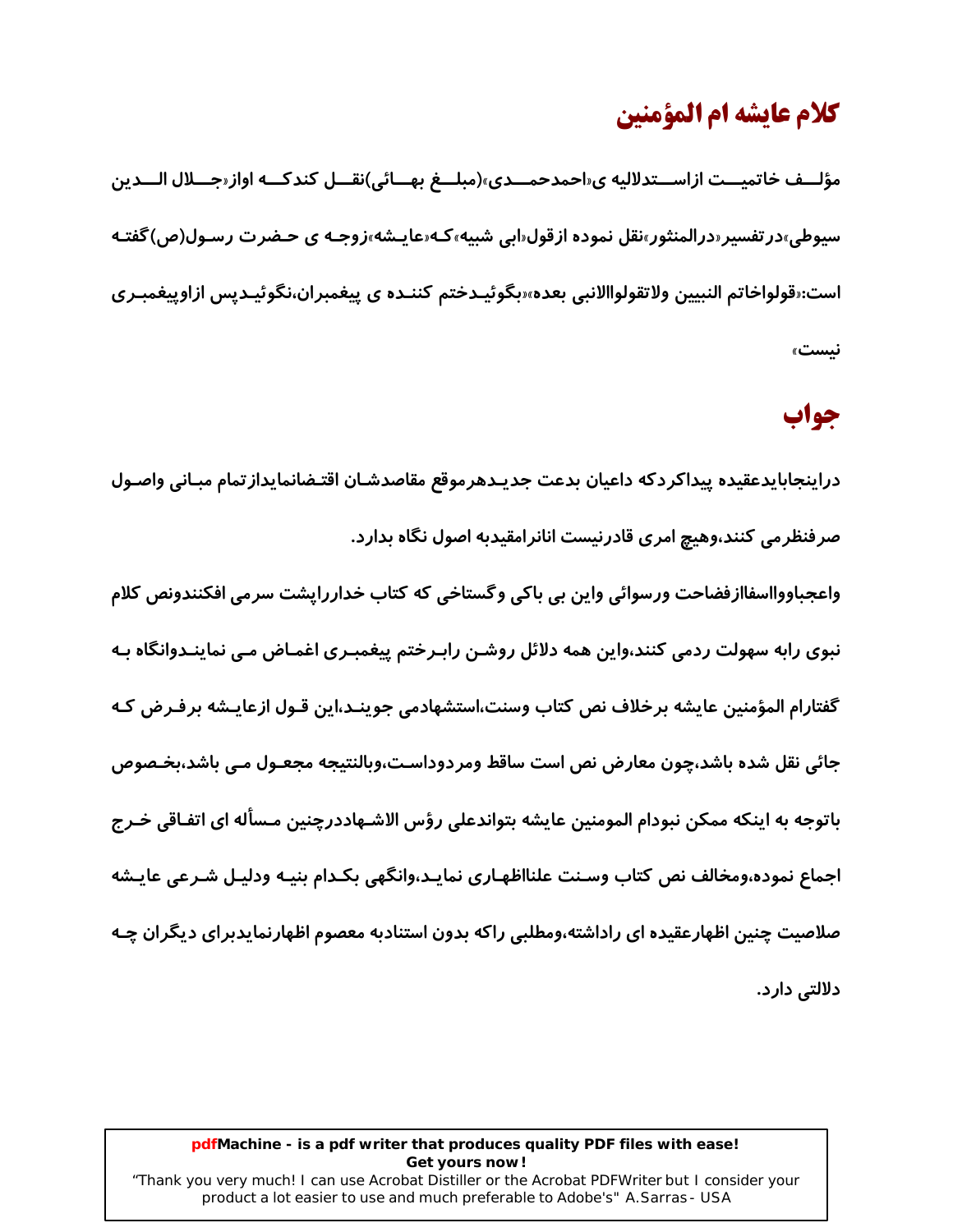# كلام عايشه ام المؤمنين

مؤلـــف خاتميـــت ازاســـتدلاليه ي«احمدحمـــدي»(مبلـــغ بهـــائي)نقـــل كندكـــه اواز«جـــلال الـــدين سیوطی»در تفسیر«درالمنثور»نقل نموده ازقول«ابی شبیه»که«عایـشه»زوجـه ی حـضرت رسـول(ص)گفتـه است:«قولواخاتم النبيين ولاتقولواالانبي بعده»‹بگوئيـدختم كننـده ي پيغمبران،نگوئيـديس ازاوييغمبـري نىست»

### جواب

دراينجابايدعقيده ييداكردكه داعيان بدعت جديـدهرموقع مقاصدشـان اقتـضانمايداز تمام مبـاني واصـول صرفنظرمی کنند،وهیچ امری قادرنیست انانرامقیدبه اصول نگاه بدارد.

واعجباووااسفاازفضاحت ورسوائي واين بي باكي وگستاخي كه كتاب خداررايشت سرمي افكنندونص كلام نبوی رابه سهولت ردمی کنند،واین همه دلائل روشـن رابـرختم پیغمبـری اغمـاض مـی نماینـدوانگاه بـه گفتارام المؤمنين عايشه برخلاف نص كتاب وسنت،استشهادمي جوينـد،اين قـول ازعايـشه برفـرض كـه جائي نقل شده باشد،چون معارض نص است ساقط ومردوداسـت،وبالنتيجه مجعـول مـي باشد،بخـصوص باتوجه به اینکه ممکن نبودام المومنین عایشه بتواندعلی رؤس الاشـهاددرچنین مـسأله ای اتفـاقی خـرج اجماع نموده،ومخالف نص كتاب وسـنت علنااظهـاري نمايـد،وانگهي بكـدام بنيـه ودليـل شـرعي عايـشه صلاصیت چنین اظهارعقیده ای راداشته،ومطلبی راکه بدون استنادبه معصوم اظهارنمایدبرای دیگران چـه دلالتی دارد.

### pdfMachine - is a pdf writer that produces quality PDF files with ease! Get yours now!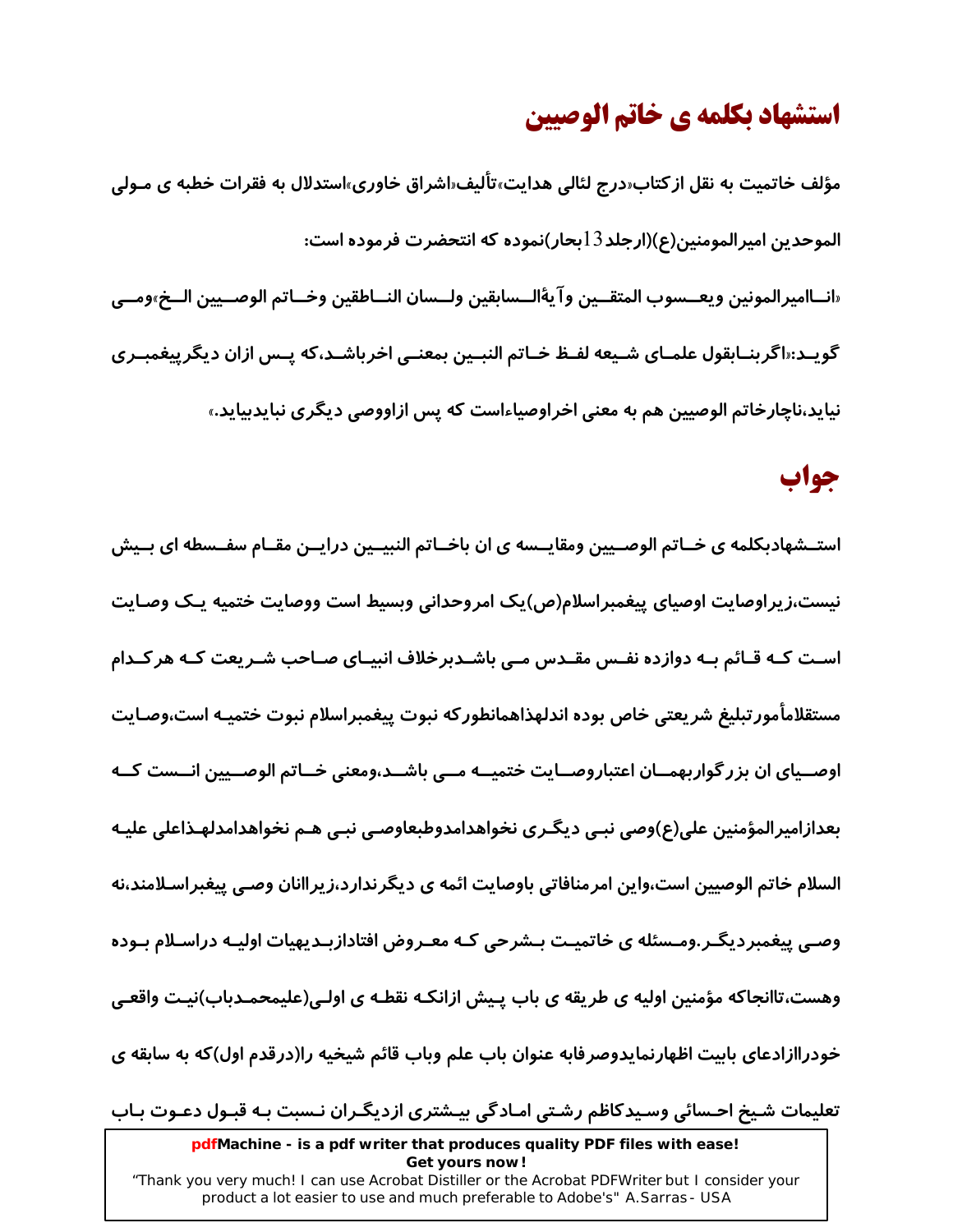# استشهاد بكلمه ي خاتم الوصيين

مؤلف خاتمیت به نقل از کتاب«درج لئالی هدایت»تألیف«اشراق خاوری»استدلال به فقرات خطبه ی مـولی الموحدين اميرالمومنين(ع)(ارجلد13بحار)نموده كه انتحضرت فرموده است: «انــاامير المونين ويعــسوب المتقــين وآيةُالــسابقين ولــسان النــاطقين وخــاتم الوصــيين الــخ»ومــي گوپــد:«اگرېنــابقول علمــاي شــيعه لفــظ خــاتم النبــين بمعنــي اخرباشــد،که پــس ازان ديگر پيغمبــري نیاید،ناچارخاتم الوصیین هم به معنی اخراوصیاءاست که پس ازاووصی دیگری نبایدبیاید.»

### جواب

استــشهادبکلمه ی خــاتم الوصــیین ومقایــسه ی ان باخــاتم النبیــین درایــن مقــام سفــسطه ای بــیش نیست،زیراوصایت اوصیای پیغمبراسلام(ص)یک امروحدانی وبسیط است ووصایت ختمیه یـک وصـایت اسـت کــه قــائم بــه دوازده نفــس مقــدس مــی باشــدبرخلاف انبیــای صــاحب شــریعت کــه هر کــدام مستقلامأمورتبليغ شريعتي خاص بوده اندلهذاهمانطوركه نبوت ييغمبراسلام نبوت ختميـه است،وصـايت اوصــیای ان بزر گواربهمــان اعتباروصــایت ختمیــه مــی باشــد،ومعنی خــاتم الوصــیین انــست کــه بعدازامیرالمؤمنین علی(ع)وصی نبـی دیگـری نخواهدامدوطبعاوصـی نبـی هـم نخواهدامدلهـذاعلی علیـه السلام خاتم الوصیین است،واین امرمنافاتی باوصایت ائمه ی دیگرندارد،زیراانان وصـی پیغبراسـلامند،نه وصـی پیغمبردیگـر.ومـسئله ی خاتمیـت بـشرحی کـه معـروض افتادازبـدیهیات اولیـه دراسـلام بـوده وهست،تاانجاکه مؤمنین اولیه ی طریقه ی باب پـیش ازانکـه نقطـه ی اولـی(علیمحمـدباب)نیـت واقعـی خودراازادعای بابیت اظهارنمایدوصرفابه عنوان باب علم وباب قائم شیخیه را(درقدم اول)که به سابقه ی تعلیمات شیخ احـسائی وسـیدکاظم رشـتی امـادگی بیـشتری ازدیگـران نـسبت بـه قبـول دعـوت بـاب

pdfMachine - is a pdf writer that produces quality PDF files with ease! Get yours now!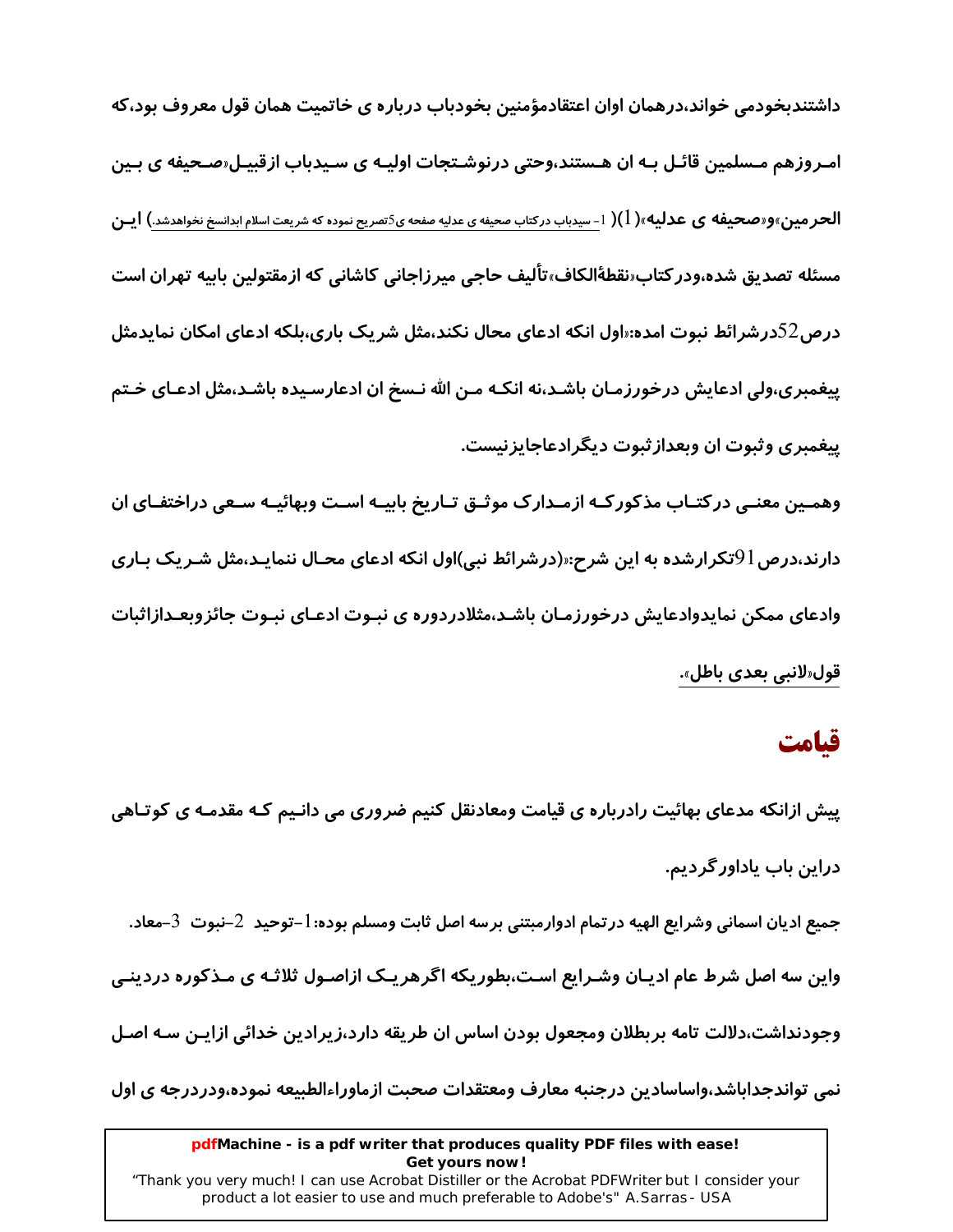داشتندبخودمی خواند،درهمان اوان اعتقادمؤمنین بخودباب درباره ی خاتمیت همان قول معروف بود،که امـروزهم مـسلمین قائـل بـه ان هـستند،وحتی درنوشـتجات اولیـه ی سـیدباب ازقبیـل«صـحیفه ی بـین **الحر مین»و«صحیفه ی عدلیه»( 1)(** 1-سیدباب درکتاب صحیفه ی عدلیه صفحه ی5تصریح نموده که شریعت اسلام ابدانسخ نخواهدشد.) **ایــن** مسئله تصدیق شده،ودر کتاب«نقطهٔالکاف»تألیف حاجی میرزاجانی کاشانی که ازمقتولین بابیه تهران است درص 52درشرائط نبوت امده:«اول انکه ادعای محال نکند،مثل شریک باری،بلکه ادعای امکان نمایدمثل پیغمبری،ولی ادعایش درخورزمـان باشـد،نه انکـه مـن الله نـسخ ان ادعارسـیده باشـد،مثل ادعـای خـتم پیغمبری وثبوت ان وبعداز ثبوت دیگرادعاجایزنیست. وهمـین معنـی در کتـاب مذکور کـه ازمـدار ک موثـق تـاریخ بابیـه اسـت وبهائیــه سـعی دراختفـای ان

دارند،درص 91تکرارشده به این شرح؛«(درشرائط نبی)اول انکه ادعای محـال ننمایـد،مثل شـریک بـاری وادعای ممکن نمایدوادعایش درخورزمـان باشـد،مثلادردوره ی نبـوت ادعـای نبـوت جائزوبعـدازاثبات قول«لانبي بعدي باطل».

### قىامت

پیش ازانکه مدعای بهائیت رادرباره ی قیامت ومعادنقل کنیم ضروری می دانـیم کـه مقدمـه ی کوتـاهی دراین باب یاداور گردیم. جميع اديان اسماني وشرايع الهيه درتمام ادوارمبتني برسه اصل ثابت ومسلم بوده: 1-توحيد 2-نبوت 3-معاد. واین سه اصل شرط عام ادیـان وشـرایع اسـت،بطوریکه اگرهریـک ازاصـول ثلاثـه ی مـذکوره دردینـی وجودنداشت،دلالت تامه بربطلان ومجعول بودن اساس ان طريقه دارد،زيرادين خدائي ازايـن سـه اصـل نمی تواندجداباشد،واساسادین درجنبه معارف ومعتقدات صحبت ازماوراءالطبیعه نموده،ودردرجه ی اول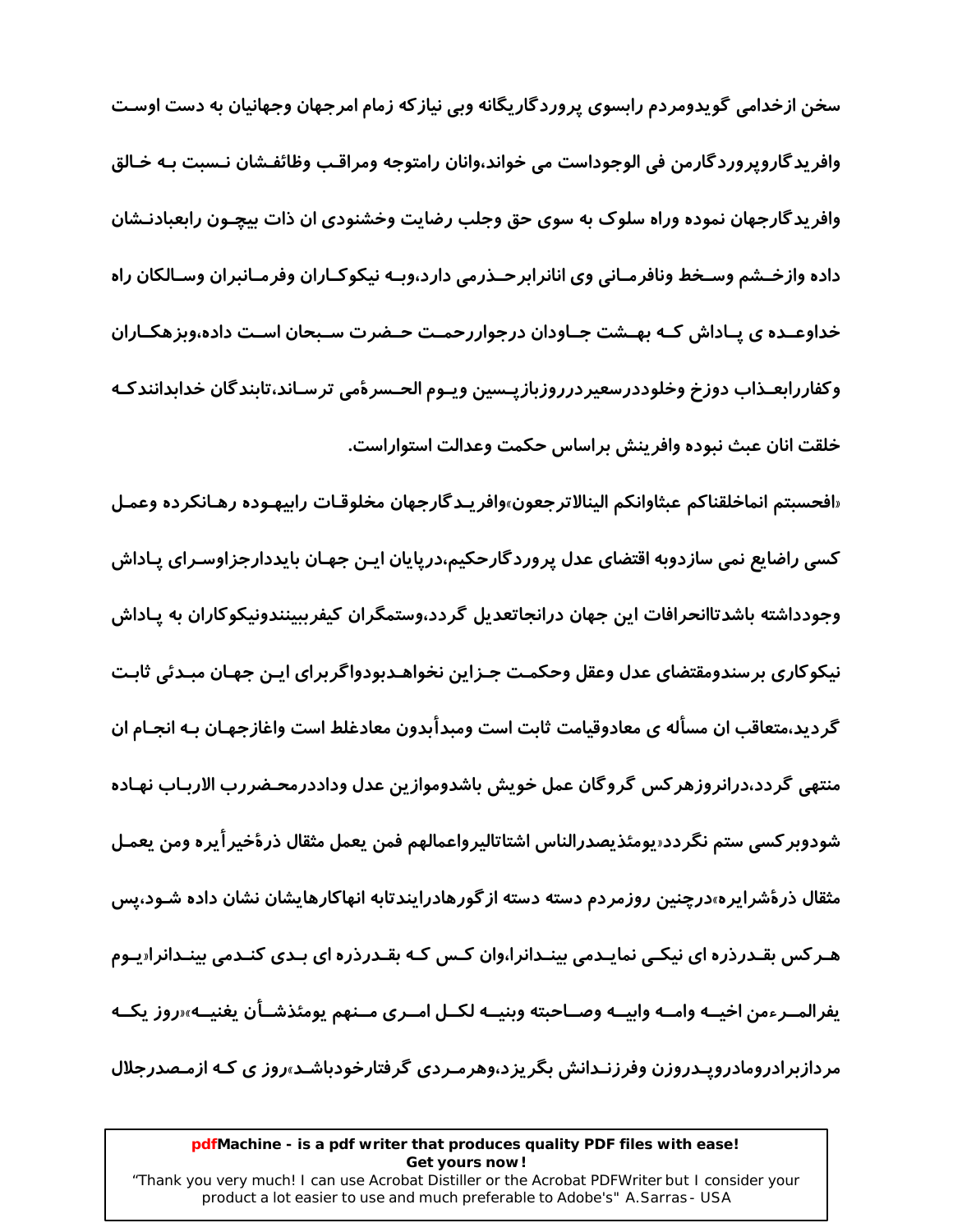سخن ازخدامی گویدومردم رابسوی پروردگاریگانه وبی نیازکه زمام امرجهان وجهانیان به دست اوسـت وافريدگاروپروردگارمن في الوجوداست مي خواند،وانان رامتوجه ومراقب وظائفـشان نـسبت بـه خـالق وافریدگارجهان نموده وراه سلوک به سوی حق وجلب رضایت وخشنودی ان ذات بیچـون رابعبادنـشان داده وازخــشم وســخط ونافرمــاني وي انانرابرحــذرمي دارد،وبــه نيكوكــاران وفرمــانبران وســالكان راه خداوعــده ی یــاداش کــه بهــشت جــاودان درجواررحمــت حــضرت ســبحان اســت داده،وبزهکــاران وكفاررابعـذاب دوزخ وخلوددرسعيردرروزبازيـسين ويـوم الحـسرةمى ترسـاند،تابندگان خدابدانندكـه خلقت انان عبث نبوده وافرينش براساس حكمت وعدالت استواراست.

«افحسبتم انماخلقناكم عبثاوانكم الينالاترجعون»وافريـدگارجهان مخلوقـات رابيهـوده رهـانكرده وعمـل کسی راضایع نمی سازدوبه اقتضای عدل پروردگارحکیم،درپایان ایـن جهـان بایددارجزاوسـرای پـاداش وجودداشته باشدتاانحرافات این جهان درانجاتعدیل گردد،وستمگران کیفرببینندونیکوکاران به پـاداش نيكوكاري برسندومقتضاي عدل وعقل وحكمت جـزاين نخواهـدبودواگربراي ايـن جهـان مبـدئي ثابـت گر دید،متعاقب ان مسأله ی معادوقیامت ثابت است ومبدأبدون معادغلط است واغازجهـان بـه انجـام ان منتهى گردد،درانروزهركس گروگان عمل خويش باشدوموازين عدل وداددرمحـضررب الاربـاب نهـاده شودوبر كسى ستم نگردد«يومئذيصدرالناس اشتاتاليرواعمالهم فمن يعمل مثقال ذرۂخير اُيره ومن يعمـل مثقال ذرهٔشرایره»درچنین روزمردم دسته دسته ازگورهادرایندتابه انهاکارهایشان نشان داده شـود،پس هـر کس بقـدرذره ای نیکـی نمایـدمی بینـدانرا،وان کـس کـه بقـدرذره ای بـدی کنـدمی بینـدانرا«یـوم يفرالمــرءمن اخيــه وامــه وابيــه وصــاحبته وبنيــه لكــل امــري مــنهم يومئذشــأن يغنيــه»رروز يكــه مردازبرادرومادروپـدروزن وفرزنـدانش بگریزد،وهرمـردی گرفتارخودباشـد<sub>"</sub>روز ی کـه ازمـصدرجلال

### pdfMachine - is a pdf writer that produces quality PDF files with ease! Get yours now!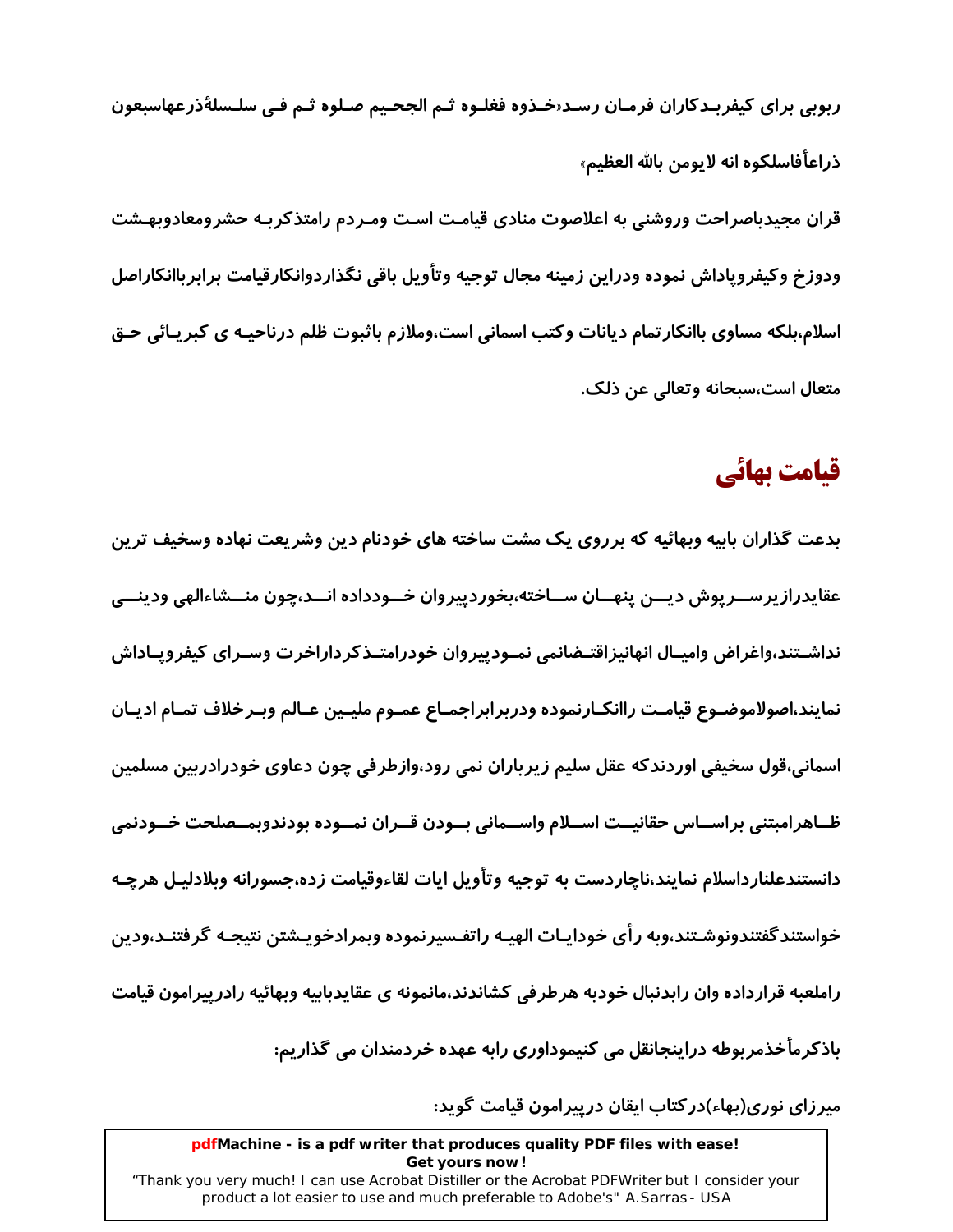ربوبي براي كيفربـدكاران فرمـان رسـد«خـذوه فغلـوه ثـم الجحـيم صـلوه ثـم فـي سلـسلةذرعهاسبعون ذراعاًفاسلكوه انه لايومن بالله العظيم» قران مجیدباصراحت وروشنی به اعلاصوت منادی قیامت است ومـردم رامتذکربـه حشرومعادوبهـشت ودوزخ وكيفروياداش نموده ودراين زمينه مجال توجيه وتأويل باقي نگذاردوانكارقيامت برابرباانكاراصل اسلام،بلکه مساوی باانکارتمام دیانات وکتب اسمانی است،وملازم باثبوت ظلم درناحیـه ی کبریـائی حـق متعال است،سىحانه وتعالى عن ذلک.

# قیامت بھائی

بدعت گذاران بابیه وبهائیه که برروی یک مشت ساخته های خودنام دین وشریعت نهاده وسخیف ترین عقايدرازيرســرپوش ديــن پنهــان ســاخته،بخوردپيروان خــودداده انــد،چون منــشاءالهي ودينــي نداشـتند،واغراض واميـال انهانيزاقتـضانمي نمـودييروان خودرامتـذكرداراخرت وسـراي كيفرويـاداش نمايند،اصولاموضـوع قيامـت راانكـارنموده ودربرابراجمـاع عمـوم مليـين عـالم وبـرخلاف تمـام اديـان اسمانی،قول سخیفی اوردندکه عقل سلیم زیرباران نمی رود،وازطرفی چون دعاوی خودرادربین مسلمین ظــاهرامبتني براســاس حقانيــت اســلام واســماني بــودن قــران نمــوده بودندوبمــصلحت خــودنمي دانستندعلنارداسلام نمايند،ناچاردست به توجيه وتأويل ايات لقاءوقيامت زده،جسورانه وبلادليـل هرچـه خواستند گفتندونوشـتند،وبه رأى خودايـات الهيـه راتفـسيرنموده وبمرادخويـشتن نتيجـه گرفتنـد،ودين راملعبه قرارداده وان رابدنبال خودبه هرطرفي كشاندند،مانمونه ي عقايدبابيه وبهائيه رادرييرامون قيامت باذکرمأخذمربوطه دراینجانقل می کنیموداوری رابه عهده خردمندان می گذاریم:

میر زای نوری(ىهاء)در کتاب ایقان درپیرامون قیامت گوید:

pdfMachine - is a pdf writer that produces quality PDF files with ease! Get yours now!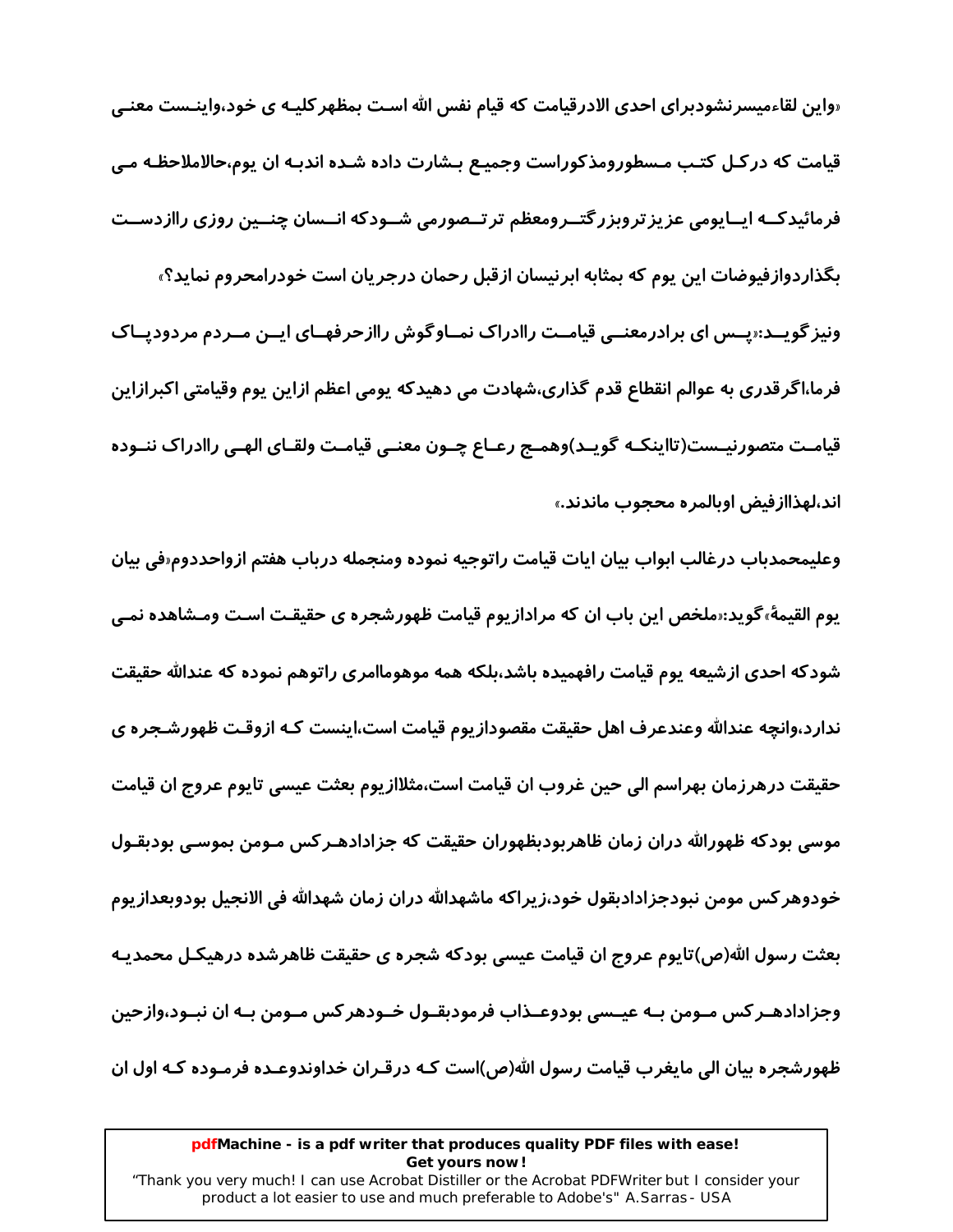«واین لقاءمیسرنشودبرای احدی الادرقیامت که قیام نفس الله اسـت بمظهر کلیـه ی خود،واینـست معنـی قیامت که در کـل کتـب مـسطورومذکوراست وجمیـع بـشارت داده شـده اندبـه ان یوم،حالاملاحظـه مـی فرمائیدکــه ایــایومی عزیز تروبزر گتــرومعظم تر تــصورمی شــودکه انــسان چنــین روزی راازدســت بگذاردوازفیوضات این یوم که بمثابه ابرنیسان ازقبل رحمان درجریان است خودرامحروم نماید؟» ونیز گویــد:«پــس ای برادرمعنــی قیامــت راادراک نمــاوگوش راازحرفهــای ایــن مــردم مردودیــاک فرما،اگرقدری به عوالم انقطاع قدم گذاری،شهادت می دهیدکه پومی اعظم ازاین پوم وقیامتی اکبرازاین قیامـت متصورنیــست(تااینکـه گویــد)وهمـج رعـاع چــون معنــی قیامــت ولقـای الهـی راادراک ننــوده اند،لهذاازفیض اوبالمره محجوب ماندند.»

وعليمحمدباب درغالب ابواب بيان ايات قيامت راتوجيه نموده ومنجمله درباب هفتم ازواحددوم«في بيان یوم القیمهٔ،گوید:«ملخص این باب ان که مرادازیوم قیامت ظهورشجره ی حقیقـت اسـت ومـشاهده نمـی شودکه احدی ازشیعه یوم قیامت رافهمیده باشد،بلکه همه موهوماامری راتوهم نموده که عندالله حقیقت ندارد،وانچه عندالله وعندعرف اهل حقیقت مقصودازیوم قیامت است،اینست کـه ازوقـت ظهورشـجره ی حقیقت درهرزمان بهراسم الی حین غروب ان قیامت است،مثلاازیوم بعثت عیسی تایوم عروج ان قیامت موسی بودکه ظهورالله دران زمان ظاهر بودبظهوران حقیقت که جزادادهـر کس مـومن بموسـی بودبقـول خودوهر كس مومن نبودجزادادبقول خود،زيراكه ماشهدالله دران زمان شهدالله في الانجيل بودوبعدازيوم بعثت رسول الله(ص)تایوم عروج ان قیامت عیسی بودکه شجره ی حقیقت ظاهرشده درهیکـل محمدیـه وجزادادهـر کس مـومن بـه عيــسى بودوعــذاب فرمودبقــول خــودهر کس مــومن بــه ان نبــود،وازحين ظهورشجره بیان الی مایغرب قیامت رسول الله(ص)است کـه درقـران خداوندوعـده فرمـوده کـه اول ان

### pdfMachine - is a pdf writer that produces quality PDF files with ease! Get yours now!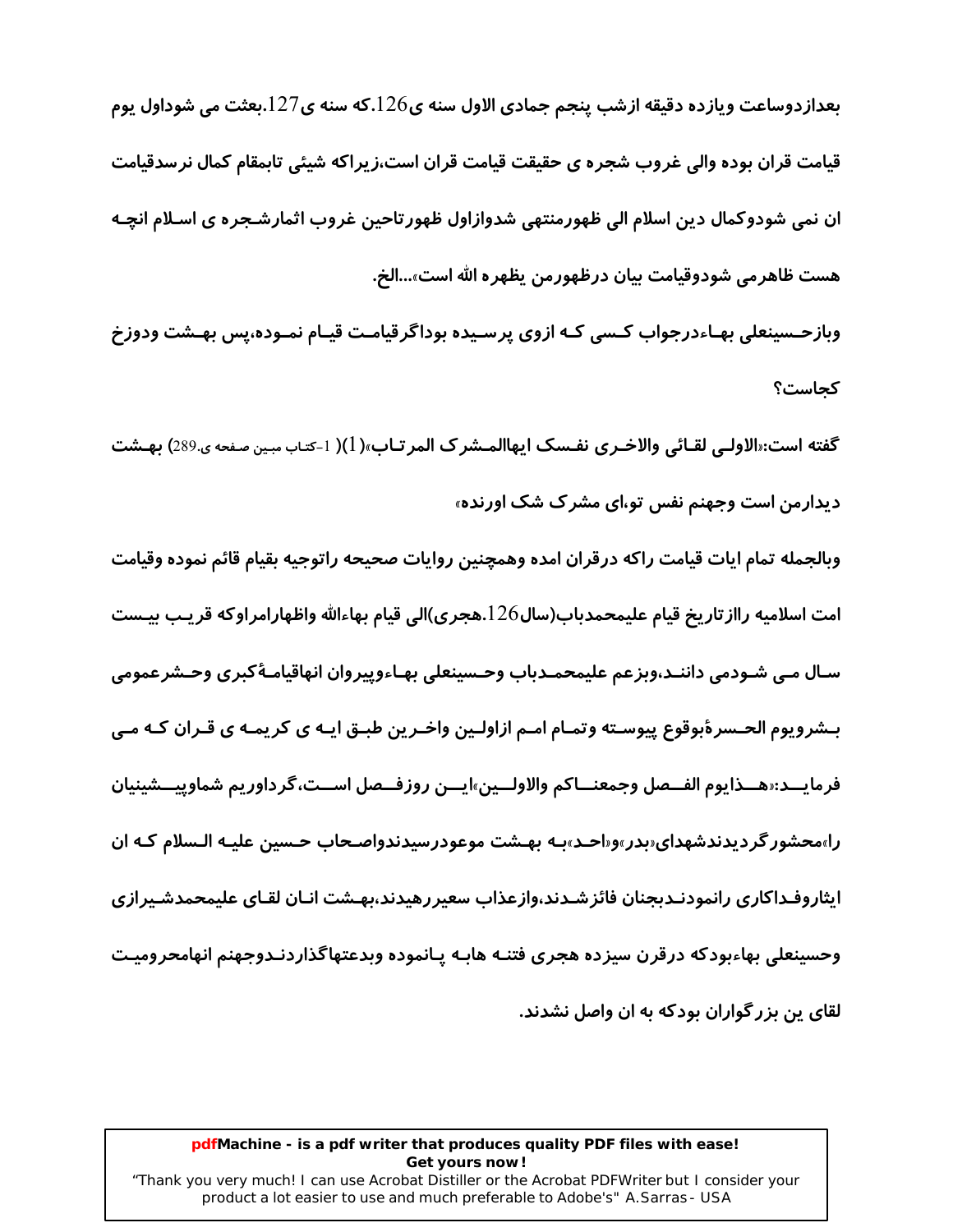بعدازدوساعت ویازده دقیقه ازشب پنجم جمادی الاول سنه ی $126$ .که سنه ی $127$ .بعثت می شوداول یوم قیامت قران بوده والی غروب شجره ی حقیقت قیامت قران است،زیراکه شیئی تابمقام کمال نرسدقیامت ان نمی شودوکمال دین اسلام الی ظهورمنتهی شدوازاول ظهورتاحین غروب اثمارشـجره ی اسـلام انچـه هست ظاهر می شودوقیامت بیان درظهورمن یظهر ه الله است»…الخ.

وبازحـسینعلی بهـاءدرجواب کـسی کـه ازوی پرسـیده بوداگرقیامـت قیـام نمـوده،پس بهـشت ودوزخ كحاست؟

گفته است:«الاولـي لقـائي والاخـري نفـسک ايهاالمـشرک المرتـاب»( 1)( 1-کتـاب مبـين صفحه ي.289) بهـشت دیدارمن است وجهنم نفس تو،ای مشرک شک اورنده»

وبالجمله تمام ايات قيامت راكه درقران امده وهمچنين روايات صحيحه راتوجيه بقيام قائم نموده وقيامت امت اسلاميه رااز تاريخ قيام عليمحمدباب(سال126.هجري)الي قيام بهاءالله واظهارامراوكه قريب بيـست سـال مـي شـودمي داننـد،وبزعم عليمحمـدباب وحـسينعلي بهـاءوپيروان انهاقيامـهٔكبرى وحـشرعمومي بـشرويوم الحـسرۀبوقوع پيوسـته وتمـام امـم ازاولـين واخـرين طبـق ايـه ي كريمـه ي قـران كـه مـي فرمايـــد:«هـــذايوم الفــصل وجمعنـــاكم والاولـــين»ايـــن روزفــصل اســت،گرداوريم شماوييـــشينيان را»محشور گردیدندشهدای«بدر»و«احـد»بـه بهـشت موعودرسیدندواصـحاب حـسین علیـه الـسلام کـه ان ايثاروفـداكاري رانمودنـدبجنان فائز شـدند،وازعذاب سعيررهيدند،بهـشت انـان لقـاي عليمحمدشـيرازي وحسينعلى بهاءبودكه درقرن سيزده هجرى فتنـه هابـه يـانموده وبدعتهاگذاردنـدوجهنم انهامحروميـت لقای پن بزر گواران بودکه به ان واصل نشدند.

### pdfMachine - is a pdf writer that produces quality PDF files with ease! Get yours now!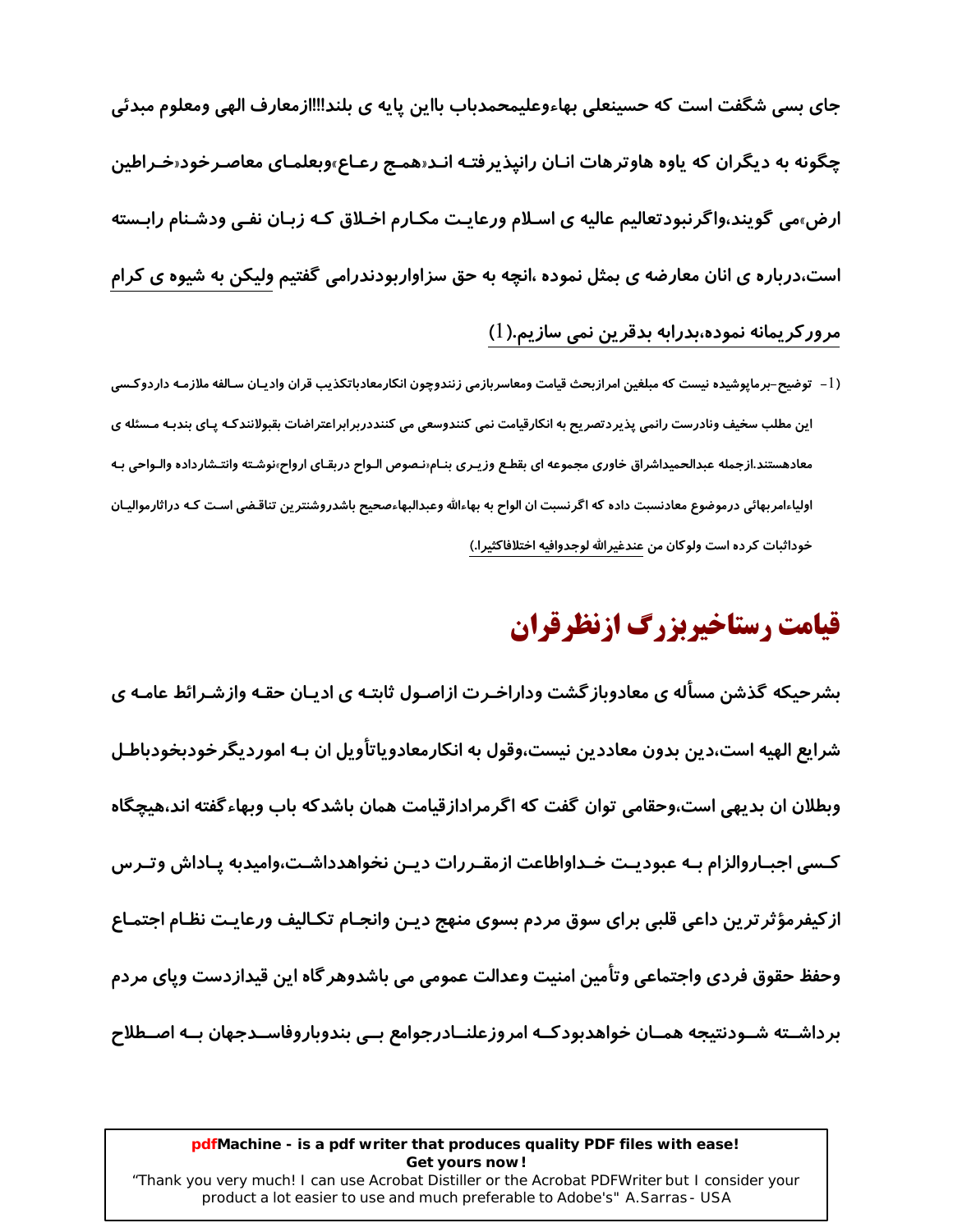جای بسی شگفت است که حسینعلی بهاءوعلیمحمدباب بااین پایه ی بلند‼اازمعارف الهی ومعلوم مبدئی چگونه به دیگران که یاوه هاوترهات انـان رانپذیرفتـه انـد«همـج رعـاع»وبعلمـای معاصـرخود«*خ*ـراطین ارض<sub>"</sub>می گویند،واگرنبودتعالیم عالیه ی اسـلام ورعایـت مکـارم اخـلاق کـه زبـان نفـی ودشـنام رابـسته است،درباره ی انان معارضه ی بمثل نموده ،انچه به حق سزاواربودندرامی گفتیم ولیکن به شیوه ی کرام مرور کریمانه نموده،بدرابه بدقرین نمی سازیم.(1)

(1– توضیح–برماپوشیده نیست که مبلغین امرازبحث قیامت ومعاسربازمی زنندوچون انکارمعادباتکذیب قران وادیـان سـالفه ملازمـه داردوکـسی این مطلب سخیف ونادرست رانمی پذیردتصریح به انکارقیامت نمی کنندوسعی می کننددربرابراعتراضات بقبولانندکـه پـای بندبـه مـسئله ی معادهستند.ازجمله عبدالحمیداشراق خاوری مجموعه ای بقطع وزیـری بنـام‹نـصوص الـواح دربقـای ارواح٬نوشـته وانتـشارداده والـواحی بـه اولیاءامربهائی درموضوع معادنسبت داده که اگرنسبت ان الواح به بهاءالله وعبدالبهاءصحیح باشدروشنترین تناقضی است کـه دراثارموالیـان خوداثبات كرده است ولوكان من عندغيرالله لوجدوافيه اختلافاكثيرا.)

# قیامت رستاخیربزرگ ازنظرقران

بشرحیکه گذشن مسأله ی معادوباز گشت وداراخـرت ازاصـول ثابتـه ی ادیـان حقـه وازشـرائط عامـه ی شرایع الهیه است،دین بدون معاددین نیست،وقول به انکارمعادویاتأویل ان بـه اموردیگرخودبخودباطـل وبطلان ان بدیهی است،وحقامی توان گفت که اگر مرادازقیامت همان باشدکه باب وبهاءگفته اند،هیچگاه کـسی اجبـاروالزام بـه عبودیـت خـداواطاعت ازمقـررات دیـن نخواهدداشـت،وامیدبه یـاداش وتـرس ازكيفرمؤثر ترين داعي قلبي براي سوق مردم بسوى منهج ديـن وانجـام تكـاليف ورعايـت نظـام اجتمـاع وحفظ حقوق فردی واجتماعی وتأمین امنیت وعدالت عمومی می باشدوهر گاه این قیدازدست وپای مردم برداشــته شــودنتيجه همــان خواهدبودكــه امروزعلنــادرجوامع بــی بندوباروفاســدجهان بــه اصــطلاح

### pdfMachine - is a pdf writer that produces quality PDF files with ease! Get yours now!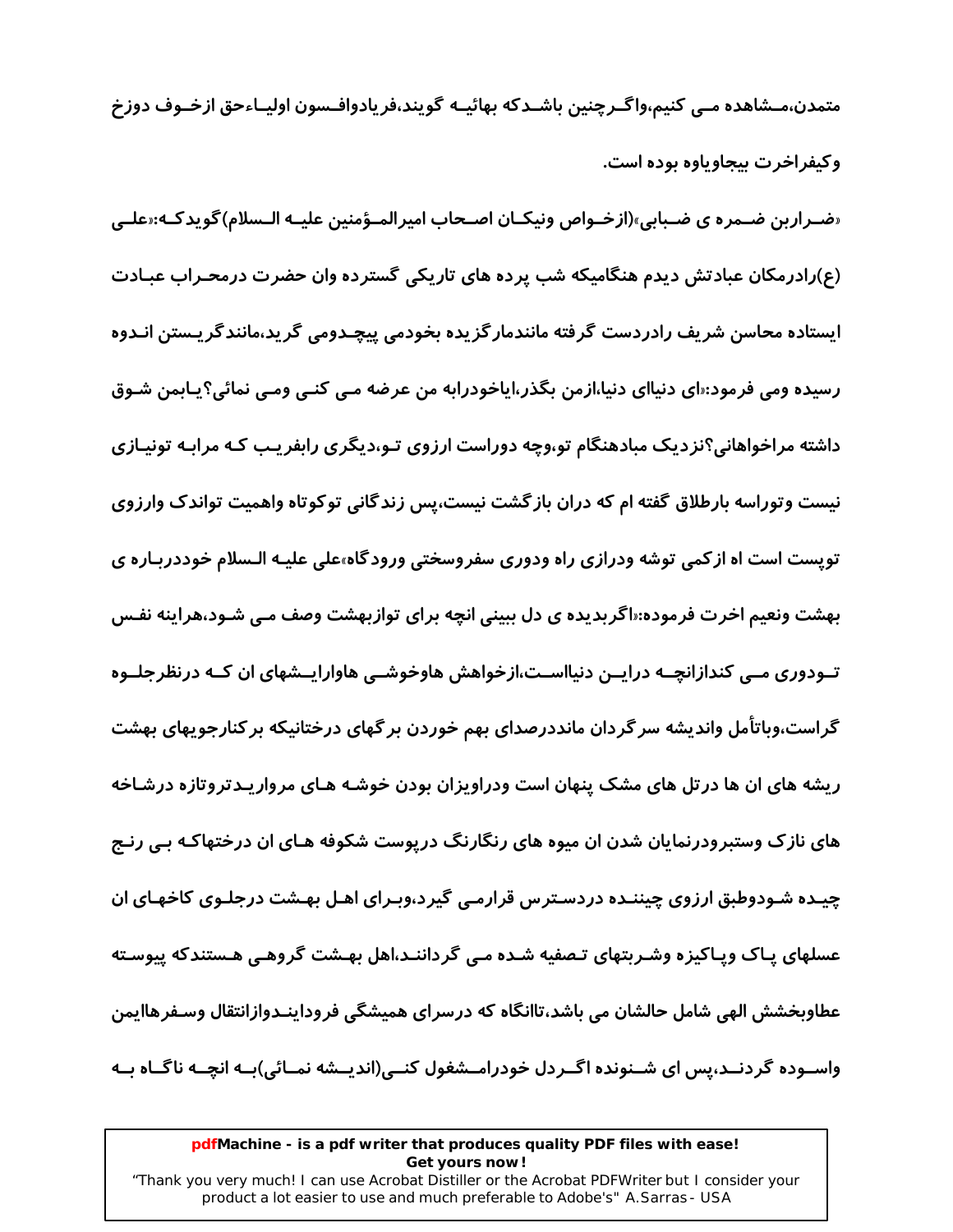متمدن،مــشاهده مــی کنیم،واگــرچنین باشــدکه بهائیــه گویند،فریادوافـسون اولیــاءحق ازخــوف دوزخ وکیفراخرت پیجاویاوه بوده است.

«ضـراربن ضـمره ي ضـبابي»(ازخـواص ونيكـان اصـحاب اميرالمـؤمنين عليـه الـسلام)گويدكـه:«علـے. (ع)رادرمکان عبادتش دیدم هنگامیکه شب پرده های تاریکی گسترده وان حضرت درمحـراب عبـادت ایستاده محاسن شریف رادردست گرفته مانندمار گزیده بخودمی پیچـدومی گرید،مانندگریـستن انـدوه رسیده ومی فرمود:«ای دنیاای دنیا،ازمن بگذر،ایاخودرابه من عرضه مـی کنـی ومـی نمائی؟یـابمن شـوق داشته مراخواهانی؟نزدیک مبادهنگام تو،وچه دوراست ارزوی تـو،دیگری رابفریـب کـه مرابـه تونیـازی نیست وتوراسه بارطلاق گفته ام که دران بازگشت نیست،پس زندگانی توکوتاه واهمیت تواندک وارزوی تویست است اه از کمی توشه ودرازی راه ودوری سفروسختی ورود گاه،علی علیـه الـسلام خوددربـاره ی بهشت ونعیم اخرت فرموده:«اگربدیده ی دل ببینی انچه برای توازبهشت وصف مـی شـود،هراینه نفـس تـودوری مــی کندازانچــه درایــن دنیااســت،ازخواهش هاوخوشــی هاوارایــشهای ان کــه درنظرجلــوه گراست،وباتأمل واندیشه سرگردان مانددرصدای بهم خوردن برگهای درختانیکه برکنارجویهای بهشت ریشه های ان ها در تل های مشک پنهان است ودراویزان بودن خوشـه هـای مرواریـدتروتازه درشـاخه های نازک وستبرودرنمایان شدن ان میوه های رنگارنگ دریوست شکوفه هـای ان درختهاکـه بـی رنـج چیـده شـودوطبق ارزوی چیننـده دردسـترس قرارمـی گیرد،وبـرای اهـل بهـشت درجلـوی کاخهـای ان عسلهای پـاک وپـاکیزه وشـربتهای تـصفیه شـده مـی گرداننـد،اهل بهـشت گروهـی هـستندکه ییوسـته عطاوبخشش الهی شامل حالشان می باشد،تاانگاه که درسرای همیشگی فروداینـدوازانتقال وسـفرهاایمن واســوده گردنــد،پس ای شــنونده اگــردل خودرامــشغول کنــی(اندیــشه نمــائی)بــه انچــه ناگــاه بــه

#### pdfMachine - is a pdf writer that produces quality PDF files with ease! Get yours now!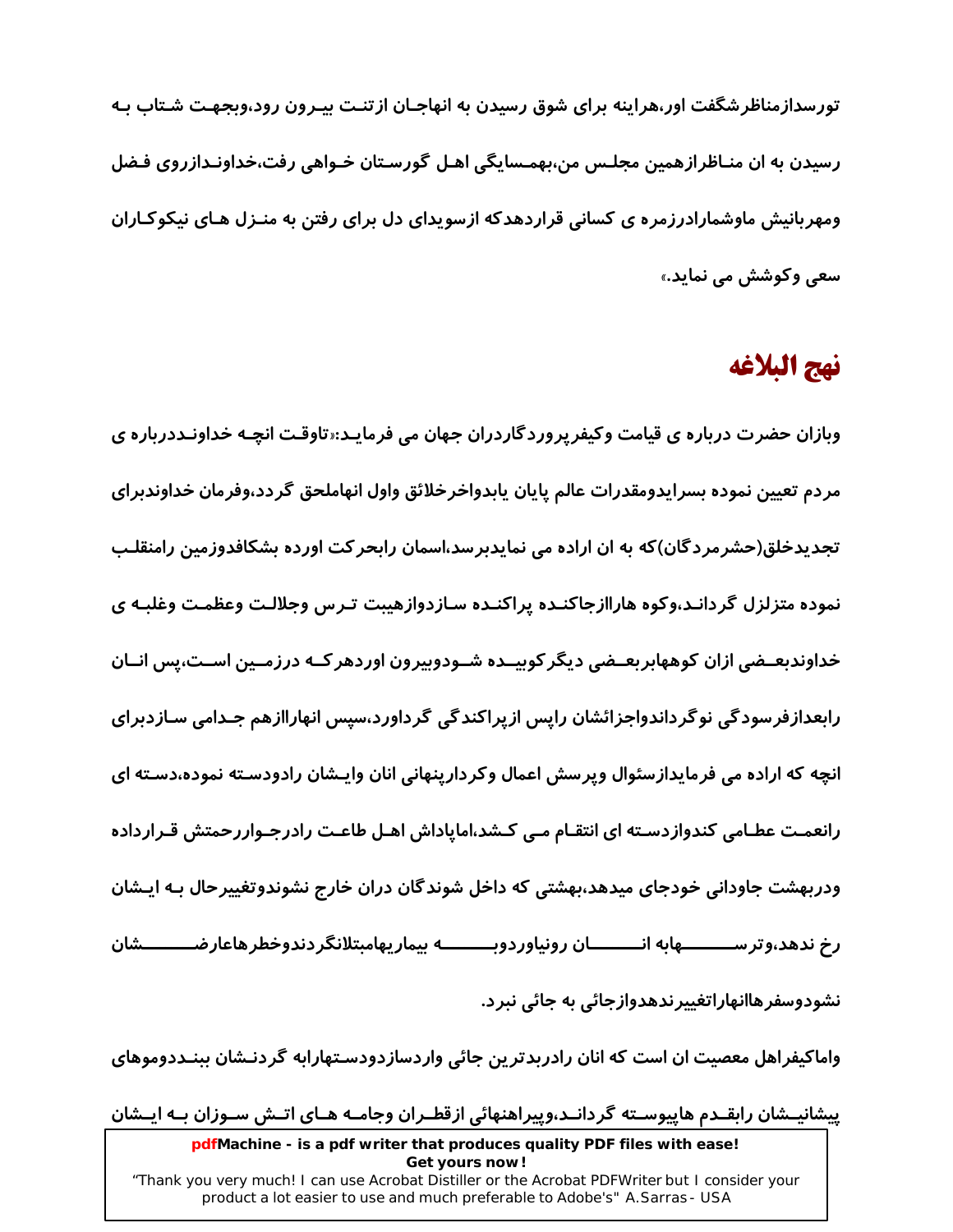تورسدازمناظرشگفت اور،هراینه برای شوق رسیدن به انهاجـان ازتنـت بیـرون رود،وبجهـت شـتاب بـه رسیدن به ان منـاظرازهمین مجلـس من،بهمـسایگی اهـل گورسـتان خـواهی رفت،خداونـدازروی فـضل ومهربانیش ماوشمارادرزمره ی کسانی قراردهدکه ازسویدای دل برای رفتن به منـزل هـای نیکوکـاران سعي وكوشش مي نمايد.»

### نهج البلاغه

وبازان حضرت درباره ی قیامت وکیفرپروردگاردران جهان می فرمایـد:«تاوقـت انچـه خداونـددرباره ی مردم تعيين نموده بسرايدومقدرات عالم پايان يابدواخرخلائق واول انهاملحق گردد،وفرمان خداوندبراي تجدیدخلق(حشرمردگان)که به ان اراده می نمایدبرسد،اسمان رابحرکت اورده بشکافدوزمین رامنقلـب نموده متزلزل گردانـد،وکوه هاراازجاکنـده پراکنـده سـازدوازهیبت تـرس وجلالـت وعظمـت وغلبـه ی خداوندبعــضی ازان کوههابربعــضی دیگر کوبیــده شــودوبیرون اوردهر کــه درزمــین اســت،پس انــان رابعدازفرسودگی نوگرداندواجزائشان رایس ازپراکندگی گرداورد،سیس انهاراازهم جـدامی سـازدبرای انچه که اراده می فرمایدازسئوال ویرسش اعمال وکردارینهانی انان وایـشان رادودسـته نموده،دسـته ای رانعمـت عطـامی کندوازدسـته ای انتقـام مـی کـشد،اماپاداش اهـل طاعـت رادرجـواررحمتش قـرارداده ودربهشت جاودانی خودجای میدهد،بهشتی که داخل شوندگان دران خارج نشوندوتغییرحال بـه ایـشان رخ ندهد،وترســــــــــهابه انــــــــــان رونیاوردوبــــــــــه بیماریهامبتلانگردندوخطرهاعارضـــــــــشان نشودوسفر هاانهاراتغییر ندهدوازجائی به جائی نبر د.

واماکیفراهل معصیت ان است که انان رادربدترین جائی واردسازدودسـتهارابه گردنـشان ببنـددوموهای

پیشانیــشان رابقــدم هاپیوســته گردانــد،وپیراهنهائی ازقطــران وجامــه هــای اتــش ســوزان بــه ایــشان

pdfMachine - is a pdf writer that produces quality PDF files with ease! Get yours now! "Thank you very much! I can use Acrobat Distiller or the Acrobat PDFWriter but I consider your product a lot easier to use and much preferable to Adobe's" A. Sarras - USA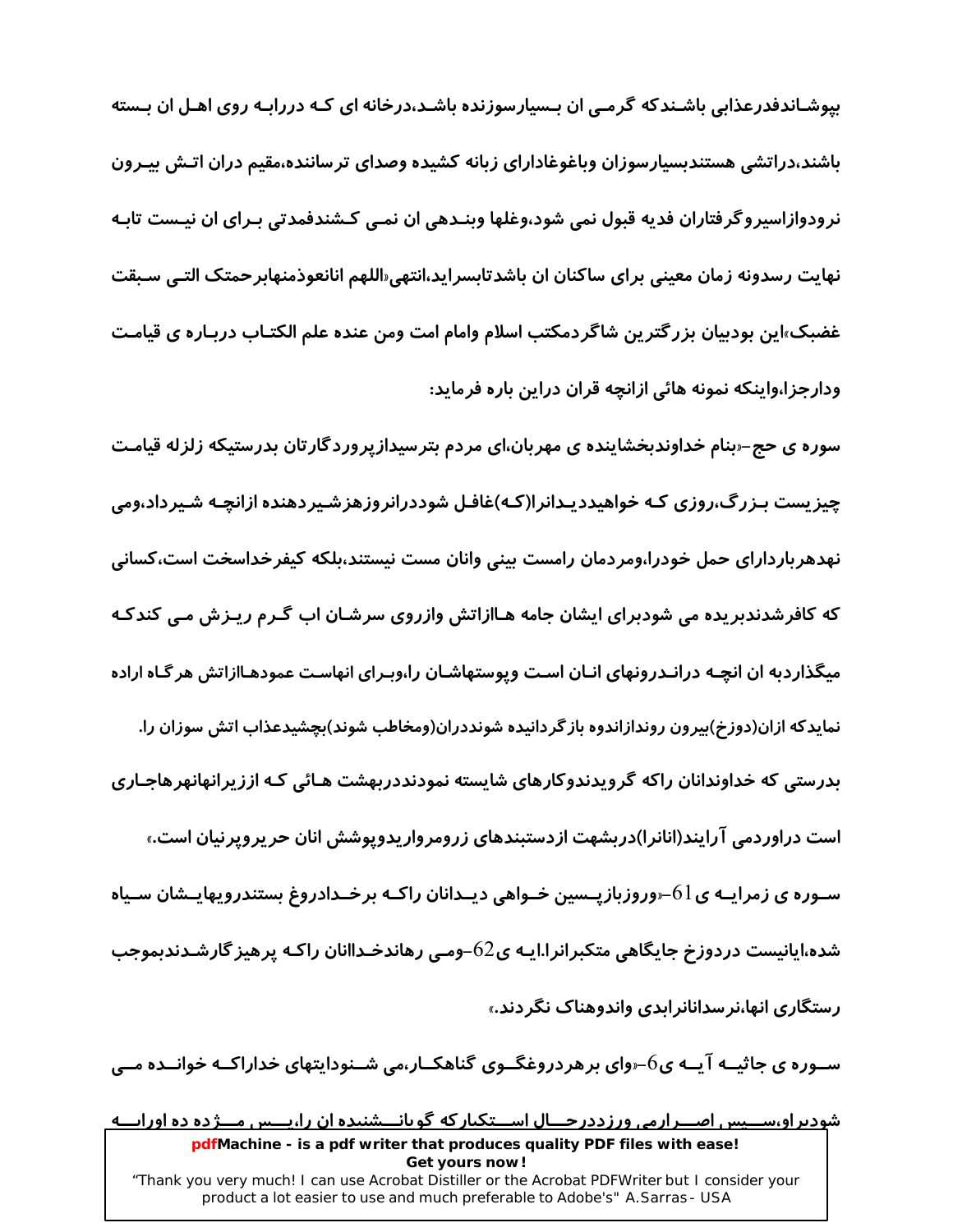بیوشـاندفدرعذابی باشـندکه گرمـی ان بـسیارسوزنده باشـد،درخانه ای کـه دررابـه روی اهـل ان بـسته باشند،دراتشی هستندبسیارسوزان وباغوغادارای زبانه کشیده وصدای ترساننده،مقیم دران اتـش بیـرون نرودوازاسیروگرفتاران فدیه قبول نمی شود،وغلها وبنـدهی ان نمـی کـشندفمدتی بـرای ان نیـست تابـه نهایت رسدونه زمان معینی برای ساکنان ان باشدتابسراید،انتهی«اللهم انانعوذمنهابرحمتک التـی سـبقت غضبک»این بودبیان بزرگترین شاگردمکتب اسلام وامام امت ومن عنده علم الکتـاب دربـاره ی قیامـت ودارجزا،واینکه نمونه هائی ازانچه قران دراین باره فرماید:

سوره ی حج–ربنام خداوندبخشاینده ی مهربان،ای مردم بترسیدازپروردگارتان بدرستیکه زلزله قیامت چیزیست بـزرگ،روزی کـه خواهیددیـدانرا(کـه)غافـل شوددرانروزهزشـیردهنده ازانچـه شـیرداد،ومی نهدهرباردارای حمل خودرا،ومردمان رامست بینی وانان مست نیستند،بلکه کیفرخداسخت است،کسانی که کافرشدندبریده می شودبرای ایشان جامه هـاازاتش وازروی سرشـان اب گـرم ریـزش مـی کندکـه میگذاردبه ان انچـه درانـدرونهای انـان اسـت ویوستهاشـان را،وبـرای انهاسـت عمودهـاازاتش هر گـاه اراده نمایدکه ازان(دوزخ)بیرون روندازاندوه باز گردانیده شونددران(ومخاطب شوند)بچشیدعذاب اتش سوزان را. بدرستی که خداوندانان راکه گرویدندوکارهای شایسته نمودنددربهشت هـائی کـه اززیرانهانهرهاجـاری است د*ر*اوردمی آرایند(انانرا)دربشهت ازدستبندهای زرومرواریدوپوشش انان حریروپرنیان است.» سـوره ی زمرایــه ی ا $-61$ وروزبازپــسین خــواهی دیــدانان راکــه برخــدادروغ بستندرویهایــشان سـیاه شده،اپانیست دردوزخ جایگاهی متکبرانرا.ایـه ی $62$ –ومـی رهاندخـداانان راکـه پرهیز گارشـدندبموجب رستگاری انها،نر سدانانرابدی واندوهناک نگردند.»

سـوره ی جاثیــه آیــه ی6–روای برهردروغگــوی گناهکــار،می شــنودایتهای خداراکــه خوانــده مــی

شودیراو،ســـیس اصــرارمی ورزددرحــال اســتکبار که گویانـــشنیده ان را،پـــس مــژده ده اورابــه pdfMachine - is a pdf writer that produces quality PDF files with ease! Get yours now! "Thank you very much! I can use Acrobat Distiller or the Acrobat PDFWriter but I consider your product a lot easier to use and much preferable to Adobe's" A. Sarras - USA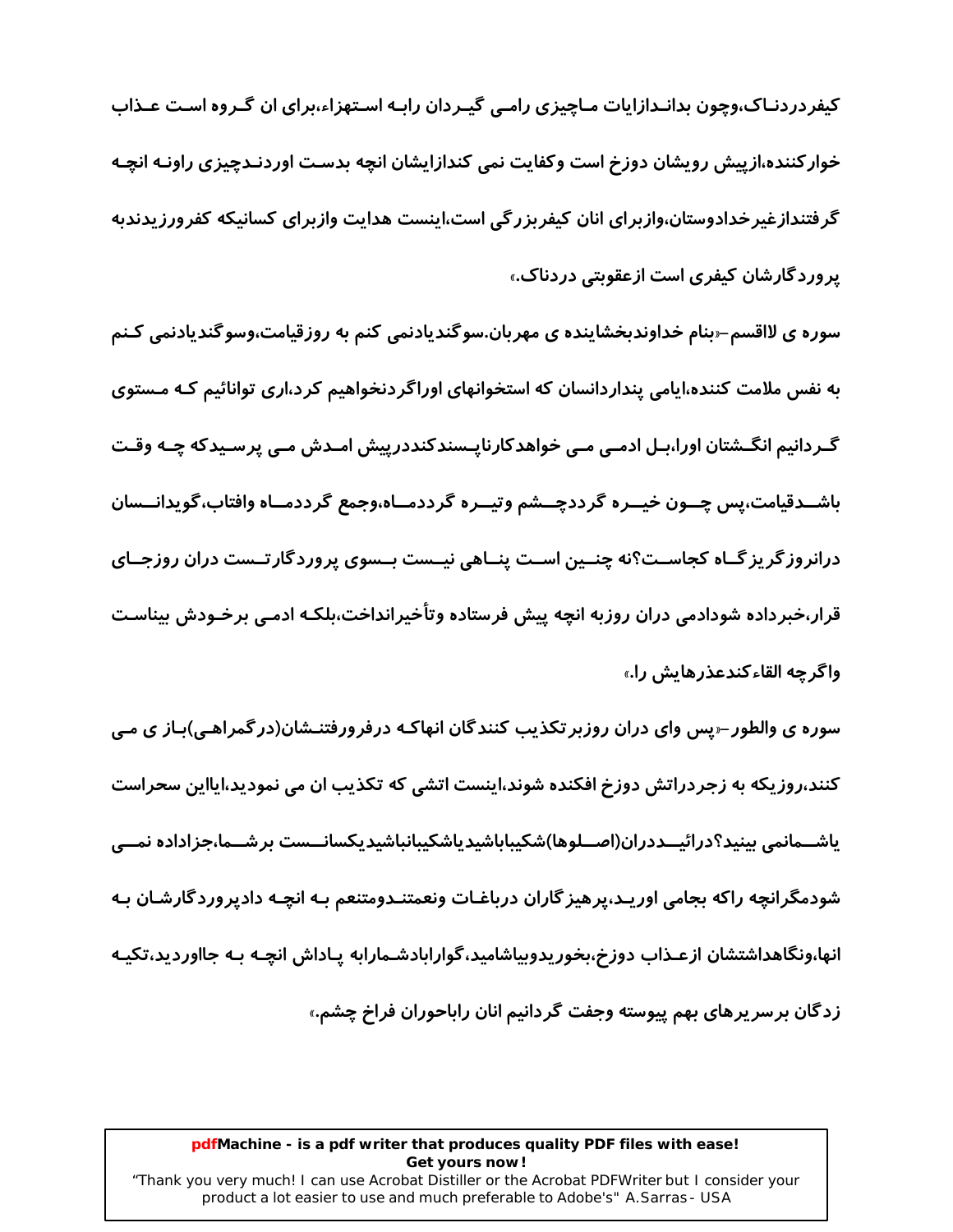کیفردردنـاک،وچون بدانـدازایات مـاچیزی رامـی گیـردان رابـه اسـتهزاء،برای ان گـروه اسـت عـذاب خوار کننده،ازییش رویشان دوزخ است وکفایت نمی کندازایشان انچه بدسـت اوردنـدچیزی راونـه انچـه گرفتندازغیرخدادوستان،وازبرای انان کیفربزرگی است،اینست هدایت وازبرای کسانیکه کفرورزیدندبه پروردگارشان کیفری است ازعقویتی دردناک.»

سوره ی لااقسم–ربنام خداوندبخشاینده ی مهربان.سوگندیادنمی کنم به روزقیامت،وسوگندیادنمی کـنم به نفس ملامت کننده،ایامی پنداردانسان که استخوانهای اوراگردنخواهیم کرد،اری توانائیم کـه مـستوی گـردانیم انگــشتان اورا،بــل ادمــی مــی خواهدکارنایــسندکنددرییش امــدش مــی پرسـیدکه چــه وقــت باشــدقیامت،پس چــون خیــره گرددچــشم وتیــره گرددمــاه،وجمع گرددمــاه وافتاب،گویدانــسان درانروز گریز گــاه کجاســت؟نه چنــین اســت پنــاهی نیــست بــسوی پرورد گارتــست دران روزجــای قرار،خبرداده شودادمی دران روزبه انچه پیش فرستاده وتأخیرانداخت،بلکـه ادمـی برخـودش بیناسـت واگر چه القاءکندعذرهایش را.»

سوره ی والطور –ریس وای دران روزبر تکذیب کنندگان انهاکـه درفرورفتنـشان(در گمراهـی)بـاز ی مـی کنند،روزیکه به زجردراتش دوزخ افکنده شوند،اینست اتشی که تکذیب ان می نمودید،ایااین سحراست یاشــمانمی بینید؟درائیــددران(اصــلوها)شکیباباشیدیاشکیبانباشیدیکسانــست برشــما،جزاداده نمــی شودمگرانچه راکه بجامی اورپـد،پرهیز گاران درباغـات ونعمتنـدومتنعم بـه انچـه دادپروردگارشـان بـه انها،ونگاهداشتشان ازعـذاب دوزخ،بخوریدوبیاشامید،گوارابادشـمارابه پـاداش انچـه بـه جااوردید،تکیـه زدگان برسرپرهای بهم پیوسته وجفت گردانیم انان راباحوران فراخ چشم.»

### pdfMachine - is a pdf writer that produces quality PDF files with ease! Get yours now!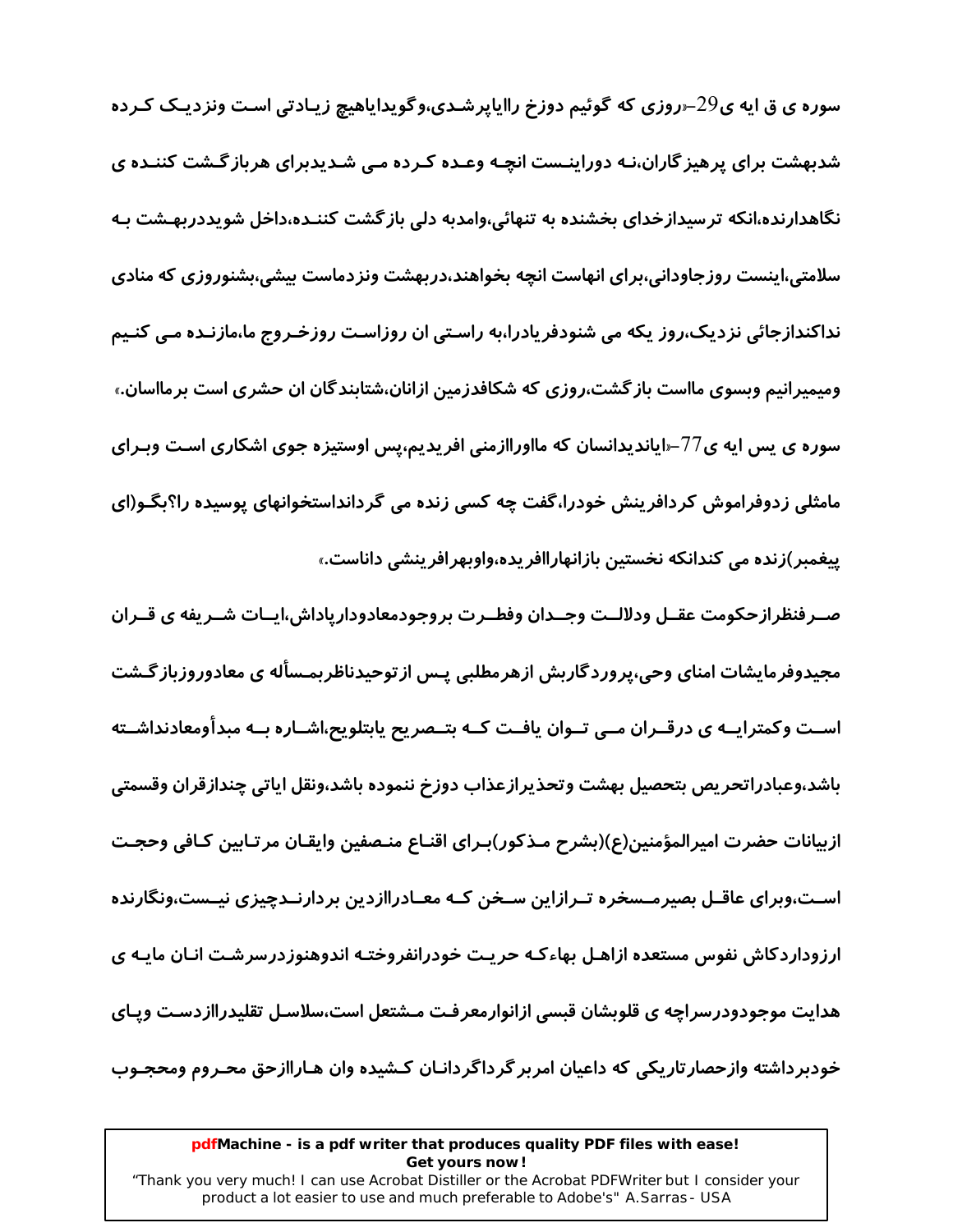سوره ی ق ایه ی $29$ -«روزی که گوئیم دوزخ راایاپرشـدی،وگویدایاهیچ زیـادتی اسـت ونزدیـک کـرده شدىهشت ىراي پرهيز گاران،نـه دوراپنـست انچـه وعـده كـرده مـی شـدپدىرای هرىاز گـشت كننـده ی نگاهدارنده،انکه ترسیدازخدای بخشنده به تنهائی،وامدبه دلی باز گشت کننـده،داخل شویددربهـشت بـه سلامتی،اینست روزجاودانی،برای انهاست انچه بخواهند،دربهشت ونزدماست بیشی،بشنوروزی که منادی نداکندازجائی نزدیک،روز یکه می شنودفریادرا،به راستی ان روزاست روزخـروج ما،مازنـده مـی کنـیم ومیمیرانیم وبسوی مااست باز گشت،روزی که شکافدزمین ازانان،شتابندگان ان حشری است برمااسان.» سوره ی پس ایه ی77–«ایاندیدانسان که مااوراازمنی افریدیم،پس اوستیزه جوی اشکاری اسـت وبـرای مامثلی زدوفراموش کردافرینش خودرا،گفت چه کسی زنده می گردانداستخوانهای پوسیده را؟بگـو(ای پیغمبر)زنده می کندانکه نخستین بازانهاراافریده،واوبهرافرینشی داناست.»

صـر فنظر ازحکومت عقــل ودلالــت وجــدان وفطــرت بروجودمعادودارپاداش،ایــات شــریفه ی قــران مجیدوفرمایشات امنای وحی،پرورد گاربش ازهرمطلبی پـس از توحیدناظربمـساَله ی معادوروزباز گـشت اســت وکمترایــه ی درقــران مــی تــوان یافــت کــه بتــصریح یابتلویح،اشــاره بــه مبدأومعادنداشــته باشد،وعبادراتحريص بتحصيل بهشت وتحذيرازعذاب دوزخ ننموده باشد،ونقل اياتي چندازقران وقسمتي ازبيانات حضرت اميرالمؤمنين(ع)(بشرح مـذكور)بـراي اقنـاع منـصفين وايقـان مرتـابين كـافي وحجـت اسـت،وبرای عاقــل بصیرمــسخره تــرازاین سـخن کــه معــادراازدین بردارنــدچیزی نیــست،ونگارنده ارزوداردکاش نفوس مستعده ازاهـل بهاءکـه حریـت خودرانفروختـه اندوهنوزدرسرشـت انـان مایـه ی هدایت موجودودرسراچه ی قلوبشان قبسی ازانوارمعرفت مـشتعل است،سلاسـل تقلیدراازدسـت ویـای خودبرداشته وازحصار تاریکی که داعیان امربر گرداگردانـان کـشیده وان هـاراازحق محـروم ومحجـوب

### pdfMachine - is a pdf writer that produces quality PDF files with ease! Get yours now!